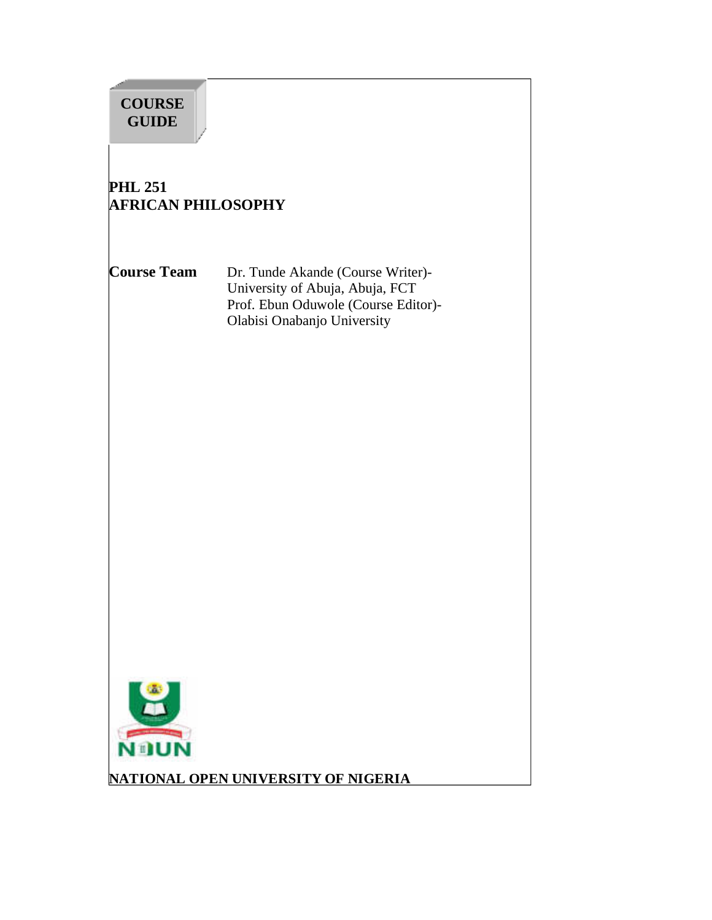

**NATIONAL OPEN UNIVERSITY OF NIGERIA**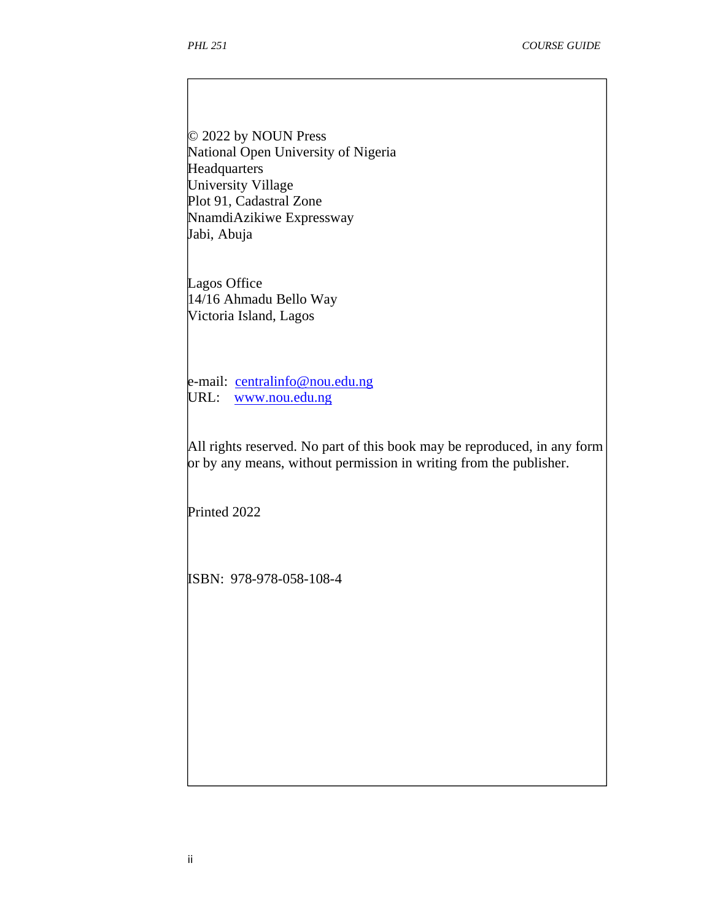© 2022 by NOUN Press National Open University of Nigeria **Headquarters** University Village Plot 91, Cadastral Zone NnamdiAzikiwe Expressway Jabi, Abuja

Lagos Office 14/16 Ahmadu Bello Way Victoria Island, Lagos

e-mail: centralinfo@nou.edu.ng URL: www.nou.edu.ng

All rights reserved. No part of this book may be reproduced, in any form or by any means, without permission in writing from the publisher.

Printed 2022

ISBN: 978-978-058-108-4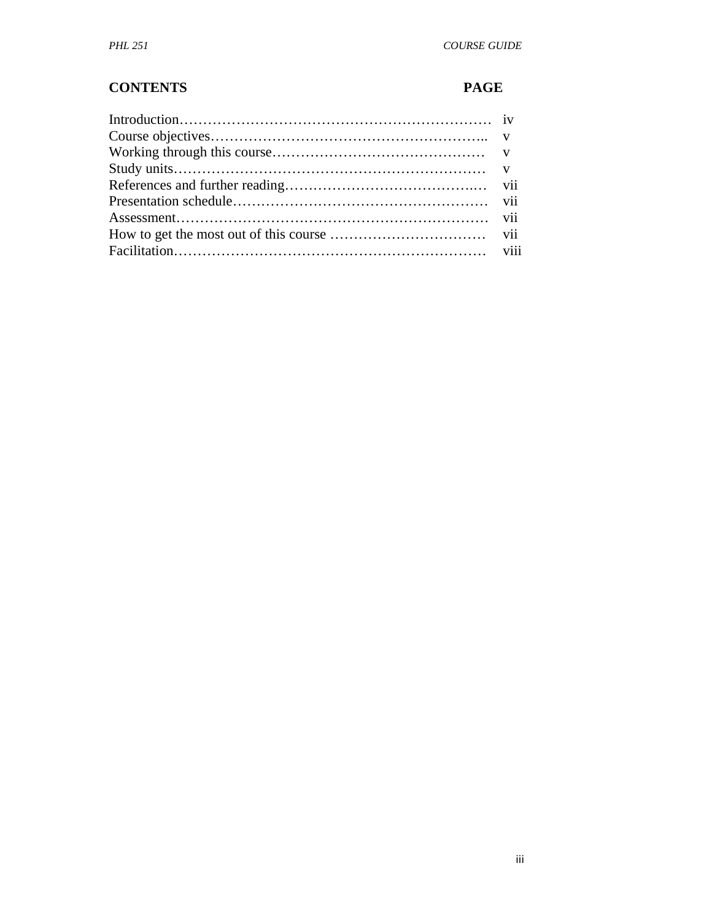#### **CONTENTS PAGE**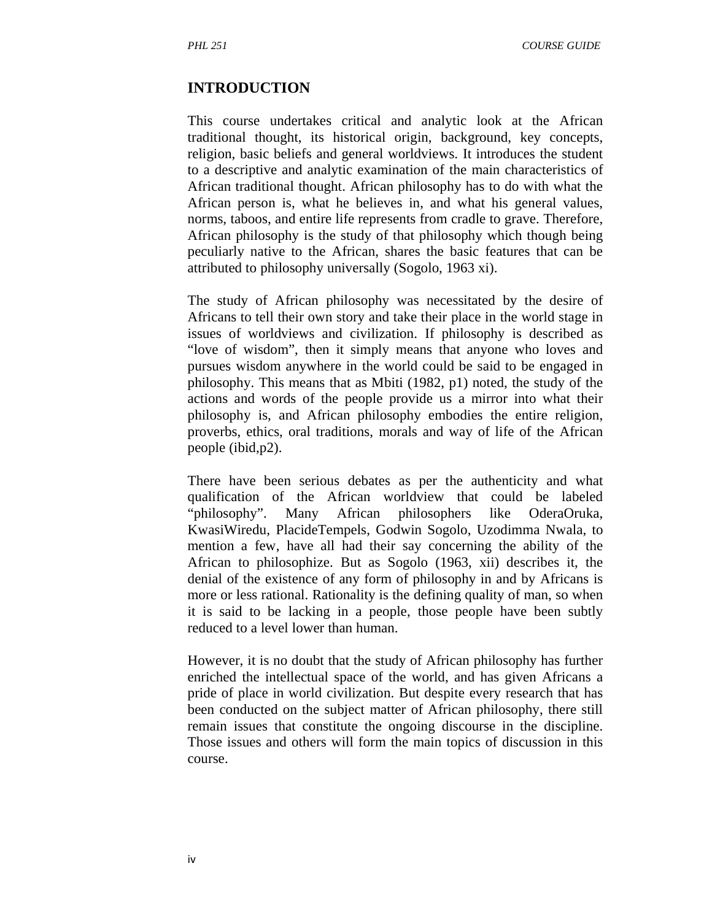#### **INTRODUCTION**

This course undertakes critical and analytic look at the African traditional thought, its historical origin, background, key concepts, religion, basic beliefs and general worldviews. It introduces the student to a descriptive and analytic examination of the main characteristics of African traditional thought. African philosophy has to do with what the African person is, what he believes in, and what his general values, norms, taboos, and entire life represents from cradle to grave. Therefore, African philosophy is the study of that philosophy which though being peculiarly native to the African, shares the basic features that can be attributed to philosophy universally (Sogolo, 1963 xi).

The study of African philosophy was necessitated by the desire of Africans to tell their own story and take their place in the world stage in issues of worldviews and civilization. If philosophy is described as "love of wisdom", then it simply means that anyone who loves and pursues wisdom anywhere in the world could be said to be engaged in philosophy. This means that as Mbiti (1982, p1) noted, the study of the actions and words of the people provide us a mirror into what their philosophy is, and African philosophy embodies the entire religion, proverbs, ethics, oral traditions, morals and way of life of the African people (ibid,p2).

There have been serious debates as per the authenticity and what qualification of the African worldview that could be labeled "philosophy". Many African philosophers like OderaOruka, KwasiWiredu, PlacideTempels, Godwin Sogolo, Uzodimma Nwala, to mention a few, have all had their say concerning the ability of the African to philosophize. But as Sogolo (1963, xii) describes it, the denial of the existence of any form of philosophy in and by Africans is more or less rational. Rationality is the defining quality of man, so when it is said to be lacking in a people, those people have been subtly reduced to a level lower than human.

However, it is no doubt that the study of African philosophy has further enriched the intellectual space of the world, and has given Africans a pride of place in world civilization. But despite every research that has been conducted on the subject matter of African philosophy, there still remain issues that constitute the ongoing discourse in the discipline. Those issues and others will form the main topics of discussion in this course.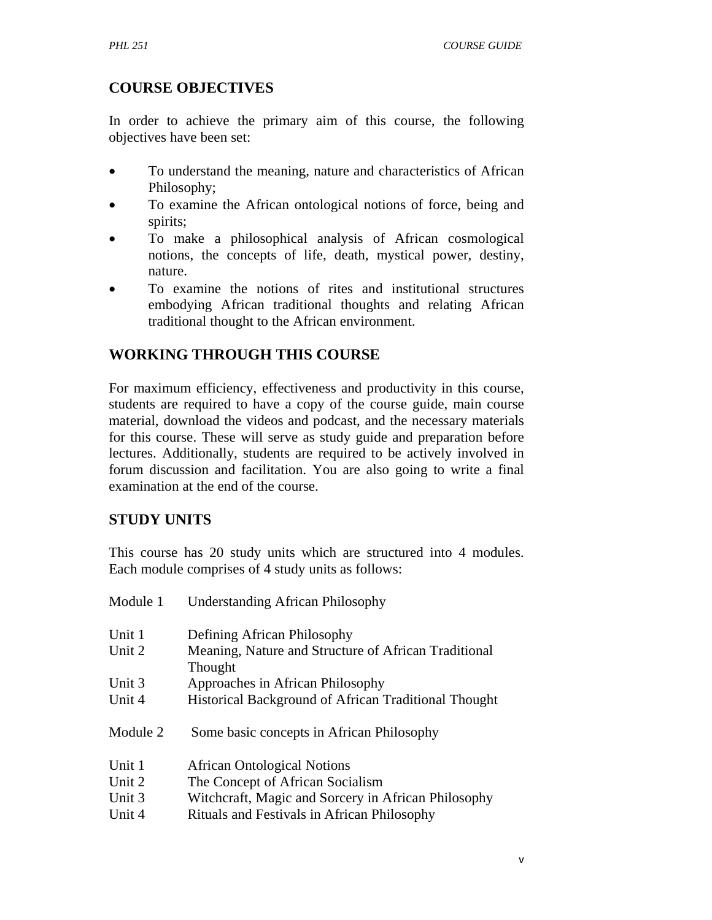# **COURSE OBJECTIVES**

In order to achieve the primary aim of this course, the following objectives have been set:

- To understand the meaning, nature and characteristics of African Philosophy;
- To examine the African ontological notions of force, being and spirits;
- To make a philosophical analysis of African cosmological notions, the concepts of life, death, mystical power, destiny, nature.
- To examine the notions of rites and institutional structures embodying African traditional thoughts and relating African traditional thought to the African environment.

# **WORKING THROUGH THIS COURSE**

For maximum efficiency, effectiveness and productivity in this course, students are required to have a copy of the course guide, main course material, download the videos and podcast, and the necessary materials for this course. These will serve as study guide and preparation before lectures. Additionally, students are required to be actively involved in forum discussion and facilitation. You are also going to write a final examination at the end of the course.

#### **STUDY UNITS**

This course has 20 study units which are structured into 4 modules. Each module comprises of 4 study units as follows:

| Module 1 | <b>Understanding African Philosophy</b>                         |
|----------|-----------------------------------------------------------------|
| Unit 1   | Defining African Philosophy                                     |
| Unit 2   | Meaning, Nature and Structure of African Traditional<br>Thought |
| Unit 3   | Approaches in African Philosophy                                |
| Unit 4   | Historical Background of African Traditional Thought            |
| Module 2 | Some basic concepts in African Philosophy                       |
| Unit 1   | <b>African Ontological Notions</b>                              |
| Unit 2   | The Concept of African Socialism                                |
| Unit 3   | Witchcraft, Magic and Sorcery in African Philosophy             |
| Unit 4   | Rituals and Festivals in African Philosophy                     |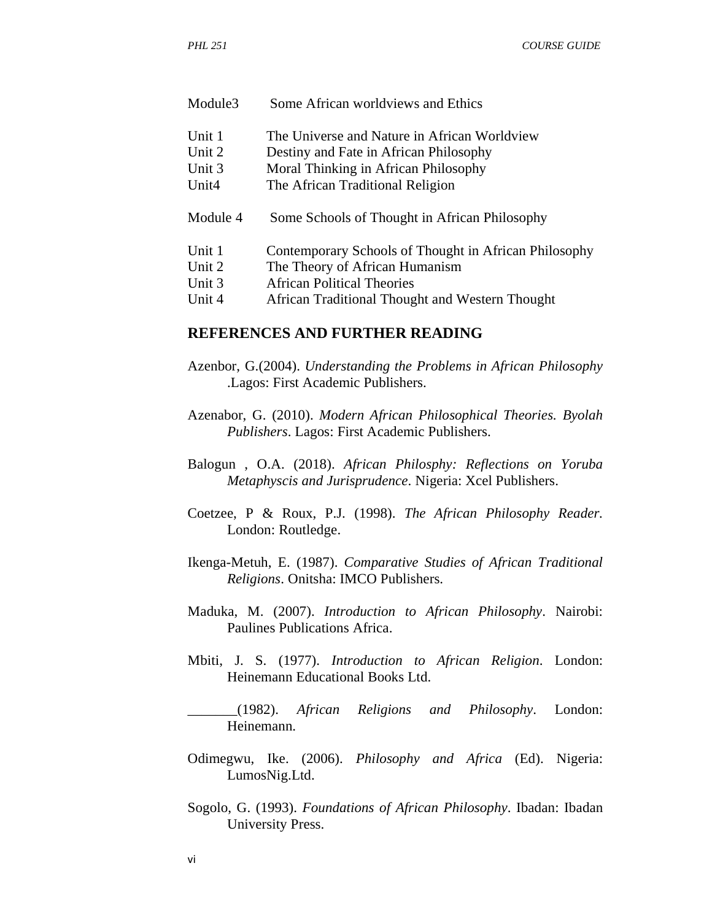| Unit 1            | The Universe and Nature in African Worldview          |
|-------------------|-------------------------------------------------------|
| Unit 2            | Destiny and Fate in African Philosophy                |
| Unit 3            | Moral Thinking in African Philosophy                  |
| Unit <sub>4</sub> | The African Traditional Religion                      |
| Module 4          | Some Schools of Thought in African Philosophy         |
| Unit 1            | Contemporary Schools of Thought in African Philosophy |
| Unit 2            | The Theory of African Humanism                        |
| Unit 3            | African Political Theories                            |
| Unit 4            | African Traditional Thought and Western Thought       |
|                   |                                                       |

#### **REFERENCES AND FURTHER READING**

Module3 Some African worldviews and Ethics

- Azenbor, G.(2004). *Understanding the Problems in African Philosophy* .Lagos: First Academic Publishers.
- Azenabor, G. (2010). *Modern African Philosophical Theories. Byolah Publishers*. Lagos: First Academic Publishers.
- Balogun , O.A. (2018). *African Philosphy: Reflections on Yoruba Metaphyscis and Jurisprudence*. Nigeria: Xcel Publishers.
- Coetzee, P & Roux, P.J. (1998). *The African Philosophy Reader.*  London: Routledge.
- Ikenga-Metuh, E. (1987). *Comparative Studies of African Traditional Religions*. Onitsha: IMCO Publishers.
- Maduka, M. (2007). *Introduction to African Philosophy*. Nairobi: Paulines Publications Africa.
- Mbiti, J. S. (1977). *Introduction to African Religion*. London: Heinemann Educational Books Ltd.

\_\_\_\_\_\_\_(1982). *African Religions and Philosophy*. London: Heinemann.

- Odimegwu, Ike. (2006). *Philosophy and Africa* (Ed). Nigeria: LumosNig.Ltd.
- Sogolo, G. (1993). *Foundations of African Philosophy*. Ibadan: Ibadan University Press.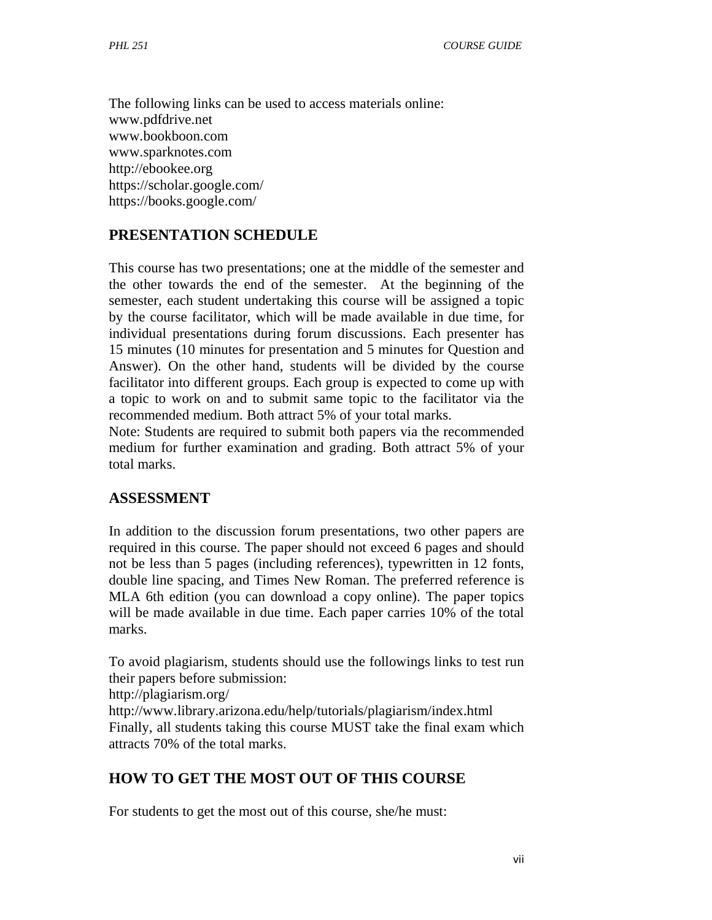The following links can be used to access materials online: www.pdfdrive.net www.bookboon.com www.sparknotes.com http://ebookee.org https://scholar.google.com/ https://books.google.com/

#### **PRESENTATION SCHEDULE**

This course has two presentations; one at the middle of the semester and the other towards the end of the semester. At the beginning of the semester, each student undertaking this course will be assigned a topic by the course facilitator, which will be made available in due time, for individual presentations during forum discussions. Each presenter has 15 minutes (10 minutes for presentation and 5 minutes for Question and Answer). On the other hand, students will be divided by the course facilitator into different groups. Each group is expected to come up with a topic to work on and to submit same topic to the facilitator via the recommended medium. Both attract 5% of your total marks.

Note: Students are required to submit both papers via the recommended medium for further examination and grading. Both attract 5% of your total marks.

#### **ASSESSMENT**

In addition to the discussion forum presentations, two other papers are required in this course. The paper should not exceed 6 pages and should not be less than 5 pages (including references), typewritten in 12 fonts, double line spacing, and Times New Roman. The preferred reference is MLA 6th edition (you can download a copy online). The paper topics will be made available in due time. Each paper carries 10% of the total marks.

To avoid plagiarism, students should use the followings links to test run their papers before submission:

http://plagiarism.org/

http://www.library.arizona.edu/help/tutorials/plagiarism/index.html Finally, all students taking this course MUST take the final exam which attracts 70% of the total marks.

#### **HOW TO GET THE MOST OUT OF THIS COURSE**

For students to get the most out of this course, she/he must: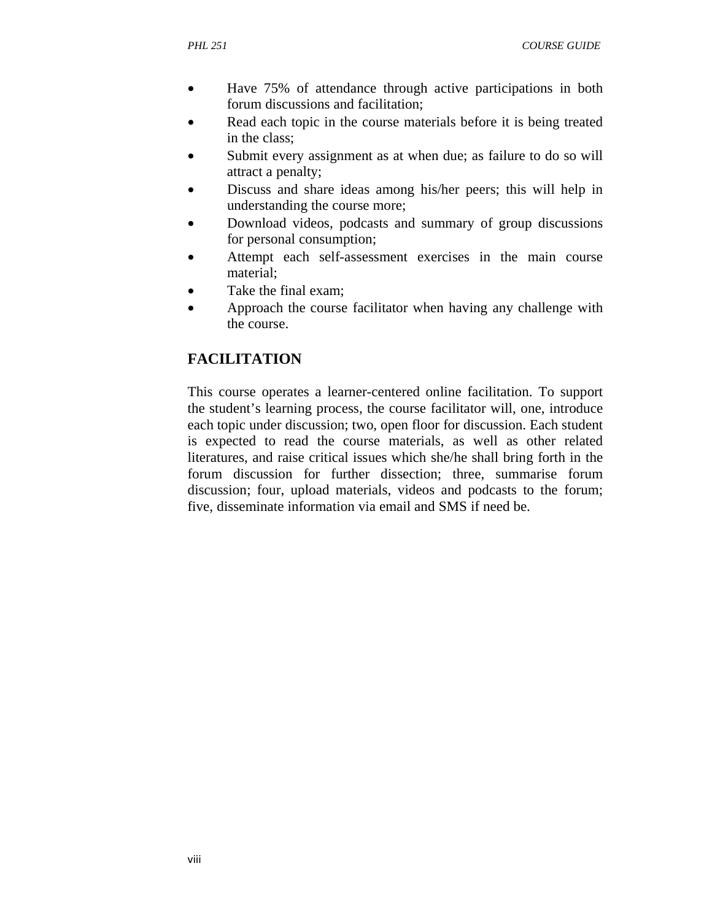- Have 75% of attendance through active participations in both forum discussions and facilitation;
- Read each topic in the course materials before it is being treated in the class;
- Submit every assignment as at when due; as failure to do so will attract a penalty;
- Discuss and share ideas among his/her peers; this will help in understanding the course more;
- Download videos, podcasts and summary of group discussions for personal consumption;
- Attempt each self-assessment exercises in the main course material;
- Take the final exam;
- Approach the course facilitator when having any challenge with the course.

# **FACILITATION**

This course operates a learner-centered online facilitation. To support the student's learning process, the course facilitator will, one, introduce each topic under discussion; two, open floor for discussion. Each student is expected to read the course materials, as well as other related literatures, and raise critical issues which she/he shall bring forth in the forum discussion for further dissection; three, summarise forum discussion; four, upload materials, videos and podcasts to the forum; five, disseminate information via email and SMS if need be.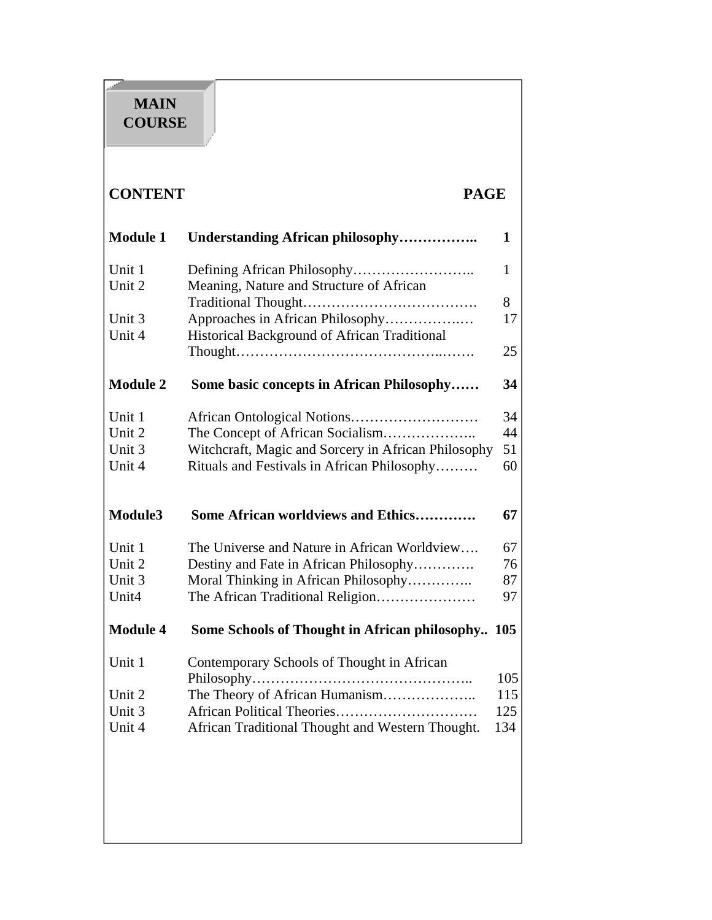# **MAIN COURSE**

# **CONTENT PAGE**

| <b>Module 1</b>  | Understanding African philosophy                    | $\mathbf{1}$ |
|------------------|-----------------------------------------------------|--------------|
| Unit 1<br>Unit 2 | Meaning, Nature and Structure of African            | 1            |
|                  |                                                     | 8            |
| Unit 3           | Approaches in African Philosophy                    | 17           |
| Unit 4           | Historical Background of African Traditional        |              |
|                  |                                                     | 25           |
| <b>Module 2</b>  | Some basic concepts in African Philosophy           | 34           |
| Unit 1           |                                                     | 34           |
| Unit 2           | The Concept of African Socialism                    | 44           |
| Unit 3           | Witchcraft, Magic and Sorcery in African Philosophy | 51           |
| Unit 4           | Rituals and Festivals in African Philosophy         | 60           |
|                  |                                                     |              |
| Module3          | <b>Some African worldviews and Ethics</b>           | 67           |
| Unit 1           | The Universe and Nature in African Worldview        | 67           |
| Unit 2           | Destiny and Fate in African Philosophy              | 76           |
| Unit 3           | Moral Thinking in African Philosophy                | 87           |
| Unit4            | The African Traditional Religion                    | 97           |
| <b>Module 4</b>  | Some Schools of Thought in African philosophy       | 105          |
| Unit 1           | Contemporary Schools of Thought in African          |              |
|                  |                                                     | 105          |
| Unit 2           | The Theory of African Humanism                      | 115          |
| Unit 3           |                                                     | 125          |
| Unit 4           | African Traditional Thought and Western Thought.    | 134          |
|                  |                                                     |              |
|                  |                                                     |              |
|                  |                                                     |              |
|                  |                                                     |              |
|                  |                                                     |              |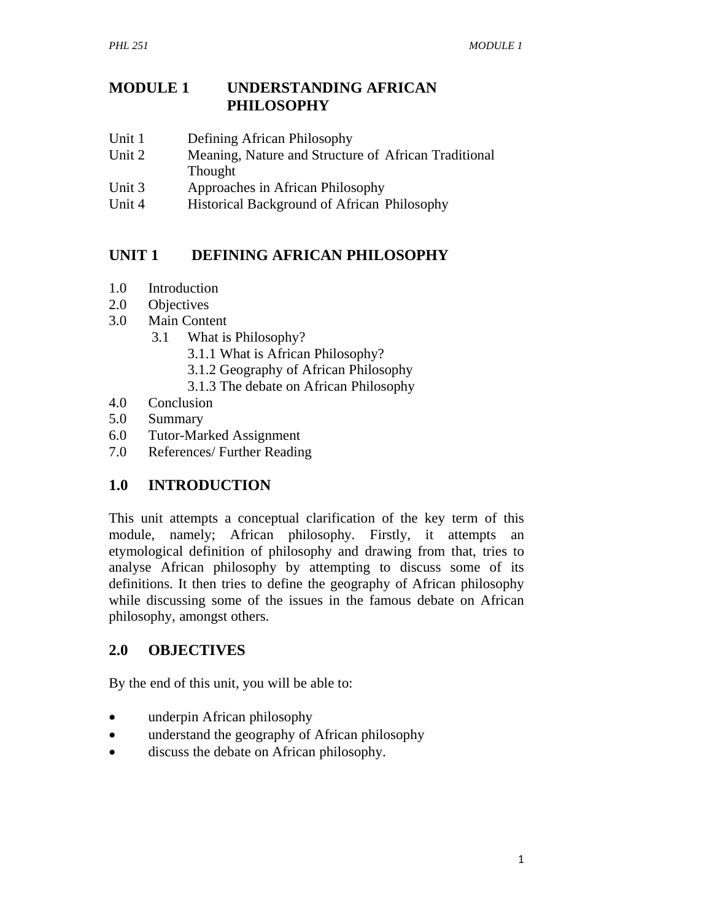## **MODULE 1 UNDERSTANDING AFRICAN PHILOSOPHY**

- Unit 1 Defining African Philosophy
- Unit 2 Meaning, Nature and Structure of African Traditional Thought
- Unit 3 Approaches in African Philosophy
- Unit 4 Historical Background of African Philosophy

## **UNIT 1 DEFINING AFRICAN PHILOSOPHY**

- 1.0 Introduction
- 2.0 Objectives
- 3.0 Main Content
	- 3.1 What is Philosophy?
		- 3.1.1 What is African Philosophy?
		- 3.1.2 Geography of African Philosophy
		- 3.1.3 The debate on African Philosophy
- 4.0 Conclusion
- 5.0 Summary
- 6.0 Tutor-Marked Assignment
- 7.0 References/ Further Reading

# **1.0 INTRODUCTION**

This unit attempts a conceptual clarification of the key term of this module, namely; African philosophy. Firstly, it attempts an etymological definition of philosophy and drawing from that, tries to analyse African philosophy by attempting to discuss some of its definitions. It then tries to define the geography of African philosophy while discussing some of the issues in the famous debate on African philosophy, amongst others.

#### **2.0 OBJECTIVES**

By the end of this unit, you will be able to:

- underpin African philosophy
- understand the geography of African philosophy
- discuss the debate on African philosophy.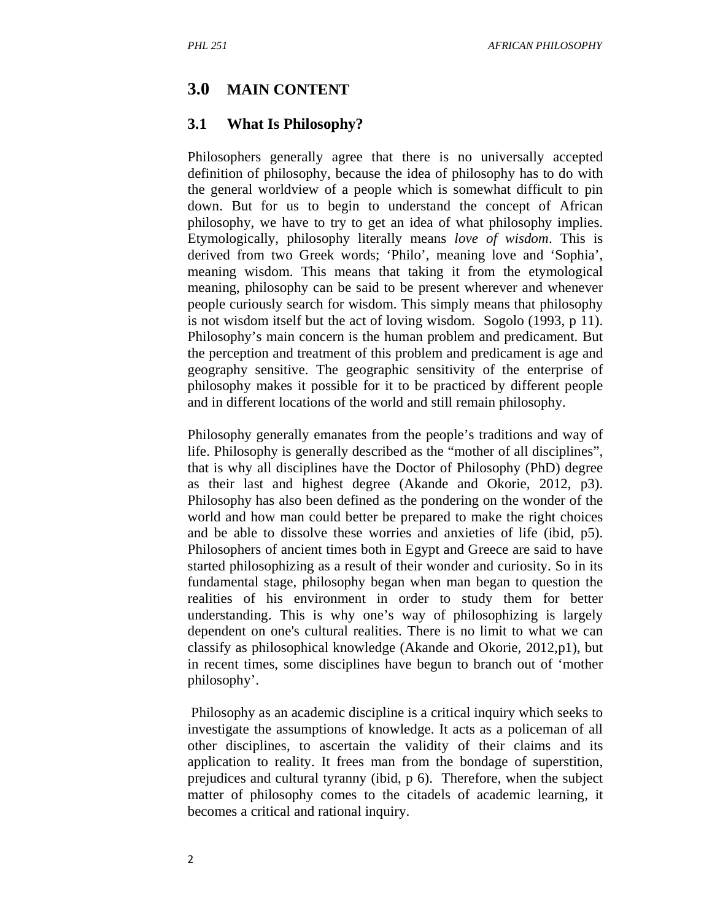#### **3.0 MAIN CONTENT**

#### **3.1 What Is Philosophy?**

Philosophers generally agree that there is no universally accepted definition of philosophy, because the idea of philosophy has to do with the general worldview of a people which is somewhat difficult to pin down. But for us to begin to understand the concept of African philosophy, we have to try to get an idea of what philosophy implies. Etymologically, philosophy literally means *love of wisdom*. This is derived from two Greek words; 'Philo', meaning love and 'Sophia', meaning wisdom. This means that taking it from the etymological meaning, philosophy can be said to be present wherever and whenever people curiously search for wisdom. This simply means that philosophy is not wisdom itself but the act of loving wisdom. Sogolo (1993, p 11). Philosophy's main concern is the human problem and predicament. But the perception and treatment of this problem and predicament is age and geography sensitive. The geographic sensitivity of the enterprise of philosophy makes it possible for it to be practiced by different people and in different locations of the world and still remain philosophy.

Philosophy generally emanates from the people's traditions and way of life. Philosophy is generally described as the "mother of all disciplines", that is why all disciplines have the Doctor of Philosophy (PhD) degree as their last and highest degree (Akande and Okorie, 2012, p3). Philosophy has also been defined as the pondering on the wonder of the world and how man could better be prepared to make the right choices and be able to dissolve these worries and anxieties of life (ibid, p5). Philosophers of ancient times both in Egypt and Greece are said to have started philosophizing as a result of their wonder and curiosity. So in its fundamental stage, philosophy began when man began to question the realities of his environment in order to study them for better understanding. This is why one's way of philosophizing is largely dependent on one's cultural realities. There is no limit to what we can classify as philosophical knowledge (Akande and Okorie, 2012,p1), but in recent times, some disciplines have begun to branch out of 'mother philosophy'.

 Philosophy as an academic discipline is a critical inquiry which seeks to investigate the assumptions of knowledge. It acts as a policeman of all other disciplines, to ascertain the validity of their claims and its application to reality. It frees man from the bondage of superstition, prejudices and cultural tyranny (ibid, p 6). Therefore, when the subject matter of philosophy comes to the citadels of academic learning, it becomes a critical and rational inquiry.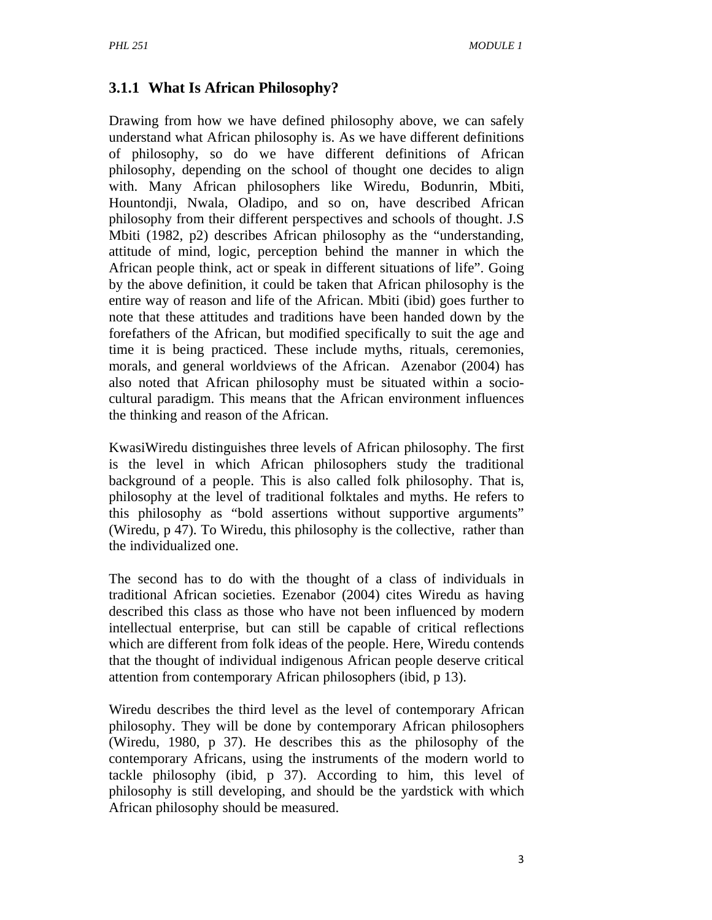# **3.1.1 What Is African Philosophy?**

Drawing from how we have defined philosophy above, we can safely understand what African philosophy is. As we have different definitions of philosophy, so do we have different definitions of African philosophy, depending on the school of thought one decides to align with. Many African philosophers like Wiredu, Bodunrin, Mbiti, Hountondji, Nwala, Oladipo, and so on, have described African philosophy from their different perspectives and schools of thought. J.S Mbiti (1982, p2) describes African philosophy as the "understanding, attitude of mind, logic, perception behind the manner in which the African people think, act or speak in different situations of life". Going by the above definition, it could be taken that African philosophy is the entire way of reason and life of the African. Mbiti (ibid) goes further to note that these attitudes and traditions have been handed down by the forefathers of the African, but modified specifically to suit the age and time it is being practiced. These include myths, rituals, ceremonies, morals, and general worldviews of the African. Azenabor (2004) has also noted that African philosophy must be situated within a sociocultural paradigm. This means that the African environment influences the thinking and reason of the African.

KwasiWiredu distinguishes three levels of African philosophy. The first is the level in which African philosophers study the traditional background of a people. This is also called folk philosophy. That is, philosophy at the level of traditional folktales and myths. He refers to this philosophy as "bold assertions without supportive arguments" (Wiredu, p 47). To Wiredu, this philosophy is the collective, rather than the individualized one.

The second has to do with the thought of a class of individuals in traditional African societies. Ezenabor (2004) cites Wiredu as having described this class as those who have not been influenced by modern intellectual enterprise, but can still be capable of critical reflections which are different from folk ideas of the people. Here, Wiredu contends that the thought of individual indigenous African people deserve critical attention from contemporary African philosophers (ibid, p 13).

Wiredu describes the third level as the level of contemporary African philosophy. They will be done by contemporary African philosophers (Wiredu, 1980, p 37). He describes this as the philosophy of the contemporary Africans, using the instruments of the modern world to tackle philosophy (ibid, p 37). According to him, this level of philosophy is still developing, and should be the yardstick with which African philosophy should be measured.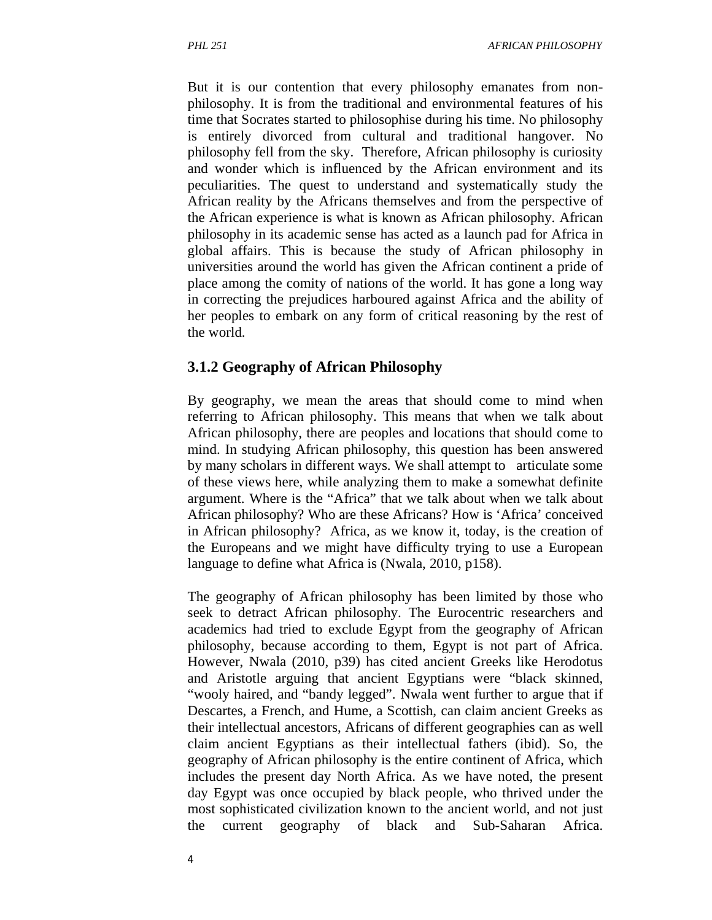But it is our contention that every philosophy emanates from nonphilosophy. It is from the traditional and environmental features of his time that Socrates started to philosophise during his time. No philosophy is entirely divorced from cultural and traditional hangover. No philosophy fell from the sky. Therefore, African philosophy is curiosity and wonder which is influenced by the African environment and its peculiarities. The quest to understand and systematically study the African reality by the Africans themselves and from the perspective of the African experience is what is known as African philosophy. African philosophy in its academic sense has acted as a launch pad for Africa in global affairs. This is because the study of African philosophy in universities around the world has given the African continent a pride of place among the comity of nations of the world. It has gone a long way in correcting the prejudices harboured against Africa and the ability of her peoples to embark on any form of critical reasoning by the rest of the world.

#### **3.1.2 Geography of African Philosophy**

By geography, we mean the areas that should come to mind when referring to African philosophy. This means that when we talk about African philosophy, there are peoples and locations that should come to mind. In studying African philosophy, this question has been answered by many scholars in different ways. We shall attempt to articulate some of these views here, while analyzing them to make a somewhat definite argument. Where is the "Africa" that we talk about when we talk about African philosophy? Who are these Africans? How is 'Africa' conceived in African philosophy? Africa, as we know it, today, is the creation of the Europeans and we might have difficulty trying to use a European language to define what Africa is (Nwala, 2010, p158).

The geography of African philosophy has been limited by those who seek to detract African philosophy. The Eurocentric researchers and academics had tried to exclude Egypt from the geography of African philosophy, because according to them, Egypt is not part of Africa. However, Nwala (2010, p39) has cited ancient Greeks like Herodotus and Aristotle arguing that ancient Egyptians were "black skinned, "wooly haired, and "bandy legged". Nwala went further to argue that if Descartes, a French, and Hume, a Scottish, can claim ancient Greeks as their intellectual ancestors, Africans of different geographies can as well claim ancient Egyptians as their intellectual fathers (ibid). So, the geography of African philosophy is the entire continent of Africa, which includes the present day North Africa. As we have noted, the present day Egypt was once occupied by black people, who thrived under the most sophisticated civilization known to the ancient world, and not just the current geography of black and Sub-Saharan Africa.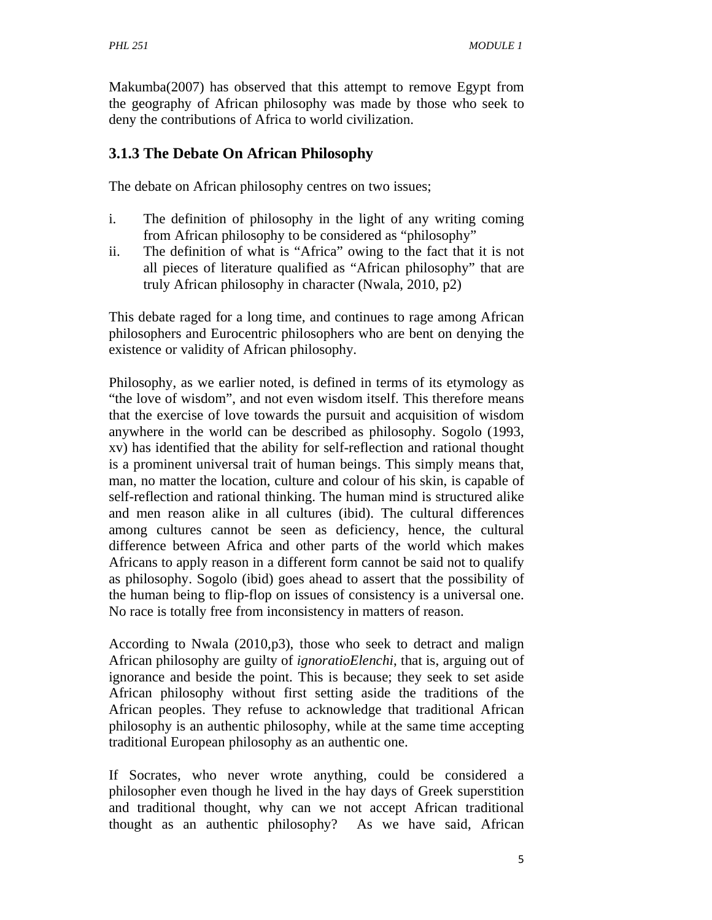Makumba(2007) has observed that this attempt to remove Egypt from the geography of African philosophy was made by those who seek to deny the contributions of Africa to world civilization.

# **3.1.3 The Debate On African Philosophy**

The debate on African philosophy centres on two issues;

- i. The definition of philosophy in the light of any writing coming from African philosophy to be considered as "philosophy"
- ii. The definition of what is "Africa" owing to the fact that it is not all pieces of literature qualified as "African philosophy" that are truly African philosophy in character (Nwala, 2010, p2)

This debate raged for a long time, and continues to rage among African philosophers and Eurocentric philosophers who are bent on denying the existence or validity of African philosophy.

Philosophy, as we earlier noted, is defined in terms of its etymology as "the love of wisdom", and not even wisdom itself. This therefore means that the exercise of love towards the pursuit and acquisition of wisdom anywhere in the world can be described as philosophy. Sogolo (1993, xv) has identified that the ability for self-reflection and rational thought is a prominent universal trait of human beings. This simply means that, man, no matter the location, culture and colour of his skin, is capable of self-reflection and rational thinking. The human mind is structured alike and men reason alike in all cultures (ibid). The cultural differences among cultures cannot be seen as deficiency, hence, the cultural difference between Africa and other parts of the world which makes Africans to apply reason in a different form cannot be said not to qualify as philosophy. Sogolo (ibid) goes ahead to assert that the possibility of the human being to flip-flop on issues of consistency is a universal one. No race is totally free from inconsistency in matters of reason.

According to Nwala (2010,p3), those who seek to detract and malign African philosophy are guilty of *ignoratioElenchi*, that is, arguing out of ignorance and beside the point. This is because; they seek to set aside African philosophy without first setting aside the traditions of the African peoples. They refuse to acknowledge that traditional African philosophy is an authentic philosophy, while at the same time accepting traditional European philosophy as an authentic one.

If Socrates, who never wrote anything, could be considered a philosopher even though he lived in the hay days of Greek superstition and traditional thought, why can we not accept African traditional thought as an authentic philosophy? As we have said, African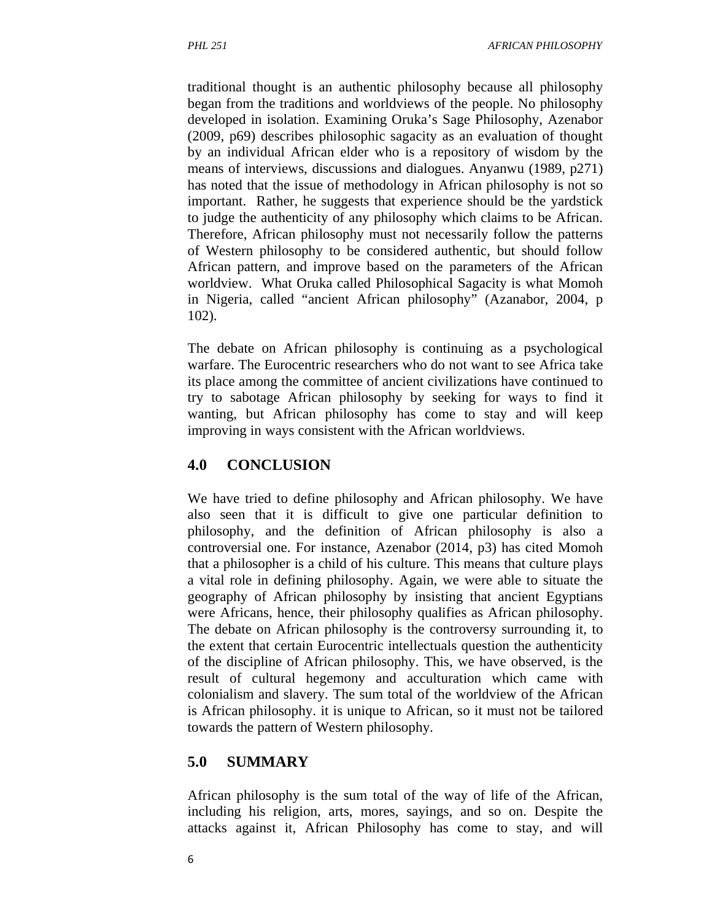traditional thought is an authentic philosophy because all philosophy began from the traditions and worldviews of the people. No philosophy developed in isolation. Examining Oruka's Sage Philosophy, Azenabor (2009, p69) describes philosophic sagacity as an evaluation of thought by an individual African elder who is a repository of wisdom by the means of interviews, discussions and dialogues. Anyanwu (1989, p271) has noted that the issue of methodology in African philosophy is not so important. Rather, he suggests that experience should be the yardstick to judge the authenticity of any philosophy which claims to be African. Therefore, African philosophy must not necessarily follow the patterns of Western philosophy to be considered authentic, but should follow African pattern, and improve based on the parameters of the African worldview. What Oruka called Philosophical Sagacity is what Momoh in Nigeria, called "ancient African philosophy" (Azanabor, 2004, p 102).

The debate on African philosophy is continuing as a psychological warfare. The Eurocentric researchers who do not want to see Africa take its place among the committee of ancient civilizations have continued to try to sabotage African philosophy by seeking for ways to find it wanting, but African philosophy has come to stay and will keep improving in ways consistent with the African worldviews.

# **4.0 CONCLUSION**

We have tried to define philosophy and African philosophy. We have also seen that it is difficult to give one particular definition to philosophy, and the definition of African philosophy is also a controversial one. For instance, Azenabor (2014, p3) has cited Momoh that a philosopher is a child of his culture. This means that culture plays a vital role in defining philosophy. Again, we were able to situate the geography of African philosophy by insisting that ancient Egyptians were Africans, hence, their philosophy qualifies as African philosophy. The debate on African philosophy is the controversy surrounding it, to the extent that certain Eurocentric intellectuals question the authenticity of the discipline of African philosophy. This, we have observed, is the result of cultural hegemony and acculturation which came with colonialism and slavery. The sum total of the worldview of the African is African philosophy. it is unique to African, so it must not be tailored towards the pattern of Western philosophy.

# **5.0 SUMMARY**

African philosophy is the sum total of the way of life of the African, including his religion, arts, mores, sayings, and so on. Despite the attacks against it, African Philosophy has come to stay, and will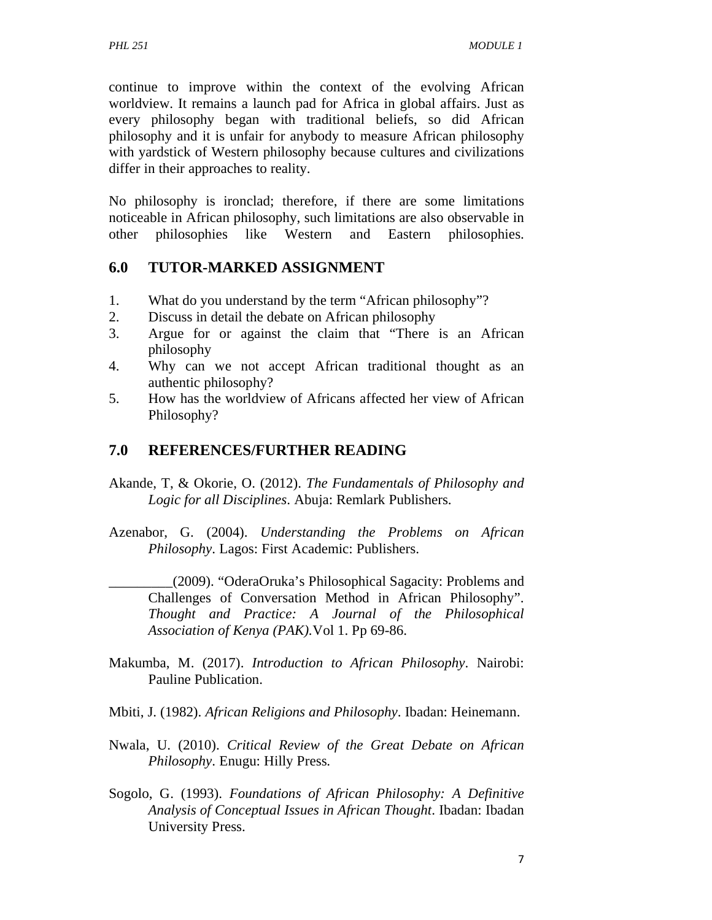continue to improve within the context of the evolving African worldview. It remains a launch pad for Africa in global affairs. Just as every philosophy began with traditional beliefs, so did African philosophy and it is unfair for anybody to measure African philosophy with yardstick of Western philosophy because cultures and civilizations differ in their approaches to reality.

No philosophy is ironclad; therefore, if there are some limitations noticeable in African philosophy, such limitations are also observable in other philosophies like Western and Eastern philosophies.

#### **6.0 TUTOR-MARKED ASSIGNMENT**

- 1. What do you understand by the term "African philosophy"?
- 2. Discuss in detail the debate on African philosophy
- 3. Argue for or against the claim that "There is an African philosophy
- 4. Why can we not accept African traditional thought as an authentic philosophy?
- 5. How has the worldview of Africans affected her view of African Philosophy?

## **7.0 REFERENCES/FURTHER READING**

- Akande, T, & Okorie, O. (2012). *The Fundamentals of Philosophy and Logic for all Disciplines*. Abuja: Remlark Publishers.
- Azenabor, G. (2004). *Understanding the Problems on African Philosophy*. Lagos: First Academic: Publishers.
	- \_\_\_\_\_\_\_\_\_(2009). "OderaOruka's Philosophical Sagacity: Problems and Challenges of Conversation Method in African Philosophy". *Thought and Practice: A Journal of the Philosophical Association of Kenya (PAK).*Vol 1. Pp 69-86.
- Makumba, M. (2017). *Introduction to African Philosophy*. Nairobi: Pauline Publication.
- Mbiti, J. (1982). *African Religions and Philosophy*. Ibadan: Heinemann.
- Nwala, U. (2010). *Critical Review of the Great Debate on African Philosophy*. Enugu: Hilly Press.
- Sogolo, G. (1993). *Foundations of African Philosophy: A Definitive Analysis of Conceptual Issues in African Thought*. Ibadan: Ibadan University Press.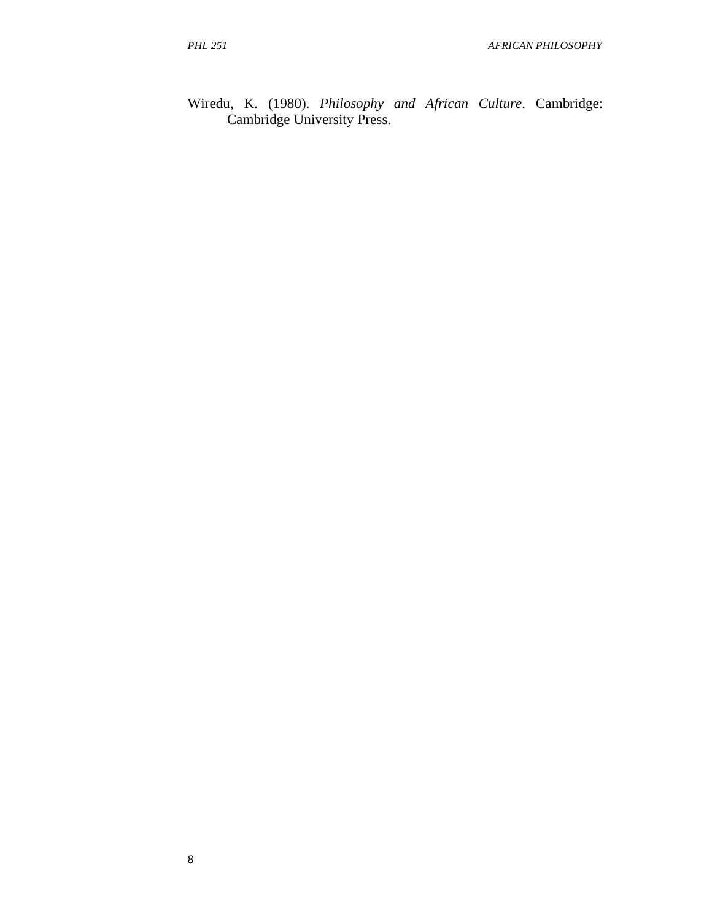Wiredu, K. (1980). *Philosophy and African Culture*. Cambridge: Cambridge University Press.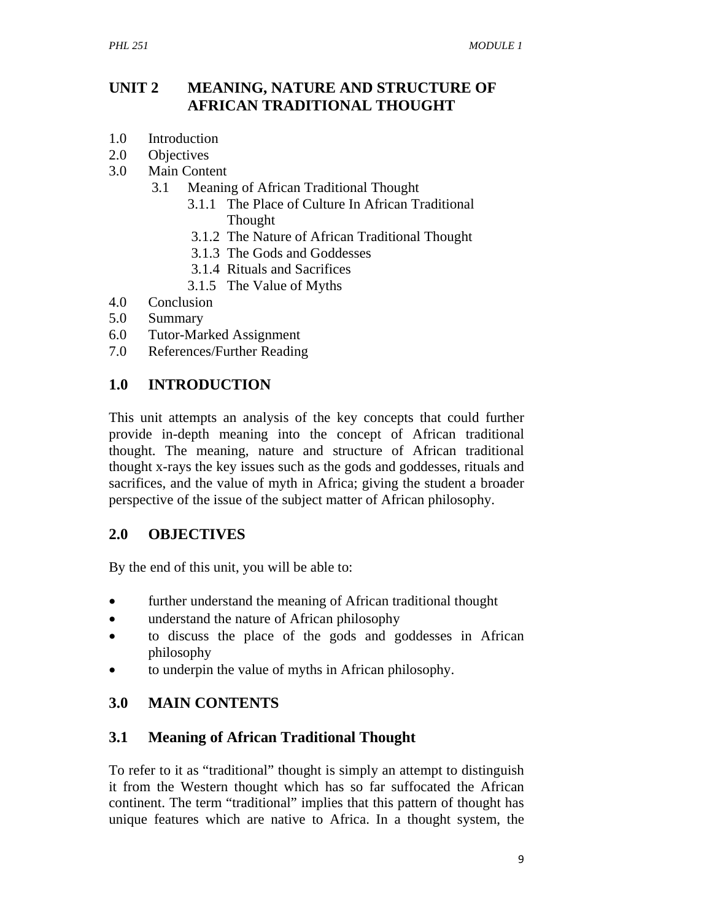## **UNIT 2 MEANING, NATURE AND STRUCTURE OF AFRICAN TRADITIONAL THOUGHT**

- 1.0 Introduction
- 2.0 Objectives
- 3.0 Main Content
	- 3.1 Meaning of African Traditional Thought
		- 3.1.1 The Place of Culture In African Traditional Thought
			- 3.1.2 The Nature of African Traditional Thought
			- 3.1.3 The Gods and Goddesses
			- 3.1.4 Rituals and Sacrifices
			- 3.1.5 The Value of Myths
- 4.0 Conclusion
- 5.0 Summary
- 6.0 Tutor-Marked Assignment
- 7.0 References/Further Reading

#### **1.0 INTRODUCTION**

This unit attempts an analysis of the key concepts that could further provide in-depth meaning into the concept of African traditional thought. The meaning, nature and structure of African traditional thought x-rays the key issues such as the gods and goddesses, rituals and sacrifices, and the value of myth in Africa; giving the student a broader perspective of the issue of the subject matter of African philosophy.

#### **2.0 OBJECTIVES**

By the end of this unit, you will be able to:

- further understand the meaning of African traditional thought
- understand the nature of African philosophy
- to discuss the place of the gods and goddesses in African philosophy
- to underpin the value of myths in African philosophy.

#### **3.0 MAIN CONTENTS**

#### **3.1 Meaning of African Traditional Thought**

To refer to it as "traditional" thought is simply an attempt to distinguish it from the Western thought which has so far suffocated the African continent. The term "traditional" implies that this pattern of thought has unique features which are native to Africa. In a thought system, the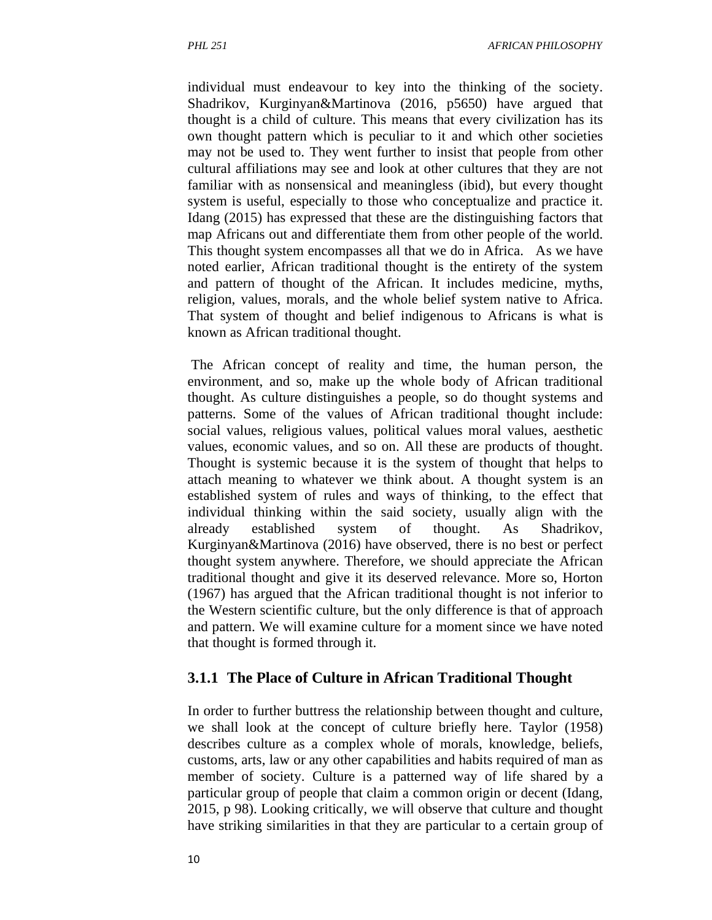individual must endeavour to key into the thinking of the society. Shadrikov, Kurginyan&Martinova (2016, p5650) have argued that thought is a child of culture. This means that every civilization has its own thought pattern which is peculiar to it and which other societies may not be used to. They went further to insist that people from other cultural affiliations may see and look at other cultures that they are not familiar with as nonsensical and meaningless (ibid), but every thought system is useful, especially to those who conceptualize and practice it. Idang (2015) has expressed that these are the distinguishing factors that map Africans out and differentiate them from other people of the world. This thought system encompasses all that we do in Africa. As we have noted earlier, African traditional thought is the entirety of the system and pattern of thought of the African. It includes medicine, myths, religion, values, morals, and the whole belief system native to Africa. That system of thought and belief indigenous to Africans is what is known as African traditional thought.

 The African concept of reality and time, the human person, the environment, and so, make up the whole body of African traditional thought. As culture distinguishes a people, so do thought systems and patterns. Some of the values of African traditional thought include: social values, religious values, political values moral values, aesthetic values, economic values, and so on. All these are products of thought. Thought is systemic because it is the system of thought that helps to attach meaning to whatever we think about. A thought system is an established system of rules and ways of thinking, to the effect that individual thinking within the said society, usually align with the already established system of thought. As Shadrikov, Kurginyan&Martinova (2016) have observed, there is no best or perfect thought system anywhere. Therefore, we should appreciate the African traditional thought and give it its deserved relevance. More so, Horton (1967) has argued that the African traditional thought is not inferior to the Western scientific culture, but the only difference is that of approach and pattern. We will examine culture for a moment since we have noted that thought is formed through it.

#### **3.1.1 The Place of Culture in African Traditional Thought**

In order to further buttress the relationship between thought and culture, we shall look at the concept of culture briefly here. Taylor (1958) describes culture as a complex whole of morals, knowledge, beliefs, customs, arts, law or any other capabilities and habits required of man as member of society. Culture is a patterned way of life shared by a particular group of people that claim a common origin or decent (Idang, 2015, p 98). Looking critically, we will observe that culture and thought have striking similarities in that they are particular to a certain group of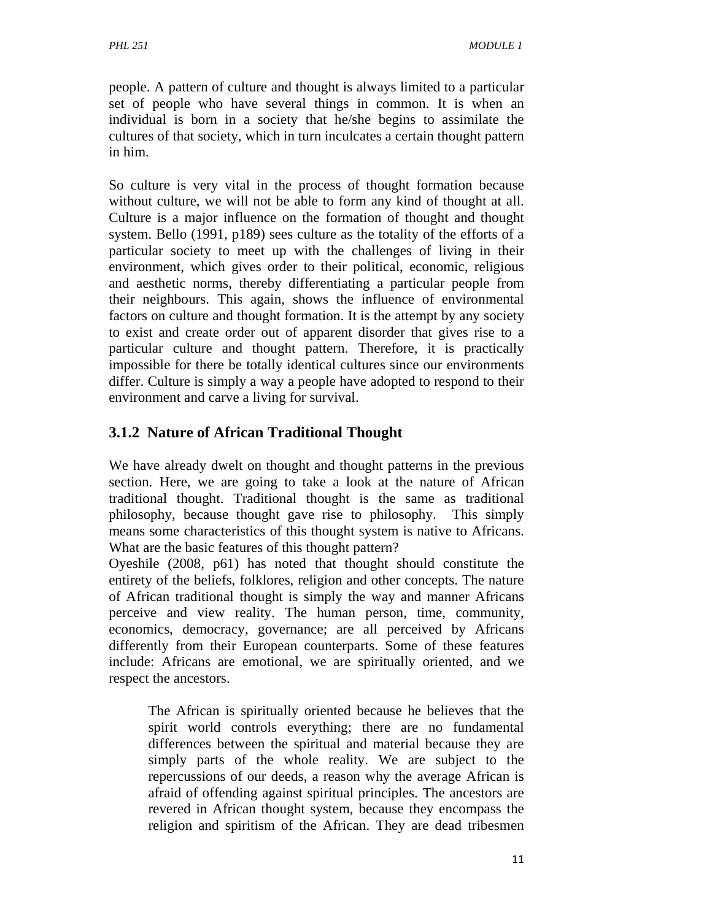people. A pattern of culture and thought is always limited to a particular set of people who have several things in common. It is when an individual is born in a society that he/she begins to assimilate the cultures of that society, which in turn inculcates a certain thought pattern in him.

So culture is very vital in the process of thought formation because without culture, we will not be able to form any kind of thought at all. Culture is a major influence on the formation of thought and thought system. Bello (1991, p189) sees culture as the totality of the efforts of a particular society to meet up with the challenges of living in their environment, which gives order to their political, economic, religious and aesthetic norms, thereby differentiating a particular people from their neighbours. This again, shows the influence of environmental factors on culture and thought formation. It is the attempt by any society to exist and create order out of apparent disorder that gives rise to a particular culture and thought pattern. Therefore, it is practically impossible for there be totally identical cultures since our environments differ. Culture is simply a way a people have adopted to respond to their environment and carve a living for survival.

# **3.1.2 Nature of African Traditional Thought**

We have already dwelt on thought and thought patterns in the previous section. Here, we are going to take a look at the nature of African traditional thought. Traditional thought is the same as traditional philosophy, because thought gave rise to philosophy. This simply means some characteristics of this thought system is native to Africans. What are the basic features of this thought pattern?

Oyeshile (2008, p61) has noted that thought should constitute the entirety of the beliefs, folklores, religion and other concepts. The nature of African traditional thought is simply the way and manner Africans perceive and view reality. The human person, time, community, economics, democracy, governance; are all perceived by Africans differently from their European counterparts. Some of these features include: Africans are emotional, we are spiritually oriented, and we respect the ancestors.

The African is spiritually oriented because he believes that the spirit world controls everything; there are no fundamental differences between the spiritual and material because they are simply parts of the whole reality. We are subject to the repercussions of our deeds, a reason why the average African is afraid of offending against spiritual principles. The ancestors are revered in African thought system, because they encompass the religion and spiritism of the African. They are dead tribesmen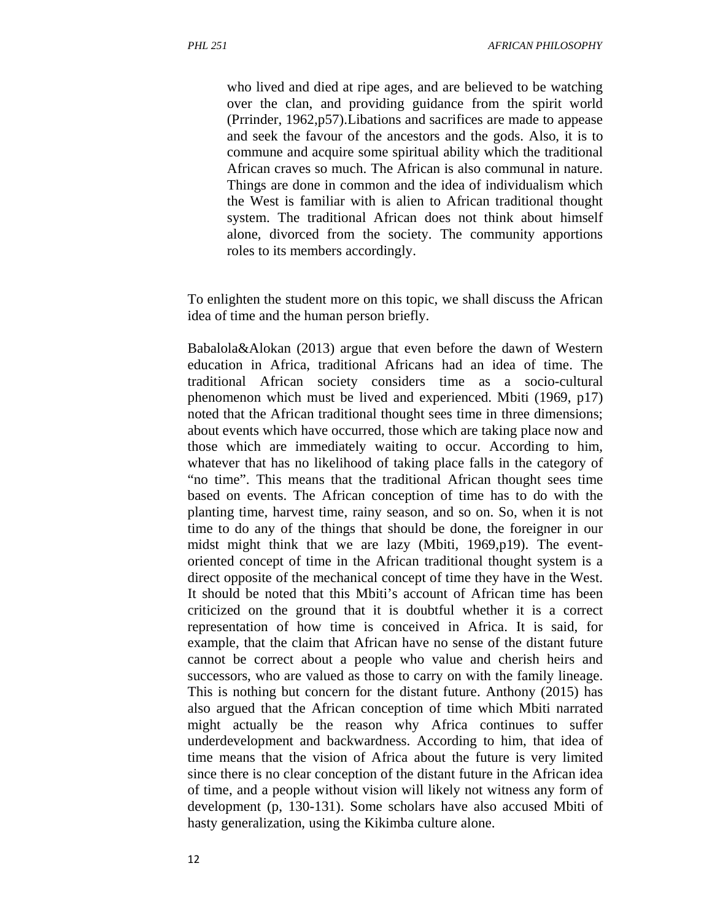who lived and died at ripe ages, and are believed to be watching over the clan, and providing guidance from the spirit world (Prrinder, 1962,p57).Libations and sacrifices are made to appease and seek the favour of the ancestors and the gods. Also, it is to commune and acquire some spiritual ability which the traditional African craves so much. The African is also communal in nature. Things are done in common and the idea of individualism which the West is familiar with is alien to African traditional thought system. The traditional African does not think about himself alone, divorced from the society. The community apportions roles to its members accordingly.

To enlighten the student more on this topic, we shall discuss the African idea of time and the human person briefly.

Babalola&Alokan (2013) argue that even before the dawn of Western education in Africa, traditional Africans had an idea of time. The traditional African society considers time as a socio-cultural phenomenon which must be lived and experienced. Mbiti (1969, p17) noted that the African traditional thought sees time in three dimensions; about events which have occurred, those which are taking place now and those which are immediately waiting to occur. According to him, whatever that has no likelihood of taking place falls in the category of "no time". This means that the traditional African thought sees time based on events. The African conception of time has to do with the planting time, harvest time, rainy season, and so on. So, when it is not time to do any of the things that should be done, the foreigner in our midst might think that we are lazy (Mbiti, 1969,p19). The eventoriented concept of time in the African traditional thought system is a direct opposite of the mechanical concept of time they have in the West. It should be noted that this Mbiti's account of African time has been criticized on the ground that it is doubtful whether it is a correct representation of how time is conceived in Africa. It is said, for example, that the claim that African have no sense of the distant future cannot be correct about a people who value and cherish heirs and successors, who are valued as those to carry on with the family lineage. This is nothing but concern for the distant future. Anthony (2015) has also argued that the African conception of time which Mbiti narrated might actually be the reason why Africa continues to suffer underdevelopment and backwardness. According to him, that idea of time means that the vision of Africa about the future is very limited since there is no clear conception of the distant future in the African idea of time, and a people without vision will likely not witness any form of development (p, 130-131). Some scholars have also accused Mbiti of hasty generalization, using the Kikimba culture alone.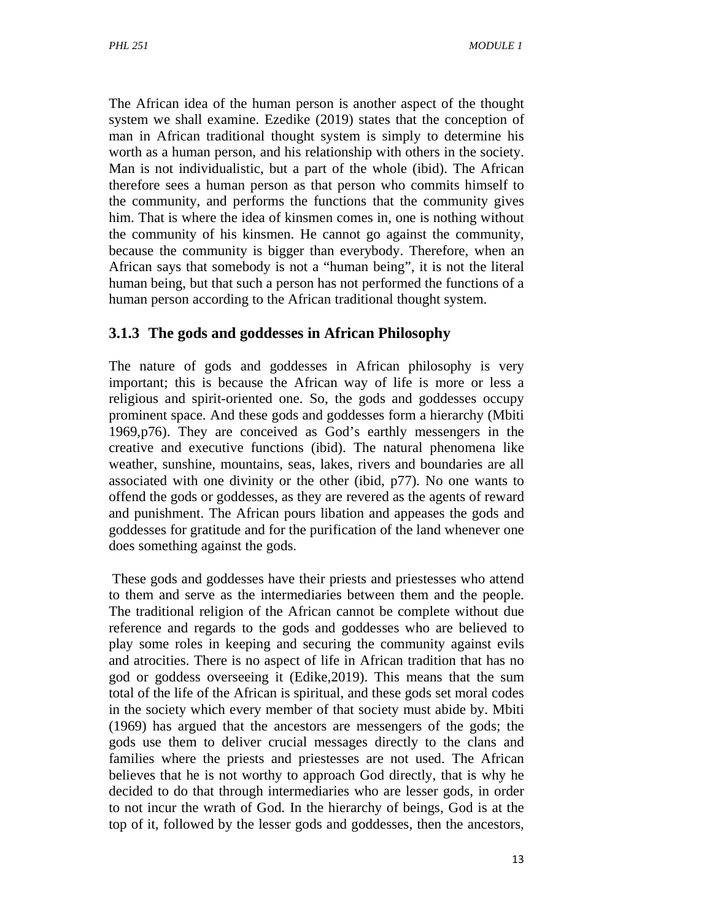The African idea of the human person is another aspect of the thought system we shall examine. Ezedike (2019) states that the conception of man in African traditional thought system is simply to determine his worth as a human person, and his relationship with others in the society. Man is not individualistic, but a part of the whole (ibid). The African therefore sees a human person as that person who commits himself to the community, and performs the functions that the community gives him. That is where the idea of kinsmen comes in, one is nothing without the community of his kinsmen. He cannot go against the community, because the community is bigger than everybody. Therefore, when an African says that somebody is not a "human being", it is not the literal human being, but that such a person has not performed the functions of a human person according to the African traditional thought system.

#### **3.1.3 The gods and goddesses in African Philosophy**

The nature of gods and goddesses in African philosophy is very important; this is because the African way of life is more or less a religious and spirit-oriented one. So, the gods and goddesses occupy prominent space. And these gods and goddesses form a hierarchy (Mbiti 1969,p76). They are conceived as God's earthly messengers in the creative and executive functions (ibid). The natural phenomena like weather, sunshine, mountains, seas, lakes, rivers and boundaries are all associated with one divinity or the other (ibid, p77). No one wants to offend the gods or goddesses, as they are revered as the agents of reward and punishment. The African pours libation and appeases the gods and goddesses for gratitude and for the purification of the land whenever one does something against the gods.

 These gods and goddesses have their priests and priestesses who attend to them and serve as the intermediaries between them and the people. The traditional religion of the African cannot be complete without due reference and regards to the gods and goddesses who are believed to play some roles in keeping and securing the community against evils and atrocities. There is no aspect of life in African tradition that has no god or goddess overseeing it (Edike,2019). This means that the sum total of the life of the African is spiritual, and these gods set moral codes in the society which every member of that society must abide by. Mbiti (1969) has argued that the ancestors are messengers of the gods; the gods use them to deliver crucial messages directly to the clans and families where the priests and priestesses are not used. The African believes that he is not worthy to approach God directly, that is why he decided to do that through intermediaries who are lesser gods, in order to not incur the wrath of God. In the hierarchy of beings, God is at the top of it, followed by the lesser gods and goddesses, then the ancestors,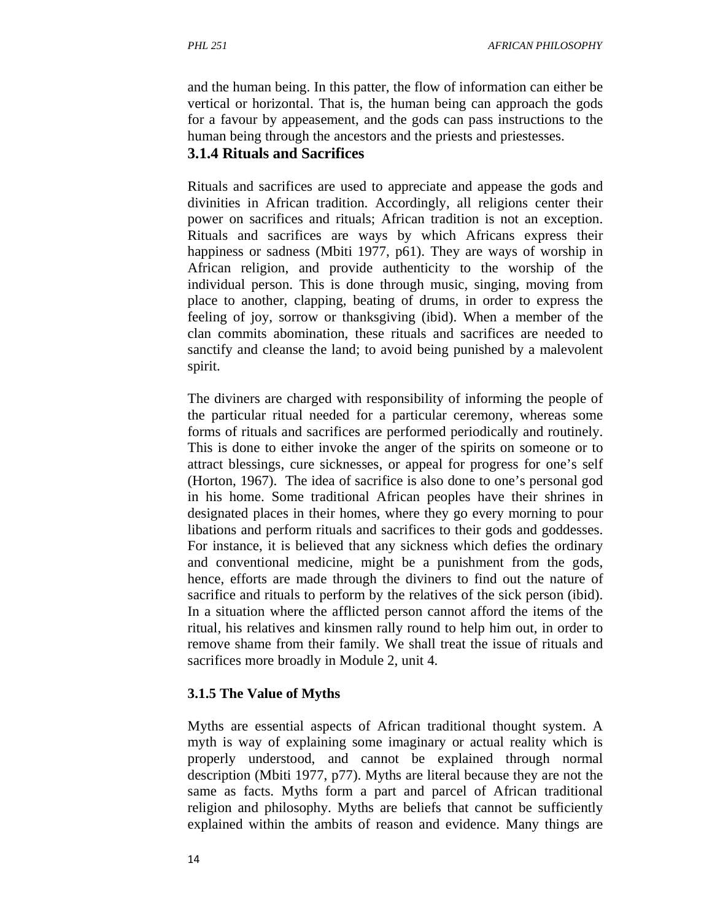and the human being. In this patter, the flow of information can either be vertical or horizontal. That is, the human being can approach the gods for a favour by appeasement, and the gods can pass instructions to the human being through the ancestors and the priests and priestesses.

#### **3.1.4 Rituals and Sacrifices**

Rituals and sacrifices are used to appreciate and appease the gods and divinities in African tradition. Accordingly, all religions center their power on sacrifices and rituals; African tradition is not an exception. Rituals and sacrifices are ways by which Africans express their happiness or sadness (Mbiti 1977, p61). They are ways of worship in African religion, and provide authenticity to the worship of the individual person. This is done through music, singing, moving from place to another, clapping, beating of drums, in order to express the feeling of joy, sorrow or thanksgiving (ibid). When a member of the clan commits abomination, these rituals and sacrifices are needed to sanctify and cleanse the land; to avoid being punished by a malevolent spirit.

The diviners are charged with responsibility of informing the people of the particular ritual needed for a particular ceremony, whereas some forms of rituals and sacrifices are performed periodically and routinely. This is done to either invoke the anger of the spirits on someone or to attract blessings, cure sicknesses, or appeal for progress for one's self (Horton, 1967). The idea of sacrifice is also done to one's personal god in his home. Some traditional African peoples have their shrines in designated places in their homes, where they go every morning to pour libations and perform rituals and sacrifices to their gods and goddesses. For instance, it is believed that any sickness which defies the ordinary and conventional medicine, might be a punishment from the gods, hence, efforts are made through the diviners to find out the nature of sacrifice and rituals to perform by the relatives of the sick person (ibid). In a situation where the afflicted person cannot afford the items of the ritual, his relatives and kinsmen rally round to help him out, in order to remove shame from their family. We shall treat the issue of rituals and sacrifices more broadly in Module 2, unit 4.

#### **3.1.5 The Value of Myths**

Myths are essential aspects of African traditional thought system. A myth is way of explaining some imaginary or actual reality which is properly understood, and cannot be explained through normal description (Mbiti 1977, p77). Myths are literal because they are not the same as facts. Myths form a part and parcel of African traditional religion and philosophy. Myths are beliefs that cannot be sufficiently explained within the ambits of reason and evidence. Many things are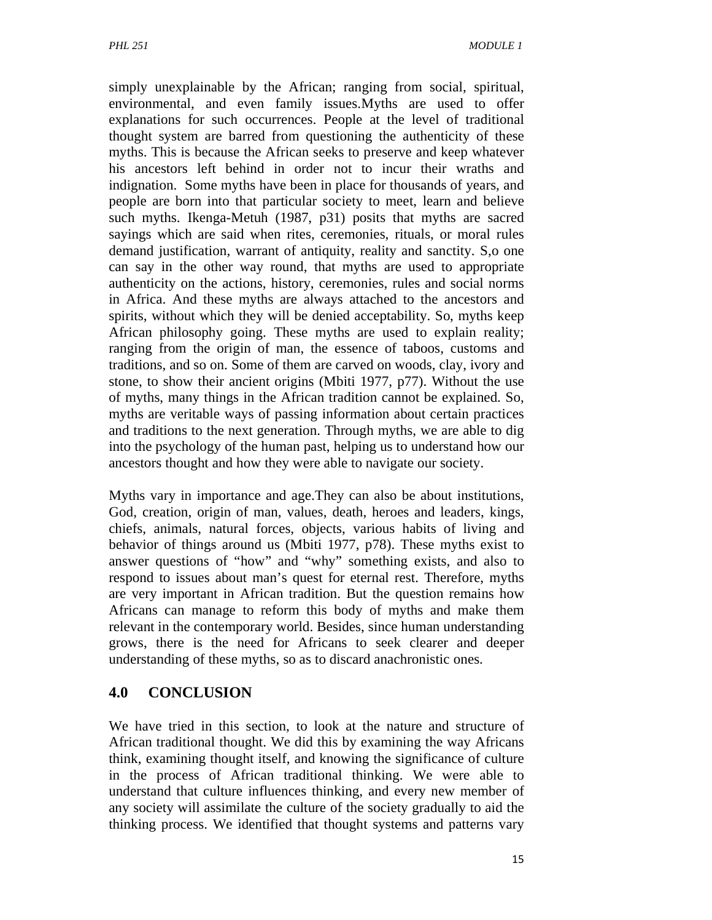simply unexplainable by the African; ranging from social, spiritual, environmental, and even family issues.Myths are used to offer explanations for such occurrences. People at the level of traditional thought system are barred from questioning the authenticity of these myths. This is because the African seeks to preserve and keep whatever his ancestors left behind in order not to incur their wraths and indignation. Some myths have been in place for thousands of years, and people are born into that particular society to meet, learn and believe such myths. Ikenga-Metuh (1987, p31) posits that myths are sacred sayings which are said when rites, ceremonies, rituals, or moral rules demand justification, warrant of antiquity, reality and sanctity. S,o one can say in the other way round, that myths are used to appropriate authenticity on the actions, history, ceremonies, rules and social norms in Africa. And these myths are always attached to the ancestors and spirits, without which they will be denied acceptability. So, myths keep African philosophy going. These myths are used to explain reality; ranging from the origin of man, the essence of taboos, customs and traditions, and so on. Some of them are carved on woods, clay, ivory and stone, to show their ancient origins (Mbiti 1977, p77). Without the use of myths, many things in the African tradition cannot be explained. So, myths are veritable ways of passing information about certain practices and traditions to the next generation. Through myths, we are able to dig into the psychology of the human past, helping us to understand how our ancestors thought and how they were able to navigate our society.

Myths vary in importance and age.They can also be about institutions, God, creation, origin of man, values, death, heroes and leaders, kings, chiefs, animals, natural forces, objects, various habits of living and behavior of things around us (Mbiti 1977, p78). These myths exist to answer questions of "how" and "why" something exists, and also to respond to issues about man's quest for eternal rest. Therefore, myths are very important in African tradition. But the question remains how Africans can manage to reform this body of myths and make them relevant in the contemporary world. Besides, since human understanding grows, there is the need for Africans to seek clearer and deeper understanding of these myths, so as to discard anachronistic ones.

#### **4.0 CONCLUSION**

We have tried in this section, to look at the nature and structure of African traditional thought. We did this by examining the way Africans think, examining thought itself, and knowing the significance of culture in the process of African traditional thinking. We were able to understand that culture influences thinking, and every new member of any society will assimilate the culture of the society gradually to aid the thinking process. We identified that thought systems and patterns vary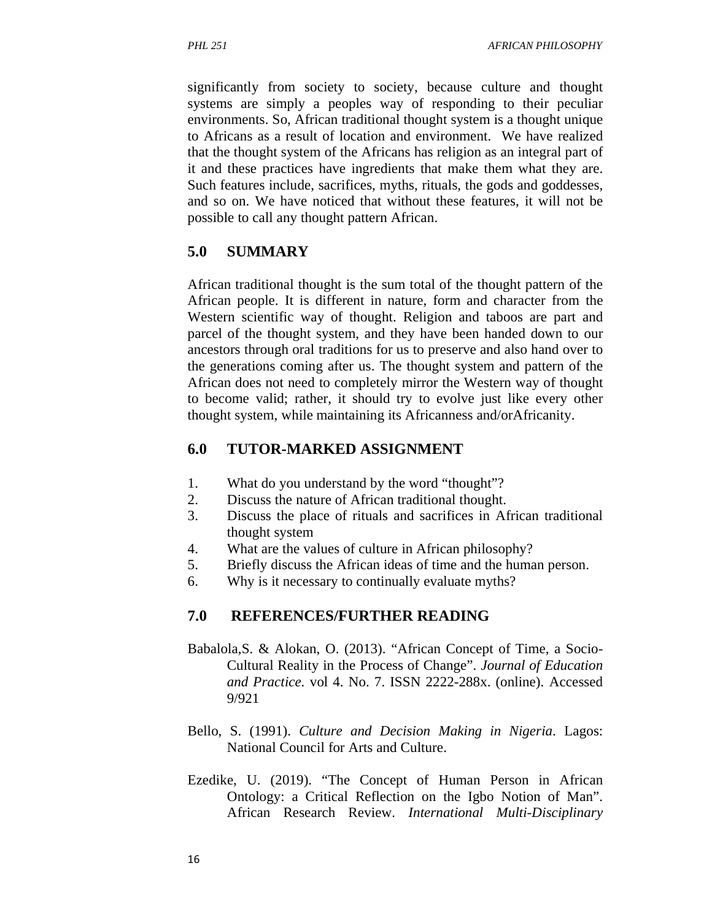significantly from society to society, because culture and thought systems are simply a peoples way of responding to their peculiar environments. So, African traditional thought system is a thought unique to Africans as a result of location and environment. We have realized that the thought system of the Africans has religion as an integral part of it and these practices have ingredients that make them what they are. Such features include, sacrifices, myths, rituals, the gods and goddesses, and so on. We have noticed that without these features, it will not be possible to call any thought pattern African.

#### **5.0 SUMMARY**

African traditional thought is the sum total of the thought pattern of the African people. It is different in nature, form and character from the Western scientific way of thought. Religion and taboos are part and parcel of the thought system, and they have been handed down to our ancestors through oral traditions for us to preserve and also hand over to the generations coming after us. The thought system and pattern of the African does not need to completely mirror the Western way of thought to become valid; rather, it should try to evolve just like every other thought system, while maintaining its Africanness and/orAfricanity.

#### **6.0 TUTOR-MARKED ASSIGNMENT**

- 1. What do you understand by the word "thought"?
- 2. Discuss the nature of African traditional thought.
- 3. Discuss the place of rituals and sacrifices in African traditional thought system
- 4. What are the values of culture in African philosophy?
- 5. Briefly discuss the African ideas of time and the human person.
- 6. Why is it necessary to continually evaluate myths?

#### **7.0 REFERENCES/FURTHER READING**

- Babalola,S. & Alokan, O. (2013). "African Concept of Time, a Socio-Cultural Reality in the Process of Change". *Journal of Education and Practice.* vol 4. No. 7. ISSN 2222-288x. (online). Accessed 9/921
- Bello, S. (1991). *Culture and Decision Making in Nigeria*. Lagos: National Council for Arts and Culture.
- Ezedike, U. (2019). "The Concept of Human Person in African Ontology: a Critical Reflection on the Igbo Notion of Man". African Research Review. *International Multi-Disciplinary*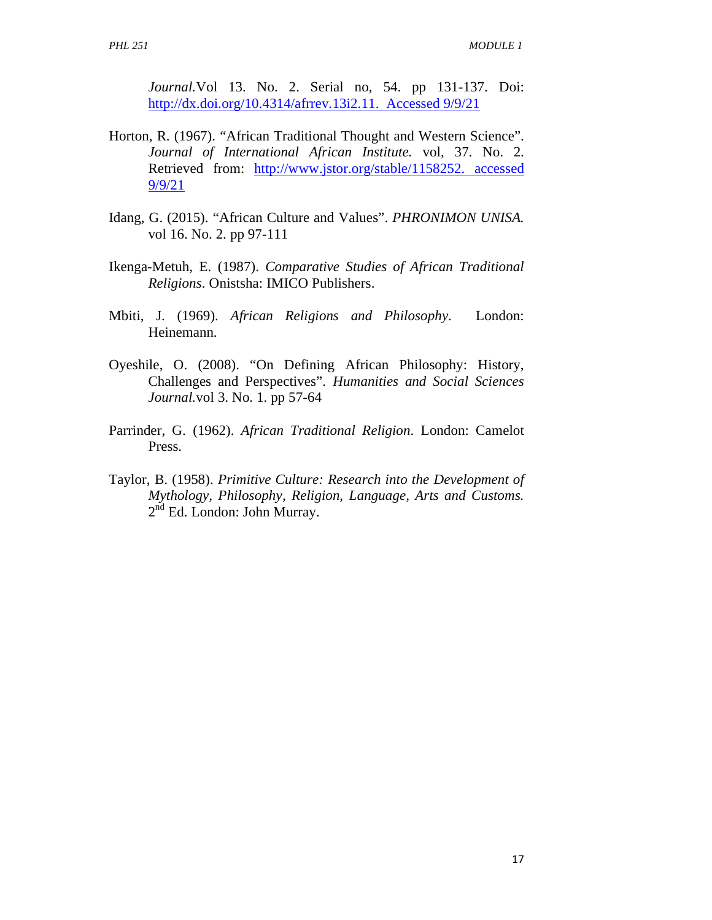*Journal.*Vol 13. No. 2. Serial no, 54. pp 131-137. Doi: http://dx.doi.org/10.4314/afrrev.13i2.11. Accessed 9/9/21

- Horton, R. (1967). "African Traditional Thought and Western Science". *Journal of International African Institute.* vol, 37. No. 2. Retrieved from: http://www.jstor.org/stable/1158252. accessed 9/9/21
- Idang, G. (2015). "African Culture and Values". *PHRONIMON UNISA.*  vol 16. No. 2. pp 97-111
- Ikenga-Metuh, E. (1987). *Comparative Studies of African Traditional Religions*. Onistsha: IMICO Publishers.
- Mbiti, J. (1969). *African Religions and Philosophy*. London: Heinemann.
- Oyeshile, O. (2008). "On Defining African Philosophy: History, Challenges and Perspectives". *Humanities and Social Sciences Journal.*vol 3. No. 1. pp 57-64
- Parrinder, G. (1962). *African Traditional Religion*. London: Camelot Press.
- Taylor, B. (1958). *Primitive Culture: Research into the Development of Mythology, Philosophy, Religion, Language, Arts and Customs.*  2<sup>nd</sup> Ed. London: John Murray.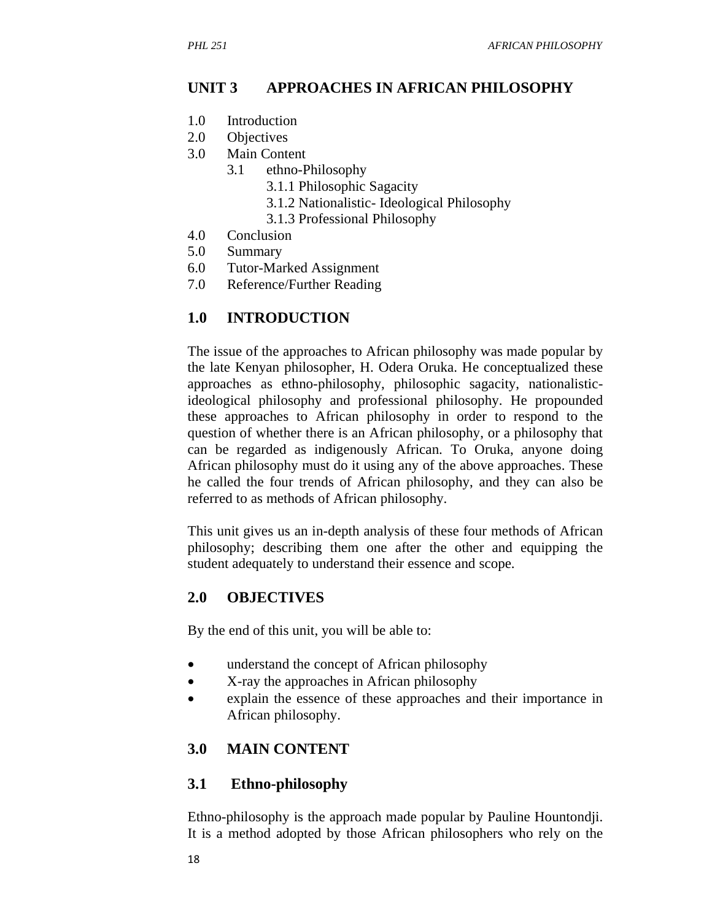## **UNIT 3 APPROACHES IN AFRICAN PHILOSOPHY**

- 1.0 Introduction
- 2.0 Objectives
- 3.0 Main Content
	- 3.1 ethno-Philosophy
		- 3.1.1 Philosophic Sagacity
		- 3.1.2 Nationalistic- Ideological Philosophy
		- 3.1.3 Professional Philosophy
- 4.0 Conclusion
- 5.0 Summary
- 6.0 Tutor-Marked Assignment
- 7.0 Reference/Further Reading

#### **1.0 INTRODUCTION**

The issue of the approaches to African philosophy was made popular by the late Kenyan philosopher, H. Odera Oruka. He conceptualized these approaches as ethno-philosophy, philosophic sagacity, nationalisticideological philosophy and professional philosophy. He propounded these approaches to African philosophy in order to respond to the question of whether there is an African philosophy, or a philosophy that can be regarded as indigenously African. To Oruka, anyone doing African philosophy must do it using any of the above approaches. These he called the four trends of African philosophy, and they can also be referred to as methods of African philosophy.

This unit gives us an in-depth analysis of these four methods of African philosophy; describing them one after the other and equipping the student adequately to understand their essence and scope.

#### **2.0 OBJECTIVES**

By the end of this unit, you will be able to:

- understand the concept of African philosophy
- X-ray the approaches in African philosophy
- explain the essence of these approaches and their importance in African philosophy.

#### **3.0 MAIN CONTENT**

#### **3.1 Ethno-philosophy**

Ethno-philosophy is the approach made popular by Pauline Hountondji. It is a method adopted by those African philosophers who rely on the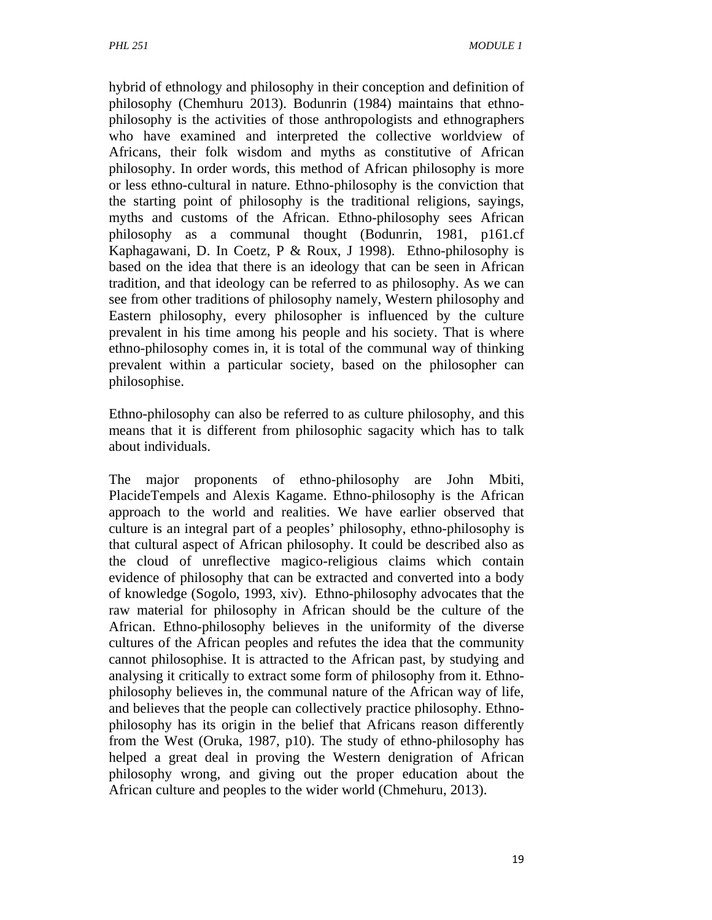hybrid of ethnology and philosophy in their conception and definition of philosophy (Chemhuru 2013). Bodunrin (1984) maintains that ethnophilosophy is the activities of those anthropologists and ethnographers who have examined and interpreted the collective worldview of Africans, their folk wisdom and myths as constitutive of African philosophy. In order words, this method of African philosophy is more or less ethno-cultural in nature. Ethno-philosophy is the conviction that the starting point of philosophy is the traditional religions, sayings, myths and customs of the African. Ethno-philosophy sees African philosophy as a communal thought (Bodunrin, 1981, p161.cf Kaphagawani, D. In Coetz, P & Roux, J 1998). Ethno-philosophy is based on the idea that there is an ideology that can be seen in African tradition, and that ideology can be referred to as philosophy. As we can see from other traditions of philosophy namely, Western philosophy and Eastern philosophy, every philosopher is influenced by the culture prevalent in his time among his people and his society. That is where ethno-philosophy comes in, it is total of the communal way of thinking prevalent within a particular society, based on the philosopher can philosophise.

Ethno-philosophy can also be referred to as culture philosophy, and this means that it is different from philosophic sagacity which has to talk about individuals.

The major proponents of ethno-philosophy are John Mbiti, PlacideTempels and Alexis Kagame. Ethno-philosophy is the African approach to the world and realities. We have earlier observed that culture is an integral part of a peoples' philosophy, ethno-philosophy is that cultural aspect of African philosophy. It could be described also as the cloud of unreflective magico-religious claims which contain evidence of philosophy that can be extracted and converted into a body of knowledge (Sogolo, 1993, xiv). Ethno-philosophy advocates that the raw material for philosophy in African should be the culture of the African. Ethno-philosophy believes in the uniformity of the diverse cultures of the African peoples and refutes the idea that the community cannot philosophise. It is attracted to the African past, by studying and analysing it critically to extract some form of philosophy from it. Ethnophilosophy believes in, the communal nature of the African way of life, and believes that the people can collectively practice philosophy. Ethnophilosophy has its origin in the belief that Africans reason differently from the West (Oruka, 1987, p10). The study of ethno-philosophy has helped a great deal in proving the Western denigration of African philosophy wrong, and giving out the proper education about the African culture and peoples to the wider world (Chmehuru, 2013).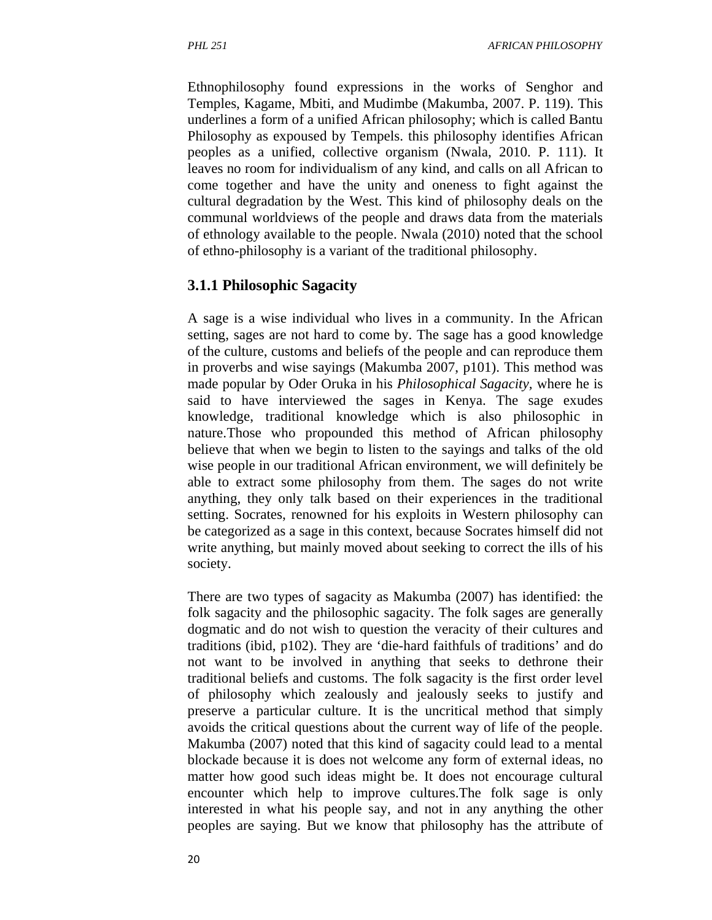Ethnophilosophy found expressions in the works of Senghor and Temples, Kagame, Mbiti, and Mudimbe (Makumba, 2007. P. 119). This underlines a form of a unified African philosophy; which is called Bantu Philosophy as expoused by Tempels. this philosophy identifies African peoples as a unified, collective organism (Nwala, 2010. P. 111). It leaves no room for individualism of any kind, and calls on all African to come together and have the unity and oneness to fight against the cultural degradation by the West. This kind of philosophy deals on the communal worldviews of the people and draws data from the materials of ethnology available to the people. Nwala (2010) noted that the school of ethno-philosophy is a variant of the traditional philosophy.

#### **3.1.1 Philosophic Sagacity**

A sage is a wise individual who lives in a community. In the African setting, sages are not hard to come by. The sage has a good knowledge of the culture, customs and beliefs of the people and can reproduce them in proverbs and wise sayings (Makumba 2007, p101). This method was made popular by Oder Oruka in his *Philosophical Sagacity,* where he is said to have interviewed the sages in Kenya. The sage exudes knowledge, traditional knowledge which is also philosophic in nature.Those who propounded this method of African philosophy believe that when we begin to listen to the sayings and talks of the old wise people in our traditional African environment, we will definitely be able to extract some philosophy from them. The sages do not write anything, they only talk based on their experiences in the traditional setting. Socrates, renowned for his exploits in Western philosophy can be categorized as a sage in this context, because Socrates himself did not write anything, but mainly moved about seeking to correct the ills of his society.

There are two types of sagacity as Makumba (2007) has identified: the folk sagacity and the philosophic sagacity. The folk sages are generally dogmatic and do not wish to question the veracity of their cultures and traditions (ibid, p102). They are 'die-hard faithfuls of traditions' and do not want to be involved in anything that seeks to dethrone their traditional beliefs and customs. The folk sagacity is the first order level of philosophy which zealously and jealously seeks to justify and preserve a particular culture. It is the uncritical method that simply avoids the critical questions about the current way of life of the people. Makumba (2007) noted that this kind of sagacity could lead to a mental blockade because it is does not welcome any form of external ideas, no matter how good such ideas might be. It does not encourage cultural encounter which help to improve cultures.The folk sage is only interested in what his people say, and not in any anything the other peoples are saying. But we know that philosophy has the attribute of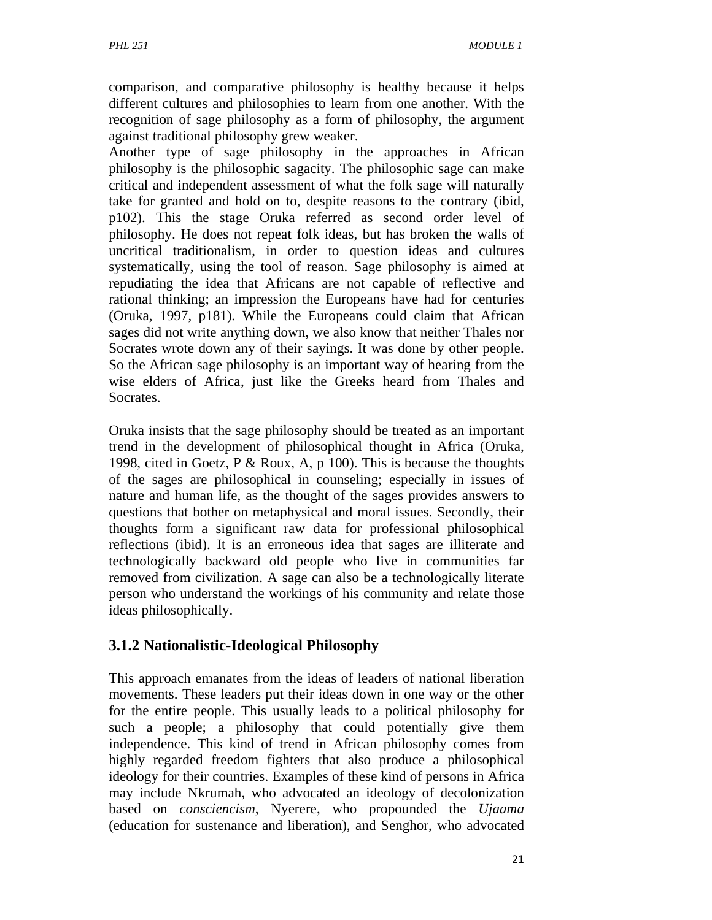comparison, and comparative philosophy is healthy because it helps different cultures and philosophies to learn from one another. With the recognition of sage philosophy as a form of philosophy, the argument against traditional philosophy grew weaker.

Another type of sage philosophy in the approaches in African philosophy is the philosophic sagacity. The philosophic sage can make critical and independent assessment of what the folk sage will naturally take for granted and hold on to, despite reasons to the contrary (ibid, p102). This the stage Oruka referred as second order level of philosophy. He does not repeat folk ideas, but has broken the walls of uncritical traditionalism, in order to question ideas and cultures systematically, using the tool of reason. Sage philosophy is aimed at repudiating the idea that Africans are not capable of reflective and rational thinking; an impression the Europeans have had for centuries (Oruka, 1997, p181). While the Europeans could claim that African sages did not write anything down, we also know that neither Thales nor Socrates wrote down any of their sayings. It was done by other people. So the African sage philosophy is an important way of hearing from the wise elders of Africa, just like the Greeks heard from Thales and Socrates.

Oruka insists that the sage philosophy should be treated as an important trend in the development of philosophical thought in Africa (Oruka, 1998, cited in Goetz, P & Roux, A, p 100). This is because the thoughts of the sages are philosophical in counseling; especially in issues of nature and human life, as the thought of the sages provides answers to questions that bother on metaphysical and moral issues. Secondly, their thoughts form a significant raw data for professional philosophical reflections (ibid). It is an erroneous idea that sages are illiterate and technologically backward old people who live in communities far removed from civilization. A sage can also be a technologically literate person who understand the workings of his community and relate those ideas philosophically.

#### **3.1.2 Nationalistic-Ideological Philosophy**

This approach emanates from the ideas of leaders of national liberation movements. These leaders put their ideas down in one way or the other for the entire people. This usually leads to a political philosophy for such a people; a philosophy that could potentially give them independence. This kind of trend in African philosophy comes from highly regarded freedom fighters that also produce a philosophical ideology for their countries. Examples of these kind of persons in Africa may include Nkrumah, who advocated an ideology of decolonization based on *consciencism*, Nyerere, who propounded the *Ujaama* (education for sustenance and liberation), and Senghor, who advocated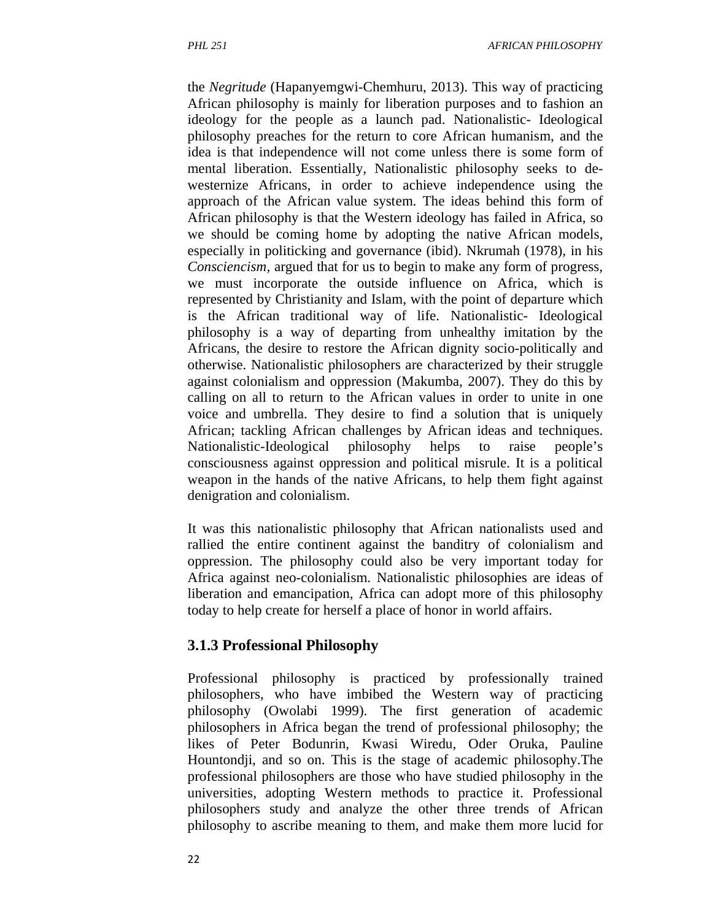the *Negritude* (Hapanyemgwi-Chemhuru, 2013). This way of practicing African philosophy is mainly for liberation purposes and to fashion an ideology for the people as a launch pad. Nationalistic- Ideological philosophy preaches for the return to core African humanism, and the idea is that independence will not come unless there is some form of mental liberation. Essentially, Nationalistic philosophy seeks to dewesternize Africans, in order to achieve independence using the approach of the African value system. The ideas behind this form of African philosophy is that the Western ideology has failed in Africa, so we should be coming home by adopting the native African models, especially in politicking and governance (ibid). Nkrumah (1978), in his *Consciencism,* argued that for us to begin to make any form of progress, we must incorporate the outside influence on Africa, which is represented by Christianity and Islam, with the point of departure which is the African traditional way of life. Nationalistic- Ideological philosophy is a way of departing from unhealthy imitation by the Africans, the desire to restore the African dignity socio-politically and otherwise. Nationalistic philosophers are characterized by their struggle against colonialism and oppression (Makumba, 2007). They do this by calling on all to return to the African values in order to unite in one voice and umbrella. They desire to find a solution that is uniquely African; tackling African challenges by African ideas and techniques. Nationalistic-Ideological philosophy helps to raise people's consciousness against oppression and political misrule. It is a political weapon in the hands of the native Africans, to help them fight against denigration and colonialism.

It was this nationalistic philosophy that African nationalists used and rallied the entire continent against the banditry of colonialism and oppression. The philosophy could also be very important today for Africa against neo-colonialism. Nationalistic philosophies are ideas of liberation and emancipation, Africa can adopt more of this philosophy today to help create for herself a place of honor in world affairs.

#### **3.1.3 Professional Philosophy**

Professional philosophy is practiced by professionally trained philosophers, who have imbibed the Western way of practicing philosophy (Owolabi 1999). The first generation of academic philosophers in Africa began the trend of professional philosophy; the likes of Peter Bodunrin, Kwasi Wiredu, Oder Oruka, Pauline Hountondji, and so on. This is the stage of academic philosophy.The professional philosophers are those who have studied philosophy in the universities, adopting Western methods to practice it. Professional philosophers study and analyze the other three trends of African philosophy to ascribe meaning to them, and make them more lucid for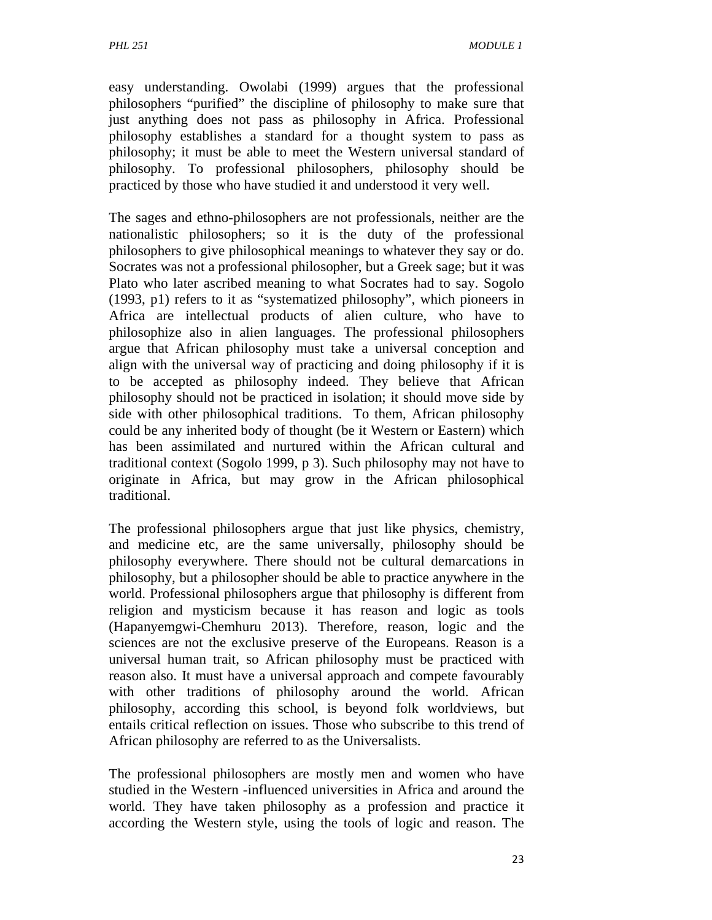easy understanding. Owolabi (1999) argues that the professional philosophers "purified" the discipline of philosophy to make sure that just anything does not pass as philosophy in Africa. Professional philosophy establishes a standard for a thought system to pass as philosophy; it must be able to meet the Western universal standard of philosophy. To professional philosophers, philosophy should be practiced by those who have studied it and understood it very well.

The sages and ethno-philosophers are not professionals, neither are the nationalistic philosophers; so it is the duty of the professional philosophers to give philosophical meanings to whatever they say or do. Socrates was not a professional philosopher, but a Greek sage; but it was Plato who later ascribed meaning to what Socrates had to say. Sogolo (1993, p1) refers to it as "systematized philosophy", which pioneers in Africa are intellectual products of alien culture, who have to philosophize also in alien languages. The professional philosophers argue that African philosophy must take a universal conception and align with the universal way of practicing and doing philosophy if it is to be accepted as philosophy indeed. They believe that African philosophy should not be practiced in isolation; it should move side by side with other philosophical traditions. To them, African philosophy could be any inherited body of thought (be it Western or Eastern) which has been assimilated and nurtured within the African cultural and traditional context (Sogolo 1999, p 3). Such philosophy may not have to originate in Africa, but may grow in the African philosophical traditional.

The professional philosophers argue that just like physics, chemistry, and medicine etc, are the same universally, philosophy should be philosophy everywhere. There should not be cultural demarcations in philosophy, but a philosopher should be able to practice anywhere in the world. Professional philosophers argue that philosophy is different from religion and mysticism because it has reason and logic as tools (Hapanyemgwi-Chemhuru 2013). Therefore, reason, logic and the sciences are not the exclusive preserve of the Europeans. Reason is a universal human trait, so African philosophy must be practiced with reason also. It must have a universal approach and compete favourably with other traditions of philosophy around the world. African philosophy, according this school, is beyond folk worldviews, but entails critical reflection on issues. Those who subscribe to this trend of African philosophy are referred to as the Universalists.

The professional philosophers are mostly men and women who have studied in the Western -influenced universities in Africa and around the world. They have taken philosophy as a profession and practice it according the Western style, using the tools of logic and reason. The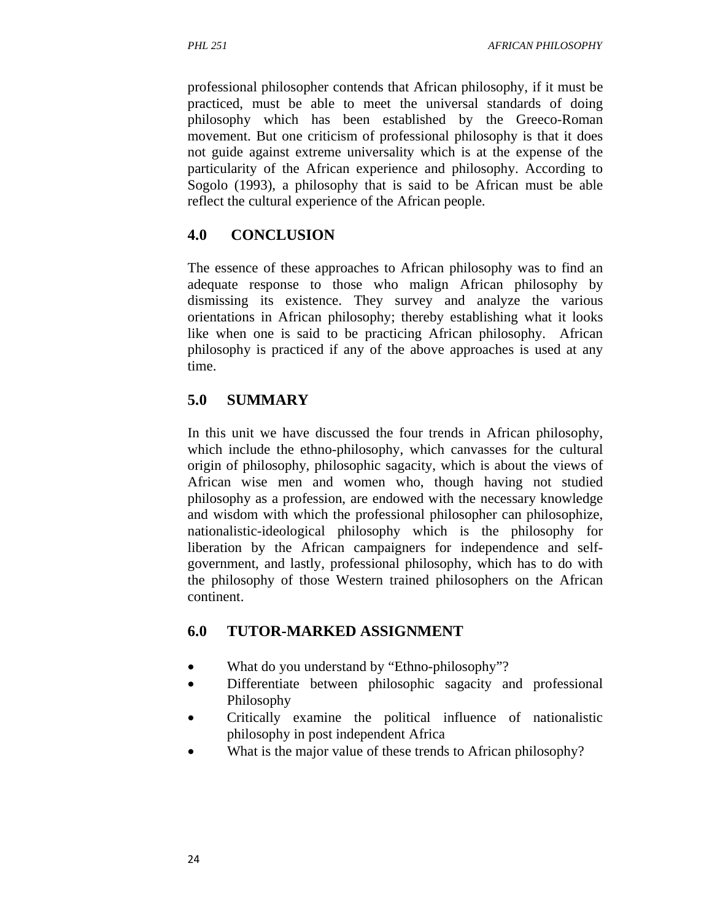professional philosopher contends that African philosophy, if it must be practiced, must be able to meet the universal standards of doing philosophy which has been established by the Greeco-Roman movement. But one criticism of professional philosophy is that it does not guide against extreme universality which is at the expense of the particularity of the African experience and philosophy. According to Sogolo (1993), a philosophy that is said to be African must be able reflect the cultural experience of the African people.

# **4.0 CONCLUSION**

The essence of these approaches to African philosophy was to find an adequate response to those who malign African philosophy by dismissing its existence. They survey and analyze the various orientations in African philosophy; thereby establishing what it looks like when one is said to be practicing African philosophy. African philosophy is practiced if any of the above approaches is used at any time.

# **5.0 SUMMARY**

In this unit we have discussed the four trends in African philosophy, which include the ethno-philosophy, which canvasses for the cultural origin of philosophy, philosophic sagacity, which is about the views of African wise men and women who, though having not studied philosophy as a profession, are endowed with the necessary knowledge and wisdom with which the professional philosopher can philosophize, nationalistic-ideological philosophy which is the philosophy for liberation by the African campaigners for independence and selfgovernment, and lastly, professional philosophy, which has to do with the philosophy of those Western trained philosophers on the African continent.

# **6.0 TUTOR-MARKED ASSIGNMENT**

- What do you understand by "Ethno-philosophy"?
- Differentiate between philosophic sagacity and professional Philosophy
- Critically examine the political influence of nationalistic philosophy in post independent Africa
- What is the major value of these trends to African philosophy?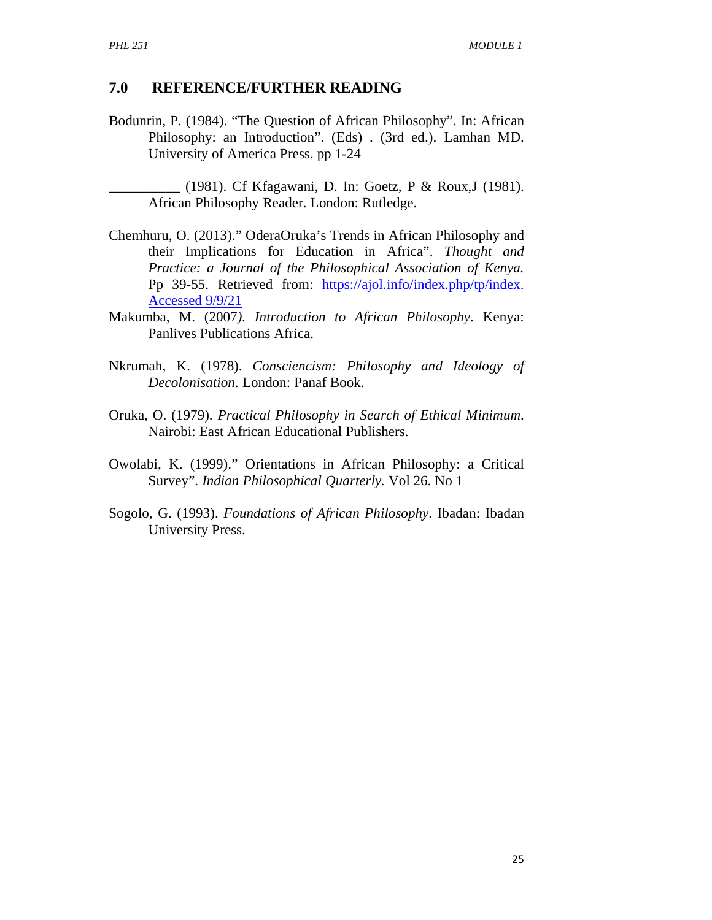#### **7.0 REFERENCE/FURTHER READING**

Bodunrin, P. (1984). "The Question of African Philosophy". In: African Philosophy: an Introduction". (Eds) . (3rd ed.). Lamhan MD. University of America Press. pp 1-24

\_\_\_\_\_\_\_\_\_\_ (1981). Cf Kfagawani, D. In: Goetz, P & Roux,J (1981). African Philosophy Reader. London: Rutledge.

- Chemhuru, O. (2013)." OderaOruka's Trends in African Philosophy and their Implications for Education in Africa". *Thought and Practice: a Journal of the Philosophical Association of Kenya.*  Pp 39-55. Retrieved from: https://ajol.info/index.php/tp/index. Accessed 9/9/21
- Makumba, M. (2007*). Introduction to African Philosophy*. Kenya: Panlives Publications Africa.
- Nkrumah, K. (1978). *Consciencism: Philosophy and Ideology of Decolonisation*. London: Panaf Book.
- Oruka, O. (1979). *Practical Philosophy in Search of Ethical Minimum*. Nairobi: East African Educational Publishers.
- Owolabi, K. (1999)." Orientations in African Philosophy: a Critical Survey". *Indian Philosophical Quarterly.* Vol 26. No 1
- Sogolo, G. (1993). *Foundations of African Philosophy*. Ibadan: Ibadan University Press.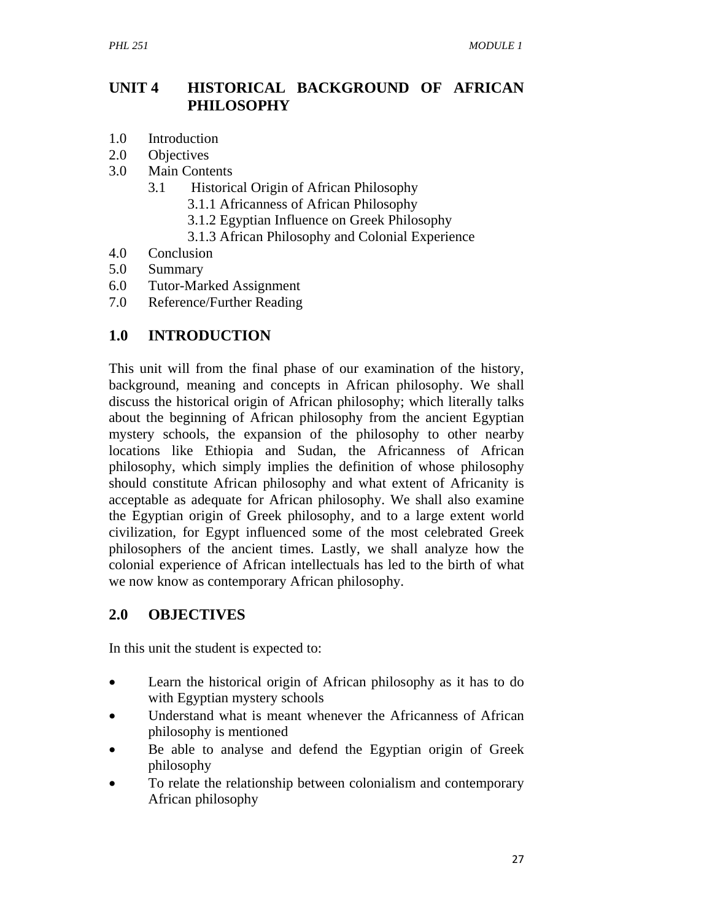# **UNIT 4 HISTORICAL BACKGROUND OF AFRICAN PHILOSOPHY**

- 1.0 Introduction
- 2.0 Objectives
- 3.0 Main Contents
	- 3.1 Historical Origin of African Philosophy
		- 3.1.1 Africanness of African Philosophy
		- 3.1.2 Egyptian Influence on Greek Philosophy
		- 3.1.3 African Philosophy and Colonial Experience
- 4.0 Conclusion
- 5.0 Summary
- 6.0 Tutor-Marked Assignment
- 7.0 Reference/Further Reading

## **1.0 INTRODUCTION**

This unit will from the final phase of our examination of the history, background, meaning and concepts in African philosophy. We shall discuss the historical origin of African philosophy; which literally talks about the beginning of African philosophy from the ancient Egyptian mystery schools, the expansion of the philosophy to other nearby locations like Ethiopia and Sudan, the Africanness of African philosophy, which simply implies the definition of whose philosophy should constitute African philosophy and what extent of Africanity is acceptable as adequate for African philosophy. We shall also examine the Egyptian origin of Greek philosophy, and to a large extent world civilization, for Egypt influenced some of the most celebrated Greek philosophers of the ancient times. Lastly, we shall analyze how the colonial experience of African intellectuals has led to the birth of what we now know as contemporary African philosophy.

# **2.0 OBJECTIVES**

In this unit the student is expected to:

- Learn the historical origin of African philosophy as it has to do with Egyptian mystery schools
- Understand what is meant whenever the Africanness of African philosophy is mentioned
- Be able to analyse and defend the Egyptian origin of Greek philosophy
- To relate the relationship between colonialism and contemporary African philosophy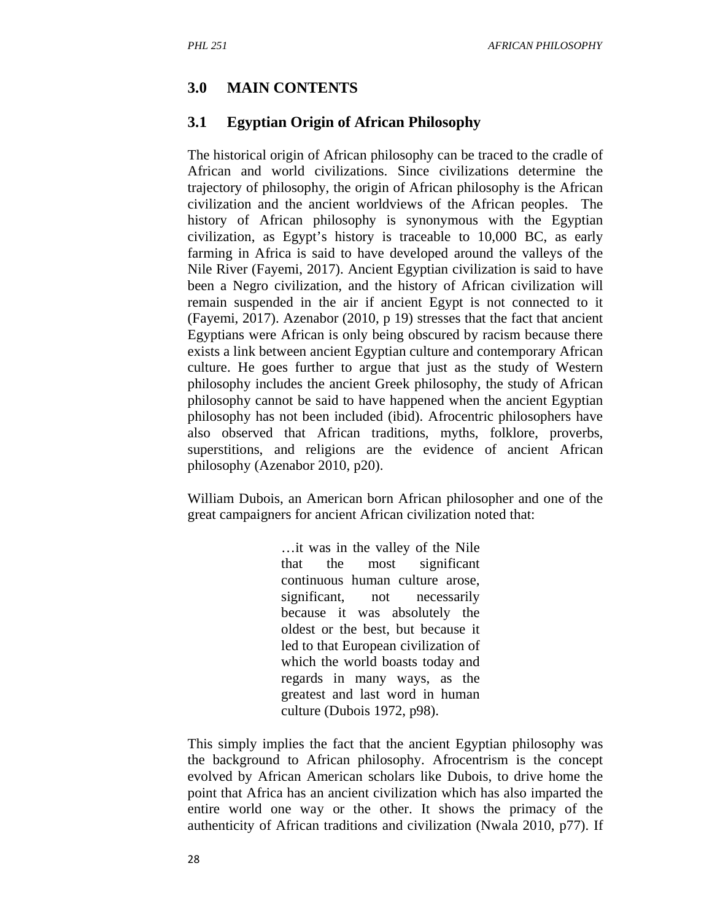### **3.0 MAIN CONTENTS**

### **3.1 Egyptian Origin of African Philosophy**

The historical origin of African philosophy can be traced to the cradle of African and world civilizations. Since civilizations determine the trajectory of philosophy, the origin of African philosophy is the African civilization and the ancient worldviews of the African peoples. The history of African philosophy is synonymous with the Egyptian civilization, as Egypt's history is traceable to 10,000 BC, as early farming in Africa is said to have developed around the valleys of the Nile River (Fayemi, 2017). Ancient Egyptian civilization is said to have been a Negro civilization, and the history of African civilization will remain suspended in the air if ancient Egypt is not connected to it (Fayemi, 2017). Azenabor (2010, p 19) stresses that the fact that ancient Egyptians were African is only being obscured by racism because there exists a link between ancient Egyptian culture and contemporary African culture. He goes further to argue that just as the study of Western philosophy includes the ancient Greek philosophy, the study of African philosophy cannot be said to have happened when the ancient Egyptian philosophy has not been included (ibid). Afrocentric philosophers have also observed that African traditions, myths, folklore, proverbs, superstitions, and religions are the evidence of ancient African philosophy (Azenabor 2010, p20).

William Dubois, an American born African philosopher and one of the great campaigners for ancient African civilization noted that:

> …it was in the valley of the Nile that the most significant continuous human culture arose, significant, not necessarily because it was absolutely the oldest or the best, but because it led to that European civilization of which the world boasts today and regards in many ways, as the greatest and last word in human culture (Dubois 1972, p98).

This simply implies the fact that the ancient Egyptian philosophy was the background to African philosophy. Afrocentrism is the concept evolved by African American scholars like Dubois, to drive home the point that Africa has an ancient civilization which has also imparted the entire world one way or the other. It shows the primacy of the authenticity of African traditions and civilization (Nwala 2010, p77). If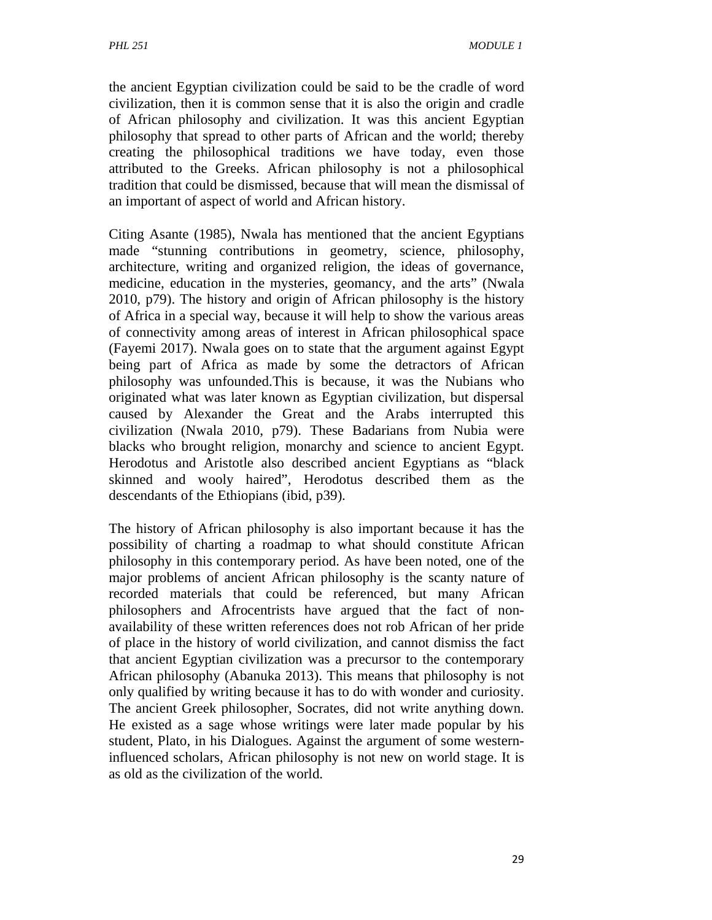the ancient Egyptian civilization could be said to be the cradle of word civilization, then it is common sense that it is also the origin and cradle of African philosophy and civilization. It was this ancient Egyptian philosophy that spread to other parts of African and the world; thereby creating the philosophical traditions we have today, even those attributed to the Greeks. African philosophy is not a philosophical tradition that could be dismissed, because that will mean the dismissal of an important of aspect of world and African history.

Citing Asante (1985), Nwala has mentioned that the ancient Egyptians made "stunning contributions in geometry, science, philosophy, architecture, writing and organized religion, the ideas of governance, medicine, education in the mysteries, geomancy, and the arts" (Nwala 2010, p79). The history and origin of African philosophy is the history of Africa in a special way, because it will help to show the various areas of connectivity among areas of interest in African philosophical space (Fayemi 2017). Nwala goes on to state that the argument against Egypt being part of Africa as made by some the detractors of African philosophy was unfounded.This is because, it was the Nubians who originated what was later known as Egyptian civilization, but dispersal caused by Alexander the Great and the Arabs interrupted this civilization (Nwala 2010, p79). These Badarians from Nubia were blacks who brought religion, monarchy and science to ancient Egypt. Herodotus and Aristotle also described ancient Egyptians as "black skinned and wooly haired", Herodotus described them as the descendants of the Ethiopians (ibid, p39).

The history of African philosophy is also important because it has the possibility of charting a roadmap to what should constitute African philosophy in this contemporary period. As have been noted, one of the major problems of ancient African philosophy is the scanty nature of recorded materials that could be referenced, but many African philosophers and Afrocentrists have argued that the fact of nonavailability of these written references does not rob African of her pride of place in the history of world civilization, and cannot dismiss the fact that ancient Egyptian civilization was a precursor to the contemporary African philosophy (Abanuka 2013). This means that philosophy is not only qualified by writing because it has to do with wonder and curiosity. The ancient Greek philosopher, Socrates, did not write anything down. He existed as a sage whose writings were later made popular by his student, Plato, in his Dialogues. Against the argument of some westerninfluenced scholars, African philosophy is not new on world stage. It is as old as the civilization of the world.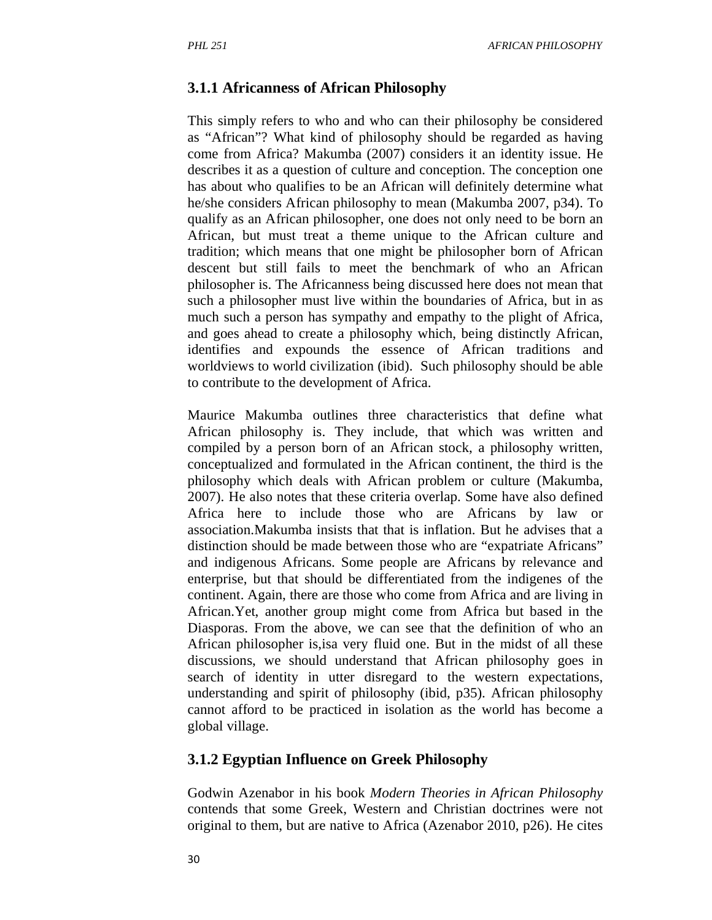#### **3.1.1 Africanness of African Philosophy**

This simply refers to who and who can their philosophy be considered as "African"? What kind of philosophy should be regarded as having come from Africa? Makumba (2007) considers it an identity issue. He describes it as a question of culture and conception. The conception one has about who qualifies to be an African will definitely determine what he/she considers African philosophy to mean (Makumba 2007, p34). To qualify as an African philosopher, one does not only need to be born an African, but must treat a theme unique to the African culture and tradition; which means that one might be philosopher born of African descent but still fails to meet the benchmark of who an African philosopher is. The Africanness being discussed here does not mean that such a philosopher must live within the boundaries of Africa, but in as much such a person has sympathy and empathy to the plight of Africa, and goes ahead to create a philosophy which, being distinctly African, identifies and expounds the essence of African traditions and worldviews to world civilization (ibid). Such philosophy should be able to contribute to the development of Africa.

Maurice Makumba outlines three characteristics that define what African philosophy is. They include, that which was written and compiled by a person born of an African stock, a philosophy written, conceptualized and formulated in the African continent, the third is the philosophy which deals with African problem or culture (Makumba, 2007). He also notes that these criteria overlap. Some have also defined Africa here to include those who are Africans by law or association.Makumba insists that that is inflation. But he advises that a distinction should be made between those who are "expatriate Africans" and indigenous Africans. Some people are Africans by relevance and enterprise, but that should be differentiated from the indigenes of the continent. Again, there are those who come from Africa and are living in African.Yet, another group might come from Africa but based in the Diasporas. From the above, we can see that the definition of who an African philosopher is,isa very fluid one. But in the midst of all these discussions, we should understand that African philosophy goes in search of identity in utter disregard to the western expectations, understanding and spirit of philosophy (ibid, p35). African philosophy cannot afford to be practiced in isolation as the world has become a global village.

#### **3.1.2 Egyptian Influence on Greek Philosophy**

Godwin Azenabor in his book *Modern Theories in African Philosophy*  contends that some Greek, Western and Christian doctrines were not original to them, but are native to Africa (Azenabor 2010, p26). He cites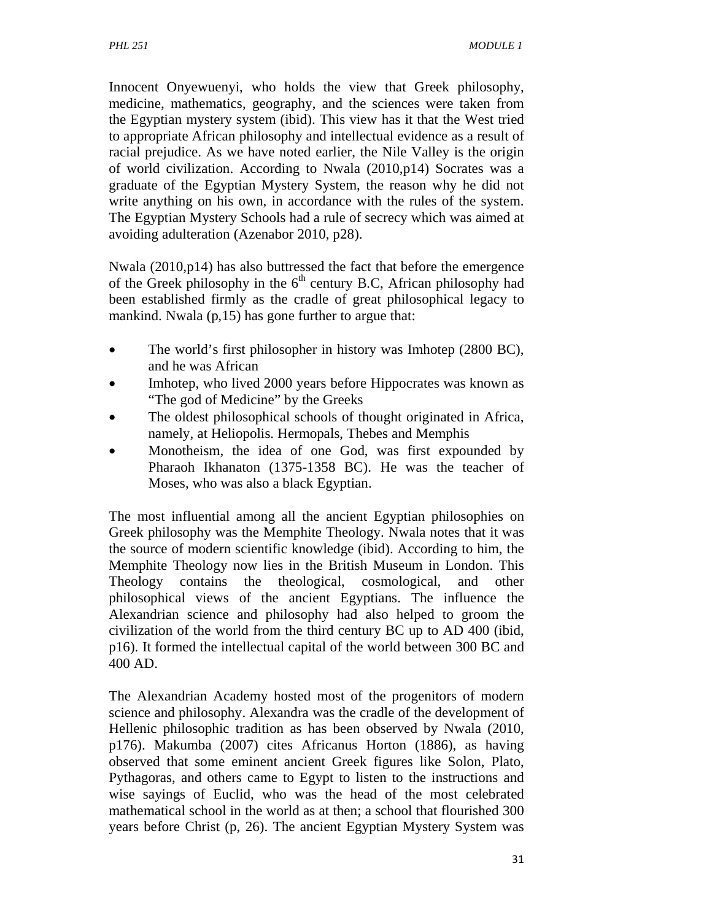Innocent Onyewuenyi, who holds the view that Greek philosophy, medicine, mathematics, geography, and the sciences were taken from the Egyptian mystery system (ibid). This view has it that the West tried to appropriate African philosophy and intellectual evidence as a result of racial prejudice. As we have noted earlier, the Nile Valley is the origin of world civilization. According to Nwala (2010,p14) Socrates was a graduate of the Egyptian Mystery System, the reason why he did not write anything on his own, in accordance with the rules of the system. The Egyptian Mystery Schools had a rule of secrecy which was aimed at avoiding adulteration (Azenabor 2010, p28).

Nwala (2010,p14) has also buttressed the fact that before the emergence of the Greek philosophy in the  $6<sup>th</sup>$  century B.C, African philosophy had been established firmly as the cradle of great philosophical legacy to mankind. Nwala (p, 15) has gone further to argue that:

- The world's first philosopher in history was Imhotep (2800 BC), and he was African
- Imhotep, who lived 2000 years before Hippocrates was known as "The god of Medicine" by the Greeks
- The oldest philosophical schools of thought originated in Africa, namely, at Heliopolis. Hermopals, Thebes and Memphis
- Monotheism, the idea of one God, was first expounded by Pharaoh Ikhanaton (1375-1358 BC). He was the teacher of Moses, who was also a black Egyptian.

The most influential among all the ancient Egyptian philosophies on Greek philosophy was the Memphite Theology. Nwala notes that it was the source of modern scientific knowledge (ibid). According to him, the Memphite Theology now lies in the British Museum in London. This Theology contains the theological, cosmological, and other philosophical views of the ancient Egyptians. The influence the Alexandrian science and philosophy had also helped to groom the civilization of the world from the third century BC up to AD 400 (ibid, p16). It formed the intellectual capital of the world between 300 BC and 400 AD.

The Alexandrian Academy hosted most of the progenitors of modern science and philosophy. Alexandra was the cradle of the development of Hellenic philosophic tradition as has been observed by Nwala (2010, p176). Makumba (2007) cites Africanus Horton (1886), as having observed that some eminent ancient Greek figures like Solon, Plato, Pythagoras, and others came to Egypt to listen to the instructions and wise sayings of Euclid, who was the head of the most celebrated mathematical school in the world as at then; a school that flourished 300 years before Christ (p, 26). The ancient Egyptian Mystery System was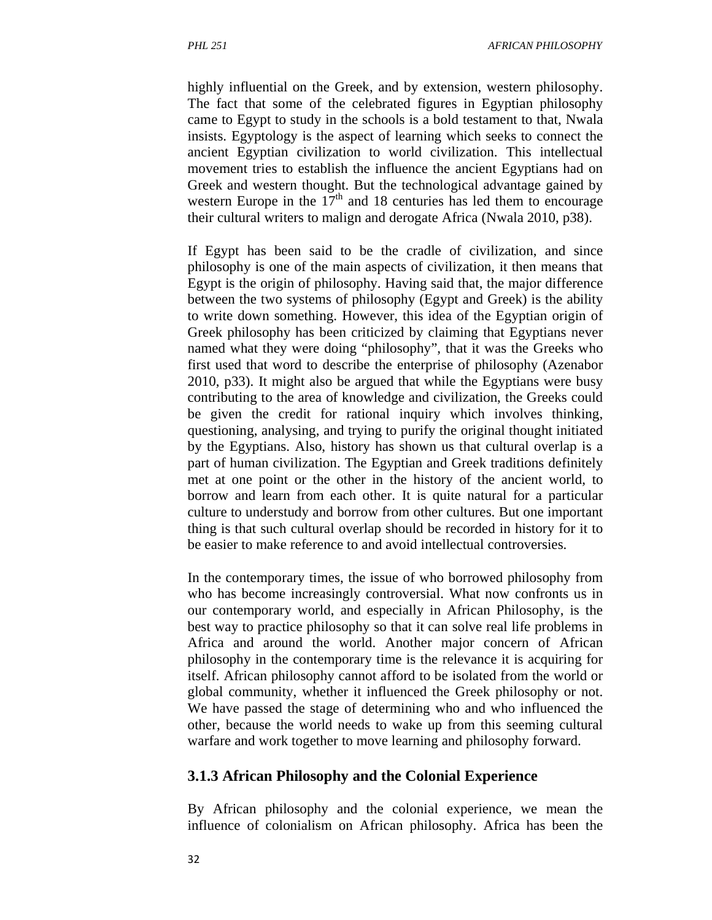highly influential on the Greek, and by extension, western philosophy. The fact that some of the celebrated figures in Egyptian philosophy came to Egypt to study in the schools is a bold testament to that, Nwala insists. Egyptology is the aspect of learning which seeks to connect the ancient Egyptian civilization to world civilization. This intellectual movement tries to establish the influence the ancient Egyptians had on Greek and western thought. But the technological advantage gained by western Europe in the  $17<sup>th</sup>$  and 18 centuries has led them to encourage their cultural writers to malign and derogate Africa (Nwala 2010, p38).

If Egypt has been said to be the cradle of civilization, and since philosophy is one of the main aspects of civilization, it then means that Egypt is the origin of philosophy. Having said that, the major difference between the two systems of philosophy (Egypt and Greek) is the ability to write down something. However, this idea of the Egyptian origin of Greek philosophy has been criticized by claiming that Egyptians never named what they were doing "philosophy", that it was the Greeks who first used that word to describe the enterprise of philosophy (Azenabor 2010, p33). It might also be argued that while the Egyptians were busy contributing to the area of knowledge and civilization, the Greeks could be given the credit for rational inquiry which involves thinking, questioning, analysing, and trying to purify the original thought initiated by the Egyptians. Also, history has shown us that cultural overlap is a part of human civilization. The Egyptian and Greek traditions definitely met at one point or the other in the history of the ancient world, to borrow and learn from each other. It is quite natural for a particular culture to understudy and borrow from other cultures. But one important thing is that such cultural overlap should be recorded in history for it to be easier to make reference to and avoid intellectual controversies.

In the contemporary times, the issue of who borrowed philosophy from who has become increasingly controversial. What now confronts us in our contemporary world, and especially in African Philosophy, is the best way to practice philosophy so that it can solve real life problems in Africa and around the world. Another major concern of African philosophy in the contemporary time is the relevance it is acquiring for itself. African philosophy cannot afford to be isolated from the world or global community, whether it influenced the Greek philosophy or not. We have passed the stage of determining who and who influenced the other, because the world needs to wake up from this seeming cultural warfare and work together to move learning and philosophy forward.

#### **3.1.3 African Philosophy and the Colonial Experience**

By African philosophy and the colonial experience, we mean the influence of colonialism on African philosophy. Africa has been the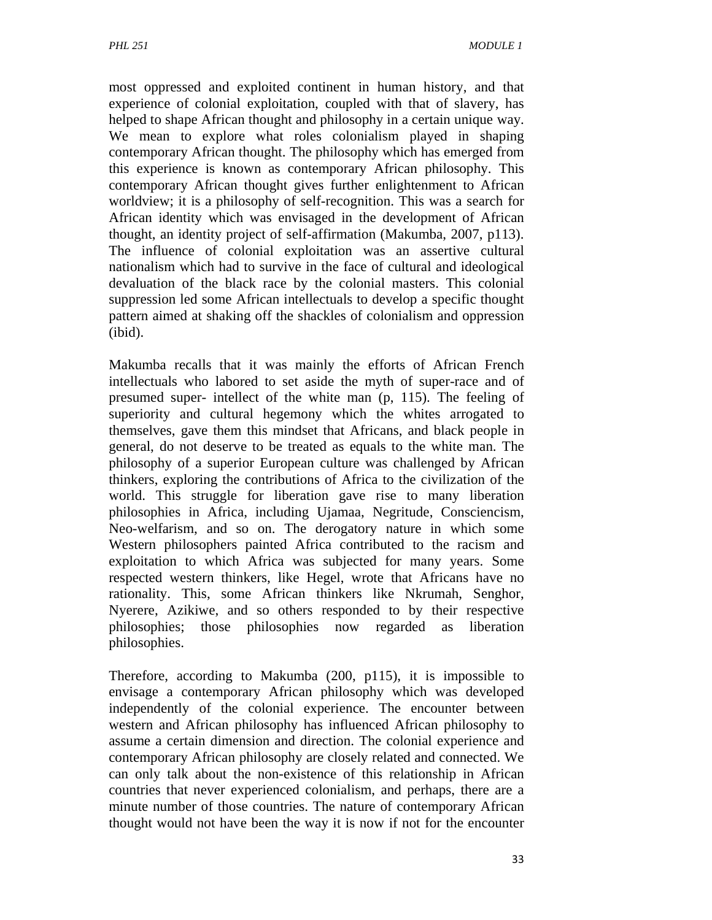most oppressed and exploited continent in human history, and that experience of colonial exploitation, coupled with that of slavery, has helped to shape African thought and philosophy in a certain unique way. We mean to explore what roles colonialism played in shaping contemporary African thought. The philosophy which has emerged from this experience is known as contemporary African philosophy. This contemporary African thought gives further enlightenment to African worldview; it is a philosophy of self-recognition. This was a search for African identity which was envisaged in the development of African thought, an identity project of self-affirmation (Makumba, 2007, p113). The influence of colonial exploitation was an assertive cultural nationalism which had to survive in the face of cultural and ideological devaluation of the black race by the colonial masters. This colonial suppression led some African intellectuals to develop a specific thought pattern aimed at shaking off the shackles of colonialism and oppression (ibid).

Makumba recalls that it was mainly the efforts of African French intellectuals who labored to set aside the myth of super-race and of presumed super- intellect of the white man (p, 115). The feeling of superiority and cultural hegemony which the whites arrogated to themselves, gave them this mindset that Africans, and black people in general, do not deserve to be treated as equals to the white man. The philosophy of a superior European culture was challenged by African thinkers, exploring the contributions of Africa to the civilization of the world. This struggle for liberation gave rise to many liberation philosophies in Africa, including Ujamaa, Negritude, Consciencism, Neo-welfarism, and so on. The derogatory nature in which some Western philosophers painted Africa contributed to the racism and exploitation to which Africa was subjected for many years. Some respected western thinkers, like Hegel, wrote that Africans have no rationality. This, some African thinkers like Nkrumah, Senghor, Nyerere, Azikiwe, and so others responded to by their respective philosophies; those philosophies now regarded as liberation philosophies.

Therefore, according to Makumba (200, p115), it is impossible to envisage a contemporary African philosophy which was developed independently of the colonial experience. The encounter between western and African philosophy has influenced African philosophy to assume a certain dimension and direction. The colonial experience and contemporary African philosophy are closely related and connected. We can only talk about the non-existence of this relationship in African countries that never experienced colonialism, and perhaps, there are a minute number of those countries. The nature of contemporary African thought would not have been the way it is now if not for the encounter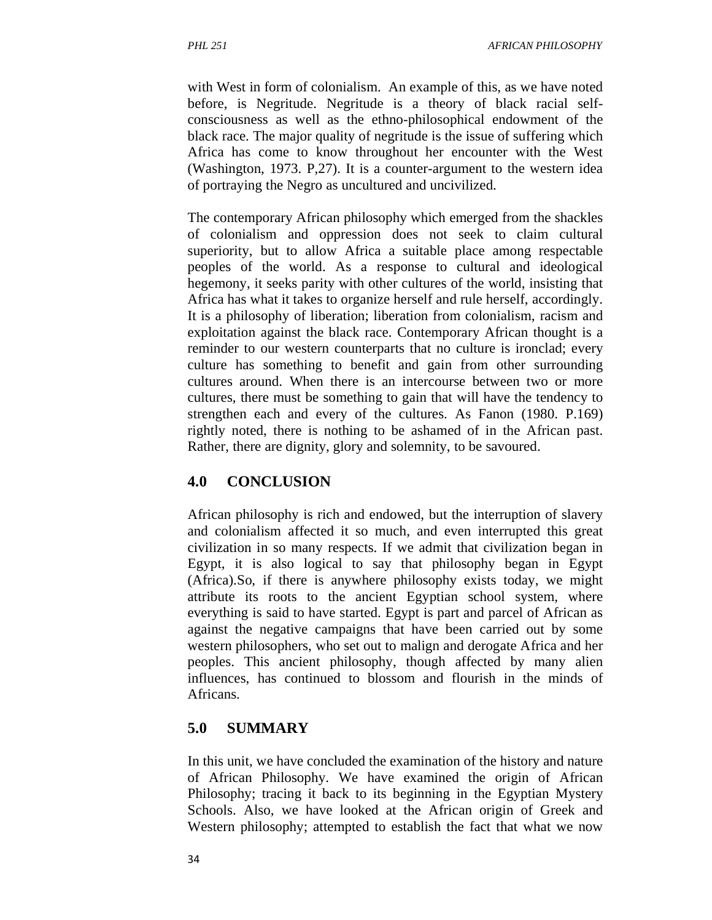with West in form of colonialism. An example of this, as we have noted before, is Negritude. Negritude is a theory of black racial selfconsciousness as well as the ethno-philosophical endowment of the black race. The major quality of negritude is the issue of suffering which Africa has come to know throughout her encounter with the West (Washington, 1973. P,27). It is a counter-argument to the western idea of portraying the Negro as uncultured and uncivilized.

The contemporary African philosophy which emerged from the shackles of colonialism and oppression does not seek to claim cultural superiority, but to allow Africa a suitable place among respectable peoples of the world. As a response to cultural and ideological hegemony, it seeks parity with other cultures of the world, insisting that Africa has what it takes to organize herself and rule herself, accordingly. It is a philosophy of liberation; liberation from colonialism, racism and exploitation against the black race. Contemporary African thought is a reminder to our western counterparts that no culture is ironclad; every culture has something to benefit and gain from other surrounding cultures around. When there is an intercourse between two or more cultures, there must be something to gain that will have the tendency to strengthen each and every of the cultures. As Fanon (1980. P.169) rightly noted, there is nothing to be ashamed of in the African past. Rather, there are dignity, glory and solemnity, to be savoured.

#### **4.0 CONCLUSION**

African philosophy is rich and endowed, but the interruption of slavery and colonialism affected it so much, and even interrupted this great civilization in so many respects. If we admit that civilization began in Egypt, it is also logical to say that philosophy began in Egypt (Africa).So, if there is anywhere philosophy exists today, we might attribute its roots to the ancient Egyptian school system, where everything is said to have started. Egypt is part and parcel of African as against the negative campaigns that have been carried out by some western philosophers, who set out to malign and derogate Africa and her peoples. This ancient philosophy, though affected by many alien influences, has continued to blossom and flourish in the minds of Africans.

#### **5.0 SUMMARY**

In this unit, we have concluded the examination of the history and nature of African Philosophy. We have examined the origin of African Philosophy; tracing it back to its beginning in the Egyptian Mystery Schools. Also, we have looked at the African origin of Greek and Western philosophy; attempted to establish the fact that what we now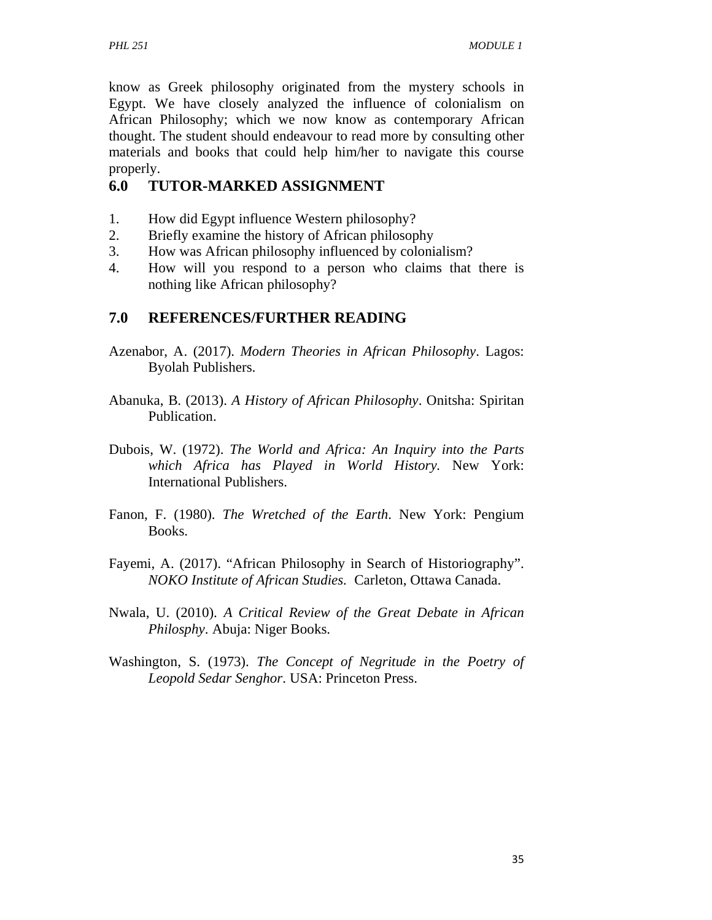know as Greek philosophy originated from the mystery schools in Egypt. We have closely analyzed the influence of colonialism on African Philosophy; which we now know as contemporary African thought. The student should endeavour to read more by consulting other materials and books that could help him/her to navigate this course properly.

## **6.0 TUTOR-MARKED ASSIGNMENT**

- 1. How did Egypt influence Western philosophy?
- 2. Briefly examine the history of African philosophy
- 3. How was African philosophy influenced by colonialism?
- 4. How will you respond to a person who claims that there is nothing like African philosophy?

## **7.0 REFERENCES/FURTHER READING**

- Azenabor, A. (2017). *Modern Theories in African Philosophy*. Lagos: Byolah Publishers.
- Abanuka, B. (2013). *A History of African Philosophy*. Onitsha: Spiritan Publication.
- Dubois, W. (1972). *The World and Africa: An Inquiry into the Parts which Africa has Played in World History.* New York: International Publishers.
- Fanon, F. (1980). *The Wretched of the Earth*. New York: Pengium Books.
- Fayemi, A. (2017). "African Philosophy in Search of Historiography". *NOKO Institute of African Studies.* Carleton, Ottawa Canada.
- Nwala, U. (2010). *A Critical Review of the Great Debate in African Philosphy*. Abuja: Niger Books.
- Washington, S. (1973). *The Concept of Negritude in the Poetry of Leopold Sedar Senghor*. USA: Princeton Press.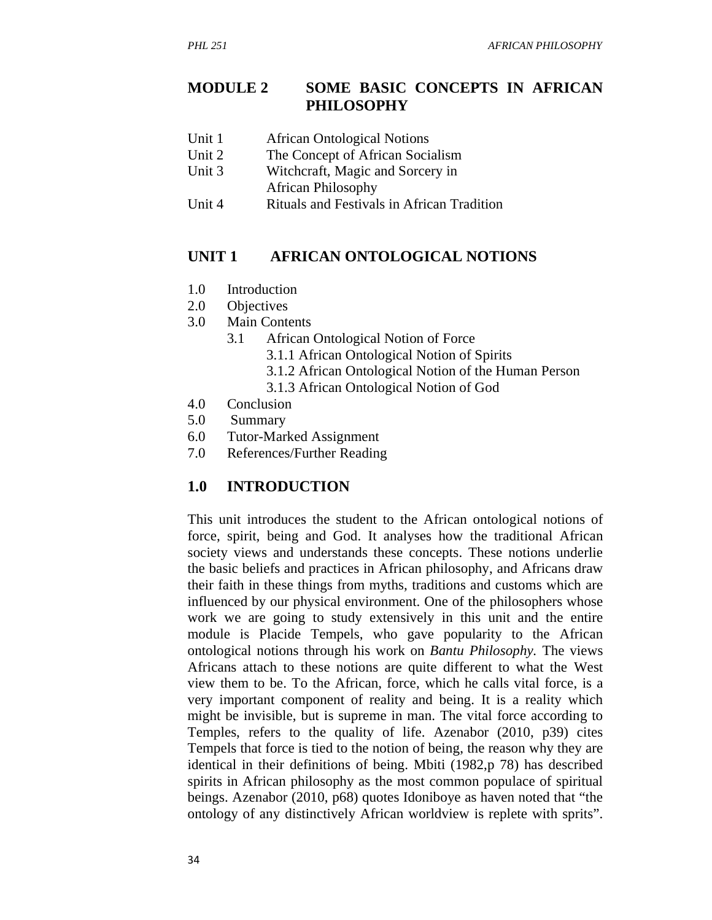### **MODULE 2 SOME BASIC CONCEPTS IN AFRICAN PHILOSOPHY**

- Unit 1 **African Ontological Notions**
- Unit 2 The Concept of African Socialism
- Unit 3 Witchcraft, Magic and Sorcery in
	- African Philosophy
- Unit 4 Rituals and Festivals in African Tradition

#### **UNIT 1 AFRICAN ONTOLOGICAL NOTIONS**

- 1.0 Introduction
- 2.0 Objectives
- 3.0 Main Contents
	- 3.1 African Ontological Notion of Force
		- 3.1.1 African Ontological Notion of Spirits
		- 3.1.2 African Ontological Notion of the Human Person
		- 3.1.3 African Ontological Notion of God
- 4.0 Conclusion
- 5.0 Summary
- 6.0 Tutor-Marked Assignment
- 7.0 References/Further Reading

#### **1.0 INTRODUCTION**

This unit introduces the student to the African ontological notions of force, spirit, being and God. It analyses how the traditional African society views and understands these concepts. These notions underlie the basic beliefs and practices in African philosophy, and Africans draw their faith in these things from myths, traditions and customs which are influenced by our physical environment. One of the philosophers whose work we are going to study extensively in this unit and the entire module is Placide Tempels, who gave popularity to the African ontological notions through his work on *Bantu Philosophy.* The views Africans attach to these notions are quite different to what the West view them to be. To the African, force, which he calls vital force, is a very important component of reality and being. It is a reality which might be invisible, but is supreme in man. The vital force according to Temples, refers to the quality of life. Azenabor (2010, p39) cites Tempels that force is tied to the notion of being, the reason why they are identical in their definitions of being. Mbiti (1982,p 78) has described spirits in African philosophy as the most common populace of spiritual beings. Azenabor (2010, p68) quotes Idoniboye as haven noted that "the ontology of any distinctively African worldview is replete with sprits".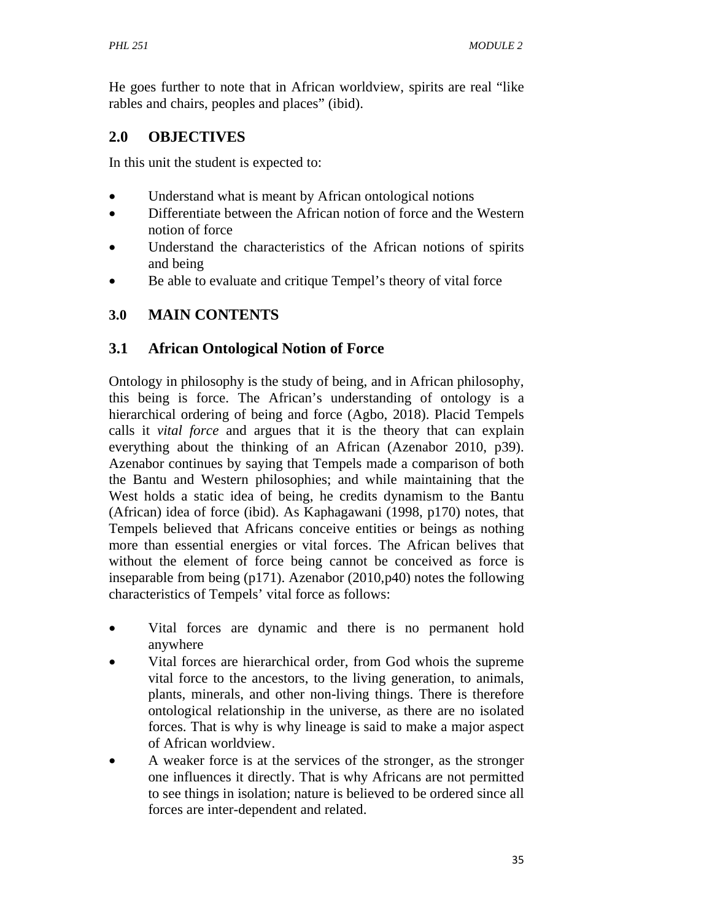He goes further to note that in African worldview, spirits are real "like rables and chairs, peoples and places" (ibid).

## **2.0 OBJECTIVES**

In this unit the student is expected to:

- Understand what is meant by African ontological notions
- Differentiate between the African notion of force and the Western notion of force
- Understand the characteristics of the African notions of spirits and being
- Be able to evaluate and critique Tempel's theory of vital force

# **3.0 MAIN CONTENTS**

# **3.1 African Ontological Notion of Force**

Ontology in philosophy is the study of being, and in African philosophy, this being is force. The African's understanding of ontology is a hierarchical ordering of being and force (Agbo, 2018). Placid Tempels calls it *vital force* and argues that it is the theory that can explain everything about the thinking of an African (Azenabor 2010, p39). Azenabor continues by saying that Tempels made a comparison of both the Bantu and Western philosophies; and while maintaining that the West holds a static idea of being, he credits dynamism to the Bantu (African) idea of force (ibid). As Kaphagawani (1998, p170) notes, that Tempels believed that Africans conceive entities or beings as nothing more than essential energies or vital forces. The African belives that without the element of force being cannot be conceived as force is inseparable from being (p171). Azenabor (2010,p40) notes the following characteristics of Tempels' vital force as follows:

- Vital forces are dynamic and there is no permanent hold anywhere
- Vital forces are hierarchical order, from God whois the supreme vital force to the ancestors, to the living generation, to animals, plants, minerals, and other non-living things. There is therefore ontological relationship in the universe, as there are no isolated forces. That is why is why lineage is said to make a major aspect of African worldview.
- A weaker force is at the services of the stronger, as the stronger one influences it directly. That is why Africans are not permitted to see things in isolation; nature is believed to be ordered since all forces are inter-dependent and related.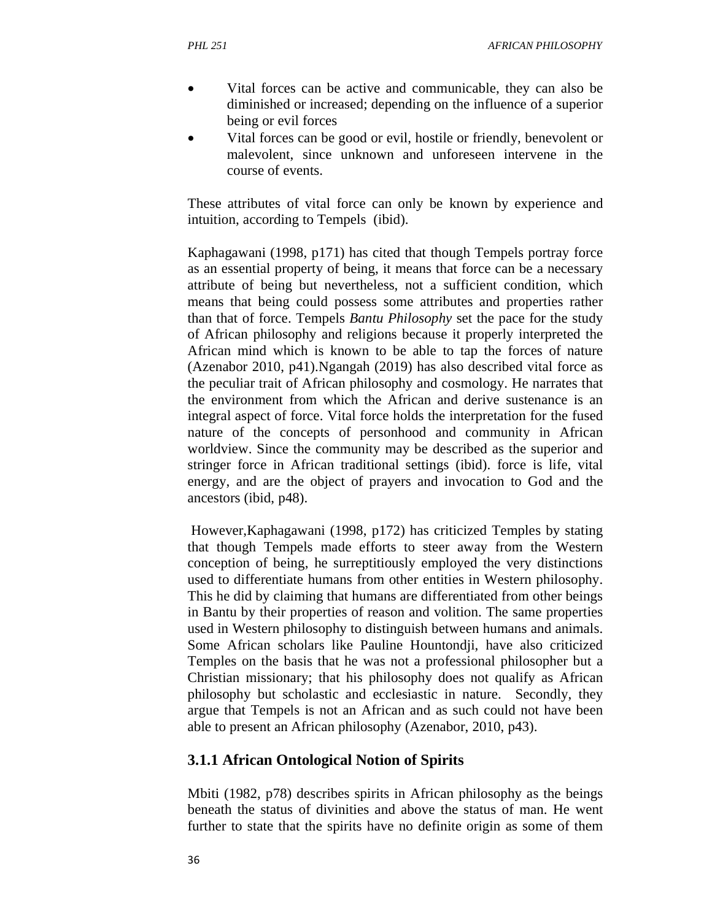- Vital forces can be active and communicable, they can also be diminished or increased; depending on the influence of a superior being or evil forces
- Vital forces can be good or evil, hostile or friendly, benevolent or malevolent, since unknown and unforeseen intervene in the course of events.

These attributes of vital force can only be known by experience and intuition, according to Tempels (ibid).

Kaphagawani (1998, p171) has cited that though Tempels portray force as an essential property of being, it means that force can be a necessary attribute of being but nevertheless, not a sufficient condition, which means that being could possess some attributes and properties rather than that of force. Tempels *Bantu Philosophy* set the pace for the study of African philosophy and religions because it properly interpreted the African mind which is known to be able to tap the forces of nature (Azenabor 2010, p41).Ngangah (2019) has also described vital force as the peculiar trait of African philosophy and cosmology. He narrates that the environment from which the African and derive sustenance is an integral aspect of force. Vital force holds the interpretation for the fused nature of the concepts of personhood and community in African worldview. Since the community may be described as the superior and stringer force in African traditional settings (ibid). force is life, vital energy, and are the object of prayers and invocation to God and the ancestors (ibid, p48).

 However,Kaphagawani (1998, p172) has criticized Temples by stating that though Tempels made efforts to steer away from the Western conception of being, he surreptitiously employed the very distinctions used to differentiate humans from other entities in Western philosophy. This he did by claiming that humans are differentiated from other beings in Bantu by their properties of reason and volition. The same properties used in Western philosophy to distinguish between humans and animals. Some African scholars like Pauline Hountondji, have also criticized Temples on the basis that he was not a professional philosopher but a Christian missionary; that his philosophy does not qualify as African philosophy but scholastic and ecclesiastic in nature. Secondly, they argue that Tempels is not an African and as such could not have been able to present an African philosophy (Azenabor, 2010, p43).

#### **3.1.1 African Ontological Notion of Spirits**

Mbiti (1982, p78) describes spirits in African philosophy as the beings beneath the status of divinities and above the status of man. He went further to state that the spirits have no definite origin as some of them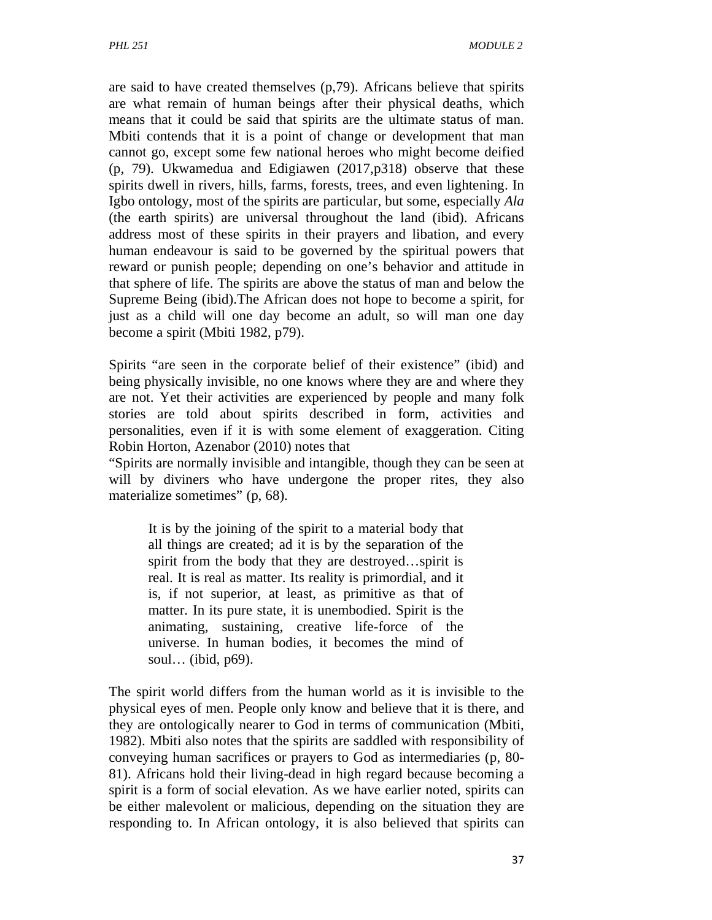are said to have created themselves (p,79). Africans believe that spirits are what remain of human beings after their physical deaths, which means that it could be said that spirits are the ultimate status of man. Mbiti contends that it is a point of change or development that man cannot go, except some few national heroes who might become deified (p, 79). Ukwamedua and Edigiawen (2017,p318) observe that these spirits dwell in rivers, hills, farms, forests, trees, and even lightening. In Igbo ontology, most of the spirits are particular, but some, especially *Ala*  (the earth spirits) are universal throughout the land (ibid). Africans address most of these spirits in their prayers and libation, and every human endeavour is said to be governed by the spiritual powers that reward or punish people; depending on one's behavior and attitude in that sphere of life. The spirits are above the status of man and below the Supreme Being (ibid).The African does not hope to become a spirit, for just as a child will one day become an adult, so will man one day become a spirit (Mbiti 1982, p79).

Spirits "are seen in the corporate belief of their existence" (ibid) and being physically invisible, no one knows where they are and where they are not. Yet their activities are experienced by people and many folk stories are told about spirits described in form, activities and personalities, even if it is with some element of exaggeration. Citing Robin Horton, Azenabor (2010) notes that

"Spirits are normally invisible and intangible, though they can be seen at will by diviners who have undergone the proper rites, they also materialize sometimes" (p, 68).

It is by the joining of the spirit to a material body that all things are created; ad it is by the separation of the spirit from the body that they are destroyed…spirit is real. It is real as matter. Its reality is primordial, and it is, if not superior, at least, as primitive as that of matter. In its pure state, it is unembodied. Spirit is the animating, sustaining, creative life-force of the universe. In human bodies, it becomes the mind of soul… (ibid, p69).

The spirit world differs from the human world as it is invisible to the physical eyes of men. People only know and believe that it is there, and they are ontologically nearer to God in terms of communication (Mbiti, 1982). Mbiti also notes that the spirits are saddled with responsibility of conveying human sacrifices or prayers to God as intermediaries (p, 80- 81). Africans hold their living-dead in high regard because becoming a spirit is a form of social elevation. As we have earlier noted, spirits can be either malevolent or malicious, depending on the situation they are responding to. In African ontology, it is also believed that spirits can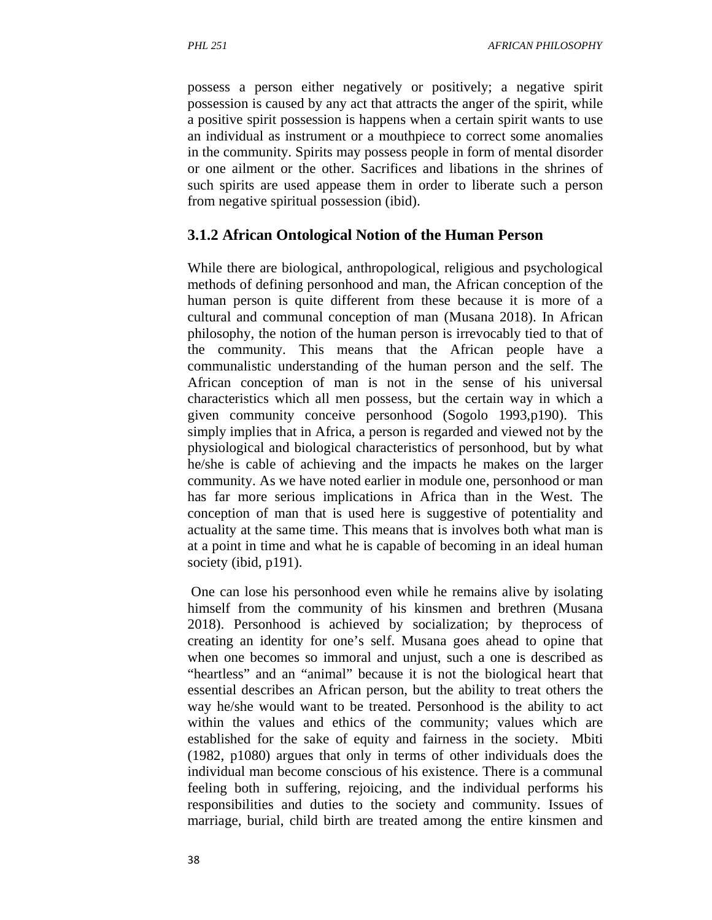possess a person either negatively or positively; a negative spirit possession is caused by any act that attracts the anger of the spirit, while a positive spirit possession is happens when a certain spirit wants to use an individual as instrument or a mouthpiece to correct some anomalies in the community. Spirits may possess people in form of mental disorder or one ailment or the other. Sacrifices and libations in the shrines of such spirits are used appease them in order to liberate such a person from negative spiritual possession (ibid).

#### **3.1.2 African Ontological Notion of the Human Person**

While there are biological, anthropological, religious and psychological methods of defining personhood and man, the African conception of the human person is quite different from these because it is more of a cultural and communal conception of man (Musana 2018). In African philosophy, the notion of the human person is irrevocably tied to that of the community. This means that the African people have a communalistic understanding of the human person and the self. The African conception of man is not in the sense of his universal characteristics which all men possess, but the certain way in which a given community conceive personhood (Sogolo 1993,p190). This simply implies that in Africa, a person is regarded and viewed not by the physiological and biological characteristics of personhood, but by what he/she is cable of achieving and the impacts he makes on the larger community. As we have noted earlier in module one, personhood or man has far more serious implications in Africa than in the West. The conception of man that is used here is suggestive of potentiality and actuality at the same time. This means that is involves both what man is at a point in time and what he is capable of becoming in an ideal human society (ibid, p191).

 One can lose his personhood even while he remains alive by isolating himself from the community of his kinsmen and brethren (Musana 2018). Personhood is achieved by socialization; by theprocess of creating an identity for one's self. Musana goes ahead to opine that when one becomes so immoral and unjust, such a one is described as "heartless" and an "animal" because it is not the biological heart that essential describes an African person, but the ability to treat others the way he/she would want to be treated. Personhood is the ability to act within the values and ethics of the community; values which are established for the sake of equity and fairness in the society. Mbiti (1982, p1080) argues that only in terms of other individuals does the individual man become conscious of his existence. There is a communal feeling both in suffering, rejoicing, and the individual performs his responsibilities and duties to the society and community. Issues of marriage, burial, child birth are treated among the entire kinsmen and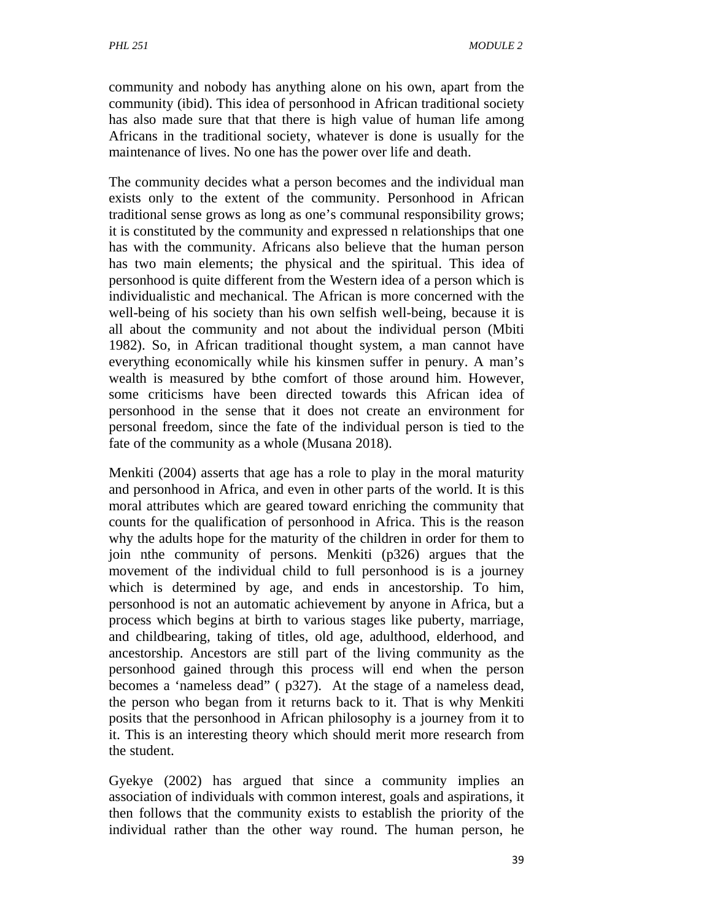community and nobody has anything alone on his own, apart from the community (ibid). This idea of personhood in African traditional society has also made sure that that there is high value of human life among Africans in the traditional society, whatever is done is usually for the maintenance of lives. No one has the power over life and death.

The community decides what a person becomes and the individual man exists only to the extent of the community. Personhood in African traditional sense grows as long as one's communal responsibility grows; it is constituted by the community and expressed n relationships that one has with the community. Africans also believe that the human person has two main elements; the physical and the spiritual. This idea of personhood is quite different from the Western idea of a person which is individualistic and mechanical. The African is more concerned with the well-being of his society than his own selfish well-being, because it is all about the community and not about the individual person (Mbiti 1982). So, in African traditional thought system, a man cannot have everything economically while his kinsmen suffer in penury. A man's wealth is measured by bthe comfort of those around him. However, some criticisms have been directed towards this African idea of personhood in the sense that it does not create an environment for personal freedom, since the fate of the individual person is tied to the fate of the community as a whole (Musana 2018).

Menkiti (2004) asserts that age has a role to play in the moral maturity and personhood in Africa, and even in other parts of the world. It is this moral attributes which are geared toward enriching the community that counts for the qualification of personhood in Africa. This is the reason why the adults hope for the maturity of the children in order for them to join nthe community of persons. Menkiti (p326) argues that the movement of the individual child to full personhood is is a journey which is determined by age, and ends in ancestorship. To him, personhood is not an automatic achievement by anyone in Africa, but a process which begins at birth to various stages like puberty, marriage, and childbearing, taking of titles, old age, adulthood, elderhood, and ancestorship. Ancestors are still part of the living community as the personhood gained through this process will end when the person becomes a 'nameless dead" ( p327). At the stage of a nameless dead, the person who began from it returns back to it. That is why Menkiti posits that the personhood in African philosophy is a journey from it to it. This is an interesting theory which should merit more research from the student.

Gyekye (2002) has argued that since a community implies an association of individuals with common interest, goals and aspirations, it then follows that the community exists to establish the priority of the individual rather than the other way round. The human person, he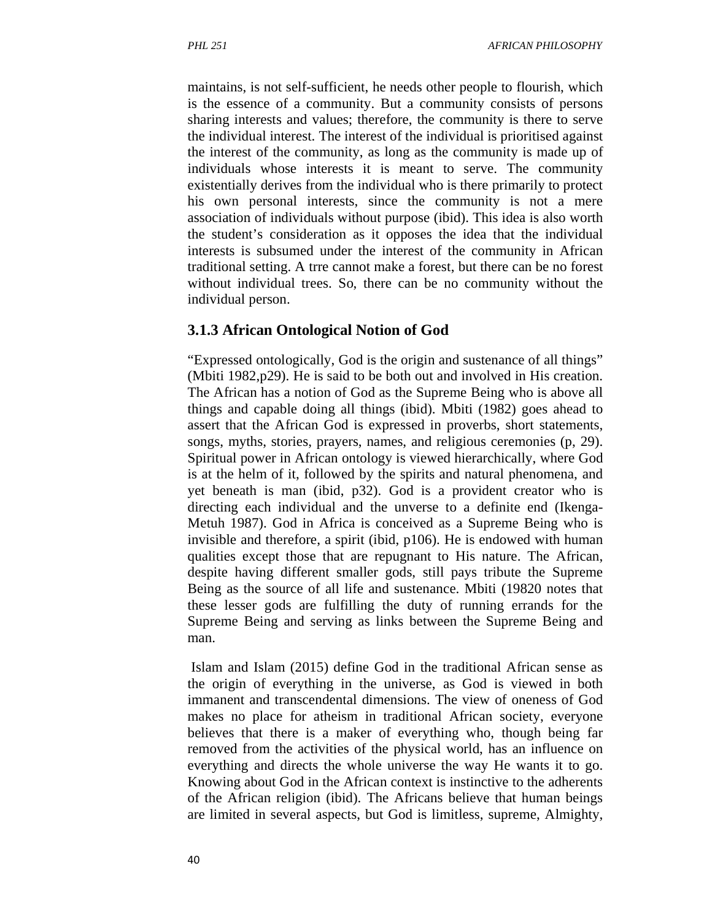maintains, is not self-sufficient, he needs other people to flourish, which is the essence of a community. But a community consists of persons sharing interests and values; therefore, the community is there to serve the individual interest. The interest of the individual is prioritised against the interest of the community, as long as the community is made up of individuals whose interests it is meant to serve. The community existentially derives from the individual who is there primarily to protect his own personal interests, since the community is not a mere association of individuals without purpose (ibid). This idea is also worth the student's consideration as it opposes the idea that the individual interests is subsumed under the interest of the community in African traditional setting. A trre cannot make a forest, but there can be no forest without individual trees. So, there can be no community without the individual person.

#### **3.1.3 African Ontological Notion of God**

"Expressed ontologically, God is the origin and sustenance of all things" (Mbiti 1982,p29). He is said to be both out and involved in His creation. The African has a notion of God as the Supreme Being who is above all things and capable doing all things (ibid). Mbiti (1982) goes ahead to assert that the African God is expressed in proverbs, short statements, songs, myths, stories, prayers, names, and religious ceremonies (p, 29). Spiritual power in African ontology is viewed hierarchically, where God is at the helm of it, followed by the spirits and natural phenomena, and yet beneath is man (ibid, p32). God is a provident creator who is directing each individual and the unverse to a definite end (Ikenga-Metuh 1987). God in Africa is conceived as a Supreme Being who is invisible and therefore, a spirit (ibid, p106). He is endowed with human qualities except those that are repugnant to His nature. The African, despite having different smaller gods, still pays tribute the Supreme Being as the source of all life and sustenance. Mbiti (19820 notes that these lesser gods are fulfilling the duty of running errands for the Supreme Being and serving as links between the Supreme Being and man.

 Islam and Islam (2015) define God in the traditional African sense as the origin of everything in the universe, as God is viewed in both immanent and transcendental dimensions. The view of oneness of God makes no place for atheism in traditional African society, everyone believes that there is a maker of everything who, though being far removed from the activities of the physical world, has an influence on everything and directs the whole universe the way He wants it to go. Knowing about God in the African context is instinctive to the adherents of the African religion (ibid). The Africans believe that human beings are limited in several aspects, but God is limitless, supreme, Almighty,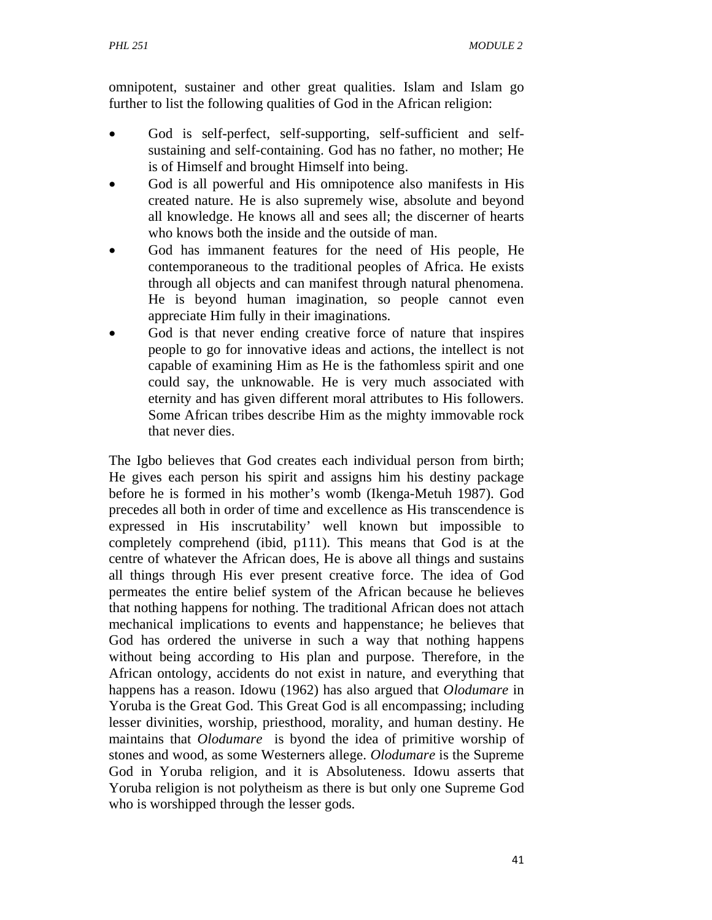omnipotent, sustainer and other great qualities. Islam and Islam go further to list the following qualities of God in the African religion:

- God is self-perfect, self-supporting, self-sufficient and selfsustaining and self-containing. God has no father, no mother; He is of Himself and brought Himself into being.
- God is all powerful and His omnipotence also manifests in His created nature. He is also supremely wise, absolute and beyond all knowledge. He knows all and sees all; the discerner of hearts who knows both the inside and the outside of man.
- God has immanent features for the need of His people, He contemporaneous to the traditional peoples of Africa. He exists through all objects and can manifest through natural phenomena. He is beyond human imagination, so people cannot even appreciate Him fully in their imaginations.
- God is that never ending creative force of nature that inspires people to go for innovative ideas and actions, the intellect is not capable of examining Him as He is the fathomless spirit and one could say, the unknowable. He is very much associated with eternity and has given different moral attributes to His followers. Some African tribes describe Him as the mighty immovable rock that never dies.

The Igbo believes that God creates each individual person from birth; He gives each person his spirit and assigns him his destiny package before he is formed in his mother's womb (Ikenga-Metuh 1987). God precedes all both in order of time and excellence as His transcendence is expressed in His inscrutability' well known but impossible to completely comprehend (ibid, p111). This means that God is at the centre of whatever the African does, He is above all things and sustains all things through His ever present creative force. The idea of God permeates the entire belief system of the African because he believes that nothing happens for nothing. The traditional African does not attach mechanical implications to events and happenstance; he believes that God has ordered the universe in such a way that nothing happens without being according to His plan and purpose. Therefore, in the African ontology, accidents do not exist in nature, and everything that happens has a reason. Idowu (1962) has also argued that *Olodumare* in Yoruba is the Great God. This Great God is all encompassing; including lesser divinities, worship, priesthood, morality, and human destiny. He maintains that *Olodumare* is byond the idea of primitive worship of stones and wood, as some Westerners allege. *Olodumare* is the Supreme God in Yoruba religion, and it is Absoluteness. Idowu asserts that Yoruba religion is not polytheism as there is but only one Supreme God who is worshipped through the lesser gods.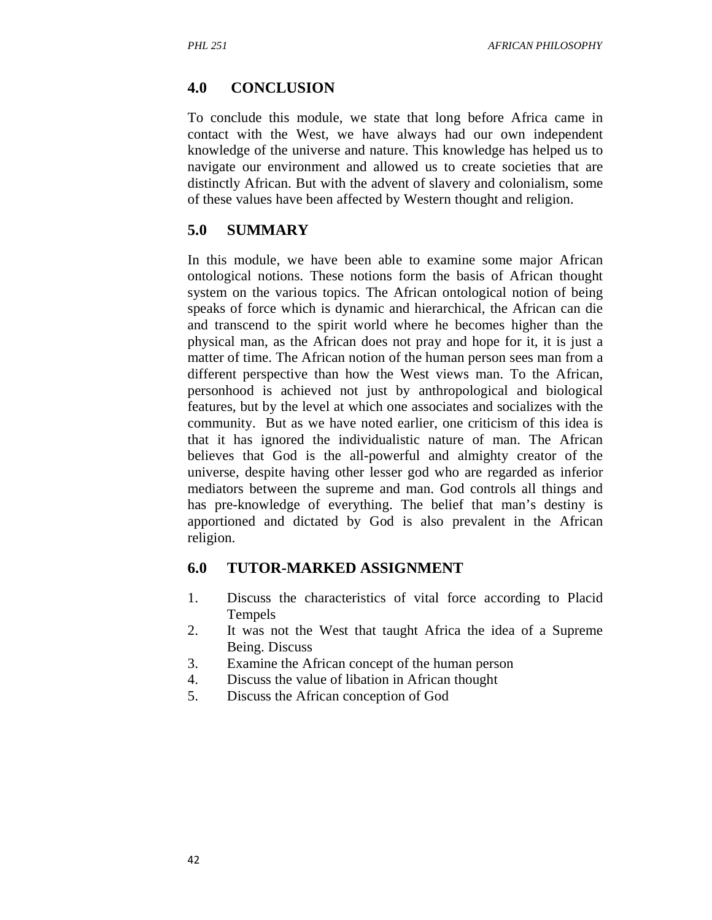## **4.0 CONCLUSION**

To conclude this module, we state that long before Africa came in contact with the West, we have always had our own independent knowledge of the universe and nature. This knowledge has helped us to navigate our environment and allowed us to create societies that are distinctly African. But with the advent of slavery and colonialism, some of these values have been affected by Western thought and religion.

## **5.0 SUMMARY**

In this module, we have been able to examine some major African ontological notions. These notions form the basis of African thought system on the various topics. The African ontological notion of being speaks of force which is dynamic and hierarchical, the African can die and transcend to the spirit world where he becomes higher than the physical man, as the African does not pray and hope for it, it is just a matter of time. The African notion of the human person sees man from a different perspective than how the West views man. To the African, personhood is achieved not just by anthropological and biological features, but by the level at which one associates and socializes with the community. But as we have noted earlier, one criticism of this idea is that it has ignored the individualistic nature of man. The African believes that God is the all-powerful and almighty creator of the universe, despite having other lesser god who are regarded as inferior mediators between the supreme and man. God controls all things and has pre-knowledge of everything. The belief that man's destiny is apportioned and dictated by God is also prevalent in the African religion.

## **6.0 TUTOR-MARKED ASSIGNMENT**

- 1. Discuss the characteristics of vital force according to Placid Tempels
- 2. It was not the West that taught Africa the idea of a Supreme Being. Discuss
- 3. Examine the African concept of the human person
- 4. Discuss the value of libation in African thought
- 5. Discuss the African conception of God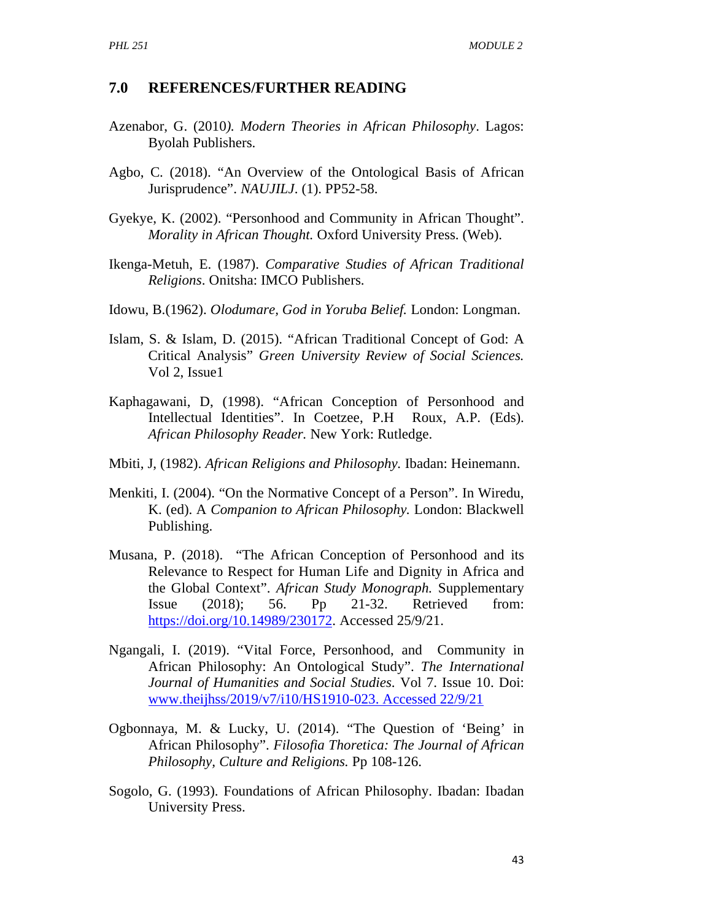#### **7.0 REFERENCES/FURTHER READING**

- Azenabor, G. (2010*). Modern Theories in African Philosophy*. Lagos: Byolah Publishers.
- Agbo, C. (2018). "An Overview of the Ontological Basis of African Jurisprudence". *NAUJILJ*. (1). PP52-58.
- Gyekye, K. (2002). "Personhood and Community in African Thought". *Morality in African Thought.* Oxford University Press. (Web).
- Ikenga-Metuh, E. (1987). *Comparative Studies of African Traditional Religions*. Onitsha: IMCO Publishers.
- Idowu, B.(1962). *Olodumare, God in Yoruba Belief.* London: Longman.
- Islam, S. & Islam, D. (2015). "African Traditional Concept of God: A Critical Analysis" *Green University Review of Social Sciences.*  Vol 2, Issue1
- Kaphagawani, D, (1998). "African Conception of Personhood and Intellectual Identities". In Coetzee, P.H Roux, A.P. (Eds). *African Philosophy Reader.* New York: Rutledge.
- Mbiti, J, (1982). *African Religions and Philosophy.* Ibadan: Heinemann.
- Menkiti, I. (2004). "On the Normative Concept of a Person". In Wiredu, K. (ed). A *Companion to African Philosophy.* London: Blackwell Publishing.
- Musana, P. (2018). "The African Conception of Personhood and its Relevance to Respect for Human Life and Dignity in Africa and the Global Context". *African Study Monograph.* Supplementary Issue (2018); 56. Pp 21-32. Retrieved from: https://doi.org/10.14989/230172. Accessed 25/9/21.
- Ngangali, I. (2019). "Vital Force, Personhood, and Community in African Philosophy: An Ontological Study". *The International Journal of Humanities and Social Studies*. Vol 7. Issue 10. Doi: www.theijhss/2019/v7/i10/HS1910-023. Accessed 22/9/21
- Ogbonnaya, M. & Lucky, U. (2014). "The Question of 'Being' in African Philosophy". *Filosofia Thoretica: The Journal of African Philosophy, Culture and Religions.* Pp 108-126.
- Sogolo, G. (1993). Foundations of African Philosophy. Ibadan: Ibadan University Press.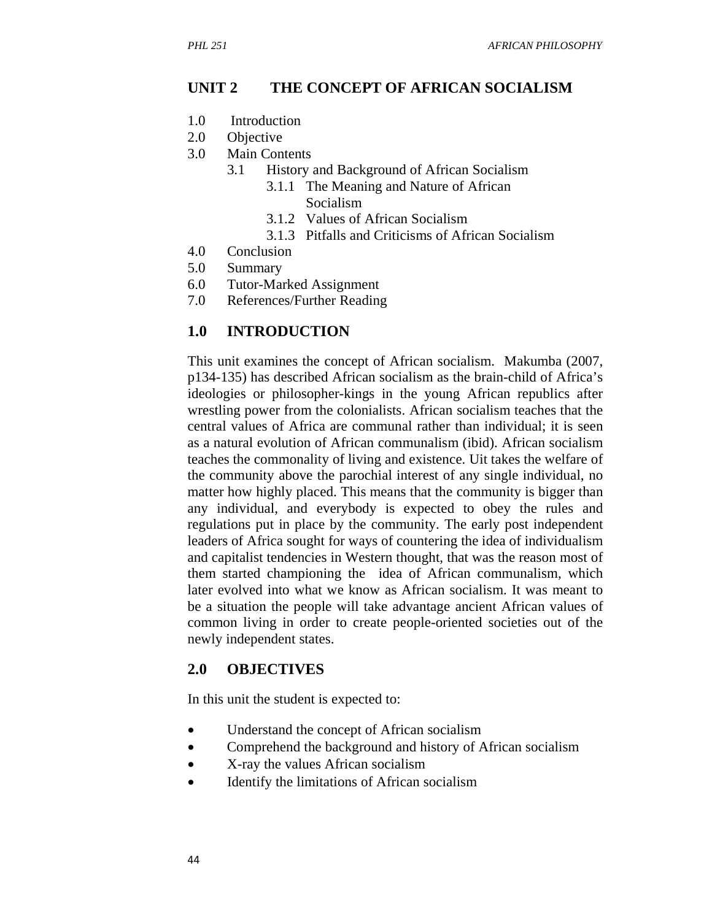#### **UNIT 2 THE CONCEPT OF AFRICAN SOCIALISM**

- 1.0 Introduction
- 2.0 Objective
- 3.0 Main Contents
	- 3.1 History and Background of African Socialism
		- 3.1.1 The Meaning and Nature of African Socialism
		- 3.1.2 Values of African Socialism
		- 3.1.3 Pitfalls and Criticisms of African Socialism
- 4.0 Conclusion
- 5.0 Summary
- 6.0 Tutor-Marked Assignment
- 7.0 References/Further Reading

#### **1.0 INTRODUCTION**

This unit examines the concept of African socialism. Makumba (2007, p134-135) has described African socialism as the brain-child of Africa's ideologies or philosopher-kings in the young African republics after wrestling power from the colonialists. African socialism teaches that the central values of Africa are communal rather than individual; it is seen as a natural evolution of African communalism (ibid). African socialism teaches the commonality of living and existence. Uit takes the welfare of the community above the parochial interest of any single individual, no matter how highly placed. This means that the community is bigger than any individual, and everybody is expected to obey the rules and regulations put in place by the community. The early post independent leaders of Africa sought for ways of countering the idea of individualism and capitalist tendencies in Western thought, that was the reason most of them started championing the idea of African communalism, which later evolved into what we know as African socialism. It was meant to be a situation the people will take advantage ancient African values of common living in order to create people-oriented societies out of the newly independent states.

#### **2.0 OBJECTIVES**

In this unit the student is expected to:

- Understand the concept of African socialism
- Comprehend the background and history of African socialism
- X-ray the values African socialism
- Identify the limitations of African socialism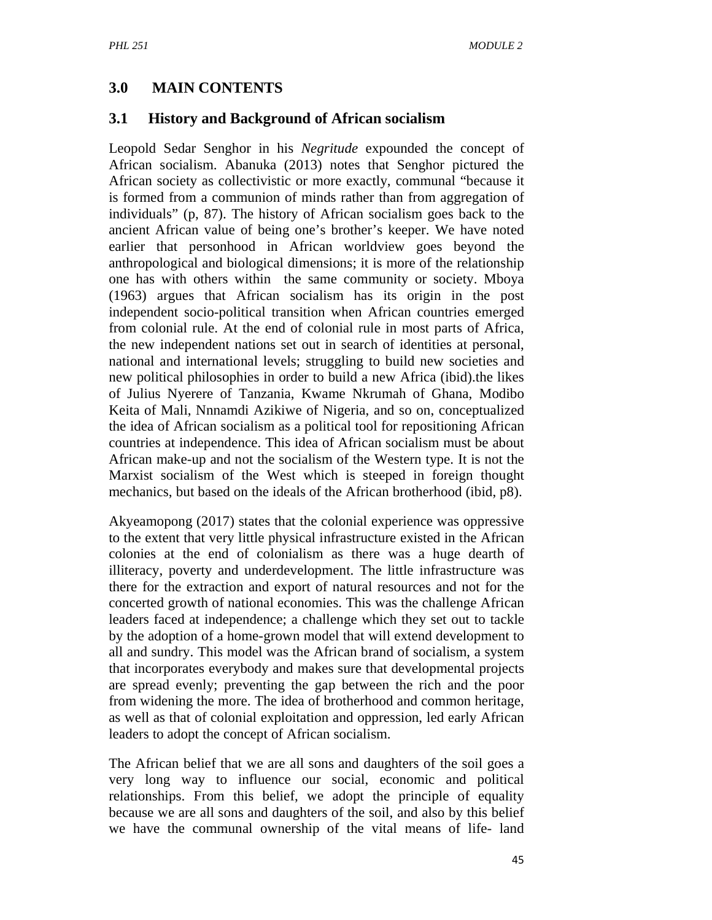## **3.0 MAIN CONTENTS**

### **3.1 History and Background of African socialism**

Leopold Sedar Senghor in his *Negritude* expounded the concept of African socialism. Abanuka (2013) notes that Senghor pictured the African society as collectivistic or more exactly, communal "because it is formed from a communion of minds rather than from aggregation of individuals" (p, 87). The history of African socialism goes back to the ancient African value of being one's brother's keeper. We have noted earlier that personhood in African worldview goes beyond the anthropological and biological dimensions; it is more of the relationship one has with others within the same community or society. Mboya (1963) argues that African socialism has its origin in the post independent socio-political transition when African countries emerged from colonial rule. At the end of colonial rule in most parts of Africa, the new independent nations set out in search of identities at personal, national and international levels; struggling to build new societies and new political philosophies in order to build a new Africa (ibid).the likes of Julius Nyerere of Tanzania, Kwame Nkrumah of Ghana, Modibo Keita of Mali, Nnnamdi Azikiwe of Nigeria, and so on, conceptualized the idea of African socialism as a political tool for repositioning African countries at independence. This idea of African socialism must be about African make-up and not the socialism of the Western type. It is not the Marxist socialism of the West which is steeped in foreign thought mechanics, but based on the ideals of the African brotherhood (ibid, p8).

Akyeamopong (2017) states that the colonial experience was oppressive to the extent that very little physical infrastructure existed in the African colonies at the end of colonialism as there was a huge dearth of illiteracy, poverty and underdevelopment. The little infrastructure was there for the extraction and export of natural resources and not for the concerted growth of national economies. This was the challenge African leaders faced at independence; a challenge which they set out to tackle by the adoption of a home-grown model that will extend development to all and sundry. This model was the African brand of socialism, a system that incorporates everybody and makes sure that developmental projects are spread evenly; preventing the gap between the rich and the poor from widening the more. The idea of brotherhood and common heritage, as well as that of colonial exploitation and oppression, led early African leaders to adopt the concept of African socialism.

The African belief that we are all sons and daughters of the soil goes a very long way to influence our social, economic and political relationships. From this belief, we adopt the principle of equality because we are all sons and daughters of the soil, and also by this belief we have the communal ownership of the vital means of life- land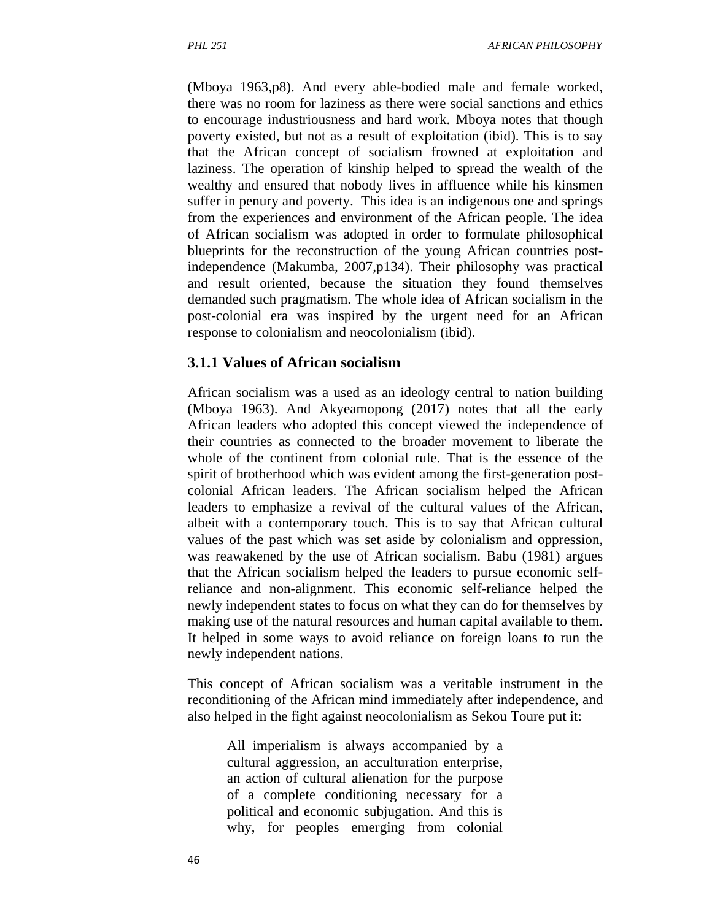(Mboya 1963,p8). And every able-bodied male and female worked, there was no room for laziness as there were social sanctions and ethics to encourage industriousness and hard work. Mboya notes that though poverty existed, but not as a result of exploitation (ibid). This is to say that the African concept of socialism frowned at exploitation and laziness. The operation of kinship helped to spread the wealth of the wealthy and ensured that nobody lives in affluence while his kinsmen suffer in penury and poverty. This idea is an indigenous one and springs from the experiences and environment of the African people. The idea of African socialism was adopted in order to formulate philosophical blueprints for the reconstruction of the young African countries postindependence (Makumba, 2007,p134). Their philosophy was practical and result oriented, because the situation they found themselves demanded such pragmatism. The whole idea of African socialism in the post-colonial era was inspired by the urgent need for an African response to colonialism and neocolonialism (ibid).

#### **3.1.1 Values of African socialism**

African socialism was a used as an ideology central to nation building (Mboya 1963). And Akyeamopong (2017) notes that all the early African leaders who adopted this concept viewed the independence of their countries as connected to the broader movement to liberate the whole of the continent from colonial rule. That is the essence of the spirit of brotherhood which was evident among the first-generation postcolonial African leaders. The African socialism helped the African leaders to emphasize a revival of the cultural values of the African, albeit with a contemporary touch. This is to say that African cultural values of the past which was set aside by colonialism and oppression, was reawakened by the use of African socialism. Babu (1981) argues that the African socialism helped the leaders to pursue economic selfreliance and non-alignment. This economic self-reliance helped the newly independent states to focus on what they can do for themselves by making use of the natural resources and human capital available to them. It helped in some ways to avoid reliance on foreign loans to run the newly independent nations.

This concept of African socialism was a veritable instrument in the reconditioning of the African mind immediately after independence, and also helped in the fight against neocolonialism as Sekou Toure put it:

All imperialism is always accompanied by a cultural aggression, an acculturation enterprise, an action of cultural alienation for the purpose of a complete conditioning necessary for a political and economic subjugation. And this is why, for peoples emerging from colonial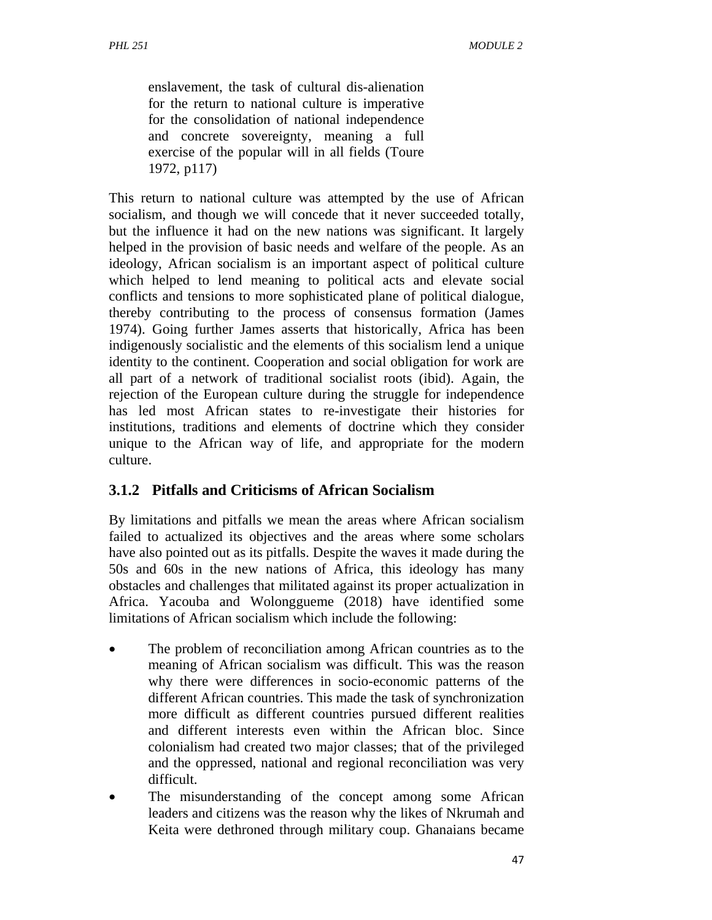enslavement, the task of cultural dis-alienation for the return to national culture is imperative for the consolidation of national independence and concrete sovereignty, meaning a full exercise of the popular will in all fields (Toure 1972, p117)

This return to national culture was attempted by the use of African socialism, and though we will concede that it never succeeded totally, but the influence it had on the new nations was significant. It largely helped in the provision of basic needs and welfare of the people. As an ideology, African socialism is an important aspect of political culture which helped to lend meaning to political acts and elevate social conflicts and tensions to more sophisticated plane of political dialogue, thereby contributing to the process of consensus formation (James 1974). Going further James asserts that historically, Africa has been indigenously socialistic and the elements of this socialism lend a unique identity to the continent. Cooperation and social obligation for work are all part of a network of traditional socialist roots (ibid). Again, the rejection of the European culture during the struggle for independence has led most African states to re-investigate their histories for institutions, traditions and elements of doctrine which they consider unique to the African way of life, and appropriate for the modern culture.

### **3.1.2 Pitfalls and Criticisms of African Socialism**

By limitations and pitfalls we mean the areas where African socialism failed to actualized its objectives and the areas where some scholars have also pointed out as its pitfalls. Despite the waves it made during the 50s and 60s in the new nations of Africa, this ideology has many obstacles and challenges that militated against its proper actualization in Africa. Yacouba and Wolonggueme (2018) have identified some limitations of African socialism which include the following:

- The problem of reconciliation among African countries as to the meaning of African socialism was difficult. This was the reason why there were differences in socio-economic patterns of the different African countries. This made the task of synchronization more difficult as different countries pursued different realities and different interests even within the African bloc. Since colonialism had created two major classes; that of the privileged and the oppressed, national and regional reconciliation was very difficult.
- The misunderstanding of the concept among some African leaders and citizens was the reason why the likes of Nkrumah and Keita were dethroned through military coup. Ghanaians became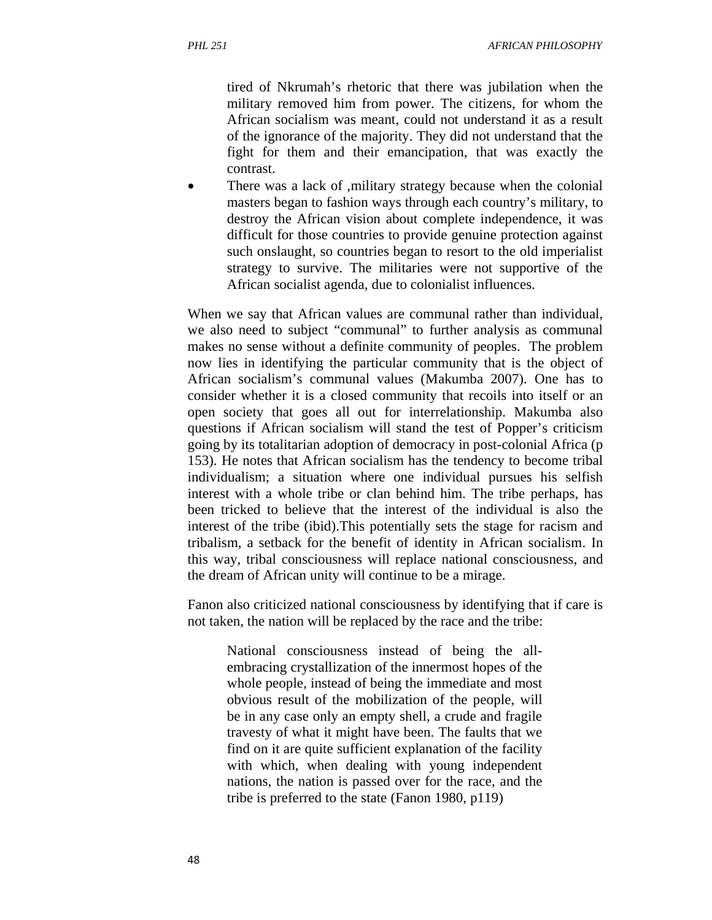tired of Nkrumah's rhetoric that there was jubilation when the military removed him from power. The citizens, for whom the African socialism was meant, could not understand it as a result of the ignorance of the majority. They did not understand that the fight for them and their emancipation, that was exactly the contrast.

 There was a lack of ,military strategy because when the colonial masters began to fashion ways through each country's military, to destroy the African vision about complete independence, it was difficult for those countries to provide genuine protection against such onslaught, so countries began to resort to the old imperialist strategy to survive. The militaries were not supportive of the African socialist agenda, due to colonialist influences.

When we say that African values are communal rather than individual, we also need to subject "communal" to further analysis as communal makes no sense without a definite community of peoples. The problem now lies in identifying the particular community that is the object of African socialism's communal values (Makumba 2007). One has to consider whether it is a closed community that recoils into itself or an open society that goes all out for interrelationship. Makumba also questions if African socialism will stand the test of Popper's criticism going by its totalitarian adoption of democracy in post-colonial Africa (p 153). He notes that African socialism has the tendency to become tribal individualism; a situation where one individual pursues his selfish interest with a whole tribe or clan behind him. The tribe perhaps, has been tricked to believe that the interest of the individual is also the interest of the tribe (ibid).This potentially sets the stage for racism and tribalism, a setback for the benefit of identity in African socialism. In this way, tribal consciousness will replace national consciousness, and the dream of African unity will continue to be a mirage.

Fanon also criticized national consciousness by identifying that if care is not taken, the nation will be replaced by the race and the tribe:

National consciousness instead of being the allembracing crystallization of the innermost hopes of the whole people, instead of being the immediate and most obvious result of the mobilization of the people, will be in any case only an empty shell, a crude and fragile travesty of what it might have been. The faults that we find on it are quite sufficient explanation of the facility with which, when dealing with young independent nations, the nation is passed over for the race, and the tribe is preferred to the state (Fanon 1980, p119)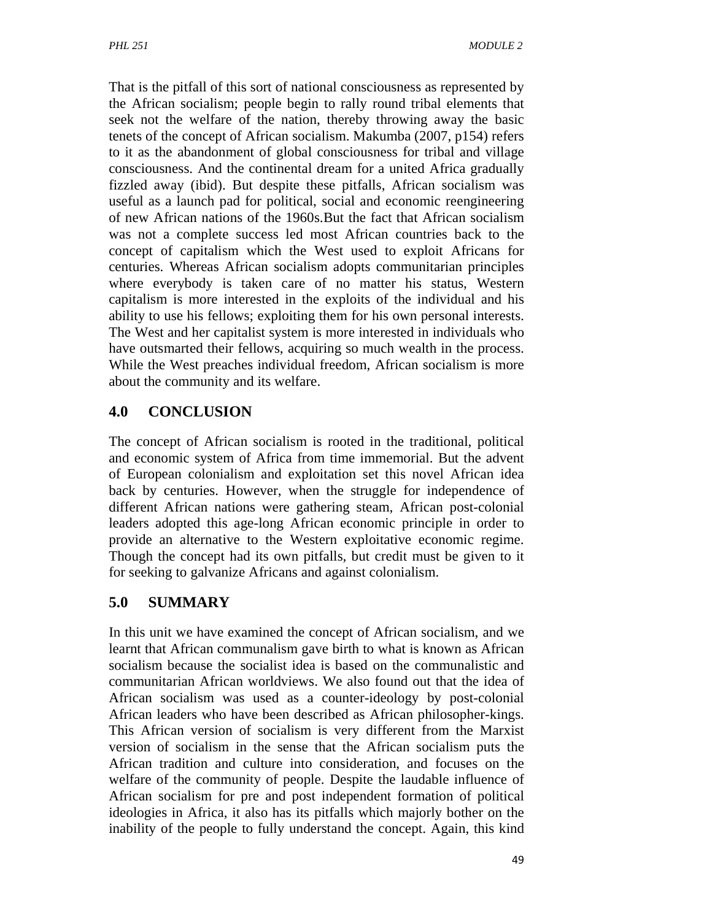That is the pitfall of this sort of national consciousness as represented by the African socialism; people begin to rally round tribal elements that seek not the welfare of the nation, thereby throwing away the basic tenets of the concept of African socialism. Makumba (2007, p154) refers to it as the abandonment of global consciousness for tribal and village consciousness. And the continental dream for a united Africa gradually fizzled away (ibid). But despite these pitfalls, African socialism was useful as a launch pad for political, social and economic reengineering of new African nations of the 1960s.But the fact that African socialism was not a complete success led most African countries back to the concept of capitalism which the West used to exploit Africans for centuries. Whereas African socialism adopts communitarian principles where everybody is taken care of no matter his status, Western capitalism is more interested in the exploits of the individual and his ability to use his fellows; exploiting them for his own personal interests. The West and her capitalist system is more interested in individuals who have outsmarted their fellows, acquiring so much wealth in the process. While the West preaches individual freedom, African socialism is more about the community and its welfare.

## **4.0 CONCLUSION**

The concept of African socialism is rooted in the traditional, political and economic system of Africa from time immemorial. But the advent of European colonialism and exploitation set this novel African idea back by centuries. However, when the struggle for independence of different African nations were gathering steam, African post-colonial leaders adopted this age-long African economic principle in order to provide an alternative to the Western exploitative economic regime. Though the concept had its own pitfalls, but credit must be given to it for seeking to galvanize Africans and against colonialism.

# **5.0 SUMMARY**

In this unit we have examined the concept of African socialism, and we learnt that African communalism gave birth to what is known as African socialism because the socialist idea is based on the communalistic and communitarian African worldviews. We also found out that the idea of African socialism was used as a counter-ideology by post-colonial African leaders who have been described as African philosopher-kings. This African version of socialism is very different from the Marxist version of socialism in the sense that the African socialism puts the African tradition and culture into consideration, and focuses on the welfare of the community of people. Despite the laudable influence of African socialism for pre and post independent formation of political ideologies in Africa, it also has its pitfalls which majorly bother on the inability of the people to fully understand the concept. Again, this kind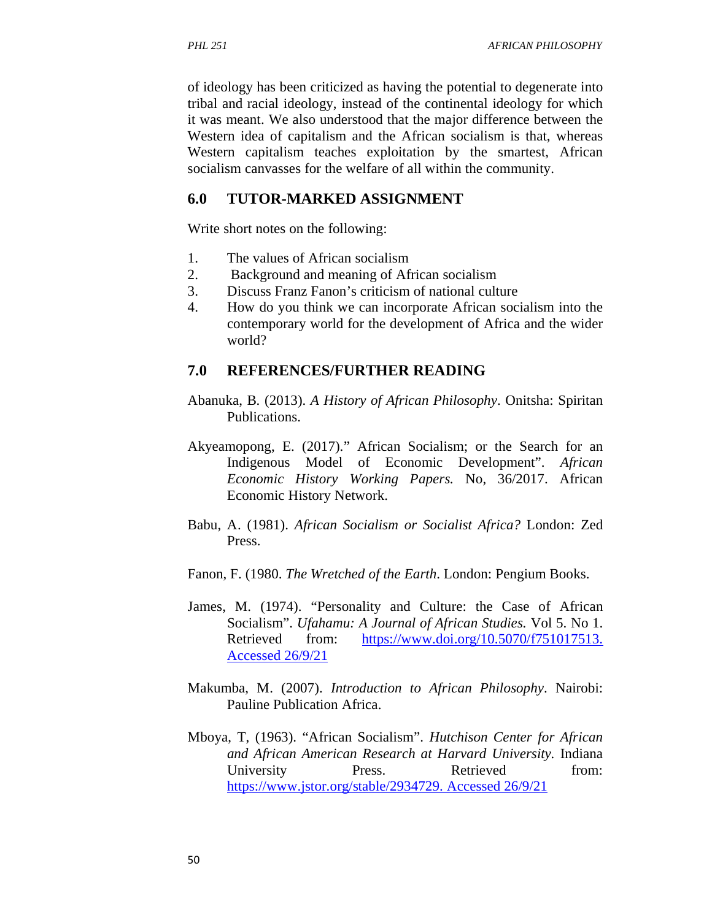of ideology has been criticized as having the potential to degenerate into tribal and racial ideology, instead of the continental ideology for which it was meant. We also understood that the major difference between the Western idea of capitalism and the African socialism is that, whereas Western capitalism teaches exploitation by the smartest, African socialism canvasses for the welfare of all within the community.

### **6.0 TUTOR-MARKED ASSIGNMENT**

Write short notes on the following:

- 1. The values of African socialism
- 2. Background and meaning of African socialism
- 3. Discuss Franz Fanon's criticism of national culture
- 4. How do you think we can incorporate African socialism into the contemporary world for the development of Africa and the wider world?

### **7.0 REFERENCES/FURTHER READING**

- Abanuka, B. (2013). *A History of African Philosophy*. Onitsha: Spiritan Publications.
- Akyeamopong, E. (2017)." African Socialism; or the Search for an Indigenous Model of Economic Development". *African Economic History Working Papers.* No, 36/2017. African Economic History Network.
- Babu, A. (1981). *African Socialism or Socialist Africa?* London: Zed Press.
- Fanon, F. (1980. *The Wretched of the Earth*. London: Pengium Books.
- James, M. (1974). "Personality and Culture: the Case of African Socialism". *Ufahamu: A Journal of African Studies.* Vol 5. No 1. Retrieved from: https://www.doi.org/10.5070/f751017513. Accessed 26/9/21
- Makumba, M. (2007). *Introduction to African Philosophy*. Nairobi: Pauline Publication Africa.
- Mboya, T, (1963). "African Socialism". *Hutchison Center for African and African American Research at Harvard University.* Indiana University Press. Retrieved from: https://www.jstor.org/stable/2934729. Accessed 26/9/21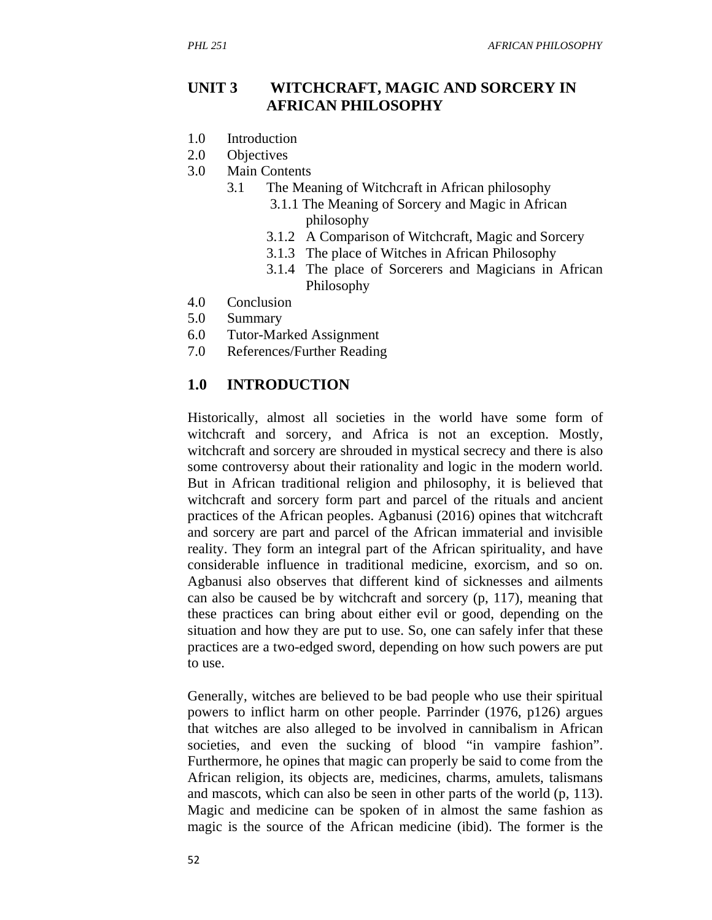### **UNIT 3 WITCHCRAFT, MAGIC AND SORCERY IN AFRICAN PHILOSOPHY**

- 1.0 Introduction
- 2.0 Objectives
- 3.0 Main Contents
	- 3.1 The Meaning of Witchcraft in African philosophy
		- 3.1.1 The Meaning of Sorcery and Magic in African philosophy
		- 3.1.2 A Comparison of Witchcraft, Magic and Sorcery
		- 3.1.3 The place of Witches in African Philosophy
		- 3.1.4 The place of Sorcerers and Magicians in African Philosophy
- 4.0 Conclusion
- 5.0 Summary
- 6.0 Tutor-Marked Assignment
- 7.0 References/Further Reading

#### **1.0 INTRODUCTION**

Historically, almost all societies in the world have some form of witchcraft and sorcery, and Africa is not an exception. Mostly, witchcraft and sorcery are shrouded in mystical secrecy and there is also some controversy about their rationality and logic in the modern world. But in African traditional religion and philosophy, it is believed that witchcraft and sorcery form part and parcel of the rituals and ancient practices of the African peoples. Agbanusi (2016) opines that witchcraft and sorcery are part and parcel of the African immaterial and invisible reality. They form an integral part of the African spirituality, and have considerable influence in traditional medicine, exorcism, and so on. Agbanusi also observes that different kind of sicknesses and ailments can also be caused be by witchcraft and sorcery (p, 117), meaning that these practices can bring about either evil or good, depending on the situation and how they are put to use. So, one can safely infer that these practices are a two-edged sword, depending on how such powers are put to use.

Generally, witches are believed to be bad people who use their spiritual powers to inflict harm on other people. Parrinder (1976, p126) argues that witches are also alleged to be involved in cannibalism in African societies, and even the sucking of blood "in vampire fashion". Furthermore, he opines that magic can properly be said to come from the African religion, its objects are, medicines, charms, amulets, talismans and mascots, which can also be seen in other parts of the world (p, 113). Magic and medicine can be spoken of in almost the same fashion as magic is the source of the African medicine (ibid). The former is the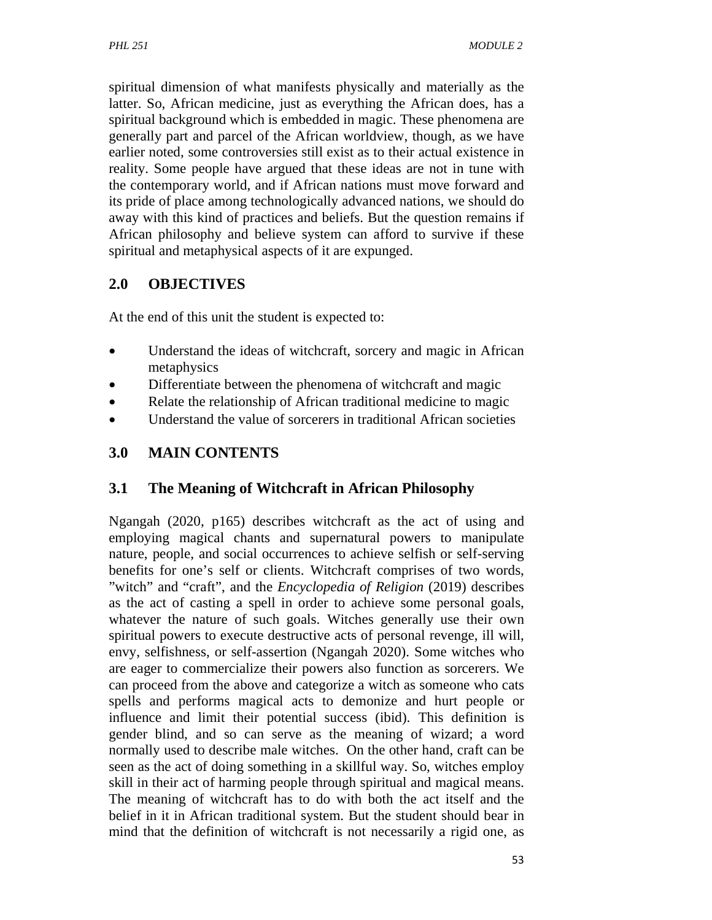spiritual dimension of what manifests physically and materially as the latter. So, African medicine, just as everything the African does, has a spiritual background which is embedded in magic. These phenomena are generally part and parcel of the African worldview, though, as we have earlier noted, some controversies still exist as to their actual existence in reality. Some people have argued that these ideas are not in tune with the contemporary world, and if African nations must move forward and its pride of place among technologically advanced nations, we should do away with this kind of practices and beliefs. But the question remains if African philosophy and believe system can afford to survive if these spiritual and metaphysical aspects of it are expunged.

### **2.0 OBJECTIVES**

At the end of this unit the student is expected to:

- Understand the ideas of witchcraft, sorcery and magic in African metaphysics
- Differentiate between the phenomena of witchcraft and magic
- Relate the relationship of African traditional medicine to magic
- Understand the value of sorcerers in traditional African societies

## **3.0 MAIN CONTENTS**

### **3.1 The Meaning of Witchcraft in African Philosophy**

Ngangah (2020, p165) describes witchcraft as the act of using and employing magical chants and supernatural powers to manipulate nature, people, and social occurrences to achieve selfish or self-serving benefits for one's self or clients. Witchcraft comprises of two words, "witch" and "craft", and the *Encyclopedia of Religion* (2019) describes as the act of casting a spell in order to achieve some personal goals, whatever the nature of such goals. Witches generally use their own spiritual powers to execute destructive acts of personal revenge, ill will, envy, selfishness, or self-assertion (Ngangah 2020). Some witches who are eager to commercialize their powers also function as sorcerers. We can proceed from the above and categorize a witch as someone who cats spells and performs magical acts to demonize and hurt people or influence and limit their potential success (ibid). This definition is gender blind, and so can serve as the meaning of wizard; a word normally used to describe male witches. On the other hand, craft can be seen as the act of doing something in a skillful way. So, witches employ skill in their act of harming people through spiritual and magical means. The meaning of witchcraft has to do with both the act itself and the belief in it in African traditional system. But the student should bear in mind that the definition of witchcraft is not necessarily a rigid one, as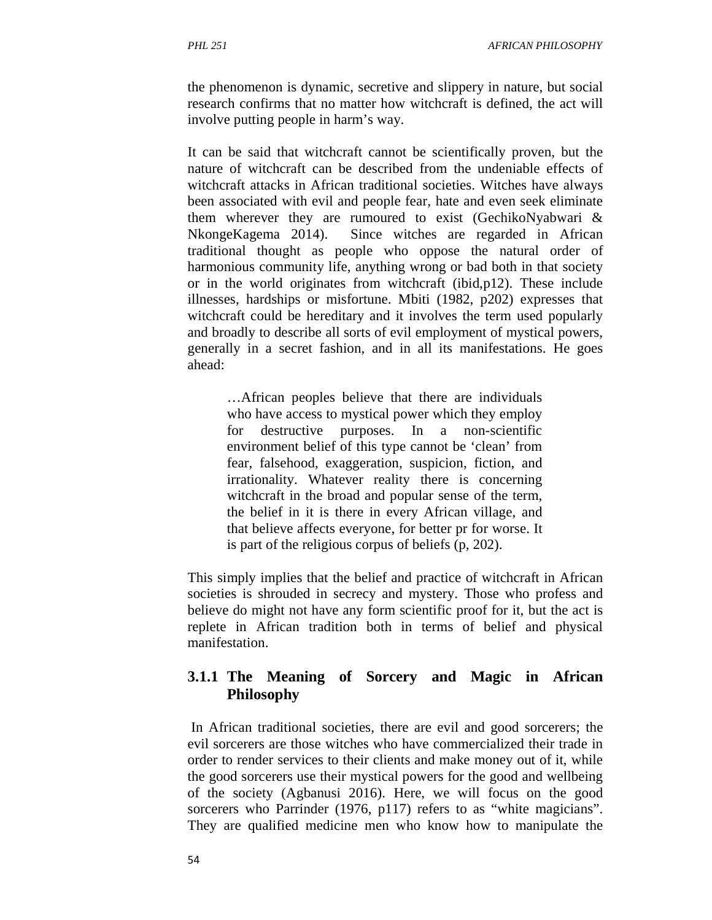the phenomenon is dynamic, secretive and slippery in nature, but social research confirms that no matter how witchcraft is defined, the act will involve putting people in harm's way.

It can be said that witchcraft cannot be scientifically proven, but the nature of witchcraft can be described from the undeniable effects of witchcraft attacks in African traditional societies. Witches have always been associated with evil and people fear, hate and even seek eliminate them wherever they are rumoured to exist (GechikoNyabwari & NkongeKagema 2014). Since witches are regarded in African traditional thought as people who oppose the natural order of harmonious community life, anything wrong or bad both in that society or in the world originates from witchcraft (ibid,p12). These include illnesses, hardships or misfortune. Mbiti (1982, p202) expresses that witchcraft could be hereditary and it involves the term used popularly and broadly to describe all sorts of evil employment of mystical powers, generally in a secret fashion, and in all its manifestations. He goes ahead:

…African peoples believe that there are individuals who have access to mystical power which they employ for destructive purposes. In a non-scientific environment belief of this type cannot be 'clean' from fear, falsehood, exaggeration, suspicion, fiction, and irrationality. Whatever reality there is concerning witchcraft in the broad and popular sense of the term, the belief in it is there in every African village, and that believe affects everyone, for better pr for worse. It is part of the religious corpus of beliefs (p, 202).

This simply implies that the belief and practice of witchcraft in African societies is shrouded in secrecy and mystery. Those who profess and believe do might not have any form scientific proof for it, but the act is replete in African tradition both in terms of belief and physical manifestation.

## **3.1.1 The Meaning of Sorcery and Magic in African Philosophy**

 In African traditional societies, there are evil and good sorcerers; the evil sorcerers are those witches who have commercialized their trade in order to render services to their clients and make money out of it, while the good sorcerers use their mystical powers for the good and wellbeing of the society (Agbanusi 2016). Here, we will focus on the good sorcerers who Parrinder (1976, p117) refers to as "white magicians". They are qualified medicine men who know how to manipulate the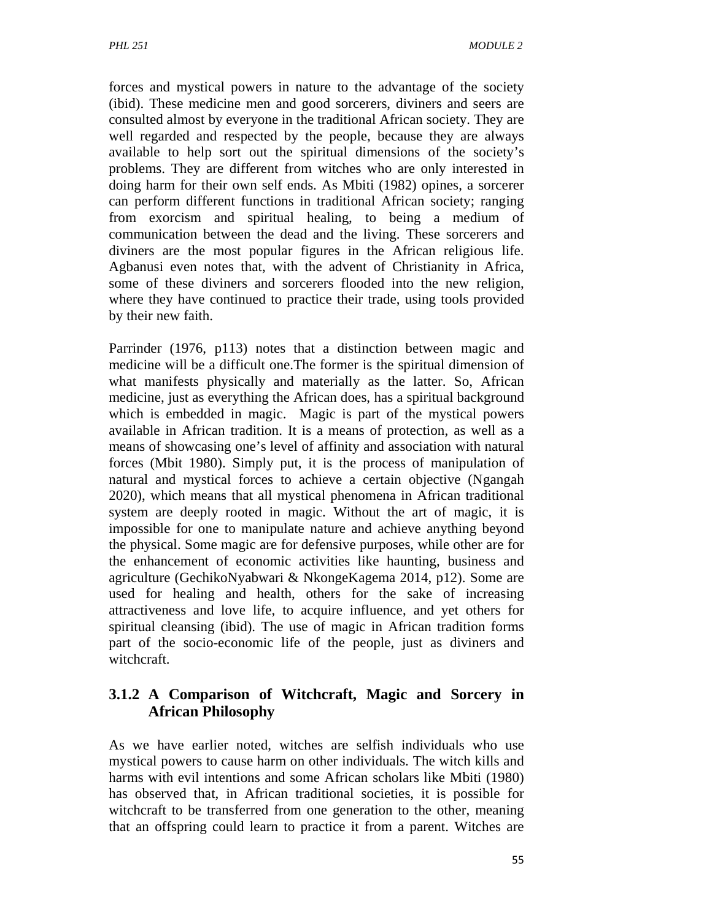forces and mystical powers in nature to the advantage of the society (ibid). These medicine men and good sorcerers, diviners and seers are consulted almost by everyone in the traditional African society. They are well regarded and respected by the people, because they are always available to help sort out the spiritual dimensions of the society's problems. They are different from witches who are only interested in doing harm for their own self ends. As Mbiti (1982) opines, a sorcerer can perform different functions in traditional African society; ranging from exorcism and spiritual healing, to being a medium of communication between the dead and the living. These sorcerers and diviners are the most popular figures in the African religious life. Agbanusi even notes that, with the advent of Christianity in Africa, some of these diviners and sorcerers flooded into the new religion, where they have continued to practice their trade, using tools provided by their new faith.

Parrinder (1976, p113) notes that a distinction between magic and medicine will be a difficult one.The former is the spiritual dimension of what manifests physically and materially as the latter. So, African medicine, just as everything the African does, has a spiritual background which is embedded in magic. Magic is part of the mystical powers available in African tradition. It is a means of protection, as well as a means of showcasing one's level of affinity and association with natural forces (Mbit 1980). Simply put, it is the process of manipulation of natural and mystical forces to achieve a certain objective (Ngangah 2020), which means that all mystical phenomena in African traditional system are deeply rooted in magic. Without the art of magic, it is impossible for one to manipulate nature and achieve anything beyond the physical. Some magic are for defensive purposes, while other are for the enhancement of economic activities like haunting, business and agriculture (GechikoNyabwari & NkongeKagema 2014, p12). Some are used for healing and health, others for the sake of increasing attractiveness and love life, to acquire influence, and yet others for spiritual cleansing (ibid). The use of magic in African tradition forms part of the socio-economic life of the people, just as diviners and witchcraft.

## **3.1.2 A Comparison of Witchcraft, Magic and Sorcery in African Philosophy**

As we have earlier noted, witches are selfish individuals who use mystical powers to cause harm on other individuals. The witch kills and harms with evil intentions and some African scholars like Mbiti (1980) has observed that, in African traditional societies, it is possible for witchcraft to be transferred from one generation to the other, meaning that an offspring could learn to practice it from a parent. Witches are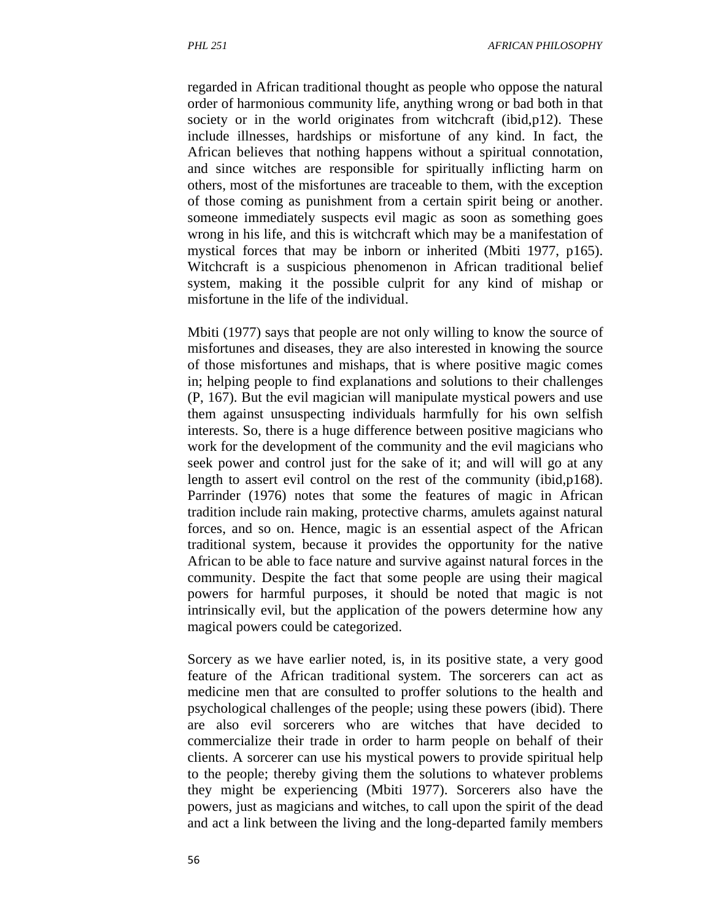regarded in African traditional thought as people who oppose the natural order of harmonious community life, anything wrong or bad both in that society or in the world originates from witchcraft (ibid, p12). These include illnesses, hardships or misfortune of any kind. In fact, the African believes that nothing happens without a spiritual connotation, and since witches are responsible for spiritually inflicting harm on others, most of the misfortunes are traceable to them, with the exception of those coming as punishment from a certain spirit being or another. someone immediately suspects evil magic as soon as something goes wrong in his life, and this is witchcraft which may be a manifestation of mystical forces that may be inborn or inherited (Mbiti 1977, p165). Witchcraft is a suspicious phenomenon in African traditional belief system, making it the possible culprit for any kind of mishap or misfortune in the life of the individual.

Mbiti (1977) says that people are not only willing to know the source of misfortunes and diseases, they are also interested in knowing the source of those misfortunes and mishaps, that is where positive magic comes in; helping people to find explanations and solutions to their challenges (P, 167). But the evil magician will manipulate mystical powers and use them against unsuspecting individuals harmfully for his own selfish interests. So, there is a huge difference between positive magicians who work for the development of the community and the evil magicians who seek power and control just for the sake of it; and will will go at any length to assert evil control on the rest of the community (ibid,p168). Parrinder (1976) notes that some the features of magic in African tradition include rain making, protective charms, amulets against natural forces, and so on. Hence, magic is an essential aspect of the African traditional system, because it provides the opportunity for the native African to be able to face nature and survive against natural forces in the community. Despite the fact that some people are using their magical powers for harmful purposes, it should be noted that magic is not intrinsically evil, but the application of the powers determine how any magical powers could be categorized.

Sorcery as we have earlier noted, is, in its positive state, a very good feature of the African traditional system. The sorcerers can act as medicine men that are consulted to proffer solutions to the health and psychological challenges of the people; using these powers (ibid). There are also evil sorcerers who are witches that have decided to commercialize their trade in order to harm people on behalf of their clients. A sorcerer can use his mystical powers to provide spiritual help to the people; thereby giving them the solutions to whatever problems they might be experiencing (Mbiti 1977). Sorcerers also have the powers, just as magicians and witches, to call upon the spirit of the dead and act a link between the living and the long-departed family members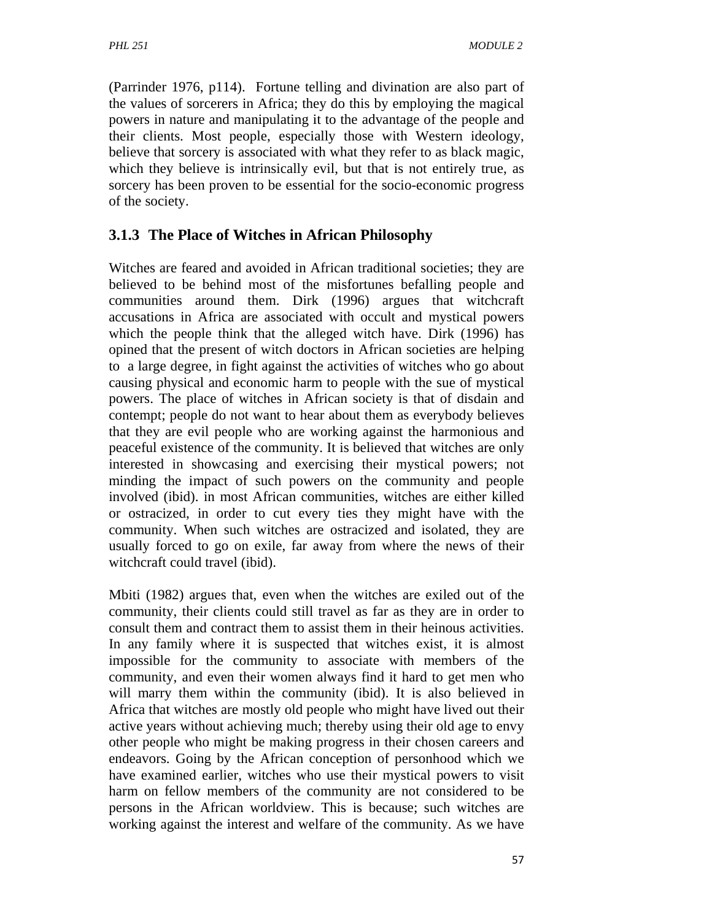(Parrinder 1976, p114). Fortune telling and divination are also part of the values of sorcerers in Africa; they do this by employing the magical powers in nature and manipulating it to the advantage of the people and their clients. Most people, especially those with Western ideology, believe that sorcery is associated with what they refer to as black magic, which they believe is intrinsically evil, but that is not entirely true, as sorcery has been proven to be essential for the socio-economic progress of the society.

## **3.1.3 The Place of Witches in African Philosophy**

Witches are feared and avoided in African traditional societies; they are believed to be behind most of the misfortunes befalling people and communities around them. Dirk (1996) argues that witchcraft accusations in Africa are associated with occult and mystical powers which the people think that the alleged witch have. Dirk (1996) has opined that the present of witch doctors in African societies are helping to a large degree, in fight against the activities of witches who go about causing physical and economic harm to people with the sue of mystical powers. The place of witches in African society is that of disdain and contempt; people do not want to hear about them as everybody believes that they are evil people who are working against the harmonious and peaceful existence of the community. It is believed that witches are only interested in showcasing and exercising their mystical powers; not minding the impact of such powers on the community and people involved (ibid). in most African communities, witches are either killed or ostracized, in order to cut every ties they might have with the community. When such witches are ostracized and isolated, they are usually forced to go on exile, far away from where the news of their witchcraft could travel (ibid).

Mbiti (1982) argues that, even when the witches are exiled out of the community, their clients could still travel as far as they are in order to consult them and contract them to assist them in their heinous activities. In any family where it is suspected that witches exist, it is almost impossible for the community to associate with members of the community, and even their women always find it hard to get men who will marry them within the community (ibid). It is also believed in Africa that witches are mostly old people who might have lived out their active years without achieving much; thereby using their old age to envy other people who might be making progress in their chosen careers and endeavors. Going by the African conception of personhood which we have examined earlier, witches who use their mystical powers to visit harm on fellow members of the community are not considered to be persons in the African worldview. This is because; such witches are working against the interest and welfare of the community. As we have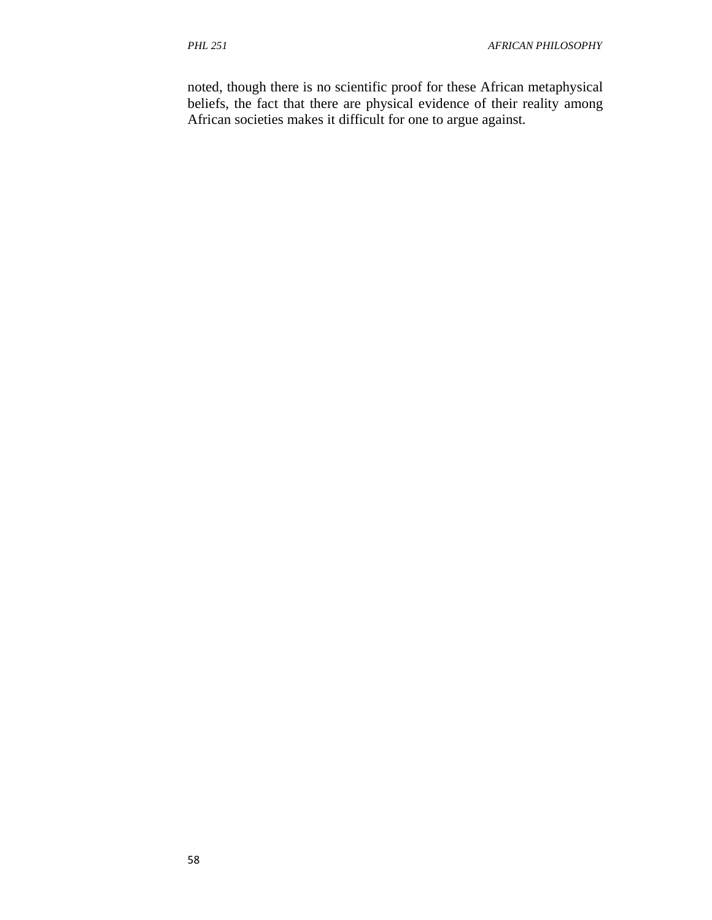noted, though there is no scientific proof for these African metaphysical beliefs, the fact that there are physical evidence of their reality among African societies makes it difficult for one to argue against.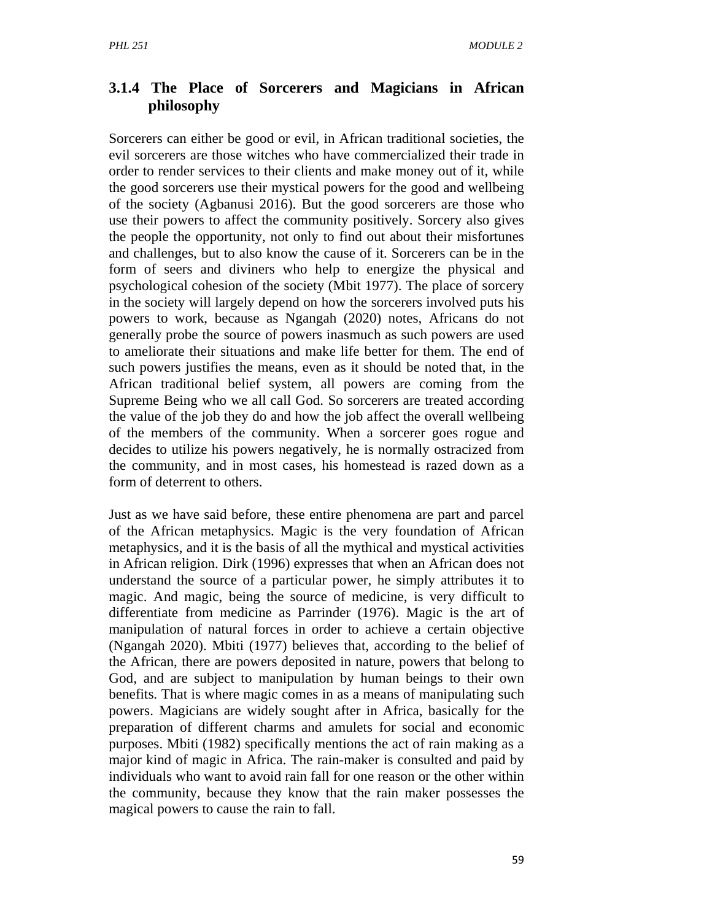### **3.1.4 The Place of Sorcerers and Magicians in African philosophy**

Sorcerers can either be good or evil, in African traditional societies, the evil sorcerers are those witches who have commercialized their trade in order to render services to their clients and make money out of it, while the good sorcerers use their mystical powers for the good and wellbeing of the society (Agbanusi 2016). But the good sorcerers are those who use their powers to affect the community positively. Sorcery also gives the people the opportunity, not only to find out about their misfortunes and challenges, but to also know the cause of it. Sorcerers can be in the form of seers and diviners who help to energize the physical and psychological cohesion of the society (Mbit 1977). The place of sorcery in the society will largely depend on how the sorcerers involved puts his powers to work, because as Ngangah (2020) notes, Africans do not generally probe the source of powers inasmuch as such powers are used to ameliorate their situations and make life better for them. The end of such powers justifies the means, even as it should be noted that, in the African traditional belief system, all powers are coming from the Supreme Being who we all call God. So sorcerers are treated according the value of the job they do and how the job affect the overall wellbeing of the members of the community. When a sorcerer goes rogue and decides to utilize his powers negatively, he is normally ostracized from the community, and in most cases, his homestead is razed down as a form of deterrent to others.

Just as we have said before, these entire phenomena are part and parcel of the African metaphysics. Magic is the very foundation of African metaphysics, and it is the basis of all the mythical and mystical activities in African religion. Dirk (1996) expresses that when an African does not understand the source of a particular power, he simply attributes it to magic. And magic, being the source of medicine, is very difficult to differentiate from medicine as Parrinder (1976). Magic is the art of manipulation of natural forces in order to achieve a certain objective (Ngangah 2020). Mbiti (1977) believes that, according to the belief of the African, there are powers deposited in nature, powers that belong to God, and are subject to manipulation by human beings to their own benefits. That is where magic comes in as a means of manipulating such powers. Magicians are widely sought after in Africa, basically for the preparation of different charms and amulets for social and economic purposes. Mbiti (1982) specifically mentions the act of rain making as a major kind of magic in Africa. The rain-maker is consulted and paid by individuals who want to avoid rain fall for one reason or the other within the community, because they know that the rain maker possesses the magical powers to cause the rain to fall.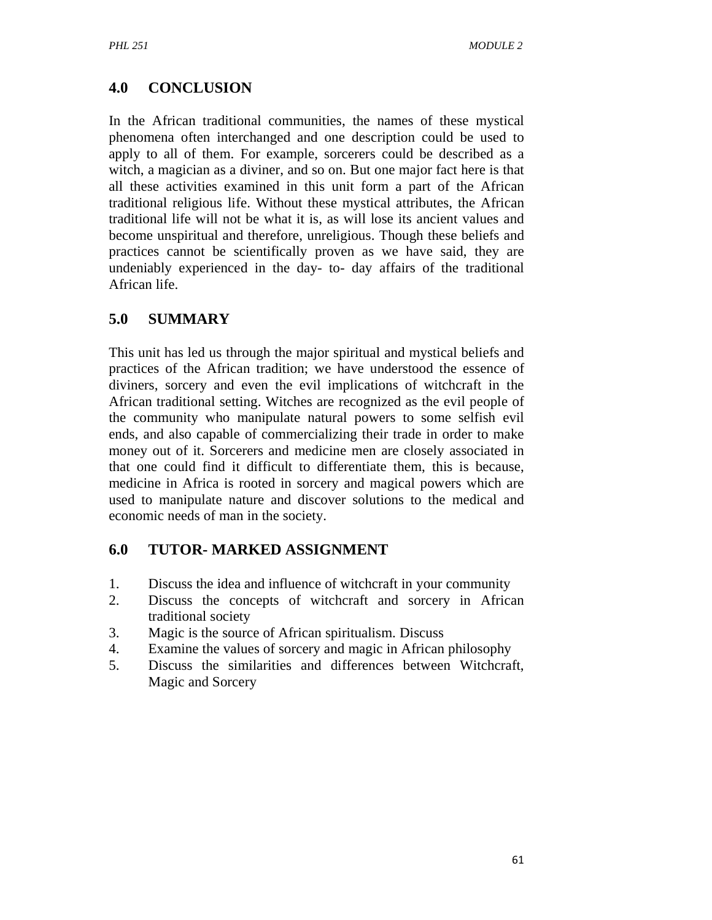# **4.0 CONCLUSION**

In the African traditional communities, the names of these mystical phenomena often interchanged and one description could be used to apply to all of them. For example, sorcerers could be described as a witch, a magician as a diviner, and so on. But one major fact here is that all these activities examined in this unit form a part of the African traditional religious life. Without these mystical attributes, the African traditional life will not be what it is, as will lose its ancient values and become unspiritual and therefore, unreligious. Though these beliefs and practices cannot be scientifically proven as we have said, they are undeniably experienced in the day- to- day affairs of the traditional African life.

## **5.0 SUMMARY**

This unit has led us through the major spiritual and mystical beliefs and practices of the African tradition; we have understood the essence of diviners, sorcery and even the evil implications of witchcraft in the African traditional setting. Witches are recognized as the evil people of the community who manipulate natural powers to some selfish evil ends, and also capable of commercializing their trade in order to make money out of it. Sorcerers and medicine men are closely associated in that one could find it difficult to differentiate them, this is because, medicine in Africa is rooted in sorcery and magical powers which are used to manipulate nature and discover solutions to the medical and economic needs of man in the society.

### **6.0 TUTOR- MARKED ASSIGNMENT**

- 1. Discuss the idea and influence of witchcraft in your community
- 2. Discuss the concepts of witchcraft and sorcery in African traditional society
- 3. Magic is the source of African spiritualism. Discuss
- 4. Examine the values of sorcery and magic in African philosophy
- 5. Discuss the similarities and differences between Witchcraft, Magic and Sorcery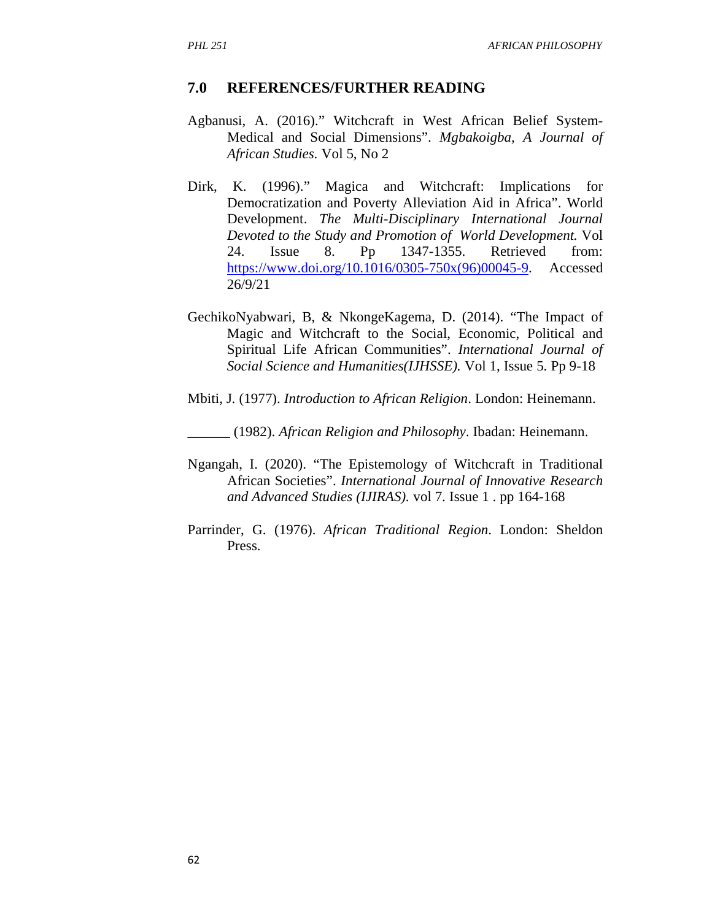#### **7.0 REFERENCES/FURTHER READING**

- Agbanusi, A. (2016)." Witchcraft in West African Belief System-Medical and Social Dimensions". *Mgbakoigba, A Journal of African Studies.* Vol 5, No 2
- Dirk, K. (1996)." Magica and Witchcraft: Implications for Democratization and Poverty Alleviation Aid in Africa". World Development. *The Multi-Disciplinary International Journal Devoted to the Study and Promotion of World Development.* Vol 24. Issue 8. Pp 1347-1355. Retrieved from: https://www.doi.org/10.1016/0305-750x(96)00045-9. Accessed 26/9/21
- GechikoNyabwari, B, & NkongeKagema, D. (2014). "The Impact of Magic and Witchcraft to the Social, Economic, Political and Spiritual Life African Communities". *International Journal of Social Science and Humanities(IJHSSE).* Vol 1, Issue 5. Pp 9-18
- Mbiti, J. (1977). *Introduction to African Religion*. London: Heinemann.
- \_\_\_\_\_\_ (1982). *African Religion and Philosophy*. Ibadan: Heinemann.
- Ngangah, I. (2020). "The Epistemology of Witchcraft in Traditional African Societies". *International Journal of Innovative Research and Advanced Studies (IJIRAS).* vol 7. Issue 1 . pp 164-168
- Parrinder, G. (1976). *African Traditional Region*. London: Sheldon Press.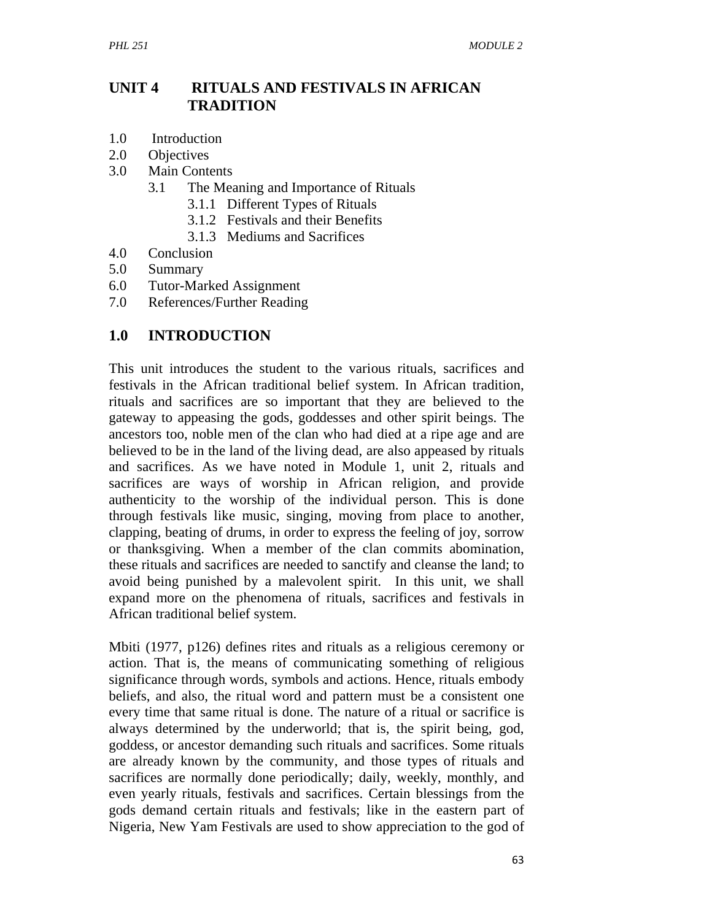## **UNIT 4 RITUALS AND FESTIVALS IN AFRICAN TRADITION**

- 1.0 Introduction
- 2.0 Objectives
- 3.0 Main Contents
	- 3.1 The Meaning and Importance of Rituals
		- 3.1.1 Different Types of Rituals
		- 3.1.2 Festivals and their Benefits
		- 3.1.3 Mediums and Sacrifices
- 4.0 Conclusion
- 5.0 Summary
- 6.0 Tutor-Marked Assignment
- 7.0 References/Further Reading

## **1.0 INTRODUCTION**

This unit introduces the student to the various rituals, sacrifices and festivals in the African traditional belief system. In African tradition, rituals and sacrifices are so important that they are believed to the gateway to appeasing the gods, goddesses and other spirit beings. The ancestors too, noble men of the clan who had died at a ripe age and are believed to be in the land of the living dead, are also appeased by rituals and sacrifices. As we have noted in Module 1, unit 2, rituals and sacrifices are ways of worship in African religion, and provide authenticity to the worship of the individual person. This is done through festivals like music, singing, moving from place to another, clapping, beating of drums, in order to express the feeling of joy, sorrow or thanksgiving. When a member of the clan commits abomination, these rituals and sacrifices are needed to sanctify and cleanse the land; to avoid being punished by a malevolent spirit. In this unit, we shall expand more on the phenomena of rituals, sacrifices and festivals in African traditional belief system.

Mbiti (1977, p126) defines rites and rituals as a religious ceremony or action. That is, the means of communicating something of religious significance through words, symbols and actions. Hence, rituals embody beliefs, and also, the ritual word and pattern must be a consistent one every time that same ritual is done. The nature of a ritual or sacrifice is always determined by the underworld; that is, the spirit being, god, goddess, or ancestor demanding such rituals and sacrifices. Some rituals are already known by the community, and those types of rituals and sacrifices are normally done periodically; daily, weekly, monthly, and even yearly rituals, festivals and sacrifices. Certain blessings from the gods demand certain rituals and festivals; like in the eastern part of Nigeria, New Yam Festivals are used to show appreciation to the god of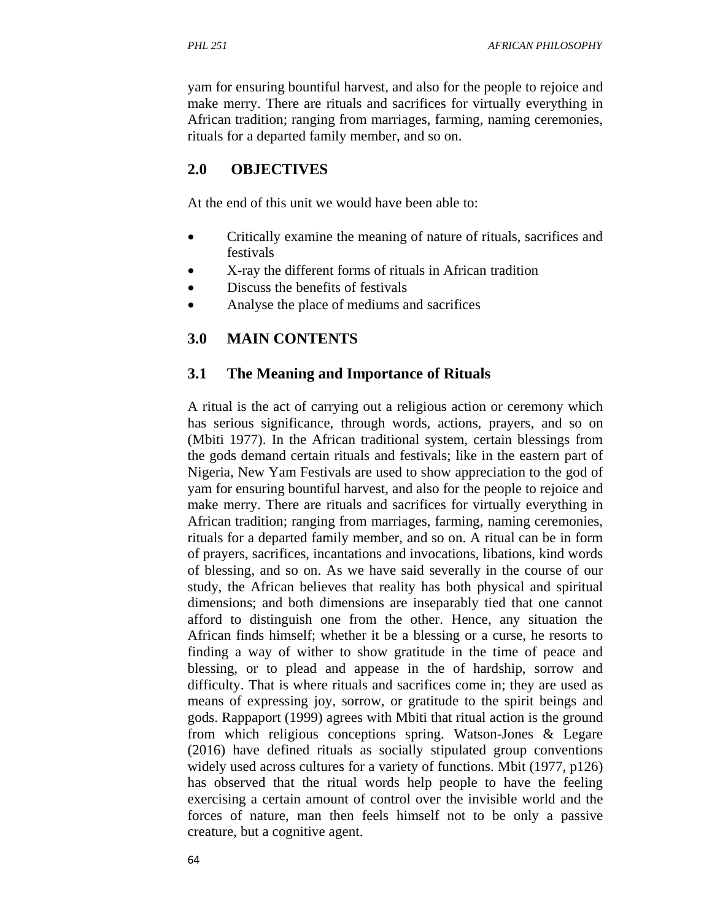yam for ensuring bountiful harvest, and also for the people to rejoice and make merry. There are rituals and sacrifices for virtually everything in African tradition; ranging from marriages, farming, naming ceremonies, rituals for a departed family member, and so on.

### **2.0 OBJECTIVES**

At the end of this unit we would have been able to:

- Critically examine the meaning of nature of rituals, sacrifices and festivals
- X-ray the different forms of rituals in African tradition
- Discuss the benefits of festivals
- Analyse the place of mediums and sacrifices

### **3.0 MAIN CONTENTS**

### **3.1 The Meaning and Importance of Rituals**

A ritual is the act of carrying out a religious action or ceremony which has serious significance, through words, actions, prayers, and so on (Mbiti 1977). In the African traditional system, certain blessings from the gods demand certain rituals and festivals; like in the eastern part of Nigeria, New Yam Festivals are used to show appreciation to the god of yam for ensuring bountiful harvest, and also for the people to rejoice and make merry. There are rituals and sacrifices for virtually everything in African tradition; ranging from marriages, farming, naming ceremonies, rituals for a departed family member, and so on. A ritual can be in form of prayers, sacrifices, incantations and invocations, libations, kind words of blessing, and so on. As we have said severally in the course of our study, the African believes that reality has both physical and spiritual dimensions; and both dimensions are inseparably tied that one cannot afford to distinguish one from the other. Hence, any situation the African finds himself; whether it be a blessing or a curse, he resorts to finding a way of wither to show gratitude in the time of peace and blessing, or to plead and appease in the of hardship, sorrow and difficulty. That is where rituals and sacrifices come in; they are used as means of expressing joy, sorrow, or gratitude to the spirit beings and gods. Rappaport (1999) agrees with Mbiti that ritual action is the ground from which religious conceptions spring. Watson-Jones & Legare (2016) have defined rituals as socially stipulated group conventions widely used across cultures for a variety of functions. Mbit (1977, p126) has observed that the ritual words help people to have the feeling exercising a certain amount of control over the invisible world and the forces of nature, man then feels himself not to be only a passive creature, but a cognitive agent.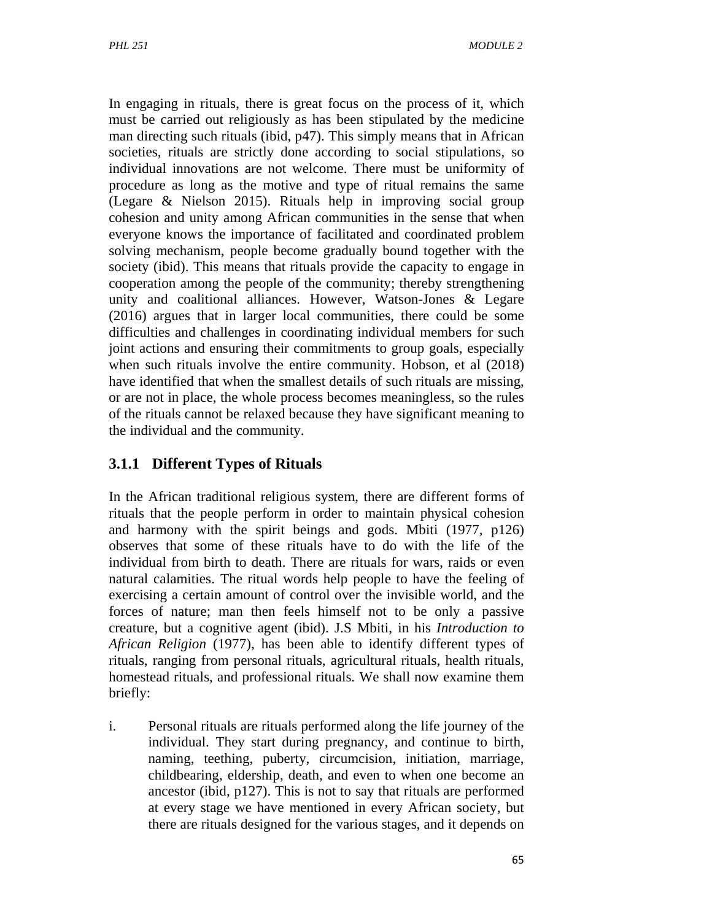In engaging in rituals, there is great focus on the process of it, which must be carried out religiously as has been stipulated by the medicine man directing such rituals (ibid, p47). This simply means that in African societies, rituals are strictly done according to social stipulations, so individual innovations are not welcome. There must be uniformity of procedure as long as the motive and type of ritual remains the same (Legare & Nielson 2015). Rituals help in improving social group cohesion and unity among African communities in the sense that when everyone knows the importance of facilitated and coordinated problem solving mechanism, people become gradually bound together with the society (ibid). This means that rituals provide the capacity to engage in cooperation among the people of the community; thereby strengthening unity and coalitional alliances. However, Watson-Jones & Legare (2016) argues that in larger local communities, there could be some difficulties and challenges in coordinating individual members for such joint actions and ensuring their commitments to group goals, especially when such rituals involve the entire community. Hobson, et al (2018) have identified that when the smallest details of such rituals are missing, or are not in place, the whole process becomes meaningless, so the rules of the rituals cannot be relaxed because they have significant meaning to the individual and the community.

## **3.1.1 Different Types of Rituals**

In the African traditional religious system, there are different forms of rituals that the people perform in order to maintain physical cohesion and harmony with the spirit beings and gods. Mbiti (1977, p126) observes that some of these rituals have to do with the life of the individual from birth to death. There are rituals for wars, raids or even natural calamities. The ritual words help people to have the feeling of exercising a certain amount of control over the invisible world, and the forces of nature; man then feels himself not to be only a passive creature, but a cognitive agent (ibid). J.S Mbiti, in his *Introduction to African Religion* (1977), has been able to identify different types of rituals, ranging from personal rituals, agricultural rituals, health rituals*,*  homestead rituals, and professional rituals. We shall now examine them briefly:

i. Personal rituals are rituals performed along the life journey of the individual. They start during pregnancy, and continue to birth, naming, teething, puberty, circumcision, initiation, marriage, childbearing, eldership, death, and even to when one become an ancestor (ibid, p127). This is not to say that rituals are performed at every stage we have mentioned in every African society, but there are rituals designed for the various stages, and it depends on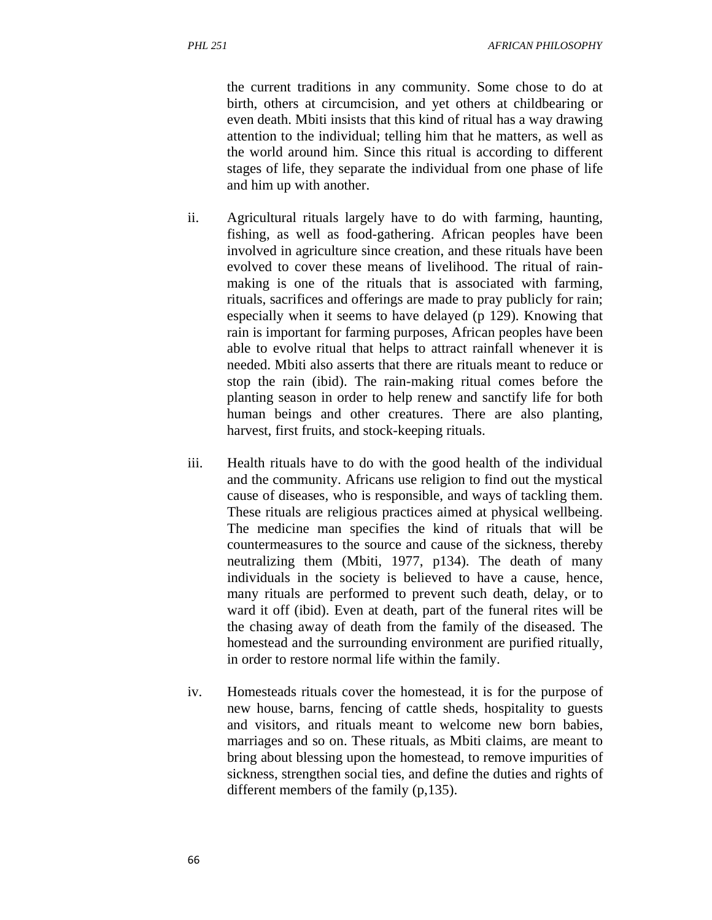the current traditions in any community. Some chose to do at birth, others at circumcision, and yet others at childbearing or even death. Mbiti insists that this kind of ritual has a way drawing attention to the individual; telling him that he matters, as well as the world around him. Since this ritual is according to different stages of life, they separate the individual from one phase of life and him up with another.

- ii. Agricultural rituals largely have to do with farming, haunting, fishing, as well as food-gathering. African peoples have been involved in agriculture since creation, and these rituals have been evolved to cover these means of livelihood. The ritual of rainmaking is one of the rituals that is associated with farming, rituals, sacrifices and offerings are made to pray publicly for rain; especially when it seems to have delayed (p 129). Knowing that rain is important for farming purposes, African peoples have been able to evolve ritual that helps to attract rainfall whenever it is needed. Mbiti also asserts that there are rituals meant to reduce or stop the rain (ibid). The rain-making ritual comes before the planting season in order to help renew and sanctify life for both human beings and other creatures. There are also planting, harvest, first fruits, and stock-keeping rituals.
- iii. Health rituals have to do with the good health of the individual and the community. Africans use religion to find out the mystical cause of diseases, who is responsible, and ways of tackling them. These rituals are religious practices aimed at physical wellbeing. The medicine man specifies the kind of rituals that will be countermeasures to the source and cause of the sickness, thereby neutralizing them (Mbiti, 1977, p134). The death of many individuals in the society is believed to have a cause, hence, many rituals are performed to prevent such death, delay, or to ward it off (ibid). Even at death, part of the funeral rites will be the chasing away of death from the family of the diseased. The homestead and the surrounding environment are purified ritually, in order to restore normal life within the family.
- iv. Homesteads rituals cover the homestead, it is for the purpose of new house, barns, fencing of cattle sheds, hospitality to guests and visitors, and rituals meant to welcome new born babies, marriages and so on. These rituals, as Mbiti claims, are meant to bring about blessing upon the homestead, to remove impurities of sickness, strengthen social ties, and define the duties and rights of different members of the family (p,135).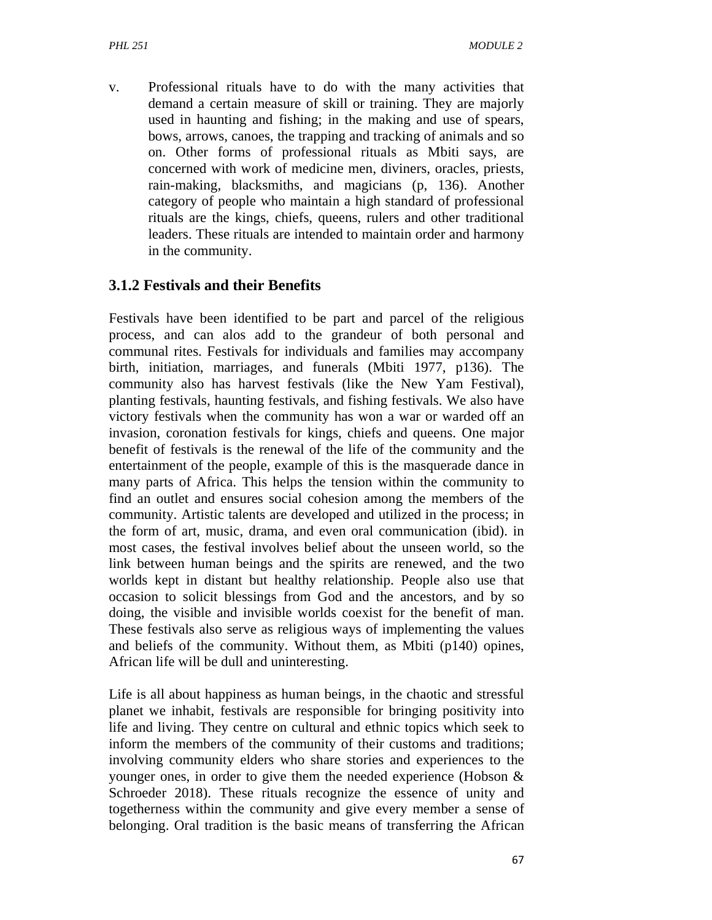v. Professional rituals have to do with the many activities that demand a certain measure of skill or training. They are majorly used in haunting and fishing; in the making and use of spears, bows, arrows, canoes, the trapping and tracking of animals and so on. Other forms of professional rituals as Mbiti says, are concerned with work of medicine men, diviners, oracles, priests, rain-making, blacksmiths, and magicians (p, 136). Another category of people who maintain a high standard of professional rituals are the kings, chiefs, queens, rulers and other traditional leaders. These rituals are intended to maintain order and harmony in the community.

## **3.1.2 Festivals and their Benefits**

Festivals have been identified to be part and parcel of the religious process, and can alos add to the grandeur of both personal and communal rites. Festivals for individuals and families may accompany birth, initiation, marriages, and funerals (Mbiti 1977, p136). The community also has harvest festivals (like the New Yam Festival), planting festivals, haunting festivals, and fishing festivals. We also have victory festivals when the community has won a war or warded off an invasion, coronation festivals for kings, chiefs and queens. One major benefit of festivals is the renewal of the life of the community and the entertainment of the people, example of this is the masquerade dance in many parts of Africa. This helps the tension within the community to find an outlet and ensures social cohesion among the members of the community. Artistic talents are developed and utilized in the process; in the form of art, music, drama, and even oral communication (ibid). in most cases, the festival involves belief about the unseen world, so the link between human beings and the spirits are renewed, and the two worlds kept in distant but healthy relationship. People also use that occasion to solicit blessings from God and the ancestors, and by so doing, the visible and invisible worlds coexist for the benefit of man. These festivals also serve as religious ways of implementing the values and beliefs of the community. Without them, as Mbiti (p140) opines, African life will be dull and uninteresting.

Life is all about happiness as human beings, in the chaotic and stressful planet we inhabit, festivals are responsible for bringing positivity into life and living. They centre on cultural and ethnic topics which seek to inform the members of the community of their customs and traditions; involving community elders who share stories and experiences to the younger ones, in order to give them the needed experience (Hobson & Schroeder 2018). These rituals recognize the essence of unity and togetherness within the community and give every member a sense of belonging. Oral tradition is the basic means of transferring the African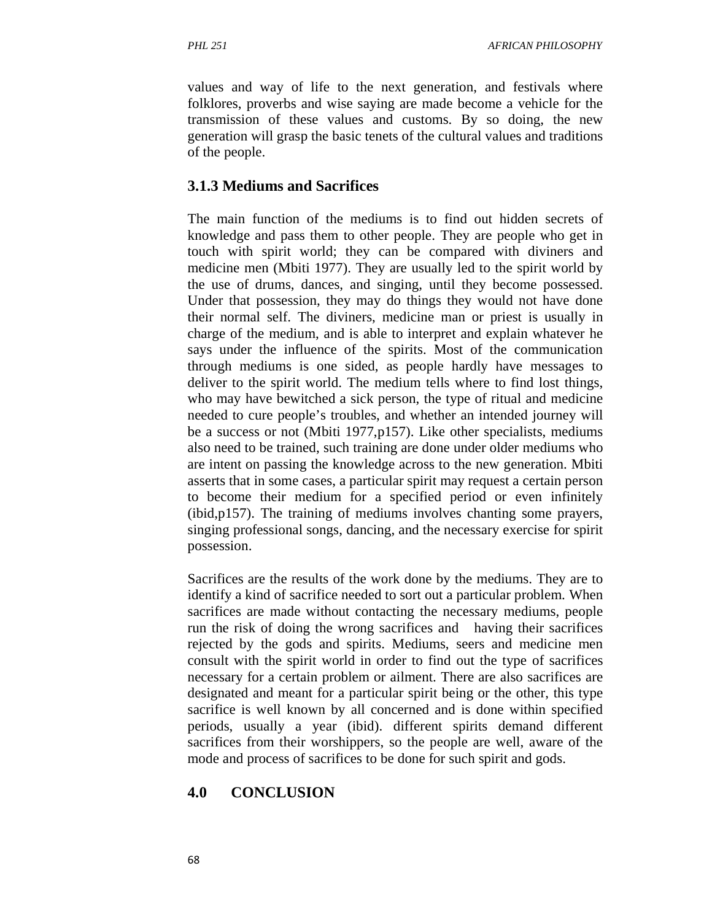values and way of life to the next generation, and festivals where folklores, proverbs and wise saying are made become a vehicle for the transmission of these values and customs. By so doing, the new generation will grasp the basic tenets of the cultural values and traditions of the people.

### **3.1.3 Mediums and Sacrifices**

The main function of the mediums is to find out hidden secrets of knowledge and pass them to other people. They are people who get in touch with spirit world; they can be compared with diviners and medicine men (Mbiti 1977). They are usually led to the spirit world by the use of drums, dances, and singing, until they become possessed. Under that possession, they may do things they would not have done their normal self. The diviners, medicine man or priest is usually in charge of the medium, and is able to interpret and explain whatever he says under the influence of the spirits. Most of the communication through mediums is one sided, as people hardly have messages to deliver to the spirit world. The medium tells where to find lost things, who may have bewitched a sick person, the type of ritual and medicine needed to cure people's troubles, and whether an intended journey will be a success or not (Mbiti 1977,p157). Like other specialists, mediums also need to be trained, such training are done under older mediums who are intent on passing the knowledge across to the new generation. Mbiti asserts that in some cases, a particular spirit may request a certain person to become their medium for a specified period or even infinitely (ibid,p157). The training of mediums involves chanting some prayers, singing professional songs, dancing, and the necessary exercise for spirit possession.

Sacrifices are the results of the work done by the mediums. They are to identify a kind of sacrifice needed to sort out a particular problem. When sacrifices are made without contacting the necessary mediums, people run the risk of doing the wrong sacrifices and having their sacrifices rejected by the gods and spirits. Mediums, seers and medicine men consult with the spirit world in order to find out the type of sacrifices necessary for a certain problem or ailment. There are also sacrifices are designated and meant for a particular spirit being or the other, this type sacrifice is well known by all concerned and is done within specified periods, usually a year (ibid). different spirits demand different sacrifices from their worshippers, so the people are well, aware of the mode and process of sacrifices to be done for such spirit and gods.

## **4.0 CONCLUSION**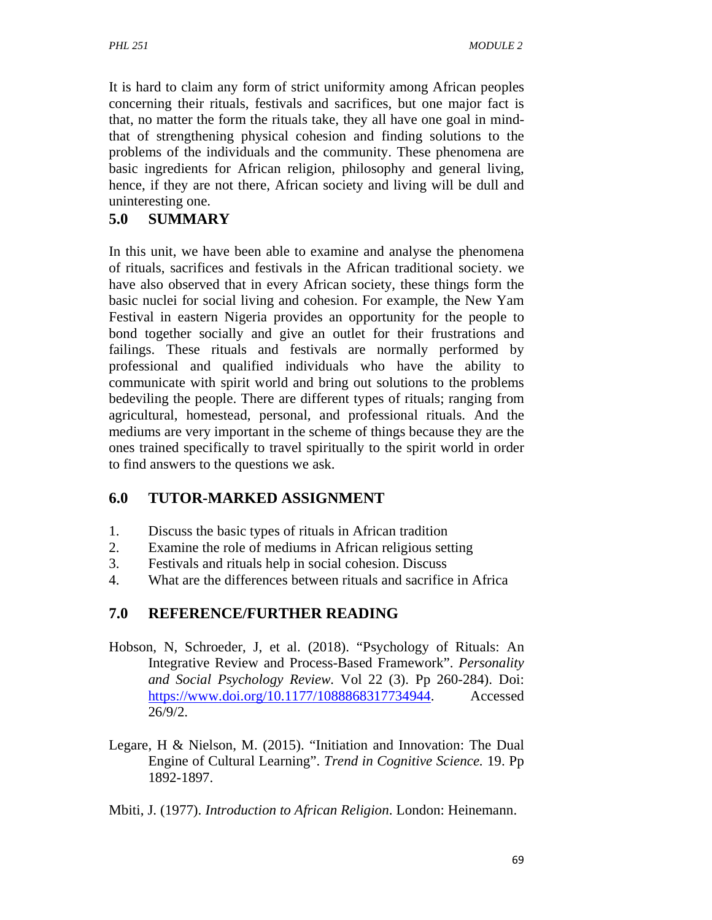It is hard to claim any form of strict uniformity among African peoples concerning their rituals, festivals and sacrifices, but one major fact is that, no matter the form the rituals take, they all have one goal in mindthat of strengthening physical cohesion and finding solutions to the problems of the individuals and the community. These phenomena are basic ingredients for African religion, philosophy and general living, hence, if they are not there, African society and living will be dull and uninteresting one.

## **5.0 SUMMARY**

In this unit, we have been able to examine and analyse the phenomena of rituals, sacrifices and festivals in the African traditional society. we have also observed that in every African society, these things form the basic nuclei for social living and cohesion. For example, the New Yam Festival in eastern Nigeria provides an opportunity for the people to bond together socially and give an outlet for their frustrations and failings. These rituals and festivals are normally performed by professional and qualified individuals who have the ability to communicate with spirit world and bring out solutions to the problems bedeviling the people. There are different types of rituals; ranging from agricultural, homestead, personal, and professional rituals. And the mediums are very important in the scheme of things because they are the ones trained specifically to travel spiritually to the spirit world in order to find answers to the questions we ask.

## **6.0 TUTOR-MARKED ASSIGNMENT**

- 1. Discuss the basic types of rituals in African tradition
- 2. Examine the role of mediums in African religious setting
- 3. Festivals and rituals help in social cohesion. Discuss
- 4. What are the differences between rituals and sacrifice in Africa

# **7.0 REFERENCE/FURTHER READING**

- Hobson, N, Schroeder, J, et al. (2018). "Psychology of Rituals: An Integrative Review and Process-Based Framework". *Personality and Social Psychology Review.* Vol 22 (3). Pp 260-284). Doi: https://www.doi.org/10.1177/1088868317734944. Accessed 26/9/2.
- Legare, H & Nielson, M. (2015). "Initiation and Innovation: The Dual Engine of Cultural Learning". *Trend in Cognitive Science.* 19. Pp 1892-1897.

Mbiti, J. (1977). *Introduction to African Religion*. London: Heinemann.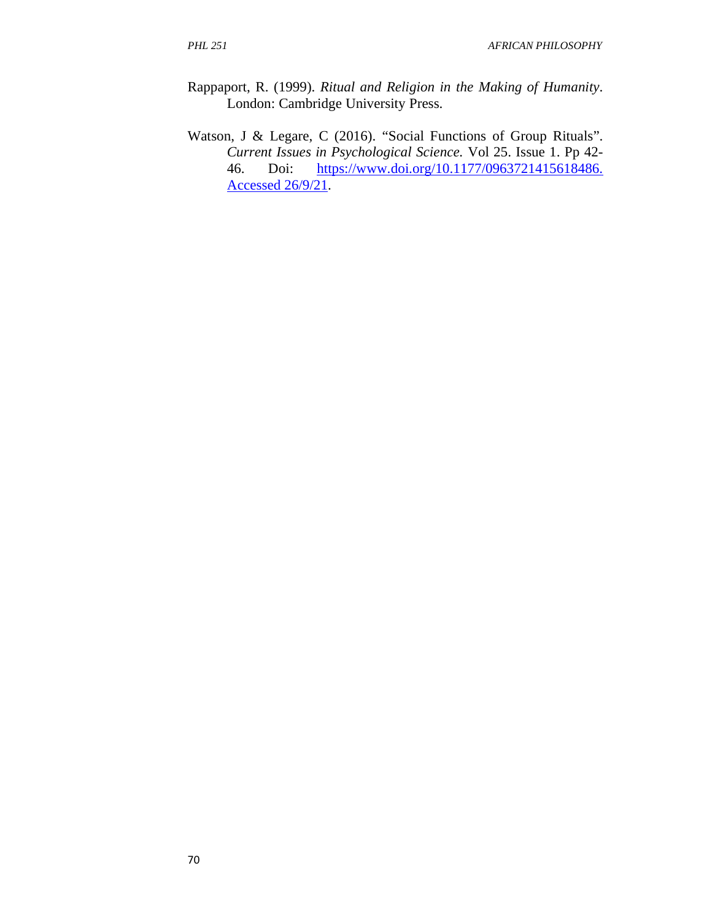- Rappaport, R. (1999). *Ritual and Religion in the Making of Humanity*. London: Cambridge University Press.
- Watson, J & Legare, C (2016). "Social Functions of Group Rituals". *Current Issues in Psychological Science.* Vol 25. Issue 1. Pp 42- 46. Doi: https://www.doi.org/10.1177/0963721415618486. Accessed 26/9/21.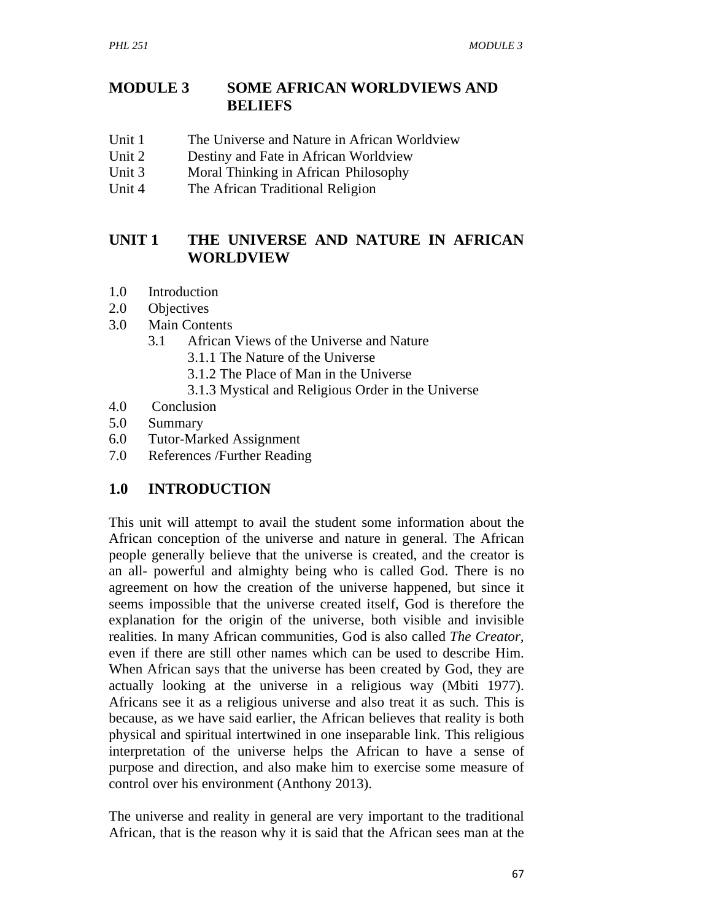## **MODULE 3 SOME AFRICAN WORLDVIEWS AND BELIEFS**

- Unit 1 The Universe and Nature in African Worldview
- Unit 2 Destiny and Fate in African Worldview
- Unit 3 Moral Thinking in AfricanPhilosophy
- Unit 4 The African Traditional Religion

## **UNIT 1 THE UNIVERSE AND NATURE IN AFRICAN WORLDVIEW**

- 1.0 Introduction
- 2.0 Objectives
- 3.0 Main Contents
	- 3.1 African Views of the Universe and Nature
		- 3.1.1 The Nature of the Universe
		- 3.1.2 The Place of Man in the Universe
		- 3.1.3 Mystical and Religious Order in the Universe
- 4.0 Conclusion
- 5.0 Summary
- 6.0 Tutor-Marked Assignment
- 7.0 References /Further Reading

# **1.0 INTRODUCTION**

This unit will attempt to avail the student some information about the African conception of the universe and nature in general. The African people generally believe that the universe is created, and the creator is an all- powerful and almighty being who is called God. There is no agreement on how the creation of the universe happened, but since it seems impossible that the universe created itself, God is therefore the explanation for the origin of the universe, both visible and invisible realities. In many African communities, God is also called *The Creator,*  even if there are still other names which can be used to describe Him. When African says that the universe has been created by God, they are actually looking at the universe in a religious way (Mbiti 1977). Africans see it as a religious universe and also treat it as such. This is because, as we have said earlier, the African believes that reality is both physical and spiritual intertwined in one inseparable link. This religious interpretation of the universe helps the African to have a sense of purpose and direction, and also make him to exercise some measure of control over his environment (Anthony 2013).

The universe and reality in general are very important to the traditional African, that is the reason why it is said that the African sees man at the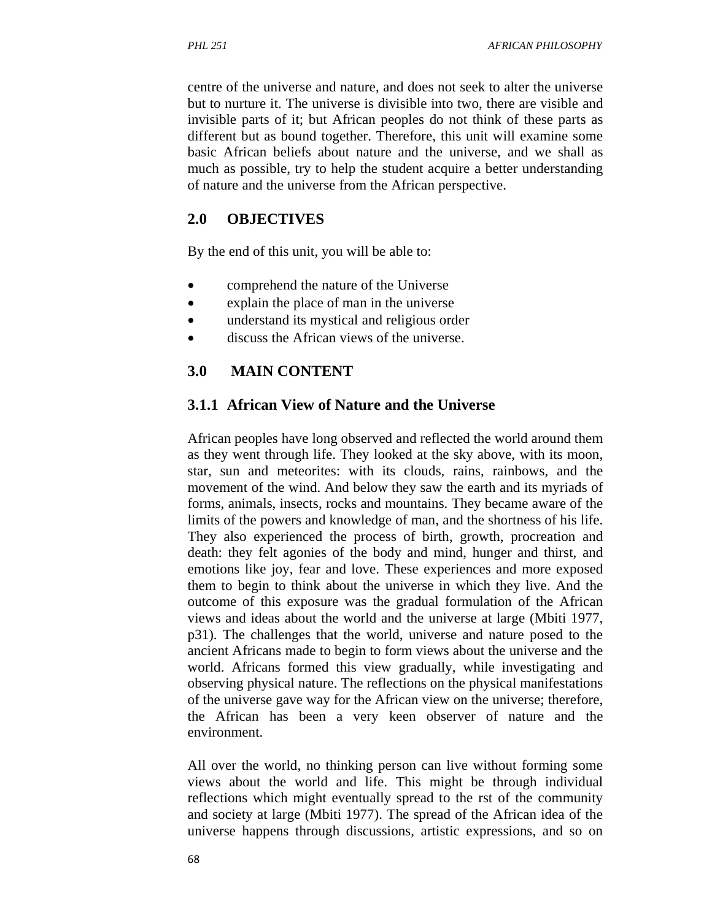centre of the universe and nature, and does not seek to alter the universe but to nurture it. The universe is divisible into two, there are visible and invisible parts of it; but African peoples do not think of these parts as different but as bound together. Therefore, this unit will examine some basic African beliefs about nature and the universe, and we shall as much as possible, try to help the student acquire a better understanding of nature and the universe from the African perspective.

### **2.0 OBJECTIVES**

By the end of this unit, you will be able to:

- comprehend the nature of the Universe
- explain the place of man in the universe
- understand its mystical and religious order
- discuss the African views of the universe.

### **3.0 MAIN CONTENT**

#### **3.1.1 African View of Nature and the Universe**

African peoples have long observed and reflected the world around them as they went through life. They looked at the sky above, with its moon, star, sun and meteorites: with its clouds, rains, rainbows, and the movement of the wind. And below they saw the earth and its myriads of forms, animals, insects, rocks and mountains. They became aware of the limits of the powers and knowledge of man, and the shortness of his life. They also experienced the process of birth, growth, procreation and death: they felt agonies of the body and mind, hunger and thirst, and emotions like joy, fear and love. These experiences and more exposed them to begin to think about the universe in which they live. And the outcome of this exposure was the gradual formulation of the African views and ideas about the world and the universe at large (Mbiti 1977, p31). The challenges that the world, universe and nature posed to the ancient Africans made to begin to form views about the universe and the world. Africans formed this view gradually, while investigating and observing physical nature. The reflections on the physical manifestations of the universe gave way for the African view on the universe; therefore, the African has been a very keen observer of nature and the environment.

All over the world, no thinking person can live without forming some views about the world and life. This might be through individual reflections which might eventually spread to the rst of the community and society at large (Mbiti 1977). The spread of the African idea of the universe happens through discussions, artistic expressions, and so on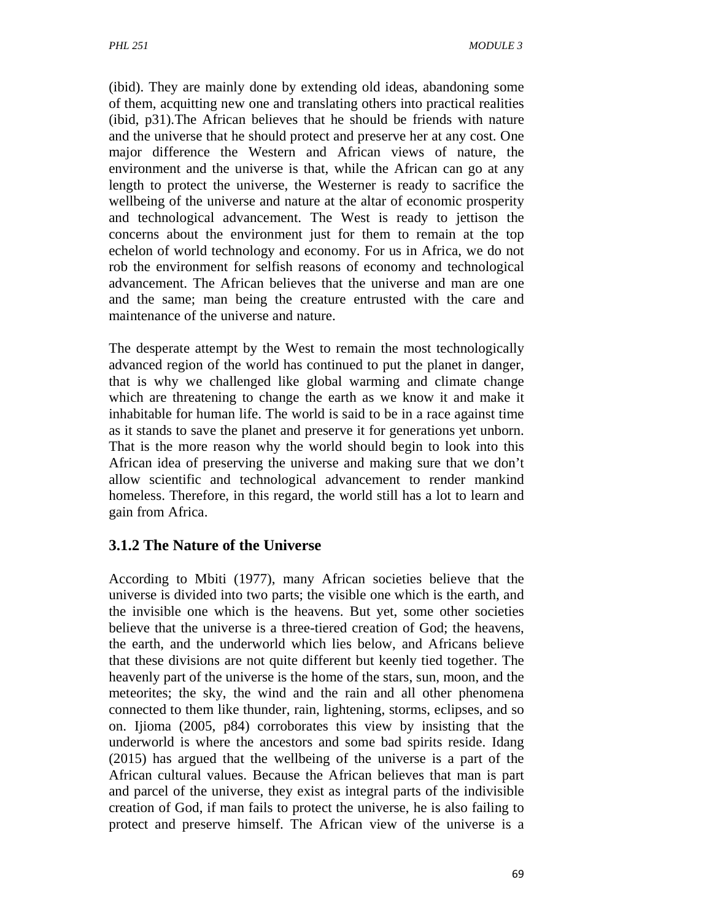(ibid). They are mainly done by extending old ideas, abandoning some of them, acquitting new one and translating others into practical realities (ibid, p31).The African believes that he should be friends with nature and the universe that he should protect and preserve her at any cost. One major difference the Western and African views of nature, the environment and the universe is that, while the African can go at any length to protect the universe, the Westerner is ready to sacrifice the wellbeing of the universe and nature at the altar of economic prosperity and technological advancement. The West is ready to jettison the concerns about the environment just for them to remain at the top echelon of world technology and economy. For us in Africa, we do not rob the environment for selfish reasons of economy and technological advancement. The African believes that the universe and man are one and the same; man being the creature entrusted with the care and maintenance of the universe and nature.

The desperate attempt by the West to remain the most technologically advanced region of the world has continued to put the planet in danger, that is why we challenged like global warming and climate change which are threatening to change the earth as we know it and make it inhabitable for human life. The world is said to be in a race against time as it stands to save the planet and preserve it for generations yet unborn. That is the more reason why the world should begin to look into this African idea of preserving the universe and making sure that we don't allow scientific and technological advancement to render mankind homeless. Therefore, in this regard, the world still has a lot to learn and gain from Africa.

# **3.1.2 The Nature of the Universe**

According to Mbiti (1977), many African societies believe that the universe is divided into two parts; the visible one which is the earth, and the invisible one which is the heavens. But yet, some other societies believe that the universe is a three-tiered creation of God; the heavens, the earth, and the underworld which lies below, and Africans believe that these divisions are not quite different but keenly tied together. The heavenly part of the universe is the home of the stars, sun, moon, and the meteorites; the sky, the wind and the rain and all other phenomena connected to them like thunder, rain, lightening, storms, eclipses, and so on. Ijioma (2005, p84) corroborates this view by insisting that the underworld is where the ancestors and some bad spirits reside. Idang (2015) has argued that the wellbeing of the universe is a part of the African cultural values. Because the African believes that man is part and parcel of the universe, they exist as integral parts of the indivisible creation of God, if man fails to protect the universe, he is also failing to protect and preserve himself. The African view of the universe is a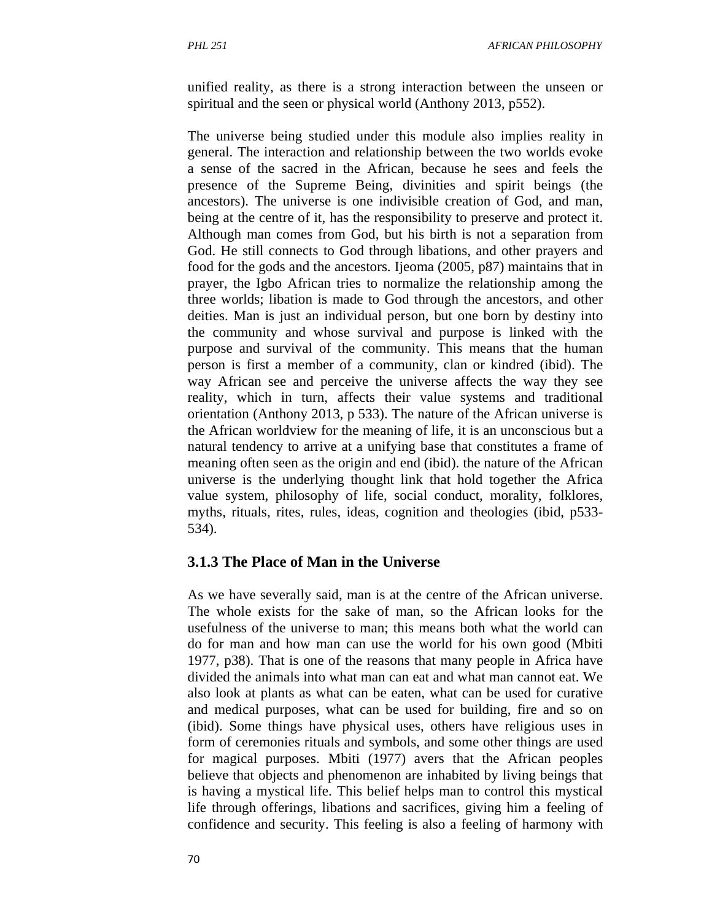unified reality, as there is a strong interaction between the unseen or spiritual and the seen or physical world (Anthony 2013, p552).

The universe being studied under this module also implies reality in general. The interaction and relationship between the two worlds evoke a sense of the sacred in the African, because he sees and feels the presence of the Supreme Being, divinities and spirit beings (the ancestors). The universe is one indivisible creation of God, and man, being at the centre of it, has the responsibility to preserve and protect it. Although man comes from God, but his birth is not a separation from God. He still connects to God through libations, and other prayers and food for the gods and the ancestors. Ijeoma (2005, p87) maintains that in prayer, the Igbo African tries to normalize the relationship among the three worlds; libation is made to God through the ancestors, and other deities. Man is just an individual person, but one born by destiny into the community and whose survival and purpose is linked with the purpose and survival of the community. This means that the human person is first a member of a community, clan or kindred (ibid). The way African see and perceive the universe affects the way they see reality, which in turn, affects their value systems and traditional orientation (Anthony 2013, p 533). The nature of the African universe is the African worldview for the meaning of life, it is an unconscious but a natural tendency to arrive at a unifying base that constitutes a frame of meaning often seen as the origin and end (ibid). the nature of the African universe is the underlying thought link that hold together the Africa value system, philosophy of life, social conduct, morality, folklores, myths, rituals, rites, rules, ideas, cognition and theologies (ibid, p533- 534).

### **3.1.3 The Place of Man in the Universe**

As we have severally said, man is at the centre of the African universe. The whole exists for the sake of man, so the African looks for the usefulness of the universe to man; this means both what the world can do for man and how man can use the world for his own good (Mbiti 1977, p38). That is one of the reasons that many people in Africa have divided the animals into what man can eat and what man cannot eat. We also look at plants as what can be eaten, what can be used for curative and medical purposes, what can be used for building, fire and so on (ibid). Some things have physical uses, others have religious uses in form of ceremonies rituals and symbols, and some other things are used for magical purposes. Mbiti (1977) avers that the African peoples believe that objects and phenomenon are inhabited by living beings that is having a mystical life. This belief helps man to control this mystical life through offerings, libations and sacrifices, giving him a feeling of confidence and security. This feeling is also a feeling of harmony with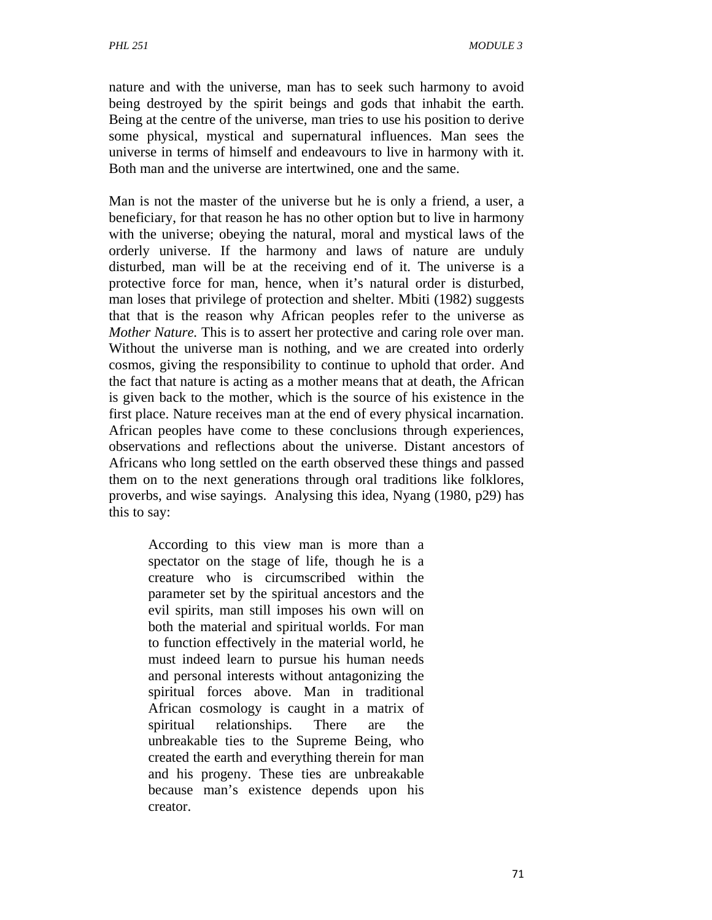nature and with the universe, man has to seek such harmony to avoid being destroyed by the spirit beings and gods that inhabit the earth. Being at the centre of the universe, man tries to use his position to derive some physical, mystical and supernatural influences. Man sees the universe in terms of himself and endeavours to live in harmony with it. Both man and the universe are intertwined, one and the same.

Man is not the master of the universe but he is only a friend, a user, a beneficiary, for that reason he has no other option but to live in harmony with the universe; obeying the natural, moral and mystical laws of the orderly universe. If the harmony and laws of nature are unduly disturbed, man will be at the receiving end of it. The universe is a protective force for man, hence, when it's natural order is disturbed, man loses that privilege of protection and shelter. Mbiti (1982) suggests that that is the reason why African peoples refer to the universe as *Mother Nature.* This is to assert her protective and caring role over man. Without the universe man is nothing, and we are created into orderly cosmos, giving the responsibility to continue to uphold that order. And the fact that nature is acting as a mother means that at death, the African is given back to the mother, which is the source of his existence in the first place. Nature receives man at the end of every physical incarnation. African peoples have come to these conclusions through experiences, observations and reflections about the universe. Distant ancestors of Africans who long settled on the earth observed these things and passed them on to the next generations through oral traditions like folklores, proverbs, and wise sayings. Analysing this idea, Nyang (1980, p29) has this to say:

According to this view man is more than a spectator on the stage of life, though he is a creature who is circumscribed within the parameter set by the spiritual ancestors and the evil spirits, man still imposes his own will on both the material and spiritual worlds. For man to function effectively in the material world, he must indeed learn to pursue his human needs and personal interests without antagonizing the spiritual forces above. Man in traditional African cosmology is caught in a matrix of spiritual relationships. There are the unbreakable ties to the Supreme Being, who created the earth and everything therein for man and his progeny. These ties are unbreakable because man's existence depends upon his creator.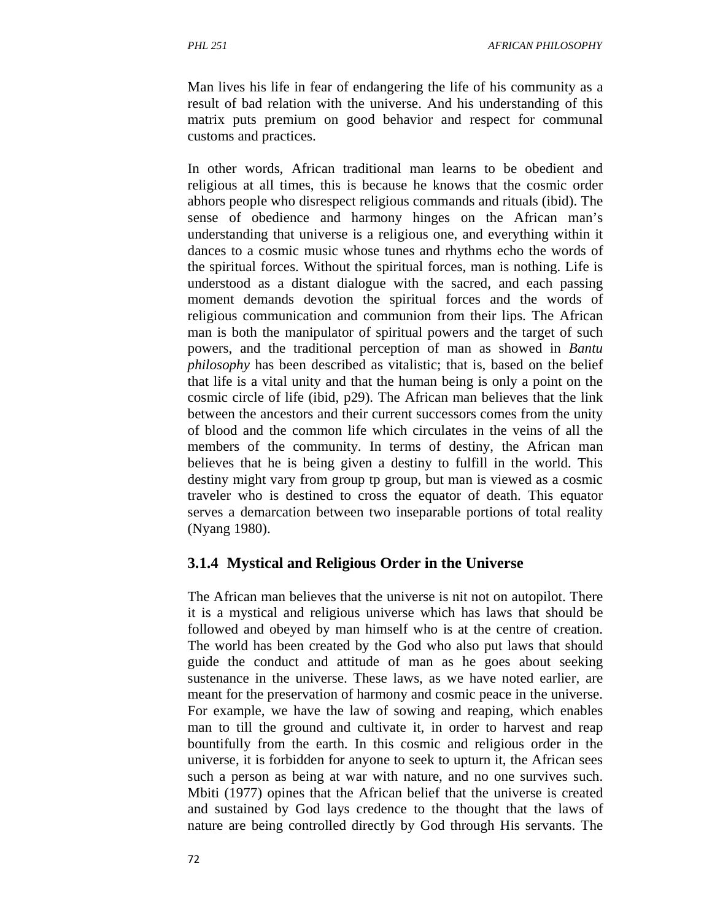Man lives his life in fear of endangering the life of his community as a result of bad relation with the universe. And his understanding of this matrix puts premium on good behavior and respect for communal customs and practices.

In other words, African traditional man learns to be obedient and religious at all times, this is because he knows that the cosmic order abhors people who disrespect religious commands and rituals (ibid). The sense of obedience and harmony hinges on the African man's understanding that universe is a religious one, and everything within it dances to a cosmic music whose tunes and rhythms echo the words of the spiritual forces. Without the spiritual forces, man is nothing. Life is understood as a distant dialogue with the sacred, and each passing moment demands devotion the spiritual forces and the words of religious communication and communion from their lips. The African man is both the manipulator of spiritual powers and the target of such powers, and the traditional perception of man as showed in *Bantu philosophy* has been described as vitalistic; that is, based on the belief that life is a vital unity and that the human being is only a point on the cosmic circle of life (ibid, p29). The African man believes that the link between the ancestors and their current successors comes from the unity of blood and the common life which circulates in the veins of all the members of the community. In terms of destiny, the African man believes that he is being given a destiny to fulfill in the world. This destiny might vary from group tp group, but man is viewed as a cosmic traveler who is destined to cross the equator of death. This equator serves a demarcation between two inseparable portions of total reality (Nyang 1980).

### **3.1.4 Mystical and Religious Order in the Universe**

The African man believes that the universe is nit not on autopilot. There it is a mystical and religious universe which has laws that should be followed and obeyed by man himself who is at the centre of creation. The world has been created by the God who also put laws that should guide the conduct and attitude of man as he goes about seeking sustenance in the universe. These laws, as we have noted earlier, are meant for the preservation of harmony and cosmic peace in the universe. For example, we have the law of sowing and reaping, which enables man to till the ground and cultivate it, in order to harvest and reap bountifully from the earth. In this cosmic and religious order in the universe, it is forbidden for anyone to seek to upturn it, the African sees such a person as being at war with nature, and no one survives such. Mbiti (1977) opines that the African belief that the universe is created and sustained by God lays credence to the thought that the laws of nature are being controlled directly by God through His servants. The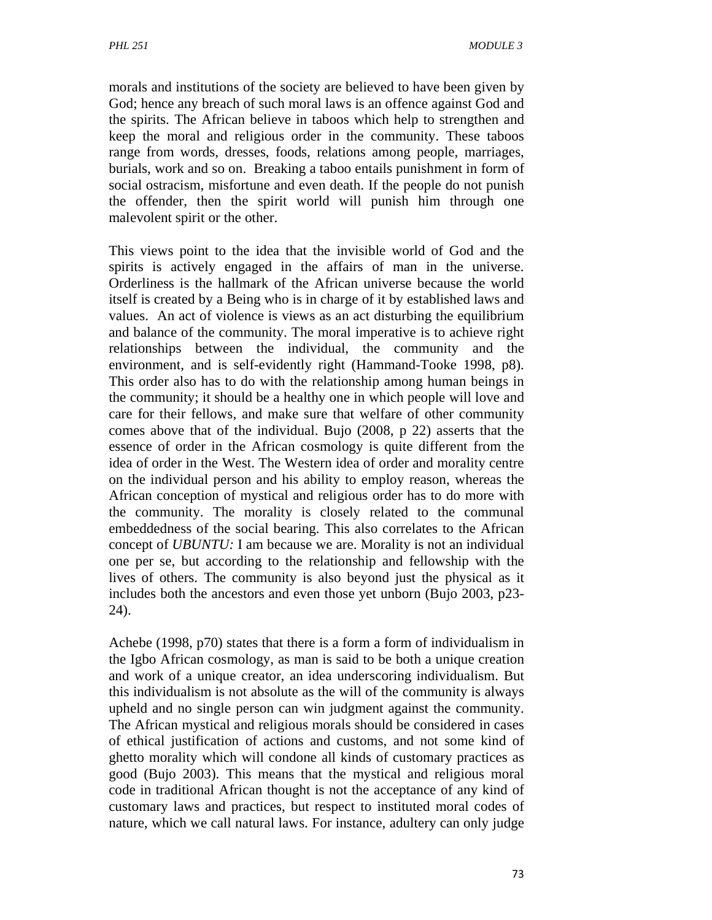morals and institutions of the society are believed to have been given by God; hence any breach of such moral laws is an offence against God and the spirits. The African believe in taboos which help to strengthen and keep the moral and religious order in the community. These taboos range from words, dresses, foods, relations among people, marriages, burials, work and so on. Breaking a taboo entails punishment in form of social ostracism, misfortune and even death. If the people do not punish the offender, then the spirit world will punish him through one malevolent spirit or the other.

This views point to the idea that the invisible world of God and the spirits is actively engaged in the affairs of man in the universe. Orderliness is the hallmark of the African universe because the world itself is created by a Being who is in charge of it by established laws and values. An act of violence is views as an act disturbing the equilibrium and balance of the community. The moral imperative is to achieve right relationships between the individual, the community and the environment, and is self-evidently right (Hammand-Tooke 1998, p8). This order also has to do with the relationship among human beings in the community; it should be a healthy one in which people will love and care for their fellows, and make sure that welfare of other community comes above that of the individual. Bujo (2008, p 22) asserts that the essence of order in the African cosmology is quite different from the idea of order in the West. The Western idea of order and morality centre on the individual person and his ability to employ reason, whereas the African conception of mystical and religious order has to do more with the community. The morality is closely related to the communal embeddedness of the social bearing. This also correlates to the African concept of *UBUNTU:* I am because we are. Morality is not an individual one per se, but according to the relationship and fellowship with the lives of others. The community is also beyond just the physical as it includes both the ancestors and even those yet unborn (Bujo 2003, p23- 24).

Achebe (1998, p70) states that there is a form a form of individualism in the Igbo African cosmology, as man is said to be both a unique creation and work of a unique creator, an idea underscoring individualism. But this individualism is not absolute as the will of the community is always upheld and no single person can win judgment against the community. The African mystical and religious morals should be considered in cases of ethical justification of actions and customs, and not some kind of ghetto morality which will condone all kinds of customary practices as good (Bujo 2003). This means that the mystical and religious moral code in traditional African thought is not the acceptance of any kind of customary laws and practices, but respect to instituted moral codes of nature, which we call natural laws. For instance, adultery can only judge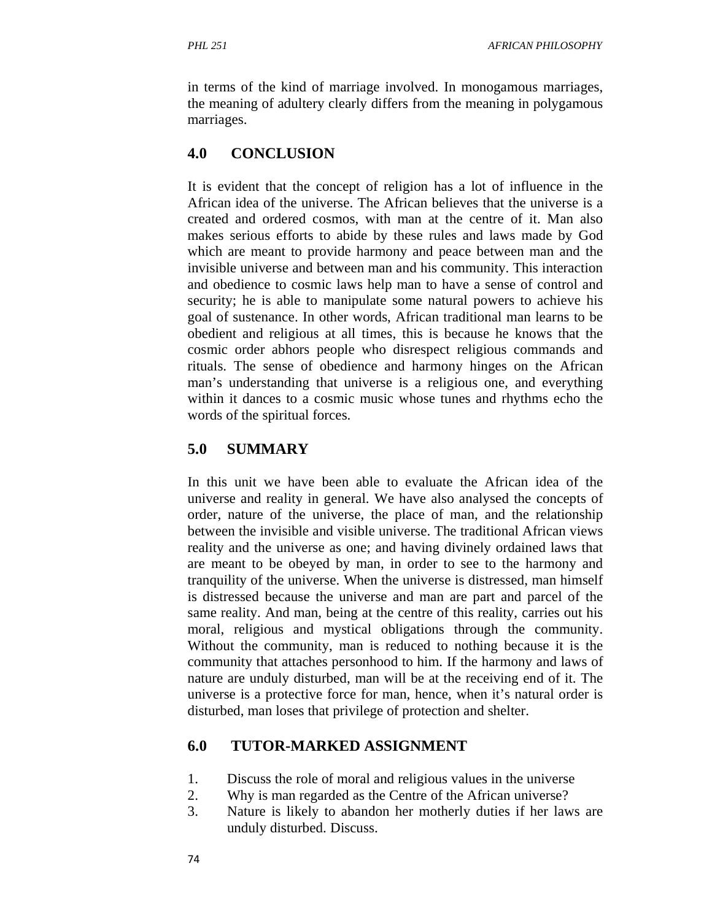in terms of the kind of marriage involved. In monogamous marriages, the meaning of adultery clearly differs from the meaning in polygamous marriages.

## **4.0 CONCLUSION**

It is evident that the concept of religion has a lot of influence in the African idea of the universe. The African believes that the universe is a created and ordered cosmos, with man at the centre of it. Man also makes serious efforts to abide by these rules and laws made by God which are meant to provide harmony and peace between man and the invisible universe and between man and his community. This interaction and obedience to cosmic laws help man to have a sense of control and security; he is able to manipulate some natural powers to achieve his goal of sustenance. In other words, African traditional man learns to be obedient and religious at all times, this is because he knows that the cosmic order abhors people who disrespect religious commands and rituals. The sense of obedience and harmony hinges on the African man's understanding that universe is a religious one, and everything within it dances to a cosmic music whose tunes and rhythms echo the words of the spiritual forces.

# **5.0 SUMMARY**

In this unit we have been able to evaluate the African idea of the universe and reality in general. We have also analysed the concepts of order, nature of the universe, the place of man, and the relationship between the invisible and visible universe. The traditional African views reality and the universe as one; and having divinely ordained laws that are meant to be obeyed by man, in order to see to the harmony and tranquility of the universe. When the universe is distressed, man himself is distressed because the universe and man are part and parcel of the same reality. And man, being at the centre of this reality, carries out his moral, religious and mystical obligations through the community. Without the community, man is reduced to nothing because it is the community that attaches personhood to him. If the harmony and laws of nature are unduly disturbed, man will be at the receiving end of it. The universe is a protective force for man, hence, when it's natural order is disturbed, man loses that privilege of protection and shelter.

## **6.0 TUTOR-MARKED ASSIGNMENT**

- 1. Discuss the role of moral and religious values in the universe
- 2. Why is man regarded as the Centre of the African universe?
- 3. Nature is likely to abandon her motherly duties if her laws are unduly disturbed. Discuss.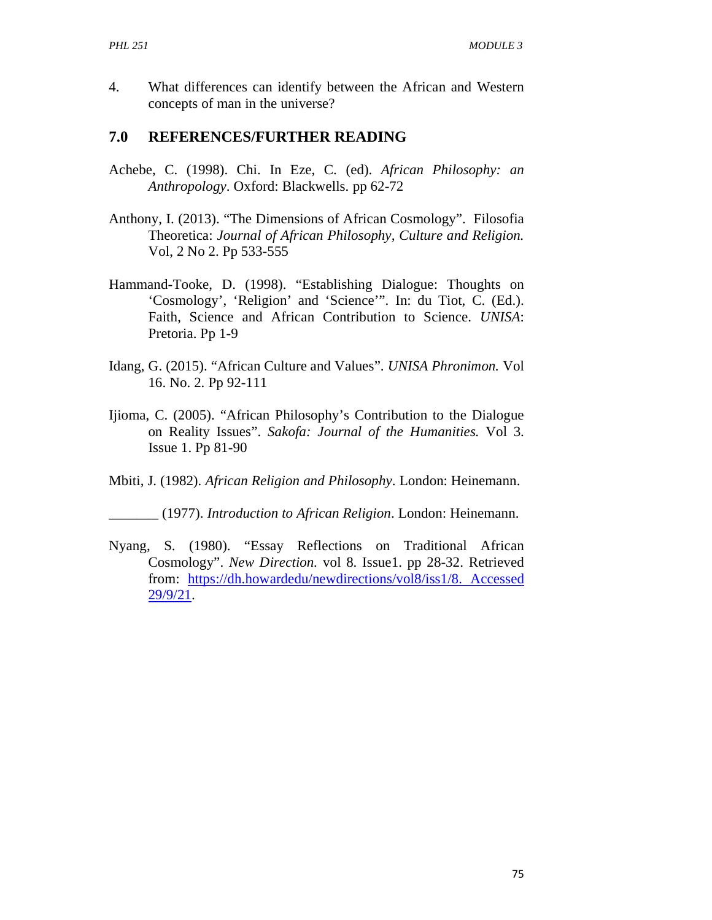4. What differences can identify between the African and Western concepts of man in the universe?

### **7.0 REFERENCES/FURTHER READING**

- Achebe, C. (1998). Chi. In Eze, C. (ed). *African Philosophy: an Anthropology*. Oxford: Blackwells. pp 62-72
- Anthony, I. (2013). "The Dimensions of African Cosmology". Filosofia Theoretica: *Journal of African Philosophy, Culture and Religion.*  Vol, 2 No 2. Pp 533-555
- Hammand-Tooke, D. (1998). "Establishing Dialogue: Thoughts on 'Cosmology', 'Religion' and 'Science'". In: du Tiot, C. (Ed.). Faith, Science and African Contribution to Science. *UNISA*: Pretoria. Pp 1-9
- Idang, G. (2015). "African Culture and Values". *UNISA Phronimon.* Vol 16. No. 2. Pp 92-111
- Ijioma, C. (2005). "African Philosophy's Contribution to the Dialogue on Reality Issues". *Sakofa: Journal of the Humanities.* Vol 3. Issue 1. Pp 81-90
- Mbiti, J. (1982). *African Religion and Philosophy*. London: Heinemann.

\_\_\_\_\_\_\_ (1977). *Introduction to African Religion*. London: Heinemann.

Nyang, S. (1980). "Essay Reflections on Traditional African Cosmology". *New Direction.* vol 8. Issue1. pp 28-32. Retrieved from: https://dh.howardedu/newdirections/vol8/iss1/8. Accessed 29/9/21.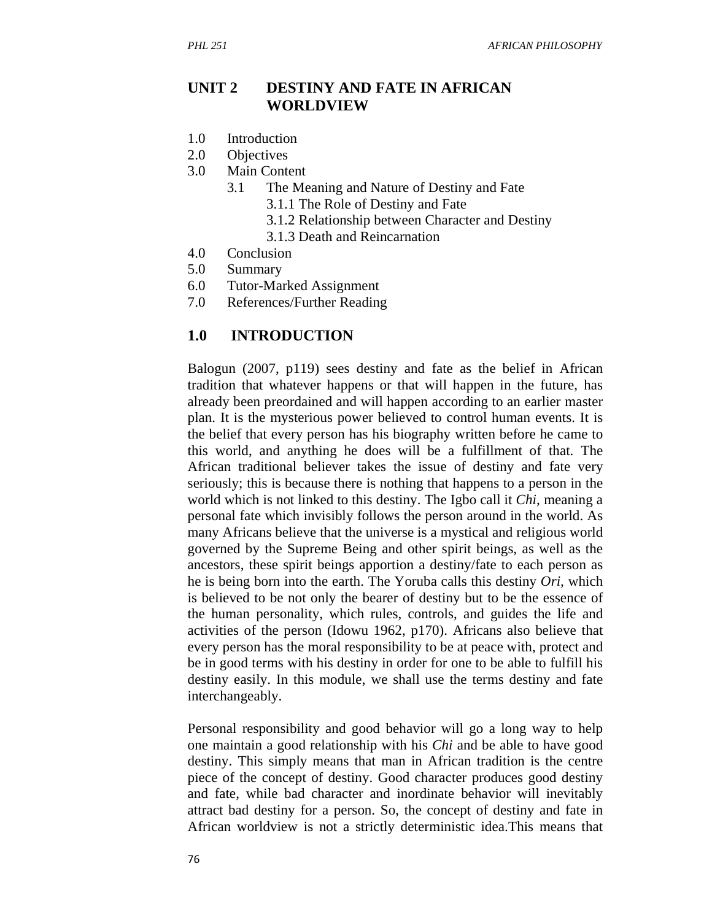### **UNIT 2 DESTINY AND FATE IN AFRICAN WORLDVIEW**

- 1.0 Introduction
- 2.0 Objectives
- 3.0 Main Content
	- 3.1 The Meaning and Nature of Destiny and Fate
		- 3.1.1 The Role of Destiny and Fate
		- 3.1.2 Relationship between Character and Destiny
		- 3.1.3 Death and Reincarnation
- 4.0 Conclusion
- 5.0 Summary
- 6.0 Tutor-Marked Assignment
- 7.0 References/Further Reading

#### **1.0 INTRODUCTION**

Balogun (2007, p119) sees destiny and fate as the belief in African tradition that whatever happens or that will happen in the future, has already been preordained and will happen according to an earlier master plan. It is the mysterious power believed to control human events. It is the belief that every person has his biography written before he came to this world, and anything he does will be a fulfillment of that. The African traditional believer takes the issue of destiny and fate very seriously; this is because there is nothing that happens to a person in the world which is not linked to this destiny. The Igbo call it *Chi,* meaning a personal fate which invisibly follows the person around in the world. As many Africans believe that the universe is a mystical and religious world governed by the Supreme Being and other spirit beings, as well as the ancestors, these spirit beings apportion a destiny/fate to each person as he is being born into the earth. The Yoruba calls this destiny *Ori,* which is believed to be not only the bearer of destiny but to be the essence of the human personality, which rules, controls, and guides the life and activities of the person (Idowu 1962, p170). Africans also believe that every person has the moral responsibility to be at peace with, protect and be in good terms with his destiny in order for one to be able to fulfill his destiny easily. In this module, we shall use the terms destiny and fate interchangeably.

Personal responsibility and good behavior will go a long way to help one maintain a good relationship with his *Chi* and be able to have good destiny. This simply means that man in African tradition is the centre piece of the concept of destiny. Good character produces good destiny and fate, while bad character and inordinate behavior will inevitably attract bad destiny for a person. So, the concept of destiny and fate in African worldview is not a strictly deterministic idea.This means that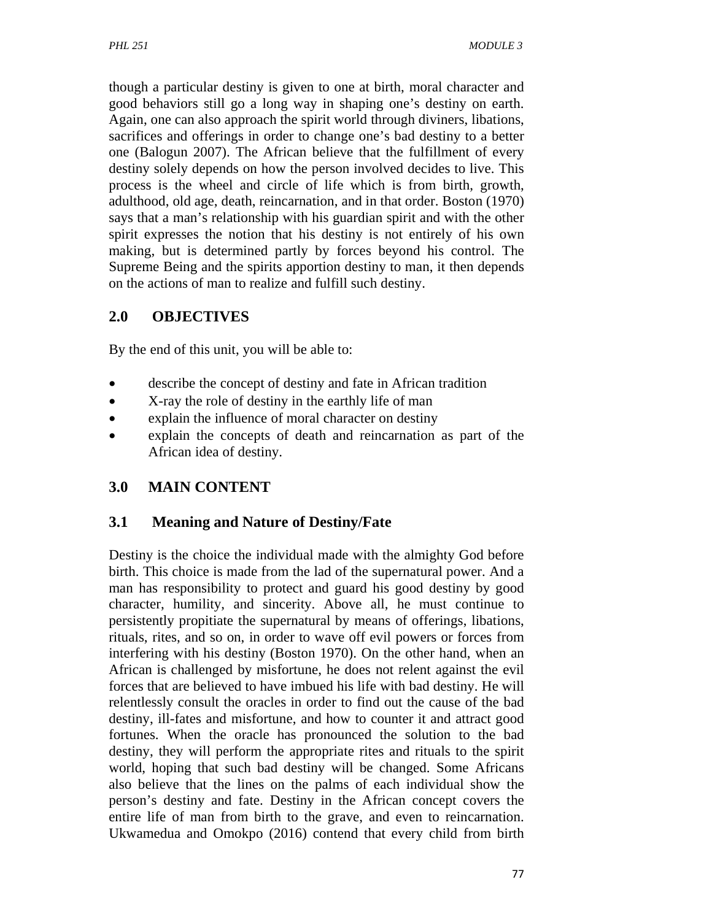though a particular destiny is given to one at birth, moral character and good behaviors still go a long way in shaping one's destiny on earth. Again, one can also approach the spirit world through diviners, libations, sacrifices and offerings in order to change one's bad destiny to a better one (Balogun 2007). The African believe that the fulfillment of every destiny solely depends on how the person involved decides to live. This process is the wheel and circle of life which is from birth, growth, adulthood, old age, death, reincarnation, and in that order. Boston (1970) says that a man's relationship with his guardian spirit and with the other spirit expresses the notion that his destiny is not entirely of his own making, but is determined partly by forces beyond his control. The Supreme Being and the spirits apportion destiny to man, it then depends on the actions of man to realize and fulfill such destiny.

## **2.0 OBJECTIVES**

By the end of this unit, you will be able to:

- describe the concept of destiny and fate in African tradition
- X-ray the role of destiny in the earthly life of man
- explain the influence of moral character on destiny
- explain the concepts of death and reincarnation as part of the African idea of destiny.

# **3.0 MAIN CONTENT**

# **3.1 Meaning and Nature of Destiny/Fate**

Destiny is the choice the individual made with the almighty God before birth. This choice is made from the lad of the supernatural power. And a man has responsibility to protect and guard his good destiny by good character, humility, and sincerity. Above all, he must continue to persistently propitiate the supernatural by means of offerings, libations, rituals, rites, and so on, in order to wave off evil powers or forces from interfering with his destiny (Boston 1970). On the other hand, when an African is challenged by misfortune, he does not relent against the evil forces that are believed to have imbued his life with bad destiny. He will relentlessly consult the oracles in order to find out the cause of the bad destiny, ill-fates and misfortune, and how to counter it and attract good fortunes. When the oracle has pronounced the solution to the bad destiny, they will perform the appropriate rites and rituals to the spirit world, hoping that such bad destiny will be changed. Some Africans also believe that the lines on the palms of each individual show the person's destiny and fate. Destiny in the African concept covers the entire life of man from birth to the grave, and even to reincarnation. Ukwamedua and Omokpo (2016) contend that every child from birth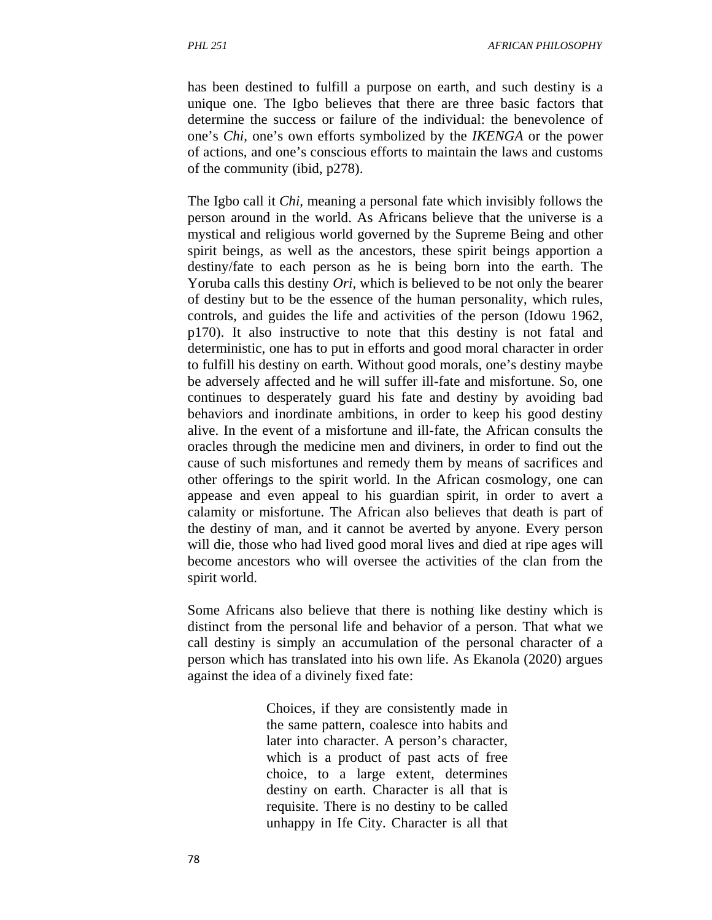*PHL 251 AFRICAN PHILOSOPHY*

has been destined to fulfill a purpose on earth, and such destiny is a unique one. The Igbo believes that there are three basic factors that determine the success or failure of the individual: the benevolence of one's *Chi,* one's own efforts symbolized by the *IKENGA* or the power of actions, and one's conscious efforts to maintain the laws and customs of the community (ibid, p278).

The Igbo call it *Chi,* meaning a personal fate which invisibly follows the person around in the world. As Africans believe that the universe is a mystical and religious world governed by the Supreme Being and other spirit beings, as well as the ancestors, these spirit beings apportion a destiny/fate to each person as he is being born into the earth. The Yoruba calls this destiny *Ori,* which is believed to be not only the bearer of destiny but to be the essence of the human personality, which rules, controls, and guides the life and activities of the person (Idowu 1962, p170). It also instructive to note that this destiny is not fatal and deterministic, one has to put in efforts and good moral character in order to fulfill his destiny on earth. Without good morals, one's destiny maybe be adversely affected and he will suffer ill-fate and misfortune. So, one continues to desperately guard his fate and destiny by avoiding bad behaviors and inordinate ambitions, in order to keep his good destiny alive. In the event of a misfortune and ill-fate, the African consults the oracles through the medicine men and diviners, in order to find out the cause of such misfortunes and remedy them by means of sacrifices and other offerings to the spirit world. In the African cosmology, one can appease and even appeal to his guardian spirit, in order to avert a calamity or misfortune. The African also believes that death is part of the destiny of man, and it cannot be averted by anyone. Every person will die, those who had lived good moral lives and died at ripe ages will become ancestors who will oversee the activities of the clan from the spirit world.

Some Africans also believe that there is nothing like destiny which is distinct from the personal life and behavior of a person. That what we call destiny is simply an accumulation of the personal character of a person which has translated into his own life. As Ekanola (2020) argues against the idea of a divinely fixed fate:

> Choices, if they are consistently made in the same pattern, coalesce into habits and later into character. A person's character, which is a product of past acts of free choice, to a large extent, determines destiny on earth. Character is all that is requisite. There is no destiny to be called unhappy in Ife City. Character is all that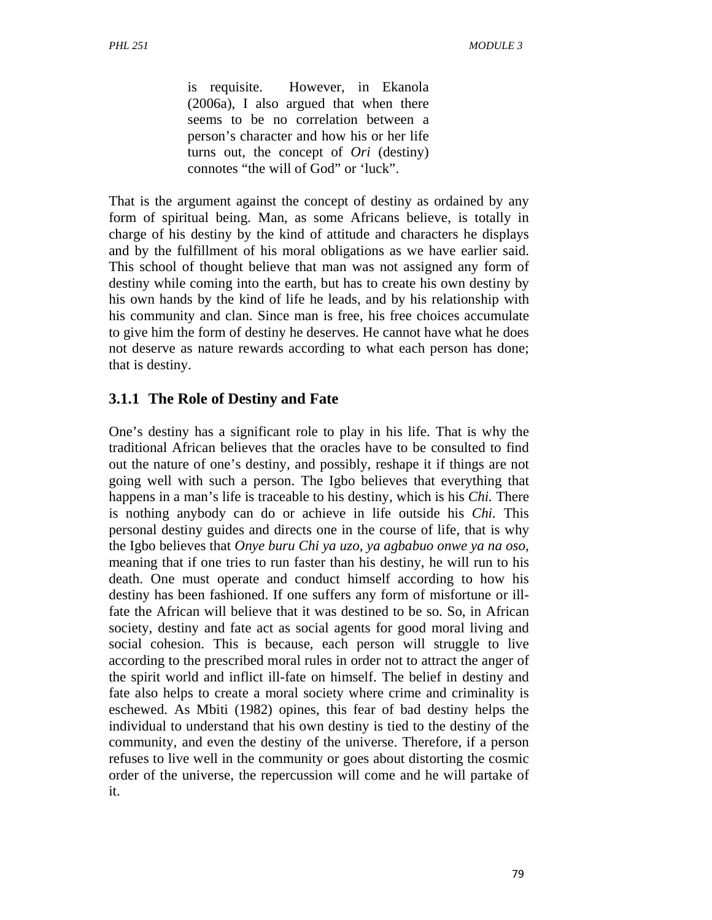is requisite. However, in Ekanola (2006a), I also argued that when there seems to be no correlation between a person's character and how his or her life turns out, the concept of *Ori* (destiny) connotes "the will of God" or 'luck".

That is the argument against the concept of destiny as ordained by any form of spiritual being. Man, as some Africans believe, is totally in charge of his destiny by the kind of attitude and characters he displays and by the fulfillment of his moral obligations as we have earlier said. This school of thought believe that man was not assigned any form of destiny while coming into the earth, but has to create his own destiny by his own hands by the kind of life he leads, and by his relationship with his community and clan. Since man is free, his free choices accumulate to give him the form of destiny he deserves. He cannot have what he does not deserve as nature rewards according to what each person has done; that is destiny.

## **3.1.1 The Role of Destiny and Fate**

One's destiny has a significant role to play in his life. That is why the traditional African believes that the oracles have to be consulted to find out the nature of one's destiny, and possibly, reshape it if things are not going well with such a person. The Igbo believes that everything that happens in a man's life is traceable to his destiny, which is his *Chi.* There is nothing anybody can do or achieve in life outside his *Chi.* This personal destiny guides and directs one in the course of life, that is why the Igbo believes that *Onye buru Chi ya uzo, ya agbabuo onwe ya na oso,* meaning that if one tries to run faster than his destiny, he will run to his death. One must operate and conduct himself according to how his destiny has been fashioned. If one suffers any form of misfortune or illfate the African will believe that it was destined to be so. So, in African society, destiny and fate act as social agents for good moral living and social cohesion. This is because, each person will struggle to live according to the prescribed moral rules in order not to attract the anger of the spirit world and inflict ill-fate on himself. The belief in destiny and fate also helps to create a moral society where crime and criminality is eschewed. As Mbiti (1982) opines, this fear of bad destiny helps the individual to understand that his own destiny is tied to the destiny of the community, and even the destiny of the universe. Therefore, if a person refuses to live well in the community or goes about distorting the cosmic order of the universe, the repercussion will come and he will partake of it.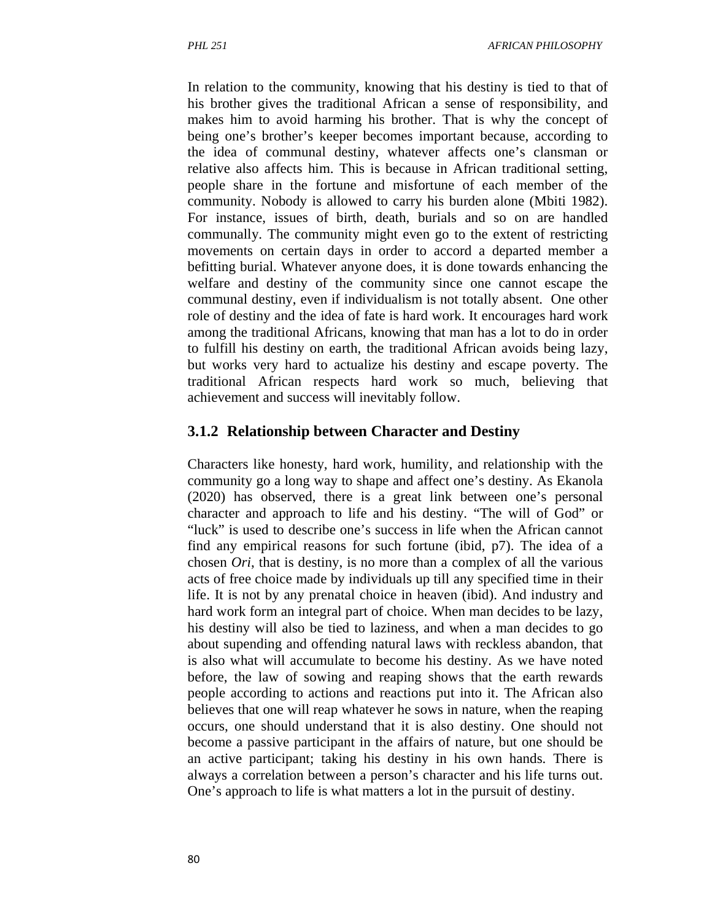In relation to the community, knowing that his destiny is tied to that of his brother gives the traditional African a sense of responsibility, and makes him to avoid harming his brother. That is why the concept of being one's brother's keeper becomes important because, according to the idea of communal destiny, whatever affects one's clansman or relative also affects him. This is because in African traditional setting, people share in the fortune and misfortune of each member of the community. Nobody is allowed to carry his burden alone (Mbiti 1982). For instance, issues of birth, death, burials and so on are handled communally. The community might even go to the extent of restricting movements on certain days in order to accord a departed member a befitting burial. Whatever anyone does, it is done towards enhancing the welfare and destiny of the community since one cannot escape the communal destiny, even if individualism is not totally absent. One other role of destiny and the idea of fate is hard work. It encourages hard work among the traditional Africans, knowing that man has a lot to do in order to fulfill his destiny on earth, the traditional African avoids being lazy, but works very hard to actualize his destiny and escape poverty. The traditional African respects hard work so much, believing that achievement and success will inevitably follow.

#### **3.1.2 Relationship between Character and Destiny**

Characters like honesty, hard work, humility, and relationship with the community go a long way to shape and affect one's destiny. As Ekanola (2020) has observed, there is a great link between one's personal character and approach to life and his destiny. "The will of God" or "luck" is used to describe one's success in life when the African cannot find any empirical reasons for such fortune (ibid, p7). The idea of a chosen *Ori*, that is destiny, is no more than a complex of all the various acts of free choice made by individuals up till any specified time in their life. It is not by any prenatal choice in heaven (ibid). And industry and hard work form an integral part of choice. When man decides to be lazy, his destiny will also be tied to laziness, and when a man decides to go about supending and offending natural laws with reckless abandon, that is also what will accumulate to become his destiny. As we have noted before, the law of sowing and reaping shows that the earth rewards people according to actions and reactions put into it. The African also believes that one will reap whatever he sows in nature, when the reaping occurs, one should understand that it is also destiny. One should not become a passive participant in the affairs of nature, but one should be an active participant; taking his destiny in his own hands. There is always a correlation between a person's character and his life turns out. One's approach to life is what matters a lot in the pursuit of destiny.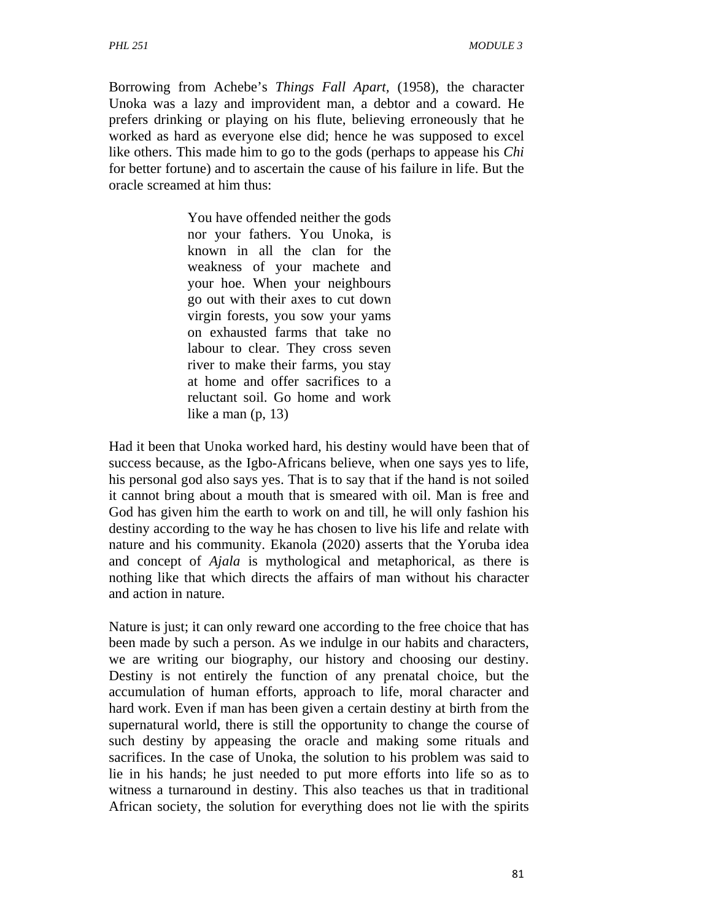Borrowing from Achebe's *Things Fall Apart,* (1958), the character Unoka was a lazy and improvident man, a debtor and a coward. He prefers drinking or playing on his flute, believing erroneously that he worked as hard as everyone else did; hence he was supposed to excel like others. This made him to go to the gods (perhaps to appease his *Chi*  for better fortune) and to ascertain the cause of his failure in life. But the oracle screamed at him thus:

> You have offended neither the gods nor your fathers. You Unoka, is known in all the clan for the weakness of your machete and your hoe. When your neighbours go out with their axes to cut down virgin forests, you sow your yams on exhausted farms that take no labour to clear. They cross seven river to make their farms, you stay at home and offer sacrifices to a reluctant soil. Go home and work like a man (p, 13)

Had it been that Unoka worked hard, his destiny would have been that of success because, as the Igbo-Africans believe, when one says yes to life, his personal god also says yes. That is to say that if the hand is not soiled it cannot bring about a mouth that is smeared with oil. Man is free and God has given him the earth to work on and till, he will only fashion his destiny according to the way he has chosen to live his life and relate with nature and his community. Ekanola (2020) asserts that the Yoruba idea and concept of *Ajala* is mythological and metaphorical, as there is nothing like that which directs the affairs of man without his character and action in nature.

Nature is just; it can only reward one according to the free choice that has been made by such a person. As we indulge in our habits and characters, we are writing our biography, our history and choosing our destiny. Destiny is not entirely the function of any prenatal choice, but the accumulation of human efforts, approach to life, moral character and hard work. Even if man has been given a certain destiny at birth from the supernatural world, there is still the opportunity to change the course of such destiny by appeasing the oracle and making some rituals and sacrifices. In the case of Unoka, the solution to his problem was said to lie in his hands; he just needed to put more efforts into life so as to witness a turnaround in destiny. This also teaches us that in traditional African society, the solution for everything does not lie with the spirits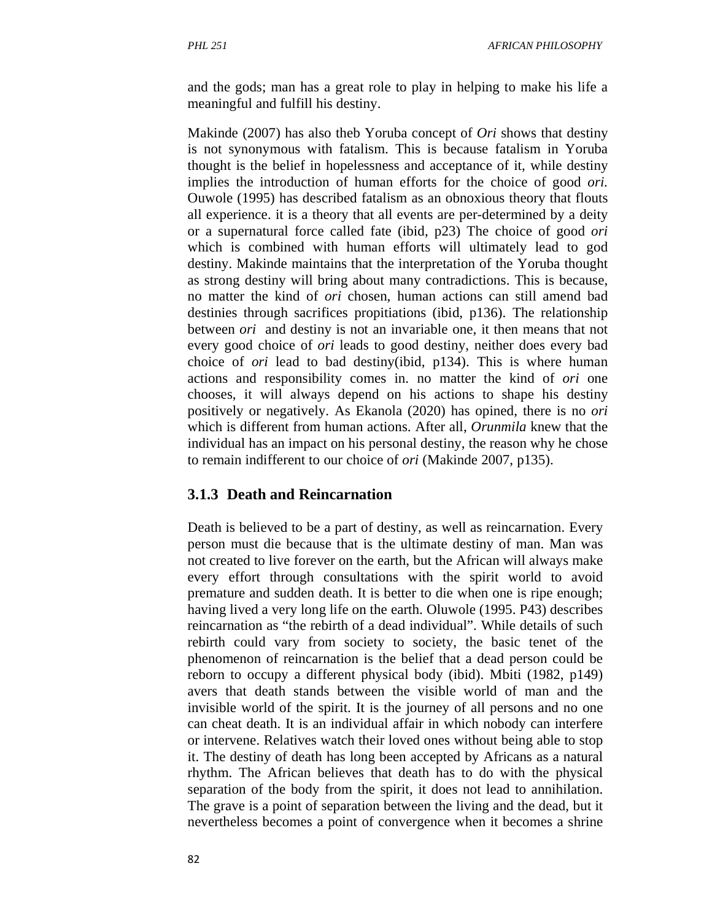and the gods; man has a great role to play in helping to make his life a meaningful and fulfill his destiny.

Makinde (2007) has also theb Yoruba concept of *Ori* shows that destiny is not synonymous with fatalism. This is because fatalism in Yoruba thought is the belief in hopelessness and acceptance of it, while destiny implies the introduction of human efforts for the choice of good *ori.*  Ouwole (1995) has described fatalism as an obnoxious theory that flouts all experience. it is a theory that all events are per-determined by a deity or a supernatural force called fate (ibid, p23) The choice of good *ori*  which is combined with human efforts will ultimately lead to god destiny. Makinde maintains that the interpretation of the Yoruba thought as strong destiny will bring about many contradictions. This is because, no matter the kind of *ori* chosen, human actions can still amend bad destinies through sacrifices propitiations (ibid, p136). The relationship between *ori* and destiny is not an invariable one, it then means that not every good choice of *ori* leads to good destiny, neither does every bad choice of *ori* lead to bad destiny(ibid, p134). This is where human actions and responsibility comes in. no matter the kind of *ori* one chooses, it will always depend on his actions to shape his destiny positively or negatively. As Ekanola (2020) has opined, there is no *ori*  which is different from human actions. After all, *Orunmila* knew that the individual has an impact on his personal destiny, the reason why he chose to remain indifferent to our choice of *ori* (Makinde 2007, p135).

### **3.1.3 Death and Reincarnation**

Death is believed to be a part of destiny, as well as reincarnation. Every person must die because that is the ultimate destiny of man. Man was not created to live forever on the earth, but the African will always make every effort through consultations with the spirit world to avoid premature and sudden death. It is better to die when one is ripe enough; having lived a very long life on the earth. Oluwole (1995. P43) describes reincarnation as "the rebirth of a dead individual". While details of such rebirth could vary from society to society, the basic tenet of the phenomenon of reincarnation is the belief that a dead person could be reborn to occupy a different physical body (ibid). Mbiti (1982, p149) avers that death stands between the visible world of man and the invisible world of the spirit. It is the journey of all persons and no one can cheat death. It is an individual affair in which nobody can interfere or intervene. Relatives watch their loved ones without being able to stop it. The destiny of death has long been accepted by Africans as a natural rhythm. The African believes that death has to do with the physical separation of the body from the spirit, it does not lead to annihilation. The grave is a point of separation between the living and the dead, but it nevertheless becomes a point of convergence when it becomes a shrine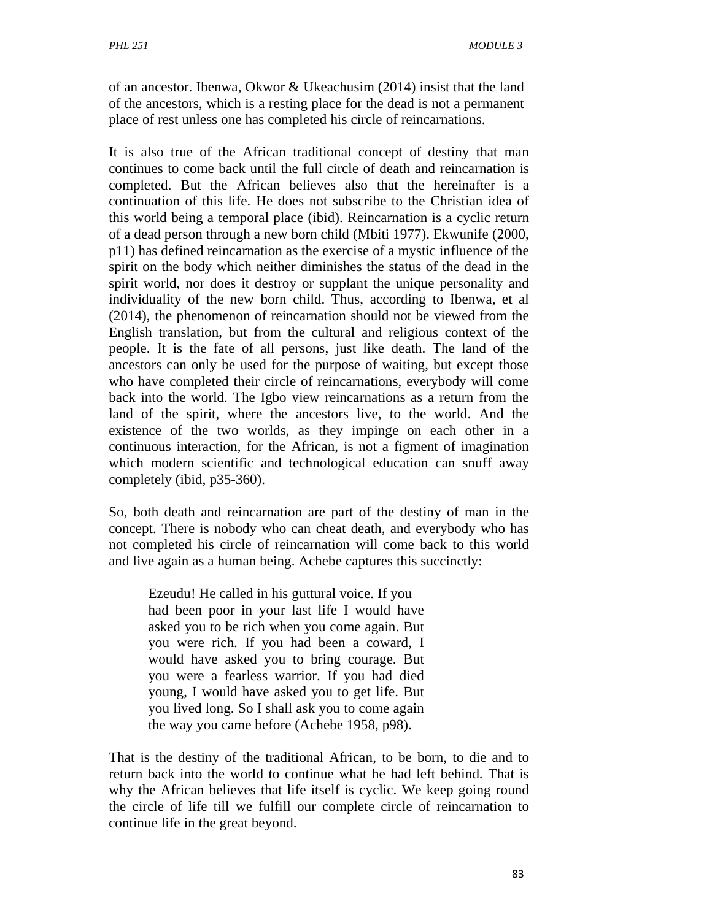of an ancestor. Ibenwa, Okwor & Ukeachusim (2014) insist that the land of the ancestors, which is a resting place for the dead is not a permanent place of rest unless one has completed his circle of reincarnations.

It is also true of the African traditional concept of destiny that man continues to come back until the full circle of death and reincarnation is completed. But the African believes also that the hereinafter is a continuation of this life. He does not subscribe to the Christian idea of this world being a temporal place (ibid). Reincarnation is a cyclic return of a dead person through a new born child (Mbiti 1977). Ekwunife (2000, p11) has defined reincarnation as the exercise of a mystic influence of the spirit on the body which neither diminishes the status of the dead in the spirit world, nor does it destroy or supplant the unique personality and individuality of the new born child. Thus, according to Ibenwa, et al (2014), the phenomenon of reincarnation should not be viewed from the English translation, but from the cultural and religious context of the people. It is the fate of all persons, just like death. The land of the ancestors can only be used for the purpose of waiting, but except those who have completed their circle of reincarnations, everybody will come back into the world. The Igbo view reincarnations as a return from the land of the spirit, where the ancestors live, to the world. And the existence of the two worlds, as they impinge on each other in a continuous interaction, for the African, is not a figment of imagination which modern scientific and technological education can snuff away completely (ibid, p35-360).

So, both death and reincarnation are part of the destiny of man in the concept. There is nobody who can cheat death, and everybody who has not completed his circle of reincarnation will come back to this world and live again as a human being. Achebe captures this succinctly:

Ezeudu! He called in his guttural voice. If you had been poor in your last life I would have asked you to be rich when you come again. But you were rich. If you had been a coward, I would have asked you to bring courage. But you were a fearless warrior. If you had died young, I would have asked you to get life. But you lived long. So I shall ask you to come again the way you came before (Achebe 1958, p98).

That is the destiny of the traditional African, to be born, to die and to return back into the world to continue what he had left behind. That is why the African believes that life itself is cyclic. We keep going round the circle of life till we fulfill our complete circle of reincarnation to continue life in the great beyond.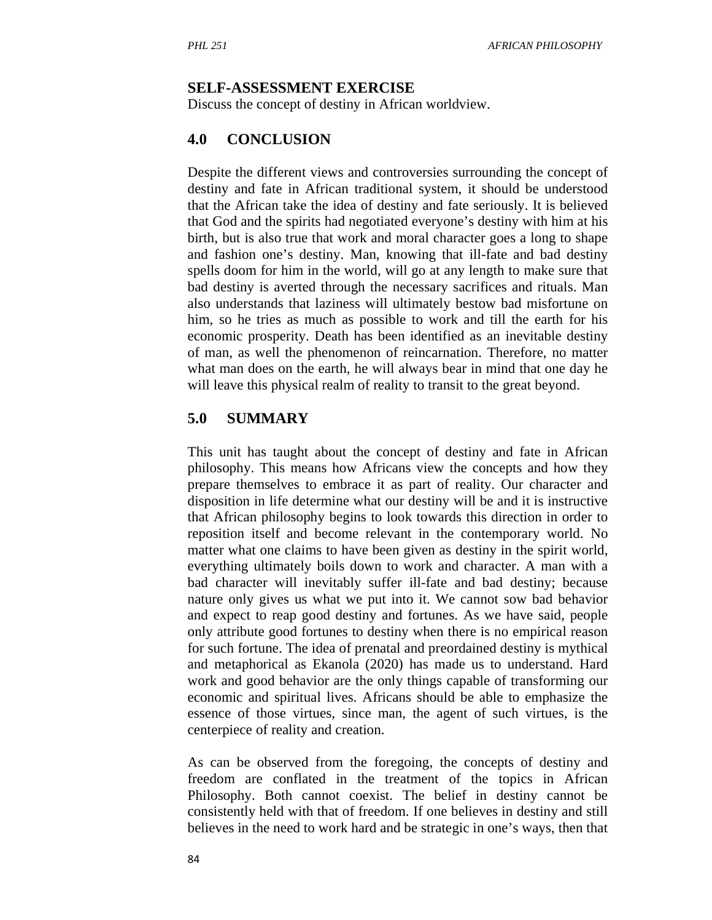#### **SELF-ASSESSMENT EXERCISE**

Discuss the concept of destiny in African worldview.

#### **4.0 CONCLUSION**

Despite the different views and controversies surrounding the concept of destiny and fate in African traditional system, it should be understood that the African take the idea of destiny and fate seriously. It is believed that God and the spirits had negotiated everyone's destiny with him at his birth, but is also true that work and moral character goes a long to shape and fashion one's destiny. Man, knowing that ill-fate and bad destiny spells doom for him in the world, will go at any length to make sure that bad destiny is averted through the necessary sacrifices and rituals. Man also understands that laziness will ultimately bestow bad misfortune on him, so he tries as much as possible to work and till the earth for his economic prosperity. Death has been identified as an inevitable destiny of man, as well the phenomenon of reincarnation. Therefore, no matter what man does on the earth, he will always bear in mind that one day he will leave this physical realm of reality to transit to the great beyond.

#### **5.0 SUMMARY**

This unit has taught about the concept of destiny and fate in African philosophy. This means how Africans view the concepts and how they prepare themselves to embrace it as part of reality. Our character and disposition in life determine what our destiny will be and it is instructive that African philosophy begins to look towards this direction in order to reposition itself and become relevant in the contemporary world. No matter what one claims to have been given as destiny in the spirit world, everything ultimately boils down to work and character. A man with a bad character will inevitably suffer ill-fate and bad destiny; because nature only gives us what we put into it. We cannot sow bad behavior and expect to reap good destiny and fortunes. As we have said, people only attribute good fortunes to destiny when there is no empirical reason for such fortune. The idea of prenatal and preordained destiny is mythical and metaphorical as Ekanola (2020) has made us to understand. Hard work and good behavior are the only things capable of transforming our economic and spiritual lives. Africans should be able to emphasize the essence of those virtues, since man, the agent of such virtues, is the centerpiece of reality and creation.

As can be observed from the foregoing, the concepts of destiny and freedom are conflated in the treatment of the topics in African Philosophy. Both cannot coexist. The belief in destiny cannot be consistently held with that of freedom. If one believes in destiny and still believes in the need to work hard and be strategic in one's ways, then that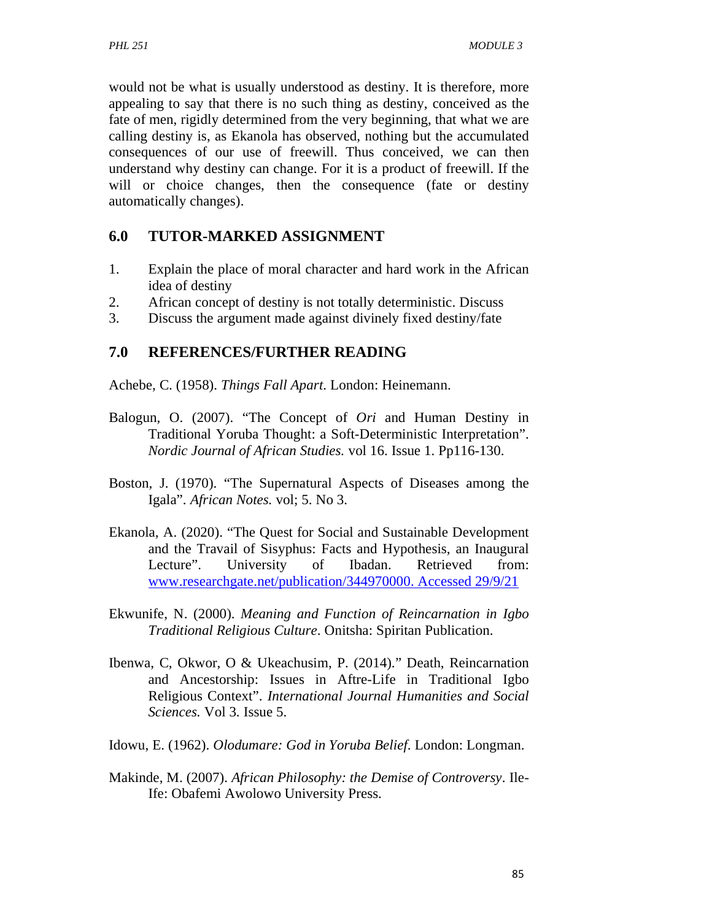would not be what is usually understood as destiny. It is therefore, more appealing to say that there is no such thing as destiny, conceived as the fate of men, rigidly determined from the very beginning, that what we are calling destiny is, as Ekanola has observed, nothing but the accumulated consequences of our use of freewill. Thus conceived, we can then understand why destiny can change. For it is a product of freewill. If the will or choice changes, then the consequence (fate or destiny automatically changes).

### **6.0 TUTOR-MARKED ASSIGNMENT**

- 1. Explain the place of moral character and hard work in the African idea of destiny
- 2. African concept of destiny is not totally deterministic. Discuss
- 3. Discuss the argument made against divinely fixed destiny/fate

## **7.0 REFERENCES/FURTHER READING**

Achebe, C. (1958). *Things Fall Apart*. London: Heinemann.

- Balogun, O. (2007). "The Concept of *Ori* and Human Destiny in Traditional Yoruba Thought: a Soft-Deterministic Interpretation". *Nordic Journal of African Studies.* vol 16. Issue 1. Pp116-130.
- Boston, J. (1970). "The Supernatural Aspects of Diseases among the Igala". *African Notes.* vol; 5. No 3.
- Ekanola, A. (2020). "The Quest for Social and Sustainable Development and the Travail of Sisyphus: Facts and Hypothesis, an Inaugural Lecture". University of Ibadan. Retrieved from: www.researchgate.net/publication/344970000. Accessed 29/9/21
- Ekwunife, N. (2000). *Meaning and Function of Reincarnation in Igbo Traditional Religious Culture*. Onitsha: Spiritan Publication.
- Ibenwa, C, Okwor, O & Ukeachusim, P. (2014)." Death, Reincarnation and Ancestorship: Issues in Aftre-Life in Traditional Igbo Religious Context". *International Journal Humanities and Social Sciences.* Vol 3. Issue 5.
- Idowu, E. (1962). *Olodumare: God in Yoruba Belief*. London: Longman.
- Makinde, M. (2007). *African Philosophy: the Demise of Controversy*. Ile-Ife: Obafemi Awolowo University Press.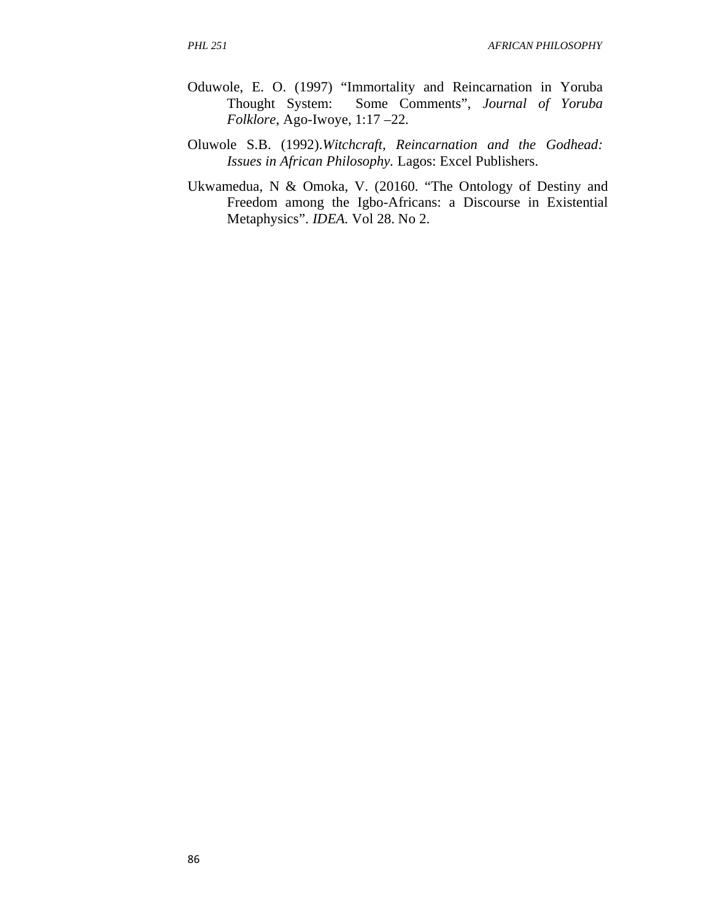- Oduwole, E. O. (1997) "Immortality and Reincarnation in Yoruba<br>Thought System: Some Comments", Journal of Yoruba Some Comments", *Journal of Yoruba Folklore*, Ago-Iwoye, 1:17 –22.
- Oluwole S.B. (1992).*Witchcraft, Reincarnation and the Godhead: Issues in African Philosophy.* Lagos: Excel Publishers.
- Ukwamedua, N & Omoka, V. (20160. "The Ontology of Destiny and Freedom among the Igbo-Africans: a Discourse in Existential Metaphysics". *IDEA.* Vol 28. No 2.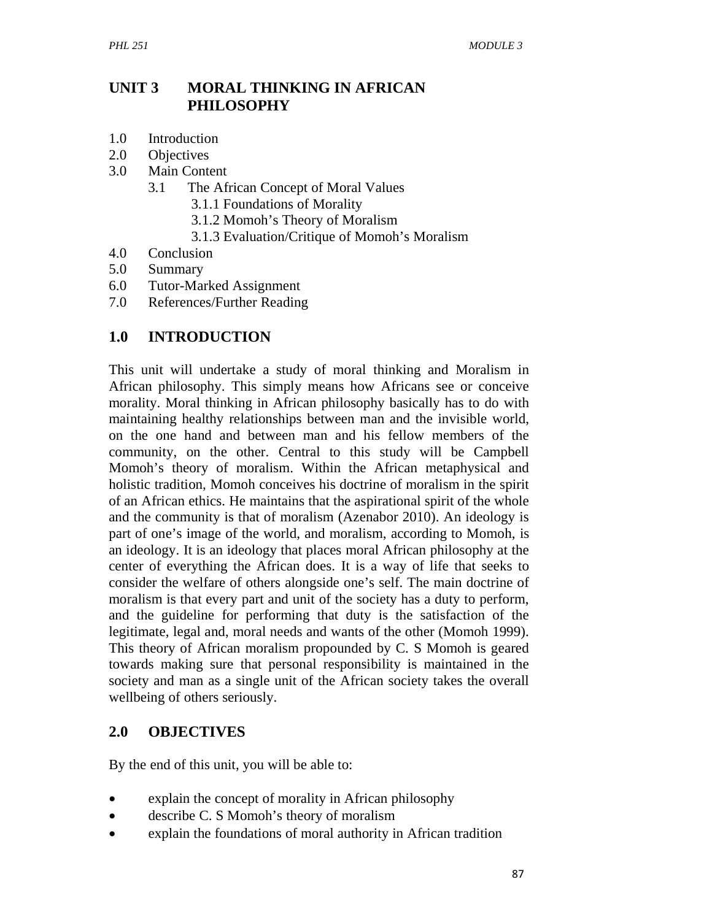### **UNIT 3 MORAL THINKING IN AFRICAN PHILOSOPHY**

- 1.0 Introduction
- 2.0 Objectives
- 3.0 Main Content
	- 3.1 The African Concept of Moral Values
		- 3.1.1 Foundations of Morality
		- 3.1.2 Momoh's Theory of Moralism
		- 3.1.3 Evaluation/Critique of Momoh's Moralism
- 4.0 Conclusion
- 5.0 Summary
- 6.0 Tutor-Marked Assignment
- 7.0 References/Further Reading

### **1.0 INTRODUCTION**

This unit will undertake a study of moral thinking and Moralism in African philosophy. This simply means how Africans see or conceive morality. Moral thinking in African philosophy basically has to do with maintaining healthy relationships between man and the invisible world, on the one hand and between man and his fellow members of the community, on the other. Central to this study will be Campbell Momoh's theory of moralism. Within the African metaphysical and holistic tradition, Momoh conceives his doctrine of moralism in the spirit of an African ethics. He maintains that the aspirational spirit of the whole and the community is that of moralism (Azenabor 2010). An ideology is part of one's image of the world, and moralism, according to Momoh, is an ideology. It is an ideology that places moral African philosophy at the center of everything the African does. It is a way of life that seeks to consider the welfare of others alongside one's self. The main doctrine of moralism is that every part and unit of the society has a duty to perform, and the guideline for performing that duty is the satisfaction of the legitimate, legal and, moral needs and wants of the other (Momoh 1999). This theory of African moralism propounded by C. S Momoh is geared towards making sure that personal responsibility is maintained in the society and man as a single unit of the African society takes the overall wellbeing of others seriously.

### **2.0 OBJECTIVES**

By the end of this unit, you will be able to:

- explain the concept of morality in African philosophy
- describe C. S Momoh's theory of moralism
- explain the foundations of moral authority in African tradition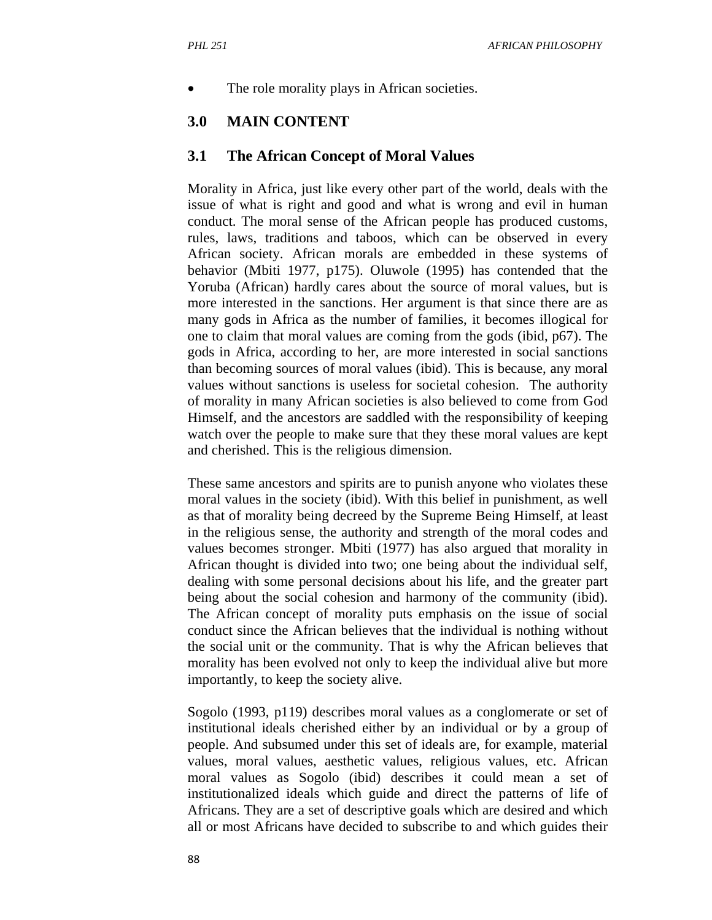The role morality plays in African societies.

### **3.0 MAIN CONTENT**

#### **3.1 The African Concept of Moral Values**

Morality in Africa, just like every other part of the world, deals with the issue of what is right and good and what is wrong and evil in human conduct. The moral sense of the African people has produced customs, rules, laws, traditions and taboos, which can be observed in every African society. African morals are embedded in these systems of behavior (Mbiti 1977, p175). Oluwole (1995) has contended that the Yoruba (African) hardly cares about the source of moral values, but is more interested in the sanctions. Her argument is that since there are as many gods in Africa as the number of families, it becomes illogical for one to claim that moral values are coming from the gods (ibid, p67). The gods in Africa, according to her, are more interested in social sanctions than becoming sources of moral values (ibid). This is because, any moral values without sanctions is useless for societal cohesion. The authority of morality in many African societies is also believed to come from God Himself, and the ancestors are saddled with the responsibility of keeping watch over the people to make sure that they these moral values are kept and cherished. This is the religious dimension.

These same ancestors and spirits are to punish anyone who violates these moral values in the society (ibid). With this belief in punishment, as well as that of morality being decreed by the Supreme Being Himself, at least in the religious sense, the authority and strength of the moral codes and values becomes stronger. Mbiti (1977) has also argued that morality in African thought is divided into two; one being about the individual self, dealing with some personal decisions about his life, and the greater part being about the social cohesion and harmony of the community (ibid). The African concept of morality puts emphasis on the issue of social conduct since the African believes that the individual is nothing without the social unit or the community. That is why the African believes that morality has been evolved not only to keep the individual alive but more importantly, to keep the society alive.

Sogolo (1993, p119) describes moral values as a conglomerate or set of institutional ideals cherished either by an individual or by a group of people. And subsumed under this set of ideals are, for example, material values, moral values, aesthetic values, religious values, etc. African moral values as Sogolo (ibid) describes it could mean a set of institutionalized ideals which guide and direct the patterns of life of Africans. They are a set of descriptive goals which are desired and which all or most Africans have decided to subscribe to and which guides their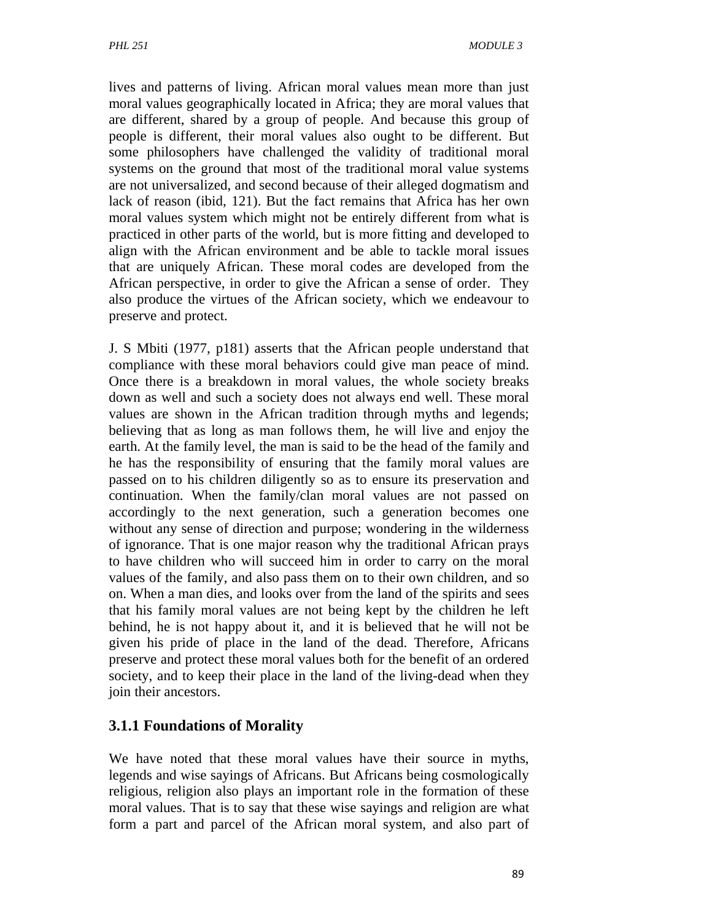lives and patterns of living. African moral values mean more than just moral values geographically located in Africa; they are moral values that are different, shared by a group of people. And because this group of people is different, their moral values also ought to be different. But some philosophers have challenged the validity of traditional moral systems on the ground that most of the traditional moral value systems are not universalized, and second because of their alleged dogmatism and lack of reason (ibid, 121). But the fact remains that Africa has her own moral values system which might not be entirely different from what is practiced in other parts of the world, but is more fitting and developed to align with the African environment and be able to tackle moral issues that are uniquely African. These moral codes are developed from the African perspective, in order to give the African a sense of order. They also produce the virtues of the African society, which we endeavour to preserve and protect.

J. S Mbiti (1977, p181) asserts that the African people understand that compliance with these moral behaviors could give man peace of mind. Once there is a breakdown in moral values, the whole society breaks down as well and such a society does not always end well. These moral values are shown in the African tradition through myths and legends; believing that as long as man follows them, he will live and enjoy the earth. At the family level, the man is said to be the head of the family and he has the responsibility of ensuring that the family moral values are passed on to his children diligently so as to ensure its preservation and continuation. When the family/clan moral values are not passed on accordingly to the next generation, such a generation becomes one without any sense of direction and purpose; wondering in the wilderness of ignorance. That is one major reason why the traditional African prays to have children who will succeed him in order to carry on the moral values of the family, and also pass them on to their own children, and so on. When a man dies, and looks over from the land of the spirits and sees that his family moral values are not being kept by the children he left behind, he is not happy about it, and it is believed that he will not be given his pride of place in the land of the dead. Therefore, Africans preserve and protect these moral values both for the benefit of an ordered society, and to keep their place in the land of the living-dead when they join their ancestors.

## **3.1.1 Foundations of Morality**

We have noted that these moral values have their source in myths, legends and wise sayings of Africans. But Africans being cosmologically religious, religion also plays an important role in the formation of these moral values. That is to say that these wise sayings and religion are what form a part and parcel of the African moral system, and also part of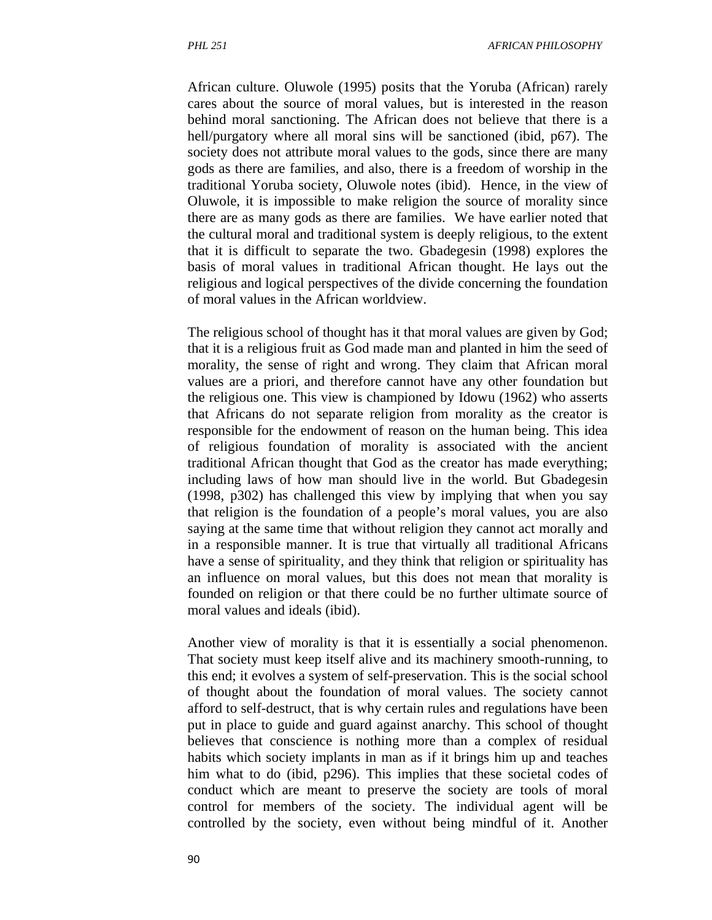African culture. Oluwole (1995) posits that the Yoruba (African) rarely cares about the source of moral values, but is interested in the reason behind moral sanctioning. The African does not believe that there is a hell/purgatory where all moral sins will be sanctioned (ibid, p67). The society does not attribute moral values to the gods, since there are many gods as there are families, and also, there is a freedom of worship in the traditional Yoruba society, Oluwole notes (ibid). Hence, in the view of Oluwole, it is impossible to make religion the source of morality since there are as many gods as there are families. We have earlier noted that the cultural moral and traditional system is deeply religious, to the extent that it is difficult to separate the two. Gbadegesin (1998) explores the basis of moral values in traditional African thought. He lays out the religious and logical perspectives of the divide concerning the foundation of moral values in the African worldview.

The religious school of thought has it that moral values are given by God; that it is a religious fruit as God made man and planted in him the seed of morality, the sense of right and wrong. They claim that African moral values are a priori, and therefore cannot have any other foundation but the religious one. This view is championed by Idowu (1962) who asserts that Africans do not separate religion from morality as the creator is responsible for the endowment of reason on the human being. This idea of religious foundation of morality is associated with the ancient traditional African thought that God as the creator has made everything; including laws of how man should live in the world. But Gbadegesin (1998, p302) has challenged this view by implying that when you say that religion is the foundation of a people's moral values, you are also saying at the same time that without religion they cannot act morally and in a responsible manner. It is true that virtually all traditional Africans have a sense of spirituality, and they think that religion or spirituality has an influence on moral values, but this does not mean that morality is founded on religion or that there could be no further ultimate source of moral values and ideals (ibid).

Another view of morality is that it is essentially a social phenomenon. That society must keep itself alive and its machinery smooth-running, to this end; it evolves a system of self-preservation. This is the social school of thought about the foundation of moral values. The society cannot afford to self-destruct, that is why certain rules and regulations have been put in place to guide and guard against anarchy. This school of thought believes that conscience is nothing more than a complex of residual habits which society implants in man as if it brings him up and teaches him what to do (ibid, p296). This implies that these societal codes of conduct which are meant to preserve the society are tools of moral control for members of the society. The individual agent will be controlled by the society, even without being mindful of it. Another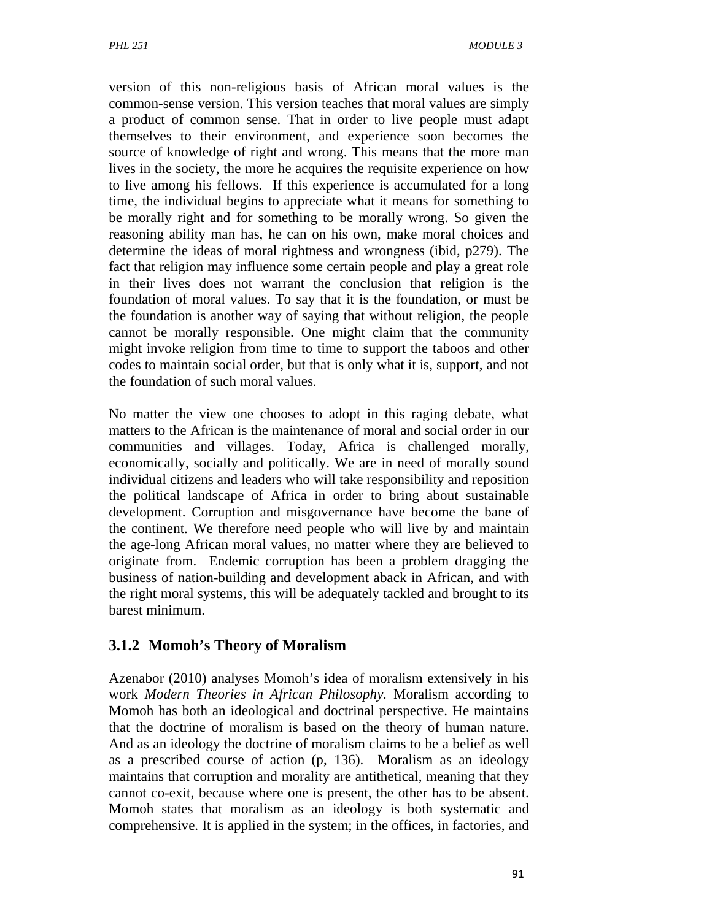version of this non-religious basis of African moral values is the common-sense version. This version teaches that moral values are simply a product of common sense. That in order to live people must adapt themselves to their environment, and experience soon becomes the source of knowledge of right and wrong. This means that the more man lives in the society, the more he acquires the requisite experience on how to live among his fellows. If this experience is accumulated for a long time, the individual begins to appreciate what it means for something to be morally right and for something to be morally wrong. So given the reasoning ability man has, he can on his own, make moral choices and determine the ideas of moral rightness and wrongness (ibid, p279). The fact that religion may influence some certain people and play a great role in their lives does not warrant the conclusion that religion is the foundation of moral values. To say that it is the foundation, or must be the foundation is another way of saying that without religion, the people cannot be morally responsible. One might claim that the community might invoke religion from time to time to support the taboos and other codes to maintain social order, but that is only what it is, support, and not the foundation of such moral values.

No matter the view one chooses to adopt in this raging debate, what matters to the African is the maintenance of moral and social order in our communities and villages. Today, Africa is challenged morally, economically, socially and politically. We are in need of morally sound individual citizens and leaders who will take responsibility and reposition the political landscape of Africa in order to bring about sustainable development. Corruption and misgovernance have become the bane of the continent. We therefore need people who will live by and maintain the age-long African moral values, no matter where they are believed to originate from. Endemic corruption has been a problem dragging the business of nation-building and development aback in African, and with the right moral systems, this will be adequately tackled and brought to its barest minimum.

## **3.1.2 Momoh's Theory of Moralism**

Azenabor (2010) analyses Momoh's idea of moralism extensively in his work *Modern Theories in African Philosophy.* Moralism according to Momoh has both an ideological and doctrinal perspective. He maintains that the doctrine of moralism is based on the theory of human nature. And as an ideology the doctrine of moralism claims to be a belief as well as a prescribed course of action (p, 136). Moralism as an ideology maintains that corruption and morality are antithetical, meaning that they cannot co-exit, because where one is present, the other has to be absent. Momoh states that moralism as an ideology is both systematic and comprehensive. It is applied in the system; in the offices, in factories, and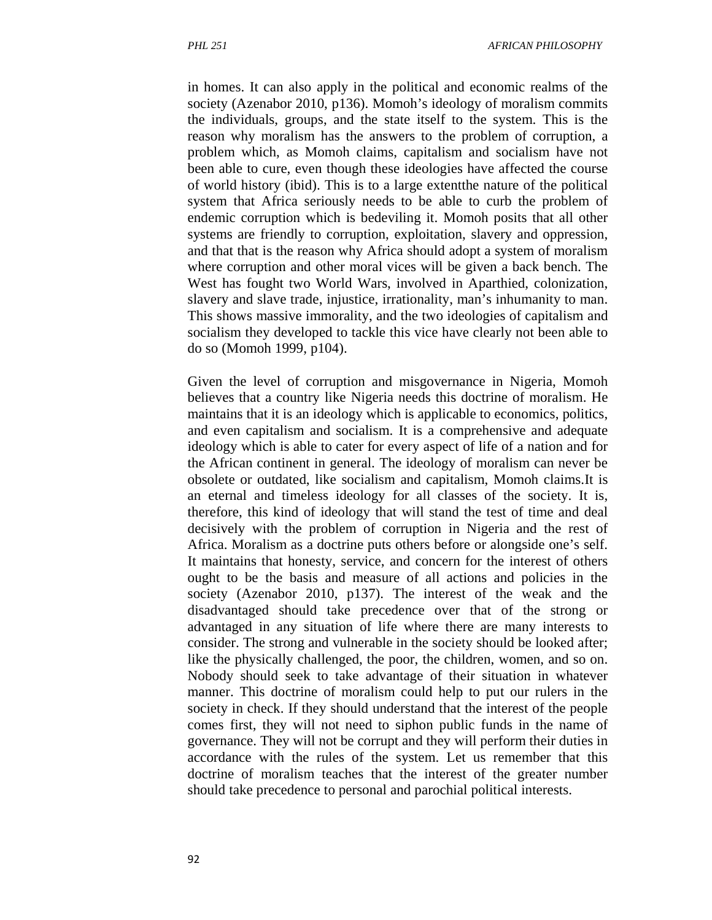in homes. It can also apply in the political and economic realms of the society (Azenabor 2010, p136). Momoh's ideology of moralism commits the individuals, groups, and the state itself to the system. This is the reason why moralism has the answers to the problem of corruption, a problem which, as Momoh claims, capitalism and socialism have not been able to cure, even though these ideologies have affected the course of world history (ibid). This is to a large extentthe nature of the political system that Africa seriously needs to be able to curb the problem of endemic corruption which is bedeviling it. Momoh posits that all other systems are friendly to corruption, exploitation, slavery and oppression, and that that is the reason why Africa should adopt a system of moralism where corruption and other moral vices will be given a back bench. The West has fought two World Wars, involved in Aparthied, colonization, slavery and slave trade, injustice, irrationality, man's inhumanity to man. This shows massive immorality, and the two ideologies of capitalism and socialism they developed to tackle this vice have clearly not been able to do so (Momoh 1999, p104).

Given the level of corruption and misgovernance in Nigeria, Momoh believes that a country like Nigeria needs this doctrine of moralism. He maintains that it is an ideology which is applicable to economics, politics, and even capitalism and socialism. It is a comprehensive and adequate ideology which is able to cater for every aspect of life of a nation and for the African continent in general. The ideology of moralism can never be obsolete or outdated, like socialism and capitalism, Momoh claims.It is an eternal and timeless ideology for all classes of the society. It is, therefore, this kind of ideology that will stand the test of time and deal decisively with the problem of corruption in Nigeria and the rest of Africa. Moralism as a doctrine puts others before or alongside one's self. It maintains that honesty, service, and concern for the interest of others ought to be the basis and measure of all actions and policies in the society (Azenabor 2010, p137). The interest of the weak and the disadvantaged should take precedence over that of the strong or advantaged in any situation of life where there are many interests to consider. The strong and vulnerable in the society should be looked after; like the physically challenged, the poor, the children, women, and so on. Nobody should seek to take advantage of their situation in whatever manner. This doctrine of moralism could help to put our rulers in the society in check. If they should understand that the interest of the people comes first, they will not need to siphon public funds in the name of governance. They will not be corrupt and they will perform their duties in accordance with the rules of the system. Let us remember that this doctrine of moralism teaches that the interest of the greater number should take precedence to personal and parochial political interests.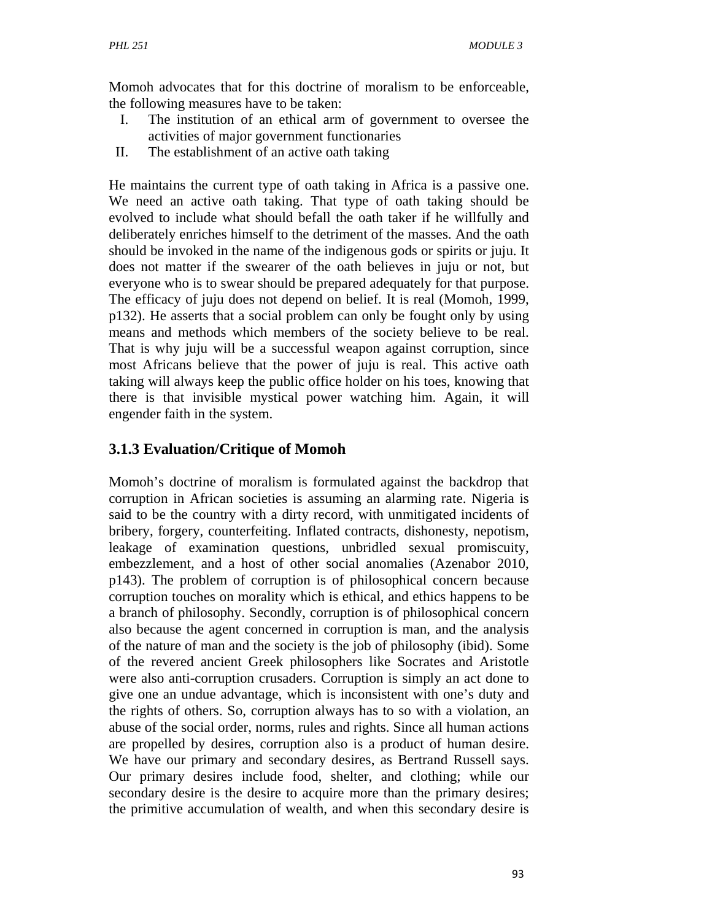Momoh advocates that for this doctrine of moralism to be enforceable, the following measures have to be taken:

- I. The institution of an ethical arm of government to oversee the activities of major government functionaries
- II. The establishment of an active oath taking

He maintains the current type of oath taking in Africa is a passive one. We need an active oath taking. That type of oath taking should be evolved to include what should befall the oath taker if he willfully and deliberately enriches himself to the detriment of the masses. And the oath should be invoked in the name of the indigenous gods or spirits or juju. It does not matter if the swearer of the oath believes in juju or not, but everyone who is to swear should be prepared adequately for that purpose. The efficacy of juju does not depend on belief. It is real (Momoh, 1999, p132). He asserts that a social problem can only be fought only by using means and methods which members of the society believe to be real. That is why juju will be a successful weapon against corruption, since most Africans believe that the power of juju is real. This active oath taking will always keep the public office holder on his toes, knowing that there is that invisible mystical power watching him. Again, it will engender faith in the system.

## **3.1.3 Evaluation/Critique of Momoh**

Momoh's doctrine of moralism is formulated against the backdrop that corruption in African societies is assuming an alarming rate. Nigeria is said to be the country with a dirty record, with unmitigated incidents of bribery, forgery, counterfeiting. Inflated contracts, dishonesty, nepotism, leakage of examination questions, unbridled sexual promiscuity, embezzlement, and a host of other social anomalies (Azenabor 2010, p143). The problem of corruption is of philosophical concern because corruption touches on morality which is ethical, and ethics happens to be a branch of philosophy. Secondly, corruption is of philosophical concern also because the agent concerned in corruption is man, and the analysis of the nature of man and the society is the job of philosophy (ibid). Some of the revered ancient Greek philosophers like Socrates and Aristotle were also anti-corruption crusaders. Corruption is simply an act done to give one an undue advantage, which is inconsistent with one's duty and the rights of others. So, corruption always has to so with a violation, an abuse of the social order, norms, rules and rights. Since all human actions are propelled by desires, corruption also is a product of human desire. We have our primary and secondary desires, as Bertrand Russell says. Our primary desires include food, shelter, and clothing; while our secondary desire is the desire to acquire more than the primary desires; the primitive accumulation of wealth, and when this secondary desire is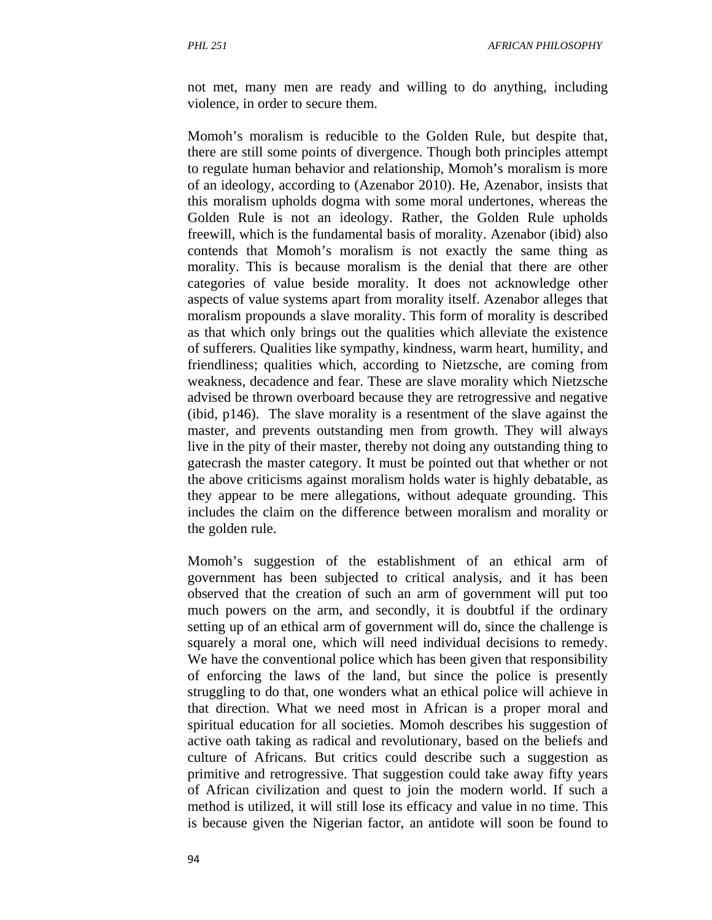not met, many men are ready and willing to do anything, including violence, in order to secure them.

Momoh's moralism is reducible to the Golden Rule, but despite that, there are still some points of divergence. Though both principles attempt to regulate human behavior and relationship, Momoh's moralism is more of an ideology, according to (Azenabor 2010). He, Azenabor, insists that this moralism upholds dogma with some moral undertones, whereas the Golden Rule is not an ideology. Rather, the Golden Rule upholds freewill, which is the fundamental basis of morality. Azenabor (ibid) also contends that Momoh's moralism is not exactly the same thing as morality. This is because moralism is the denial that there are other categories of value beside morality. It does not acknowledge other aspects of value systems apart from morality itself. Azenabor alleges that moralism propounds a slave morality. This form of morality is described as that which only brings out the qualities which alleviate the existence of sufferers. Qualities like sympathy, kindness, warm heart, humility, and friendliness; qualities which, according to Nietzsche, are coming from weakness, decadence and fear. These are slave morality which Nietzsche advised be thrown overboard because they are retrogressive and negative (ibid, p146). The slave morality is a resentment of the slave against the master, and prevents outstanding men from growth. They will always live in the pity of their master, thereby not doing any outstanding thing to gatecrash the master category. It must be pointed out that whether or not the above criticisms against moralism holds water is highly debatable, as they appear to be mere allegations, without adequate grounding. This includes the claim on the difference between moralism and morality or the golden rule.

Momoh's suggestion of the establishment of an ethical arm of government has been subjected to critical analysis, and it has been observed that the creation of such an arm of government will put too much powers on the arm, and secondly, it is doubtful if the ordinary setting up of an ethical arm of government will do, since the challenge is squarely a moral one, which will need individual decisions to remedy. We have the conventional police which has been given that responsibility of enforcing the laws of the land, but since the police is presently struggling to do that, one wonders what an ethical police will achieve in that direction. What we need most in African is a proper moral and spiritual education for all societies. Momoh describes his suggestion of active oath taking as radical and revolutionary, based on the beliefs and culture of Africans. But critics could describe such a suggestion as primitive and retrogressive. That suggestion could take away fifty years of African civilization and quest to join the modern world. If such a method is utilized, it will still lose its efficacy and value in no time. This is because given the Nigerian factor, an antidote will soon be found to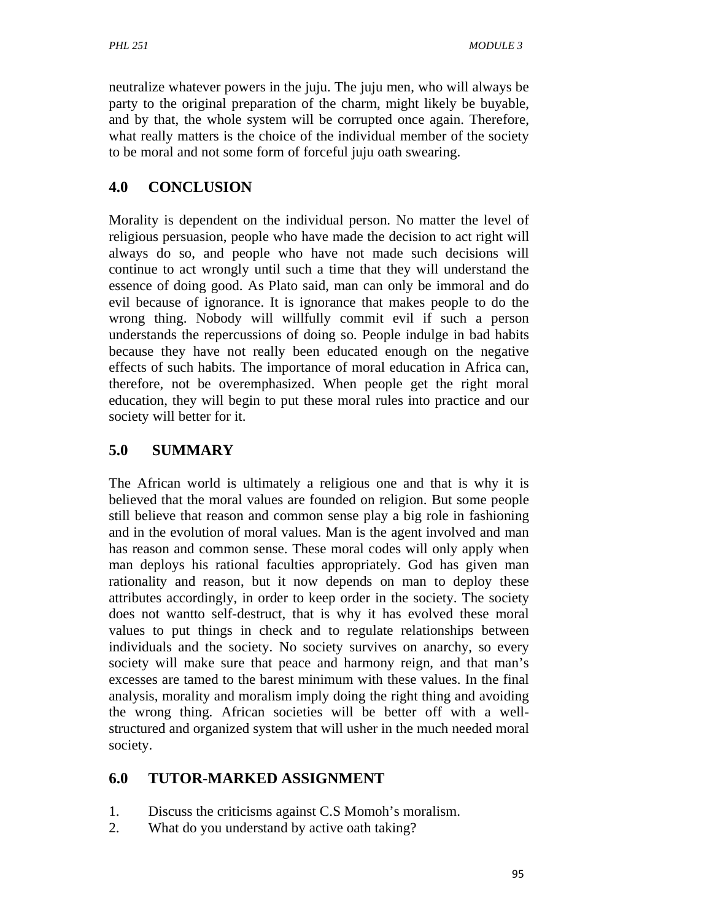neutralize whatever powers in the juju. The juju men, who will always be party to the original preparation of the charm, might likely be buyable, and by that, the whole system will be corrupted once again. Therefore, what really matters is the choice of the individual member of the society to be moral and not some form of forceful juju oath swearing.

# **4.0 CONCLUSION**

Morality is dependent on the individual person. No matter the level of religious persuasion, people who have made the decision to act right will always do so, and people who have not made such decisions will continue to act wrongly until such a time that they will understand the essence of doing good. As Plato said, man can only be immoral and do evil because of ignorance. It is ignorance that makes people to do the wrong thing. Nobody will willfully commit evil if such a person understands the repercussions of doing so. People indulge in bad habits because they have not really been educated enough on the negative effects of such habits. The importance of moral education in Africa can, therefore, not be overemphasized. When people get the right moral education, they will begin to put these moral rules into practice and our society will better for it.

# **5.0 SUMMARY**

The African world is ultimately a religious one and that is why it is believed that the moral values are founded on religion. But some people still believe that reason and common sense play a big role in fashioning and in the evolution of moral values. Man is the agent involved and man has reason and common sense. These moral codes will only apply when man deploys his rational faculties appropriately. God has given man rationality and reason, but it now depends on man to deploy these attributes accordingly, in order to keep order in the society. The society does not wantto self-destruct, that is why it has evolved these moral values to put things in check and to regulate relationships between individuals and the society. No society survives on anarchy, so every society will make sure that peace and harmony reign, and that man's excesses are tamed to the barest minimum with these values. In the final analysis, morality and moralism imply doing the right thing and avoiding the wrong thing. African societies will be better off with a wellstructured and organized system that will usher in the much needed moral society.

## **6.0 TUTOR-MARKED ASSIGNMENT**

- 1. Discuss the criticisms against C.S Momoh's moralism.
- 2. What do you understand by active oath taking?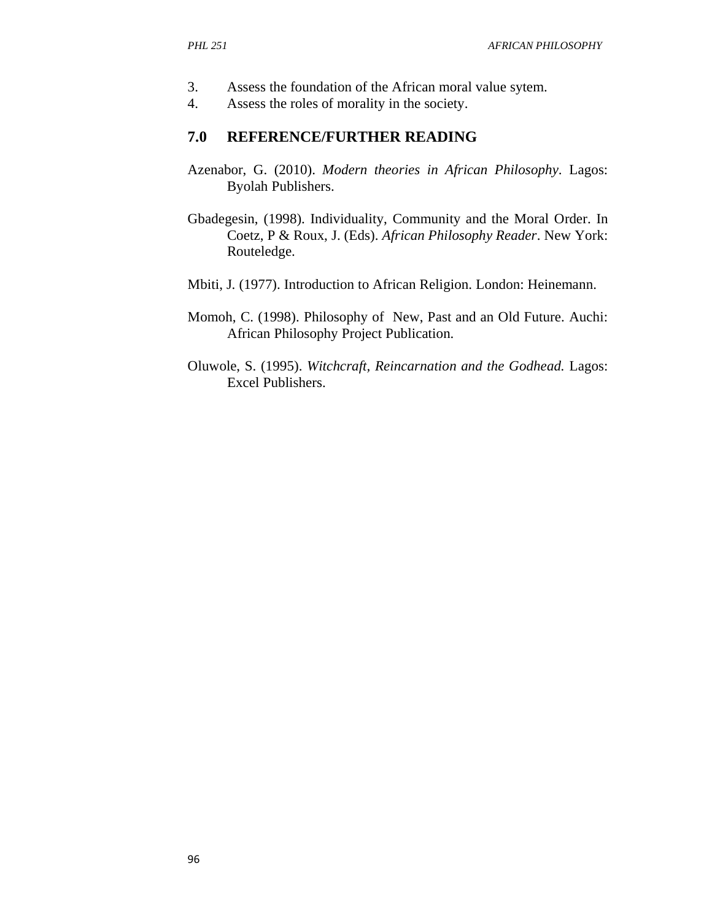- 3. Assess the foundation of the African moral value sytem.
- 4. Assess the roles of morality in the society.

#### **7.0 REFERENCE/FURTHER READING**

- Azenabor, G. (2010). *Modern theories in African Philosophy*. Lagos: Byolah Publishers.
- Gbadegesin, (1998). Individuality, Community and the Moral Order. In Coetz, P & Roux, J. (Eds). *African Philosophy Reader*. New York: Routeledge.
- Mbiti, J. (1977). Introduction to African Religion. London: Heinemann.
- Momoh, C. (1998). Philosophy of New, Past and an Old Future. Auchi: African Philosophy Project Publication.
- Oluwole, S. (1995). *Witchcraft, Reincarnation and the Godhead.* Lagos: Excel Publishers.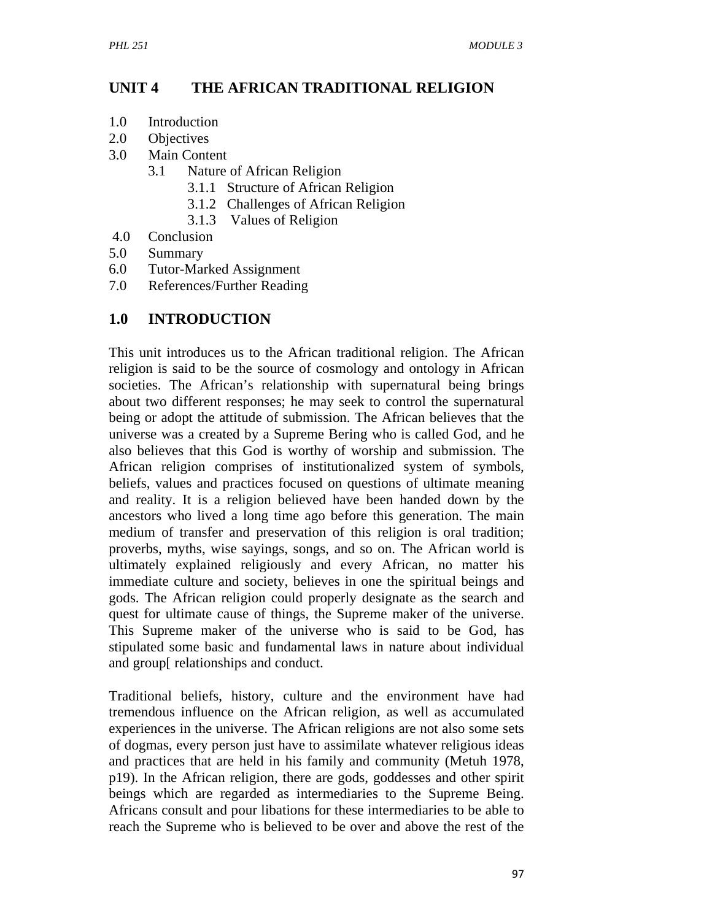### **UNIT 4 THE AFRICAN TRADITIONAL RELIGION**

- 1.0 Introduction
- 2.0 Objectives
- 3.0 Main Content
	- 3.1 Nature of African Religion
		- 3.1.1 Structure of African Religion
		- 3.1.2 Challenges of African Religion
		- 3.1.3 Values of Religion
- 4.0 Conclusion
- 5.0 Summary
- 6.0 Tutor-Marked Assignment
- 7.0 References/Further Reading

### **1.0 INTRODUCTION**

This unit introduces us to the African traditional religion. The African religion is said to be the source of cosmology and ontology in African societies. The African's relationship with supernatural being brings about two different responses; he may seek to control the supernatural being or adopt the attitude of submission. The African believes that the universe was a created by a Supreme Bering who is called God, and he also believes that this God is worthy of worship and submission. The African religion comprises of institutionalized system of symbols, beliefs, values and practices focused on questions of ultimate meaning and reality. It is a religion believed have been handed down by the ancestors who lived a long time ago before this generation. The main medium of transfer and preservation of this religion is oral tradition; proverbs, myths, wise sayings, songs, and so on. The African world is ultimately explained religiously and every African, no matter his immediate culture and society, believes in one the spiritual beings and gods. The African religion could properly designate as the search and quest for ultimate cause of things, the Supreme maker of the universe. This Supreme maker of the universe who is said to be God, has stipulated some basic and fundamental laws in nature about individual and group[ relationships and conduct.

Traditional beliefs, history, culture and the environment have had tremendous influence on the African religion, as well as accumulated experiences in the universe. The African religions are not also some sets of dogmas, every person just have to assimilate whatever religious ideas and practices that are held in his family and community (Metuh 1978, p19). In the African religion, there are gods, goddesses and other spirit beings which are regarded as intermediaries to the Supreme Being. Africans consult and pour libations for these intermediaries to be able to reach the Supreme who is believed to be over and above the rest of the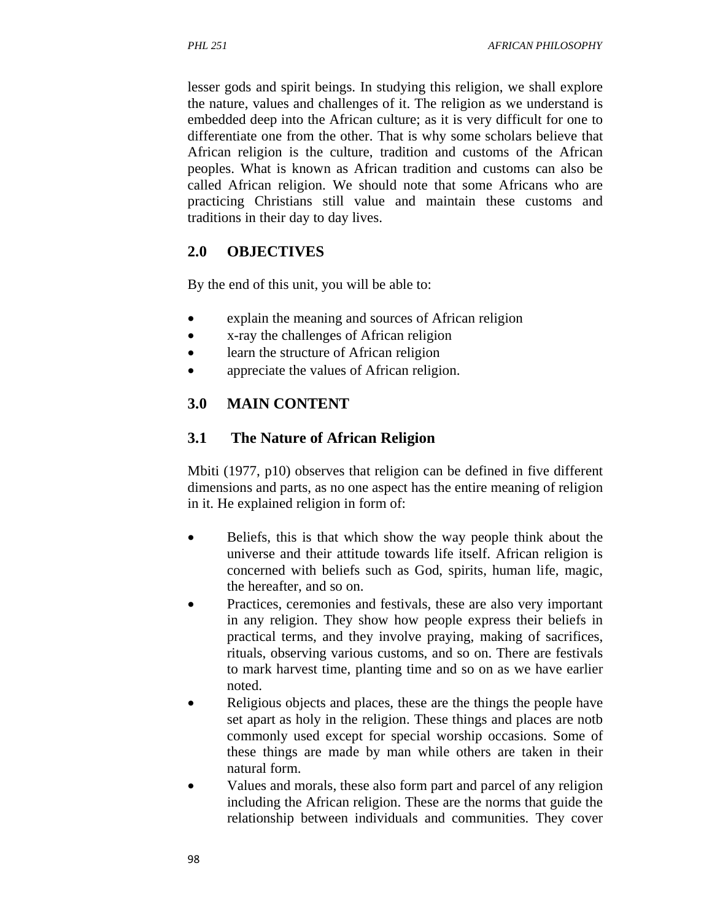lesser gods and spirit beings. In studying this religion, we shall explore the nature, values and challenges of it. The religion as we understand is embedded deep into the African culture; as it is very difficult for one to differentiate one from the other. That is why some scholars believe that African religion is the culture, tradition and customs of the African peoples. What is known as African tradition and customs can also be called African religion. We should note that some Africans who are practicing Christians still value and maintain these customs and traditions in their day to day lives.

## **2.0 OBJECTIVES**

By the end of this unit, you will be able to:

- explain the meaning and sources of African religion
- x-ray the challenges of African religion
- learn the structure of African religion
- appreciate the values of African religion.

# **3.0 MAIN CONTENT**

### **3.1 The Nature of African Religion**

Mbiti (1977, p10) observes that religion can be defined in five different dimensions and parts, as no one aspect has the entire meaning of religion in it. He explained religion in form of:

- Beliefs, this is that which show the way people think about the universe and their attitude towards life itself. African religion is concerned with beliefs such as God, spirits, human life, magic, the hereafter, and so on.
- Practices, ceremonies and festivals, these are also very important in any religion. They show how people express their beliefs in practical terms, and they involve praying, making of sacrifices, rituals, observing various customs, and so on. There are festivals to mark harvest time, planting time and so on as we have earlier noted.
- Religious objects and places, these are the things the people have set apart as holy in the religion. These things and places are notb commonly used except for special worship occasions. Some of these things are made by man while others are taken in their natural form.
- Values and morals, these also form part and parcel of any religion including the African religion. These are the norms that guide the relationship between individuals and communities. They cover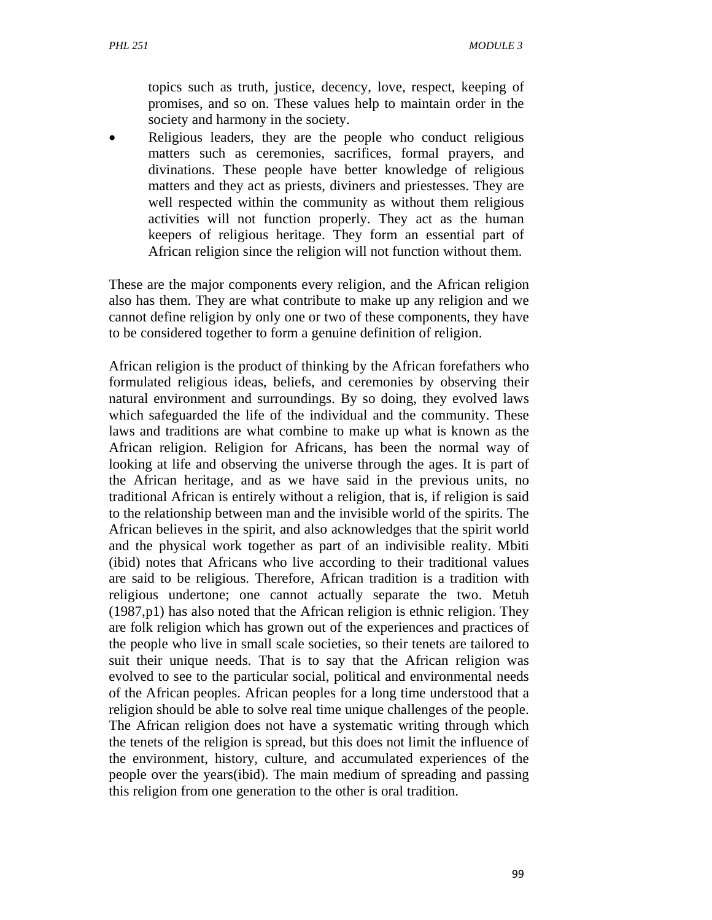topics such as truth, justice, decency, love, respect, keeping of promises, and so on. These values help to maintain order in the society and harmony in the society.

 Religious leaders, they are the people who conduct religious matters such as ceremonies, sacrifices, formal prayers, and divinations. These people have better knowledge of religious matters and they act as priests, diviners and priestesses. They are well respected within the community as without them religious activities will not function properly. They act as the human keepers of religious heritage. They form an essential part of African religion since the religion will not function without them.

These are the major components every religion, and the African religion also has them. They are what contribute to make up any religion and we cannot define religion by only one or two of these components, they have to be considered together to form a genuine definition of religion.

African religion is the product of thinking by the African forefathers who formulated religious ideas, beliefs, and ceremonies by observing their natural environment and surroundings. By so doing, they evolved laws which safeguarded the life of the individual and the community. These laws and traditions are what combine to make up what is known as the African religion. Religion for Africans, has been the normal way of looking at life and observing the universe through the ages. It is part of the African heritage, and as we have said in the previous units, no traditional African is entirely without a religion, that is, if religion is said to the relationship between man and the invisible world of the spirits. The African believes in the spirit, and also acknowledges that the spirit world and the physical work together as part of an indivisible reality. Mbiti (ibid) notes that Africans who live according to their traditional values are said to be religious. Therefore, African tradition is a tradition with religious undertone; one cannot actually separate the two. Metuh (1987,p1) has also noted that the African religion is ethnic religion. They are folk religion which has grown out of the experiences and practices of the people who live in small scale societies, so their tenets are tailored to suit their unique needs. That is to say that the African religion was evolved to see to the particular social, political and environmental needs of the African peoples. African peoples for a long time understood that a religion should be able to solve real time unique challenges of the people. The African religion does not have a systematic writing through which the tenets of the religion is spread, but this does not limit the influence of the environment, history, culture, and accumulated experiences of the people over the years(ibid). The main medium of spreading and passing this religion from one generation to the other is oral tradition.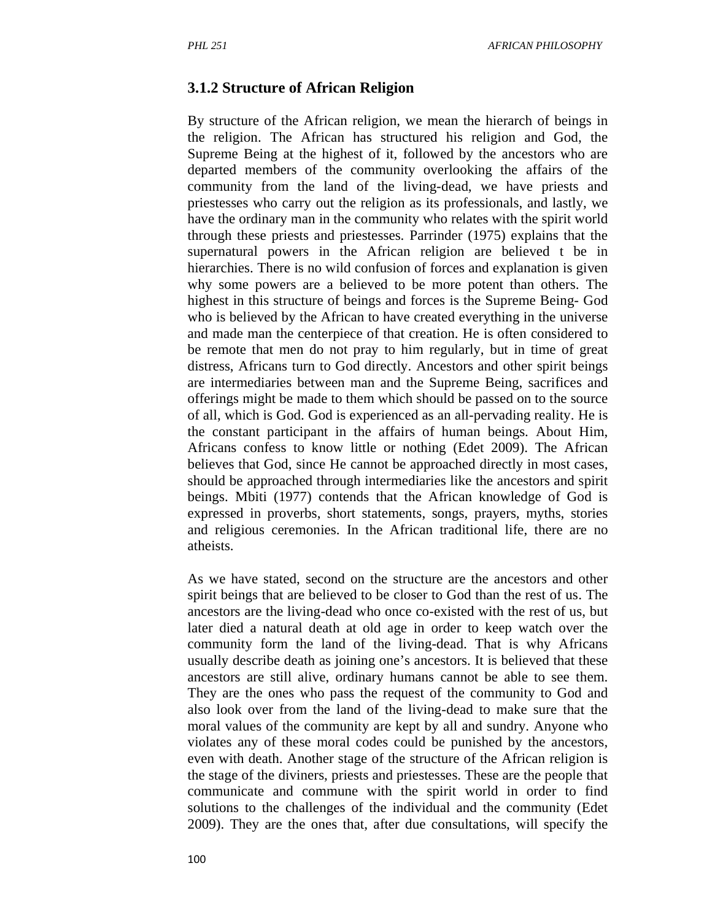#### **3.1.2 Structure of African Religion**

By structure of the African religion, we mean the hierarch of beings in the religion. The African has structured his religion and God, the Supreme Being at the highest of it, followed by the ancestors who are departed members of the community overlooking the affairs of the community from the land of the living-dead, we have priests and priestesses who carry out the religion as its professionals, and lastly, we have the ordinary man in the community who relates with the spirit world through these priests and priestesses. Parrinder (1975) explains that the supernatural powers in the African religion are believed t be in hierarchies. There is no wild confusion of forces and explanation is given why some powers are a believed to be more potent than others. The highest in this structure of beings and forces is the Supreme Being- God who is believed by the African to have created everything in the universe and made man the centerpiece of that creation. He is often considered to be remote that men do not pray to him regularly, but in time of great distress, Africans turn to God directly. Ancestors and other spirit beings are intermediaries between man and the Supreme Being, sacrifices and offerings might be made to them which should be passed on to the source of all, which is God. God is experienced as an all-pervading reality. He is the constant participant in the affairs of human beings. About Him, Africans confess to know little or nothing (Edet 2009). The African believes that God, since He cannot be approached directly in most cases, should be approached through intermediaries like the ancestors and spirit beings. Mbiti (1977) contends that the African knowledge of God is expressed in proverbs, short statements, songs, prayers, myths, stories and religious ceremonies. In the African traditional life, there are no atheists.

As we have stated, second on the structure are the ancestors and other spirit beings that are believed to be closer to God than the rest of us. The ancestors are the living-dead who once co-existed with the rest of us, but later died a natural death at old age in order to keep watch over the community form the land of the living-dead. That is why Africans usually describe death as joining one's ancestors. It is believed that these ancestors are still alive, ordinary humans cannot be able to see them. They are the ones who pass the request of the community to God and also look over from the land of the living-dead to make sure that the moral values of the community are kept by all and sundry. Anyone who violates any of these moral codes could be punished by the ancestors, even with death. Another stage of the structure of the African religion is the stage of the diviners, priests and priestesses. These are the people that communicate and commune with the spirit world in order to find solutions to the challenges of the individual and the community (Edet 2009). They are the ones that, after due consultations, will specify the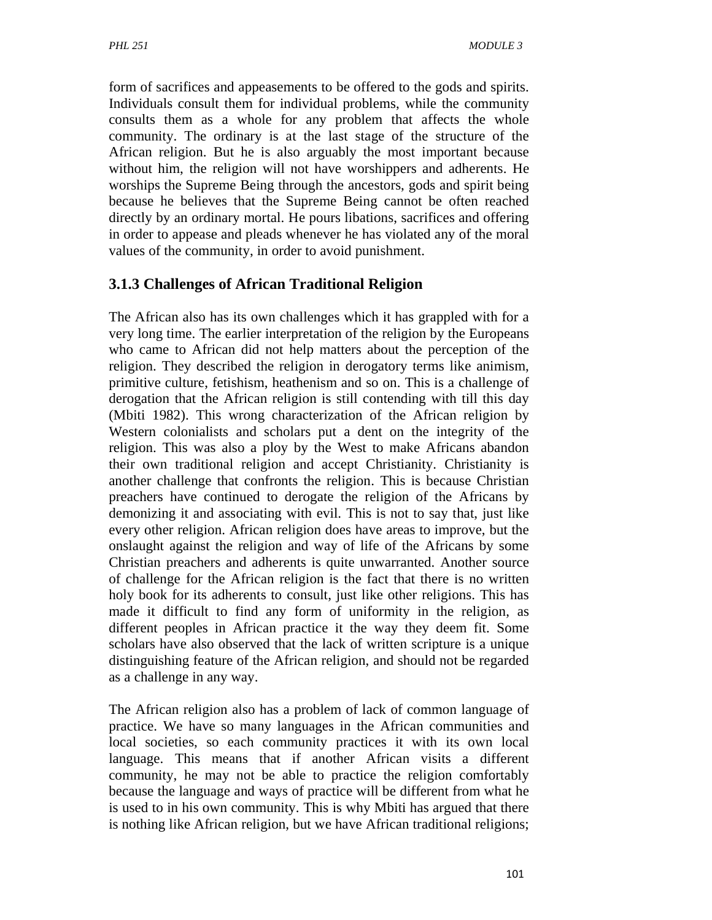form of sacrifices and appeasements to be offered to the gods and spirits. Individuals consult them for individual problems, while the community consults them as a whole for any problem that affects the whole community. The ordinary is at the last stage of the structure of the African religion. But he is also arguably the most important because without him, the religion will not have worshippers and adherents. He worships the Supreme Being through the ancestors, gods and spirit being because he believes that the Supreme Being cannot be often reached directly by an ordinary mortal. He pours libations, sacrifices and offering in order to appease and pleads whenever he has violated any of the moral values of the community, in order to avoid punishment.

### **3.1.3 Challenges of African Traditional Religion**

The African also has its own challenges which it has grappled with for a very long time. The earlier interpretation of the religion by the Europeans who came to African did not help matters about the perception of the religion. They described the religion in derogatory terms like animism, primitive culture, fetishism, heathenism and so on. This is a challenge of derogation that the African religion is still contending with till this day (Mbiti 1982). This wrong characterization of the African religion by Western colonialists and scholars put a dent on the integrity of the religion. This was also a ploy by the West to make Africans abandon their own traditional religion and accept Christianity. Christianity is another challenge that confronts the religion. This is because Christian preachers have continued to derogate the religion of the Africans by demonizing it and associating with evil. This is not to say that, just like every other religion. African religion does have areas to improve, but the onslaught against the religion and way of life of the Africans by some Christian preachers and adherents is quite unwarranted. Another source of challenge for the African religion is the fact that there is no written holy book for its adherents to consult, just like other religions. This has made it difficult to find any form of uniformity in the religion, as different peoples in African practice it the way they deem fit. Some scholars have also observed that the lack of written scripture is a unique distinguishing feature of the African religion, and should not be regarded as a challenge in any way.

The African religion also has a problem of lack of common language of practice. We have so many languages in the African communities and local societies, so each community practices it with its own local language. This means that if another African visits a different community, he may not be able to practice the religion comfortably because the language and ways of practice will be different from what he is used to in his own community. This is why Mbiti has argued that there is nothing like African religion, but we have African traditional religions;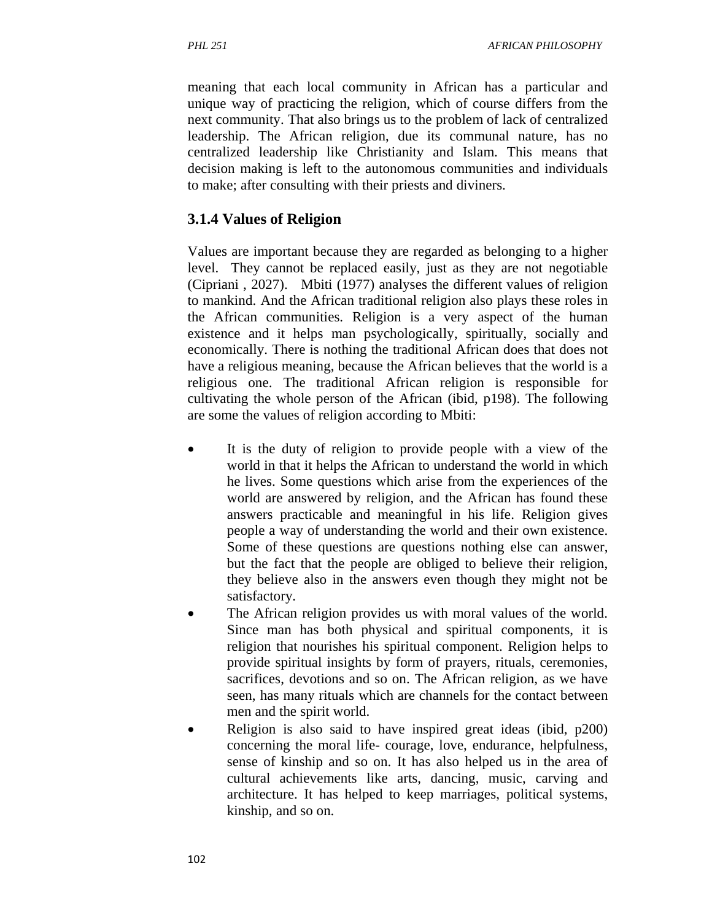meaning that each local community in African has a particular and unique way of practicing the religion, which of course differs from the next community. That also brings us to the problem of lack of centralized leadership. The African religion, due its communal nature, has no centralized leadership like Christianity and Islam. This means that decision making is left to the autonomous communities and individuals to make; after consulting with their priests and diviners.

# **3.1.4 Values of Religion**

Values are important because they are regarded as belonging to a higher level. They cannot be replaced easily, just as they are not negotiable (Cipriani , 2027). Mbiti (1977) analyses the different values of religion to mankind. And the African traditional religion also plays these roles in the African communities. Religion is a very aspect of the human existence and it helps man psychologically, spiritually, socially and economically. There is nothing the traditional African does that does not have a religious meaning, because the African believes that the world is a religious one. The traditional African religion is responsible for cultivating the whole person of the African (ibid, p198). The following are some the values of religion according to Mbiti:

- It is the duty of religion to provide people with a view of the world in that it helps the African to understand the world in which he lives. Some questions which arise from the experiences of the world are answered by religion, and the African has found these answers practicable and meaningful in his life. Religion gives people a way of understanding the world and their own existence. Some of these questions are questions nothing else can answer, but the fact that the people are obliged to believe their religion, they believe also in the answers even though they might not be satisfactory.
- The African religion provides us with moral values of the world. Since man has both physical and spiritual components, it is religion that nourishes his spiritual component. Religion helps to provide spiritual insights by form of prayers, rituals, ceremonies, sacrifices, devotions and so on. The African religion, as we have seen, has many rituals which are channels for the contact between men and the spirit world.
- Religion is also said to have inspired great ideas (ibid, p200) concerning the moral life- courage, love, endurance, helpfulness, sense of kinship and so on. It has also helped us in the area of cultural achievements like arts, dancing, music, carving and architecture. It has helped to keep marriages, political systems, kinship, and so on.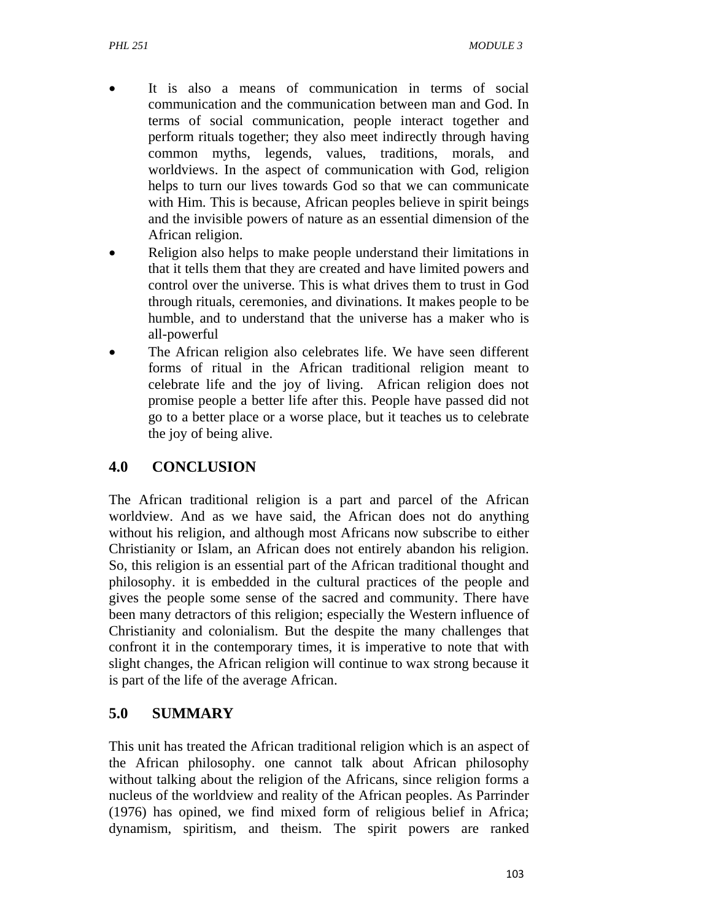- It is also a means of communication in terms of social communication and the communication between man and God. In terms of social communication, people interact together and perform rituals together; they also meet indirectly through having common myths, legends, values, traditions, morals, and worldviews. In the aspect of communication with God, religion helps to turn our lives towards God so that we can communicate with Him. This is because, African peoples believe in spirit beings and the invisible powers of nature as an essential dimension of the African religion.
- Religion also helps to make people understand their limitations in that it tells them that they are created and have limited powers and control over the universe. This is what drives them to trust in God through rituals, ceremonies, and divinations. It makes people to be humble, and to understand that the universe has a maker who is all-powerful
- The African religion also celebrates life. We have seen different forms of ritual in the African traditional religion meant to celebrate life and the joy of living. African religion does not promise people a better life after this. People have passed did not go to a better place or a worse place, but it teaches us to celebrate the joy of being alive.

### **4.0 CONCLUSION**

The African traditional religion is a part and parcel of the African worldview. And as we have said, the African does not do anything without his religion, and although most Africans now subscribe to either Christianity or Islam, an African does not entirely abandon his religion. So, this religion is an essential part of the African traditional thought and philosophy. it is embedded in the cultural practices of the people and gives the people some sense of the sacred and community. There have been many detractors of this religion; especially the Western influence of Christianity and colonialism. But the despite the many challenges that confront it in the contemporary times, it is imperative to note that with slight changes, the African religion will continue to wax strong because it is part of the life of the average African.

### **5.0 SUMMARY**

This unit has treated the African traditional religion which is an aspect of the African philosophy. one cannot talk about African philosophy without talking about the religion of the Africans, since religion forms a nucleus of the worldview and reality of the African peoples. As Parrinder (1976) has opined, we find mixed form of religious belief in Africa; dynamism, spiritism, and theism. The spirit powers are ranked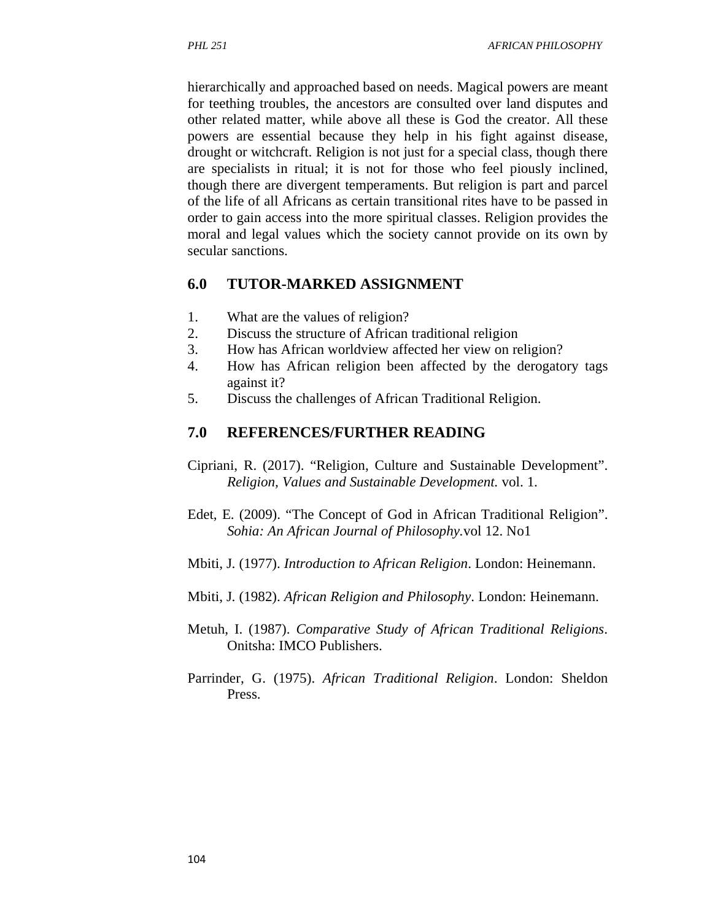hierarchically and approached based on needs. Magical powers are meant for teething troubles, the ancestors are consulted over land disputes and other related matter, while above all these is God the creator. All these powers are essential because they help in his fight against disease, drought or witchcraft. Religion is not just for a special class, though there are specialists in ritual; it is not for those who feel piously inclined, though there are divergent temperaments. But religion is part and parcel of the life of all Africans as certain transitional rites have to be passed in order to gain access into the more spiritual classes. Religion provides the moral and legal values which the society cannot provide on its own by secular sanctions.

#### **6.0 TUTOR-MARKED ASSIGNMENT**

- 1. What are the values of religion?
- 2. Discuss the structure of African traditional religion
- 3. How has African worldview affected her view on religion?
- 4. How has African religion been affected by the derogatory tags against it?
- 5. Discuss the challenges of African Traditional Religion.

### **7.0 REFERENCES/FURTHER READING**

- Cipriani, R. (2017). "Religion, Culture and Sustainable Development". *Religion, Values and Sustainable Development.* vol. 1.
- Edet, E. (2009). "The Concept of God in African Traditional Religion". *Sohia: An African Journal of Philosophy.*vol 12. No1
- Mbiti, J. (1977). *Introduction to African Religion*. London: Heinemann.
- Mbiti, J. (1982). *African Religion and Philosophy*. London: Heinemann.
- Metuh, I. (1987). *Comparative Study of African Traditional Religions*. Onitsha: IMCO Publishers.
- Parrinder, G. (1975). *African Traditional Religion*. London: Sheldon Press.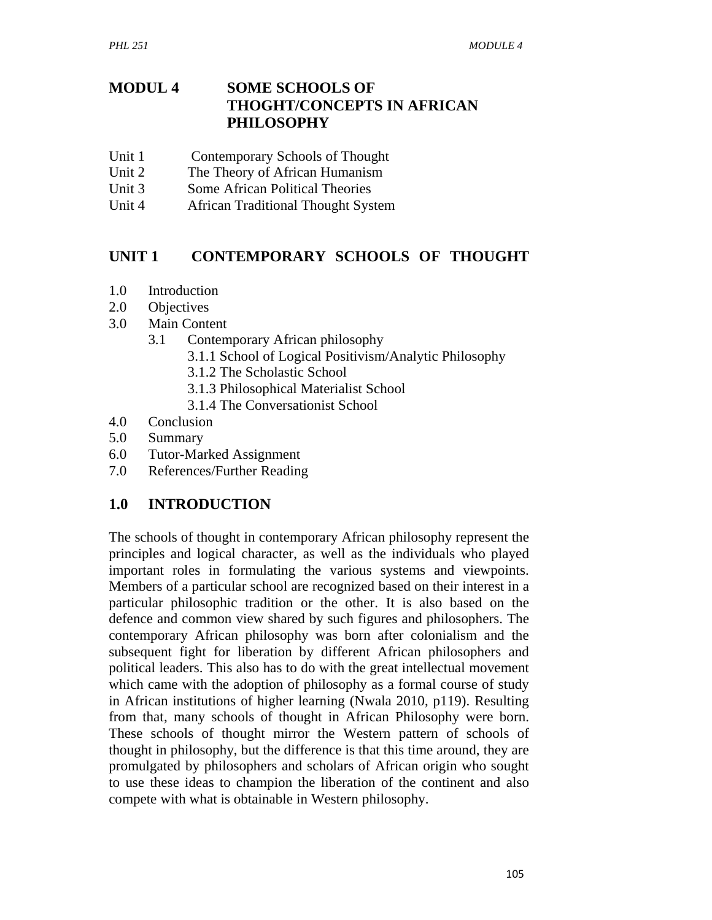### **MODUL 4 SOME SCHOOLS OF THOGHT/CONCEPTS IN AFRICAN PHILOSOPHY**

- Unit 1 Contemporary Schools of Thought
- Unit 2 The Theory of African Humanism
- Unit 3 Some African Political Theories
- Unit 4 African Traditional Thought System

## **UNIT 1 CONTEMPORARY SCHOOLS OF THOUGHT**

- 1.0 Introduction
- 2.0 Objectives
- 3.0 Main Content
	- 3.1 Contemporary African philosophy
		- 3.1.1 School of Logical Positivism/Analytic Philosophy
		- 3.1.2 The Scholastic School
		- 3.1.3 Philosophical Materialist School
		- 3.1.4 The Conversationist School
- 4.0 Conclusion
- 5.0 Summary
- 6.0 Tutor-Marked Assignment
- 7.0 References/Further Reading

## **1.0 INTRODUCTION**

The schools of thought in contemporary African philosophy represent the principles and logical character, as well as the individuals who played important roles in formulating the various systems and viewpoints. Members of a particular school are recognized based on their interest in a particular philosophic tradition or the other. It is also based on the defence and common view shared by such figures and philosophers. The contemporary African philosophy was born after colonialism and the subsequent fight for liberation by different African philosophers and political leaders. This also has to do with the great intellectual movement which came with the adoption of philosophy as a formal course of study in African institutions of higher learning (Nwala 2010, p119). Resulting from that, many schools of thought in African Philosophy were born. These schools of thought mirror the Western pattern of schools of thought in philosophy, but the difference is that this time around, they are promulgated by philosophers and scholars of African origin who sought to use these ideas to champion the liberation of the continent and also compete with what is obtainable in Western philosophy.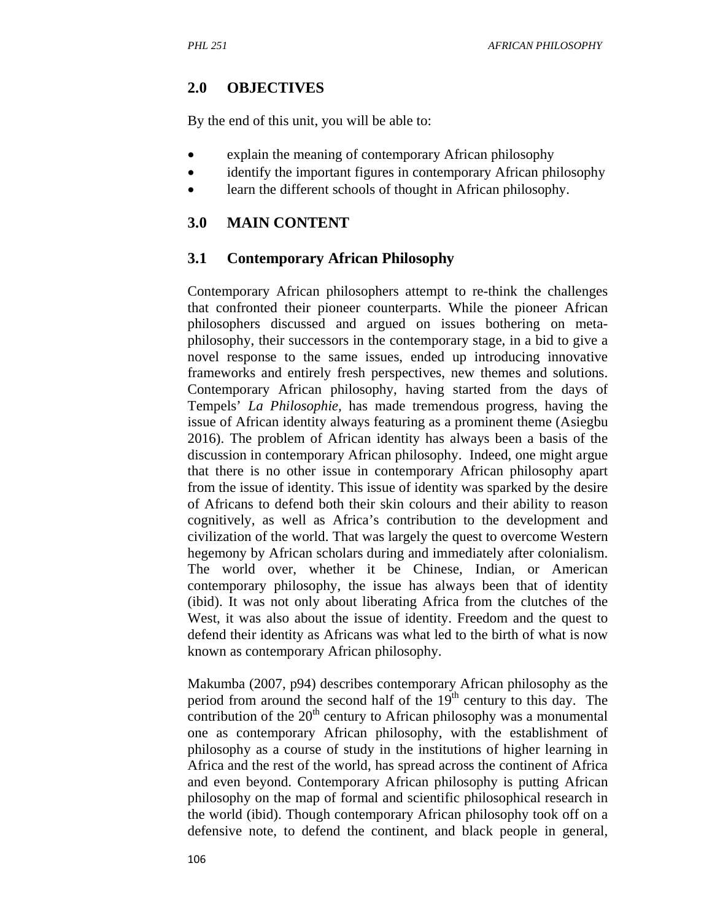## **2.0 OBJECTIVES**

By the end of this unit, you will be able to:

- explain the meaning of contemporary African philosophy
- identify the important figures in contemporary African philosophy
- learn the different schools of thought in African philosophy.

### **3.0 MAIN CONTENT**

### **3.1 Contemporary African Philosophy**

Contemporary African philosophers attempt to re-think the challenges that confronted their pioneer counterparts. While the pioneer African philosophers discussed and argued on issues bothering on metaphilosophy, their successors in the contemporary stage, in a bid to give a novel response to the same issues, ended up introducing innovative frameworks and entirely fresh perspectives, new themes and solutions. Contemporary African philosophy, having started from the days of Tempels' *La Philosophie,* has made tremendous progress, having the issue of African identity always featuring as a prominent theme (Asiegbu 2016). The problem of African identity has always been a basis of the discussion in contemporary African philosophy. Indeed, one might argue that there is no other issue in contemporary African philosophy apart from the issue of identity. This issue of identity was sparked by the desire of Africans to defend both their skin colours and their ability to reason cognitively, as well as Africa's contribution to the development and civilization of the world. That was largely the quest to overcome Western hegemony by African scholars during and immediately after colonialism. The world over, whether it be Chinese, Indian, or American contemporary philosophy, the issue has always been that of identity (ibid). It was not only about liberating Africa from the clutches of the West, it was also about the issue of identity. Freedom and the quest to defend their identity as Africans was what led to the birth of what is now known as contemporary African philosophy.

Makumba (2007, p94) describes contemporary African philosophy as the period from around the second half of the  $19<sup>th</sup>$  century to this day. The contribution of the  $20<sup>th</sup>$  century to African philosophy was a monumental one as contemporary African philosophy, with the establishment of philosophy as a course of study in the institutions of higher learning in Africa and the rest of the world, has spread across the continent of Africa and even beyond. Contemporary African philosophy is putting African philosophy on the map of formal and scientific philosophical research in the world (ibid). Though contemporary African philosophy took off on a defensive note, to defend the continent, and black people in general,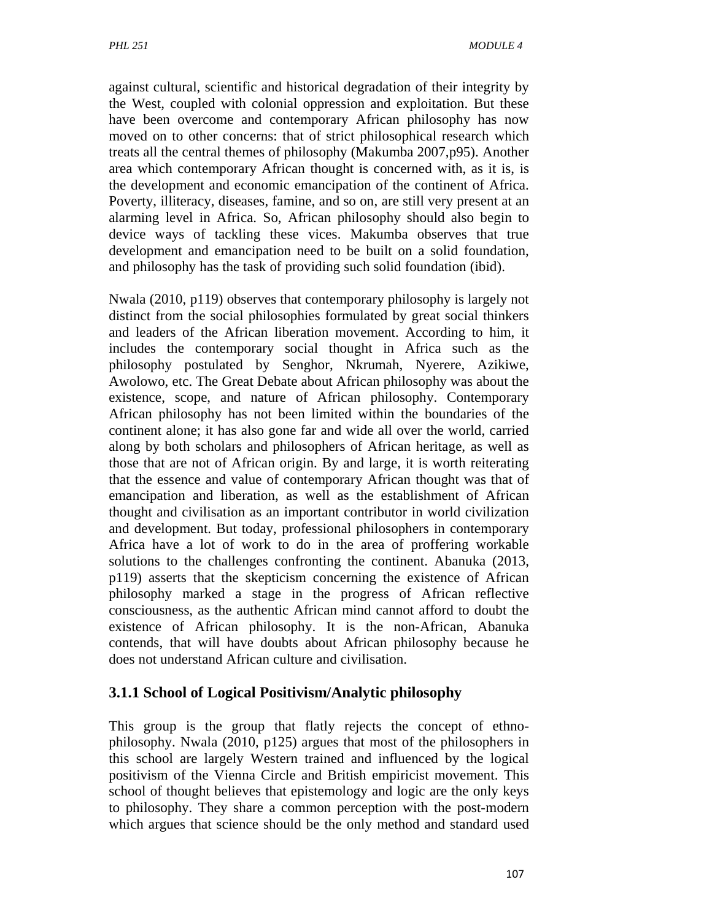against cultural, scientific and historical degradation of their integrity by the West, coupled with colonial oppression and exploitation. But these have been overcome and contemporary African philosophy has now moved on to other concerns: that of strict philosophical research which treats all the central themes of philosophy (Makumba 2007,p95). Another area which contemporary African thought is concerned with, as it is, is the development and economic emancipation of the continent of Africa. Poverty, illiteracy, diseases, famine, and so on, are still very present at an alarming level in Africa. So, African philosophy should also begin to device ways of tackling these vices. Makumba observes that true development and emancipation need to be built on a solid foundation, and philosophy has the task of providing such solid foundation (ibid).

Nwala (2010, p119) observes that contemporary philosophy is largely not distinct from the social philosophies formulated by great social thinkers and leaders of the African liberation movement. According to him, it includes the contemporary social thought in Africa such as the philosophy postulated by Senghor, Nkrumah, Nyerere, Azikiwe, Awolowo, etc. The Great Debate about African philosophy was about the existence, scope, and nature of African philosophy. Contemporary African philosophy has not been limited within the boundaries of the continent alone; it has also gone far and wide all over the world, carried along by both scholars and philosophers of African heritage, as well as those that are not of African origin. By and large, it is worth reiterating that the essence and value of contemporary African thought was that of emancipation and liberation, as well as the establishment of African thought and civilisation as an important contributor in world civilization and development. But today, professional philosophers in contemporary Africa have a lot of work to do in the area of proffering workable solutions to the challenges confronting the continent. Abanuka (2013, p119) asserts that the skepticism concerning the existence of African philosophy marked a stage in the progress of African reflective consciousness, as the authentic African mind cannot afford to doubt the existence of African philosophy. It is the non-African, Abanuka contends, that will have doubts about African philosophy because he does not understand African culture and civilisation.

### **3.1.1 School of Logical Positivism/Analytic philosophy**

This group is the group that flatly rejects the concept of ethnophilosophy. Nwala (2010, p125) argues that most of the philosophers in this school are largely Western trained and influenced by the logical positivism of the Vienna Circle and British empiricist movement. This school of thought believes that epistemology and logic are the only keys to philosophy. They share a common perception with the post-modern which argues that science should be the only method and standard used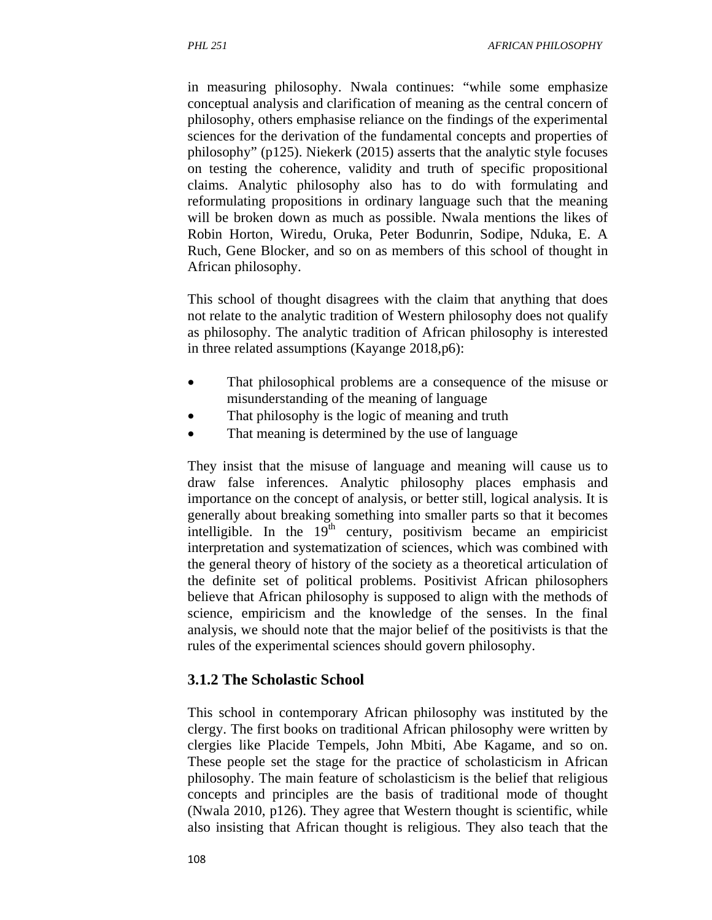in measuring philosophy. Nwala continues: "while some emphasize conceptual analysis and clarification of meaning as the central concern of philosophy, others emphasise reliance on the findings of the experimental sciences for the derivation of the fundamental concepts and properties of philosophy" (p125). Niekerk (2015) asserts that the analytic style focuses on testing the coherence, validity and truth of specific propositional claims. Analytic philosophy also has to do with formulating and reformulating propositions in ordinary language such that the meaning will be broken down as much as possible. Nwala mentions the likes of Robin Horton, Wiredu, Oruka, Peter Bodunrin, Sodipe, Nduka, E. A Ruch, Gene Blocker, and so on as members of this school of thought in African philosophy.

This school of thought disagrees with the claim that anything that does not relate to the analytic tradition of Western philosophy does not qualify as philosophy. The analytic tradition of African philosophy is interested in three related assumptions (Kayange 2018,p6):

- That philosophical problems are a consequence of the misuse or misunderstanding of the meaning of language
- That philosophy is the logic of meaning and truth
- That meaning is determined by the use of language

They insist that the misuse of language and meaning will cause us to draw false inferences. Analytic philosophy places emphasis and importance on the concept of analysis, or better still, logical analysis. It is generally about breaking something into smaller parts so that it becomes intelligible. In the  $19<sup>th</sup>$  century, positivism became an empiricist interpretation and systematization of sciences, which was combined with the general theory of history of the society as a theoretical articulation of the definite set of political problems. Positivist African philosophers believe that African philosophy is supposed to align with the methods of science, empiricism and the knowledge of the senses. In the final analysis, we should note that the major belief of the positivists is that the rules of the experimental sciences should govern philosophy.

#### **3.1.2 The Scholastic School**

This school in contemporary African philosophy was instituted by the clergy. The first books on traditional African philosophy were written by clergies like Placide Tempels, John Mbiti, Abe Kagame, and so on. These people set the stage for the practice of scholasticism in African philosophy. The main feature of scholasticism is the belief that religious concepts and principles are the basis of traditional mode of thought (Nwala 2010, p126). They agree that Western thought is scientific, while also insisting that African thought is religious. They also teach that the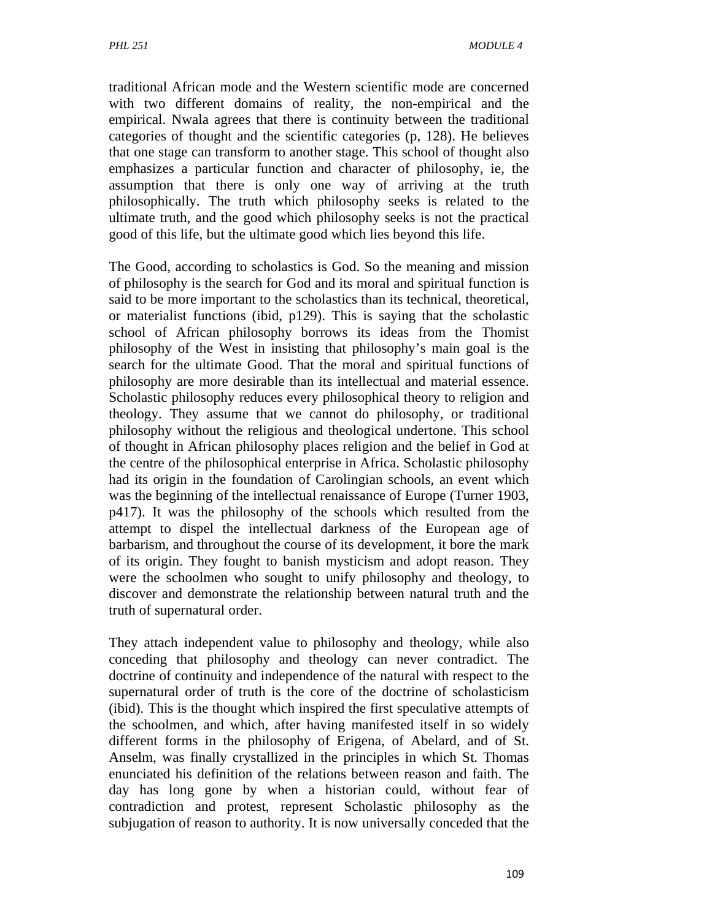traditional African mode and the Western scientific mode are concerned with two different domains of reality, the non-empirical and the empirical. Nwala agrees that there is continuity between the traditional categories of thought and the scientific categories (p, 128). He believes that one stage can transform to another stage. This school of thought also emphasizes a particular function and character of philosophy, ie, the assumption that there is only one way of arriving at the truth philosophically. The truth which philosophy seeks is related to the ultimate truth, and the good which philosophy seeks is not the practical good of this life, but the ultimate good which lies beyond this life.

The Good, according to scholastics is God. So the meaning and mission of philosophy is the search for God and its moral and spiritual function is said to be more important to the scholastics than its technical, theoretical, or materialist functions (ibid, p129). This is saying that the scholastic school of African philosophy borrows its ideas from the Thomist philosophy of the West in insisting that philosophy's main goal is the search for the ultimate Good. That the moral and spiritual functions of philosophy are more desirable than its intellectual and material essence. Scholastic philosophy reduces every philosophical theory to religion and theology. They assume that we cannot do philosophy, or traditional philosophy without the religious and theological undertone. This school of thought in African philosophy places religion and the belief in God at the centre of the philosophical enterprise in Africa. Scholastic philosophy had its origin in the foundation of Carolingian schools, an event which was the beginning of the intellectual renaissance of Europe (Turner 1903, p417). It was the philosophy of the schools which resulted from the attempt to dispel the intellectual darkness of the European age of barbarism, and throughout the course of its development, it bore the mark of its origin. They fought to banish mysticism and adopt reason. They were the schoolmen who sought to unify philosophy and theology, to discover and demonstrate the relationship between natural truth and the truth of supernatural order.

They attach independent value to philosophy and theology, while also conceding that philosophy and theology can never contradict. The doctrine of continuity and independence of the natural with respect to the supernatural order of truth is the core of the doctrine of scholasticism (ibid). This is the thought which inspired the first speculative attempts of the schoolmen, and which, after having manifested itself in so widely different forms in the philosophy of Erigena, of Abelard, and of St. Anselm, was finally crystallized in the principles in which St. Thomas enunciated his definition of the relations between reason and faith. The day has long gone by when a historian could, without fear of contradiction and protest, represent Scholastic philosophy as the subjugation of reason to authority. It is now universally conceded that the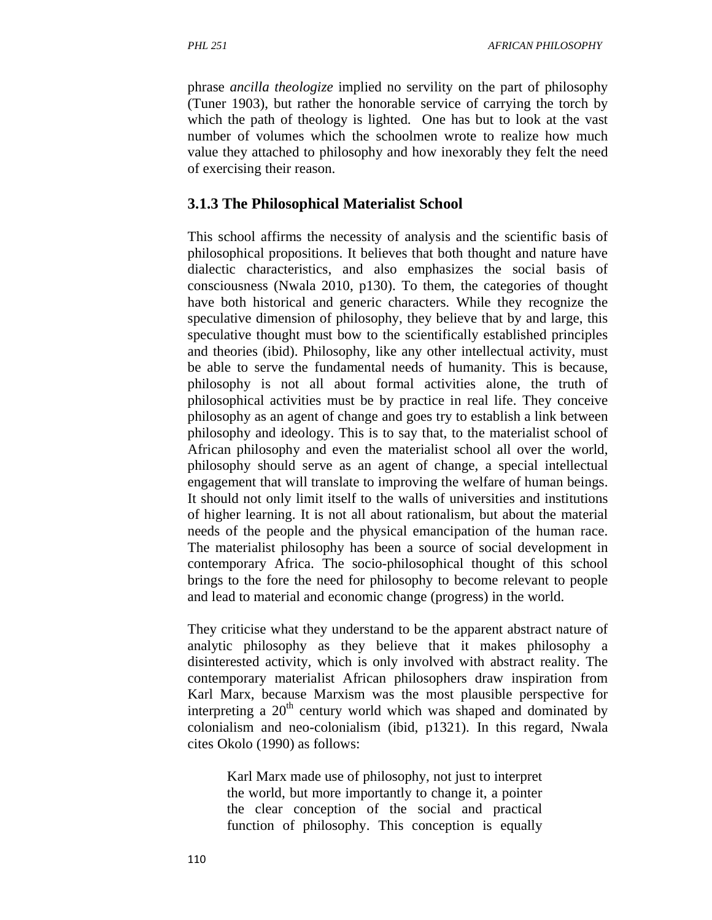phrase *ancilla theologize* implied no servility on the part of philosophy (Tuner 1903), but rather the honorable service of carrying the torch by which the path of theology is lighted. One has but to look at the vast number of volumes which the schoolmen wrote to realize how much value they attached to philosophy and how inexorably they felt the need of exercising their reason.

#### **3.1.3 The Philosophical Materialist School**

This school affirms the necessity of analysis and the scientific basis of philosophical propositions. It believes that both thought and nature have dialectic characteristics, and also emphasizes the social basis of consciousness (Nwala 2010, p130). To them, the categories of thought have both historical and generic characters. While they recognize the speculative dimension of philosophy, they believe that by and large, this speculative thought must bow to the scientifically established principles and theories (ibid). Philosophy, like any other intellectual activity, must be able to serve the fundamental needs of humanity. This is because, philosophy is not all about formal activities alone, the truth of philosophical activities must be by practice in real life. They conceive philosophy as an agent of change and goes try to establish a link between philosophy and ideology. This is to say that, to the materialist school of African philosophy and even the materialist school all over the world, philosophy should serve as an agent of change, a special intellectual engagement that will translate to improving the welfare of human beings. It should not only limit itself to the walls of universities and institutions of higher learning. It is not all about rationalism, but about the material needs of the people and the physical emancipation of the human race. The materialist philosophy has been a source of social development in contemporary Africa. The socio-philosophical thought of this school brings to the fore the need for philosophy to become relevant to people and lead to material and economic change (progress) in the world.

They criticise what they understand to be the apparent abstract nature of analytic philosophy as they believe that it makes philosophy a disinterested activity, which is only involved with abstract reality. The contemporary materialist African philosophers draw inspiration from Karl Marx, because Marxism was the most plausible perspective for interpreting a  $20<sup>th</sup>$  century world which was shaped and dominated by colonialism and neo-colonialism (ibid, p1321). In this regard, Nwala cites Okolo (1990) as follows:

Karl Marx made use of philosophy, not just to interpret the world, but more importantly to change it, a pointer the clear conception of the social and practical function of philosophy. This conception is equally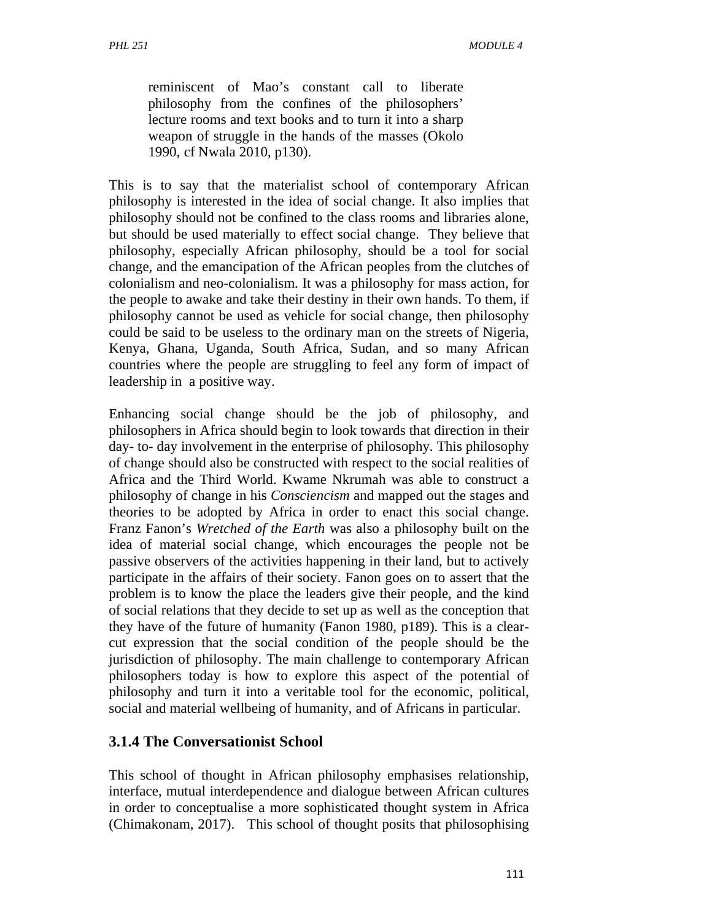reminiscent of Mao's constant call to liberate philosophy from the confines of the philosophers' lecture rooms and text books and to turn it into a sharp weapon of struggle in the hands of the masses (Okolo 1990, cf Nwala 2010, p130).

This is to say that the materialist school of contemporary African philosophy is interested in the idea of social change. It also implies that philosophy should not be confined to the class rooms and libraries alone, but should be used materially to effect social change. They believe that philosophy, especially African philosophy, should be a tool for social change, and the emancipation of the African peoples from the clutches of colonialism and neo-colonialism. It was a philosophy for mass action, for the people to awake and take their destiny in their own hands. To them, if philosophy cannot be used as vehicle for social change, then philosophy could be said to be useless to the ordinary man on the streets of Nigeria, Kenya, Ghana, Uganda, South Africa, Sudan, and so many African countries where the people are struggling to feel any form of impact of leadership in a positive way.

Enhancing social change should be the job of philosophy, and philosophers in Africa should begin to look towards that direction in their day- to- day involvement in the enterprise of philosophy. This philosophy of change should also be constructed with respect to the social realities of Africa and the Third World. Kwame Nkrumah was able to construct a philosophy of change in his *Consciencism* and mapped out the stages and theories to be adopted by Africa in order to enact this social change. Franz Fanon's *Wretched of the Earth* was also a philosophy built on the idea of material social change, which encourages the people not be passive observers of the activities happening in their land, but to actively participate in the affairs of their society. Fanon goes on to assert that the problem is to know the place the leaders give their people, and the kind of social relations that they decide to set up as well as the conception that they have of the future of humanity (Fanon 1980, p189). This is a clearcut expression that the social condition of the people should be the jurisdiction of philosophy. The main challenge to contemporary African philosophers today is how to explore this aspect of the potential of philosophy and turn it into a veritable tool for the economic, political, social and material wellbeing of humanity, and of Africans in particular.

### **3.1.4 The Conversationist School**

This school of thought in African philosophy emphasises relationship, interface, mutual interdependence and dialogue between African cultures in order to conceptualise a more sophisticated thought system in Africa (Chimakonam, 2017). This school of thought posits that philosophising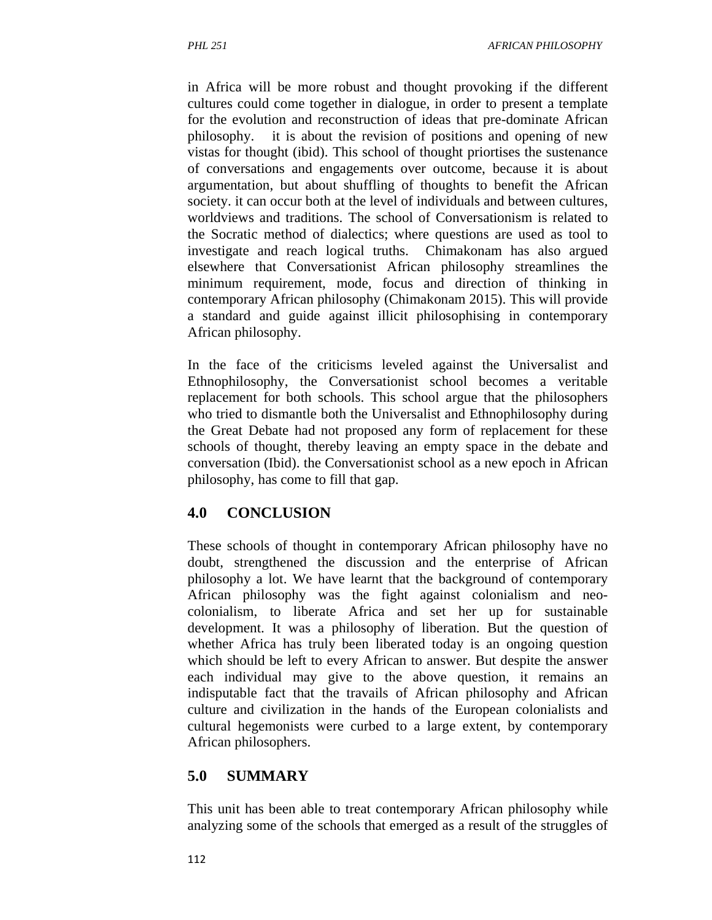in Africa will be more robust and thought provoking if the different cultures could come together in dialogue, in order to present a template for the evolution and reconstruction of ideas that pre-dominate African philosophy. it is about the revision of positions and opening of new vistas for thought (ibid). This school of thought priortises the sustenance of conversations and engagements over outcome, because it is about argumentation, but about shuffling of thoughts to benefit the African society. it can occur both at the level of individuals and between cultures, worldviews and traditions. The school of Conversationism is related to the Socratic method of dialectics; where questions are used as tool to investigate and reach logical truths. Chimakonam has also argued elsewhere that Conversationist African philosophy streamlines the minimum requirement, mode, focus and direction of thinking in contemporary African philosophy (Chimakonam 2015). This will provide a standard and guide against illicit philosophising in contemporary African philosophy.

In the face of the criticisms leveled against the Universalist and Ethnophilosophy, the Conversationist school becomes a veritable replacement for both schools. This school argue that the philosophers who tried to dismantle both the Universalist and Ethnophilosophy during the Great Debate had not proposed any form of replacement for these schools of thought, thereby leaving an empty space in the debate and conversation (Ibid). the Conversationist school as a new epoch in African philosophy, has come to fill that gap.

### **4.0 CONCLUSION**

These schools of thought in contemporary African philosophy have no doubt, strengthened the discussion and the enterprise of African philosophy a lot. We have learnt that the background of contemporary African philosophy was the fight against colonialism and neocolonialism, to liberate Africa and set her up for sustainable development. It was a philosophy of liberation. But the question of whether Africa has truly been liberated today is an ongoing question which should be left to every African to answer. But despite the answer each individual may give to the above question, it remains an indisputable fact that the travails of African philosophy and African culture and civilization in the hands of the European colonialists and cultural hegemonists were curbed to a large extent, by contemporary African philosophers.

### **5.0 SUMMARY**

This unit has been able to treat contemporary African philosophy while analyzing some of the schools that emerged as a result of the struggles of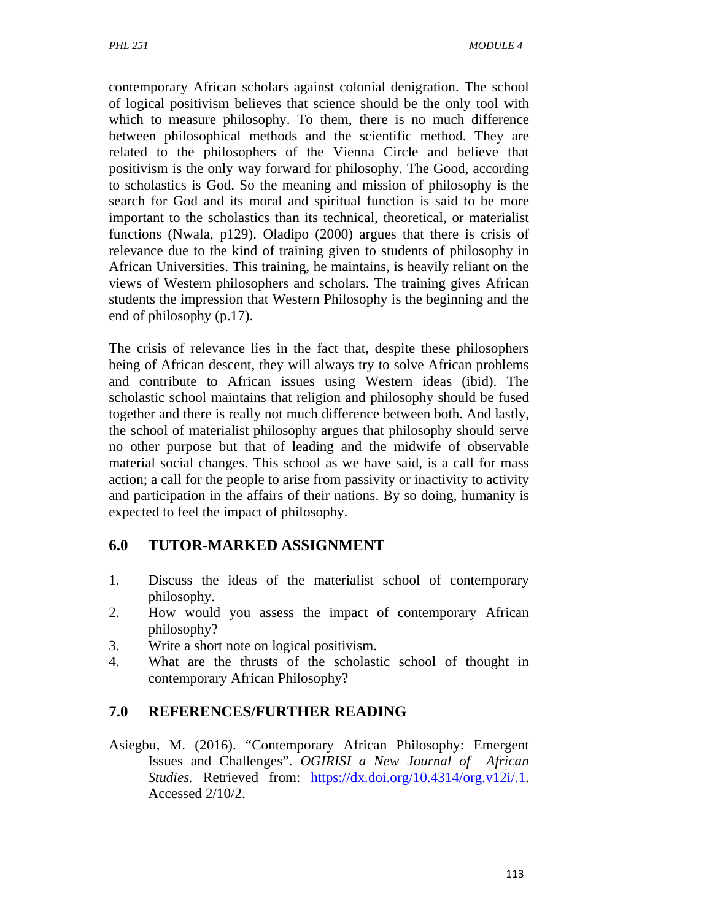contemporary African scholars against colonial denigration. The school of logical positivism believes that science should be the only tool with which to measure philosophy. To them, there is no much difference between philosophical methods and the scientific method. They are related to the philosophers of the Vienna Circle and believe that positivism is the only way forward for philosophy. The Good, according to scholastics is God. So the meaning and mission of philosophy is the search for God and its moral and spiritual function is said to be more important to the scholastics than its technical, theoretical, or materialist functions (Nwala, p129). Oladipo (2000) argues that there is crisis of relevance due to the kind of training given to students of philosophy in African Universities. This training, he maintains, is heavily reliant on the views of Western philosophers and scholars. The training gives African students the impression that Western Philosophy is the beginning and the end of philosophy (p.17).

The crisis of relevance lies in the fact that, despite these philosophers being of African descent, they will always try to solve African problems and contribute to African issues using Western ideas (ibid). The scholastic school maintains that religion and philosophy should be fused together and there is really not much difference between both. And lastly, the school of materialist philosophy argues that philosophy should serve no other purpose but that of leading and the midwife of observable material social changes. This school as we have said, is a call for mass action; a call for the people to arise from passivity or inactivity to activity and participation in the affairs of their nations. By so doing, humanity is expected to feel the impact of philosophy.

### **6.0 TUTOR-MARKED ASSIGNMENT**

- 1. Discuss the ideas of the materialist school of contemporary philosophy.
- 2. How would you assess the impact of contemporary African philosophy?
- 3. Write a short note on logical positivism.
- 4. What are the thrusts of the scholastic school of thought in contemporary African Philosophy?

## **7.0 REFERENCES/FURTHER READING**

Asiegbu, M. (2016). "Contemporary African Philosophy: Emergent Issues and Challenges". *OGIRISI a New Journal of African Studies.* Retrieved from: https://dx.doi.org/10.4314/org.v12i/.1. Accessed 2/10/2.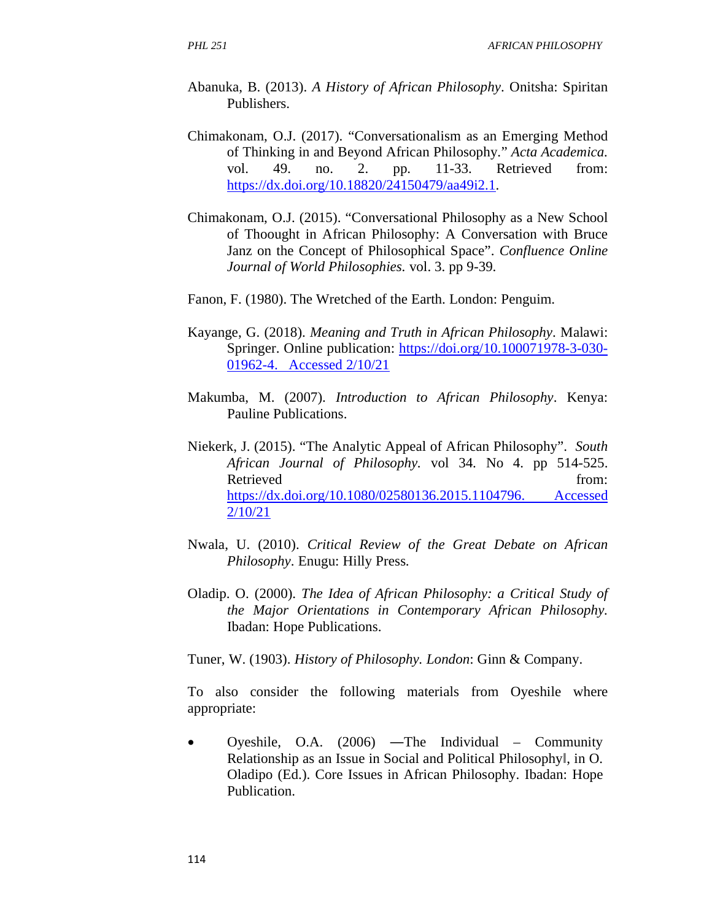- Abanuka, B. (2013). *A History of African Philosophy*. Onitsha: Spiritan Publishers.
- Chimakonam, O.J. (2017). "Conversationalism as an Emerging Method of Thinking in and Beyond African Philosophy." *Acta Academica.* vol. 49. no. 2. pp. 11-33. Retrieved from: https://dx.doi.org/10.18820/24150479/aa49i2.1.
- Chimakonam, O.J. (2015). "Conversational Philosophy as a New School of Thoought in African Philosophy: A Conversation with Bruce Janz on the Concept of Philosophical Space". *Confluence Online Journal of World Philosophies.* vol. 3. pp 9-39.
- Fanon, F. (1980). The Wretched of the Earth. London: Penguim.
- Kayange, G. (2018). *Meaning and Truth in African Philosophy*. Malawi: Springer. Online publication: https://doi.org/10.100071978-3-030- 01962-4. Accessed 2/10/21
- Makumba, M. (2007). *Introduction to African Philosophy*. Kenya: Pauline Publications.
- Niekerk, J. (2015). "The Analytic Appeal of African Philosophy". *South African Journal of Philosophy.* vol 34. No 4. pp 514-525. Retrieved from: https://dx.doi.org/10.1080/02580136.2015.1104796. Accessed 2/10/21
- Nwala, U. (2010). *Critical Review of the Great Debate on African Philosophy*. Enugu: Hilly Press.
- Oladip. O. (2000). *The Idea of African Philosophy: a Critical Study of the Major Orientations in Contemporary African Philosophy.* Ibadan: Hope Publications.

Tuner, W. (1903). *History of Philosophy. London*: Ginn & Company.

To also consider the following materials from Oyeshile where appropriate:

• Oyeshile, O.A.  $(2006)$  —The Individual – Community Relationship as an Issue in Social and Political Philosophy‖, in O. Oladipo (Ed.). Core Issues in African Philosophy. Ibadan: Hope Publication.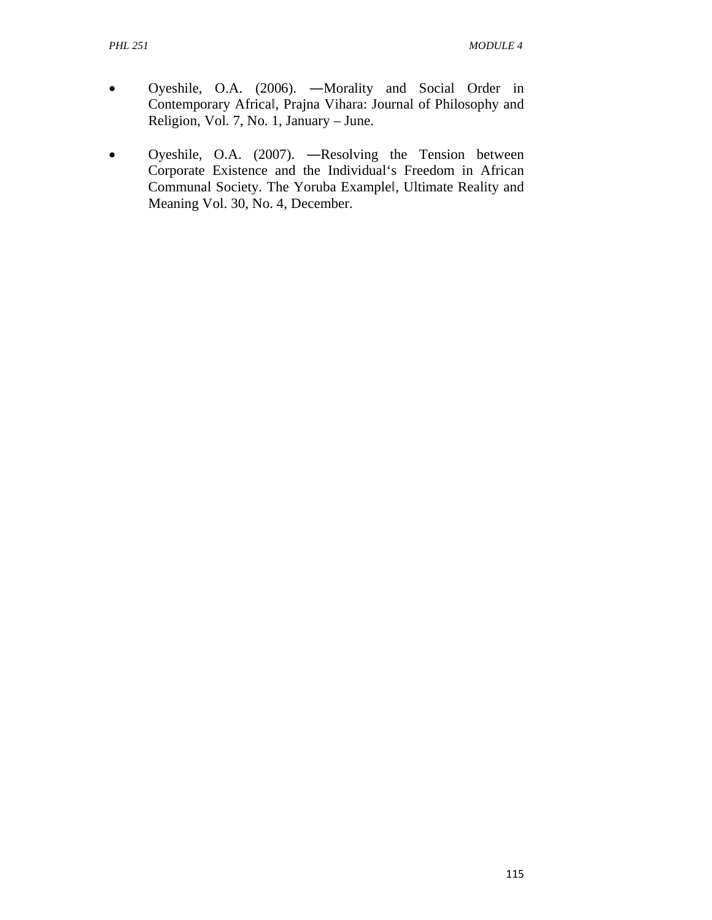- Oyeshile, O.A. (2006). ―Morality and Social Order in Contemporary Africa‖, Prajna Vihara: Journal of Philosophy and Religion, Vol. 7, No. 1, January – June.
- Oyeshile, O.A. (2007). ―Resolving the Tension between Corporate Existence and the Individual's Freedom in African Communal Society. The Yoruba Example‖, Ultimate Reality and Meaning Vol. 30, No. 4, December.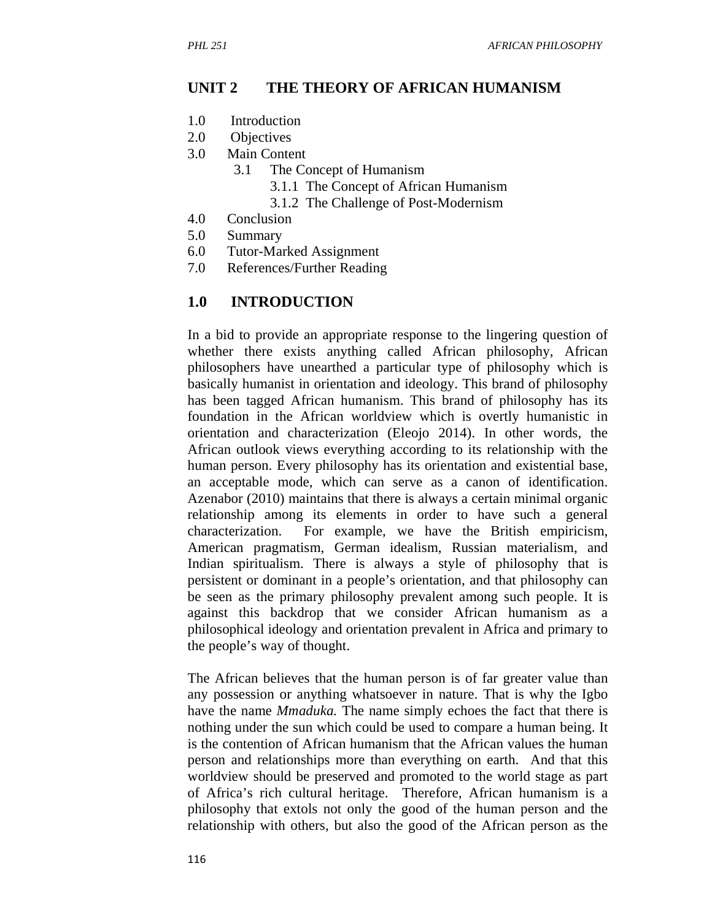#### **UNIT 2 THE THEORY OF AFRICAN HUMANISM**

- 1.0 Introduction
- 2.0 Objectives
- 3.0 Main Content
	- 3.1 The Concept of Humanism
		- 3.1.1 The Concept of African Humanism
		- 3.1.2 The Challenge of Post-Modernism
- 4.0 Conclusion
- 5.0 Summary
- 6.0 Tutor-Marked Assignment
- 7.0 References/Further Reading

#### **1.0 INTRODUCTION**

In a bid to provide an appropriate response to the lingering question of whether there exists anything called African philosophy, African philosophers have unearthed a particular type of philosophy which is basically humanist in orientation and ideology. This brand of philosophy has been tagged African humanism. This brand of philosophy has its foundation in the African worldview which is overtly humanistic in orientation and characterization (Eleojo 2014). In other words, the African outlook views everything according to its relationship with the human person. Every philosophy has its orientation and existential base, an acceptable mode, which can serve as a canon of identification. Azenabor (2010) maintains that there is always a certain minimal organic relationship among its elements in order to have such a general characterization. For example, we have the British empiricism, American pragmatism, German idealism, Russian materialism, and Indian spiritualism. There is always a style of philosophy that is persistent or dominant in a people's orientation, and that philosophy can be seen as the primary philosophy prevalent among such people. It is against this backdrop that we consider African humanism as a philosophical ideology and orientation prevalent in Africa and primary to the people's way of thought.

The African believes that the human person is of far greater value than any possession or anything whatsoever in nature. That is why the Igbo have the name *Mmaduka.* The name simply echoes the fact that there is nothing under the sun which could be used to compare a human being. It is the contention of African humanism that the African values the human person and relationships more than everything on earth. And that this worldview should be preserved and promoted to the world stage as part of Africa's rich cultural heritage. Therefore, African humanism is a philosophy that extols not only the good of the human person and the relationship with others, but also the good of the African person as the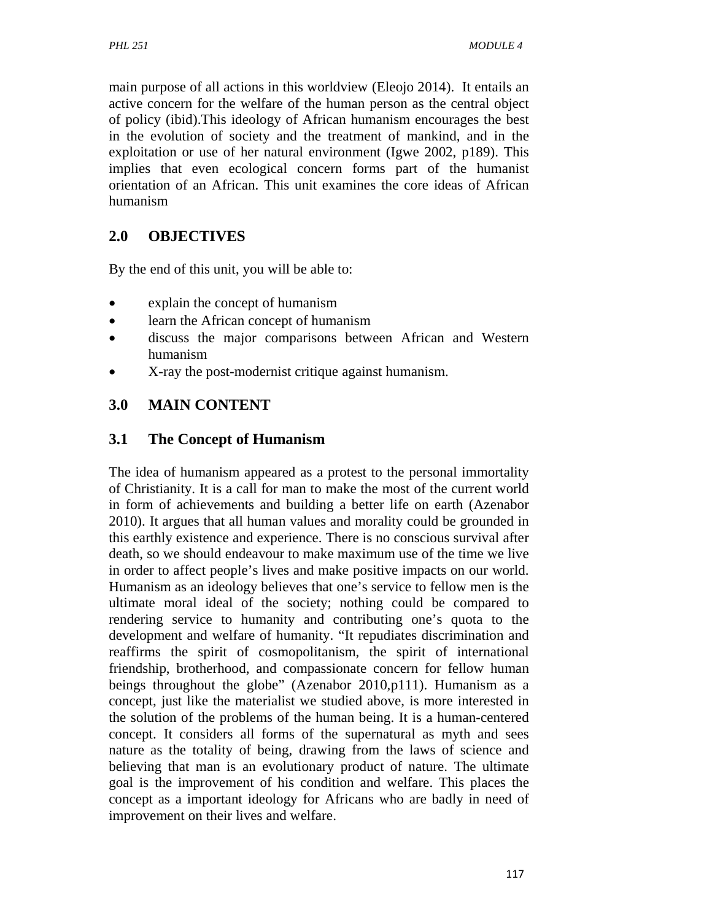main purpose of all actions in this worldview (Eleojo 2014). It entails an active concern for the welfare of the human person as the central object of policy (ibid).This ideology of African humanism encourages the best in the evolution of society and the treatment of mankind, and in the exploitation or use of her natural environment (Igwe 2002, p189). This implies that even ecological concern forms part of the humanist orientation of an African. This unit examines the core ideas of African humanism

# **2.0 OBJECTIVES**

By the end of this unit, you will be able to:

- explain the concept of humanism
- learn the African concept of humanism
- discuss the major comparisons between African and Western humanism
- X-ray the post-modernist critique against humanism.

# **3.0 MAIN CONTENT**

## **3.1 The Concept of Humanism**

The idea of humanism appeared as a protest to the personal immortality of Christianity. It is a call for man to make the most of the current world in form of achievements and building a better life on earth (Azenabor 2010). It argues that all human values and morality could be grounded in this earthly existence and experience. There is no conscious survival after death, so we should endeavour to make maximum use of the time we live in order to affect people's lives and make positive impacts on our world. Humanism as an ideology believes that one's service to fellow men is the ultimate moral ideal of the society; nothing could be compared to rendering service to humanity and contributing one's quota to the development and welfare of humanity. "It repudiates discrimination and reaffirms the spirit of cosmopolitanism, the spirit of international friendship, brotherhood, and compassionate concern for fellow human beings throughout the globe" (Azenabor 2010,p111). Humanism as a concept, just like the materialist we studied above, is more interested in the solution of the problems of the human being. It is a human-centered concept. It considers all forms of the supernatural as myth and sees nature as the totality of being, drawing from the laws of science and believing that man is an evolutionary product of nature. The ultimate goal is the improvement of his condition and welfare. This places the concept as a important ideology for Africans who are badly in need of improvement on their lives and welfare.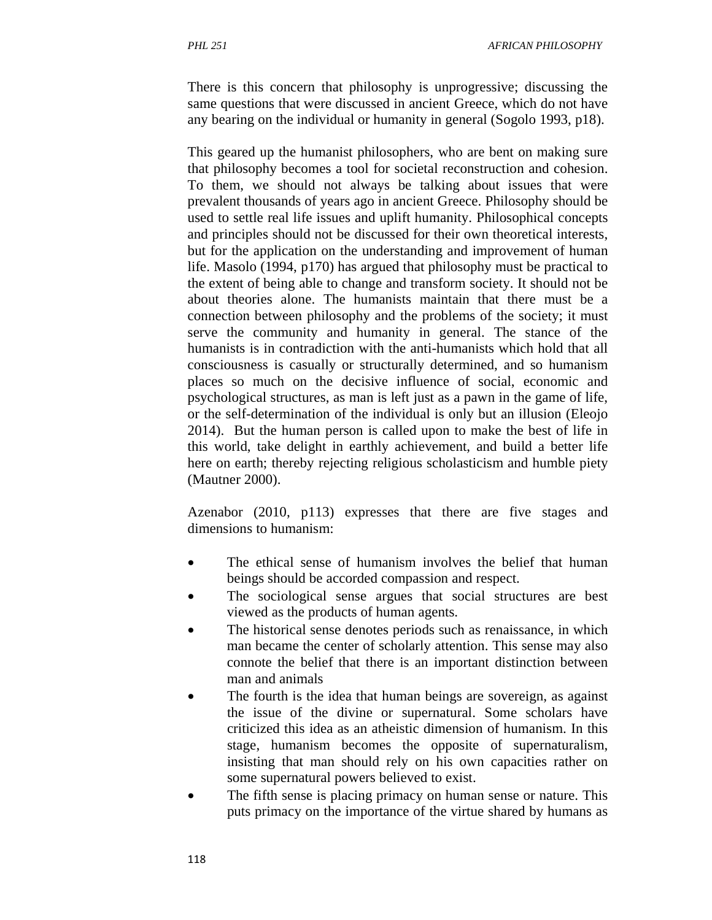There is this concern that philosophy is unprogressive; discussing the same questions that were discussed in ancient Greece, which do not have any bearing on the individual or humanity in general (Sogolo 1993, p18).

This geared up the humanist philosophers, who are bent on making sure that philosophy becomes a tool for societal reconstruction and cohesion. To them, we should not always be talking about issues that were prevalent thousands of years ago in ancient Greece. Philosophy should be used to settle real life issues and uplift humanity. Philosophical concepts and principles should not be discussed for their own theoretical interests, but for the application on the understanding and improvement of human life. Masolo (1994, p170) has argued that philosophy must be practical to the extent of being able to change and transform society. It should not be about theories alone. The humanists maintain that there must be a connection between philosophy and the problems of the society; it must serve the community and humanity in general. The stance of the humanists is in contradiction with the anti-humanists which hold that all consciousness is casually or structurally determined, and so humanism places so much on the decisive influence of social, economic and psychological structures, as man is left just as a pawn in the game of life, or the self-determination of the individual is only but an illusion (Eleojo 2014). But the human person is called upon to make the best of life in this world, take delight in earthly achievement, and build a better life here on earth; thereby rejecting religious scholasticism and humble piety (Mautner 2000).

Azenabor (2010, p113) expresses that there are five stages and dimensions to humanism:

- The ethical sense of humanism involves the belief that human beings should be accorded compassion and respect.
- The sociological sense argues that social structures are best viewed as the products of human agents.
- The historical sense denotes periods such as renaissance, in which man became the center of scholarly attention. This sense may also connote the belief that there is an important distinction between man and animals
- The fourth is the idea that human beings are sovereign, as against the issue of the divine or supernatural. Some scholars have criticized this idea as an atheistic dimension of humanism. In this stage, humanism becomes the opposite of supernaturalism, insisting that man should rely on his own capacities rather on some supernatural powers believed to exist.
- The fifth sense is placing primacy on human sense or nature. This puts primacy on the importance of the virtue shared by humans as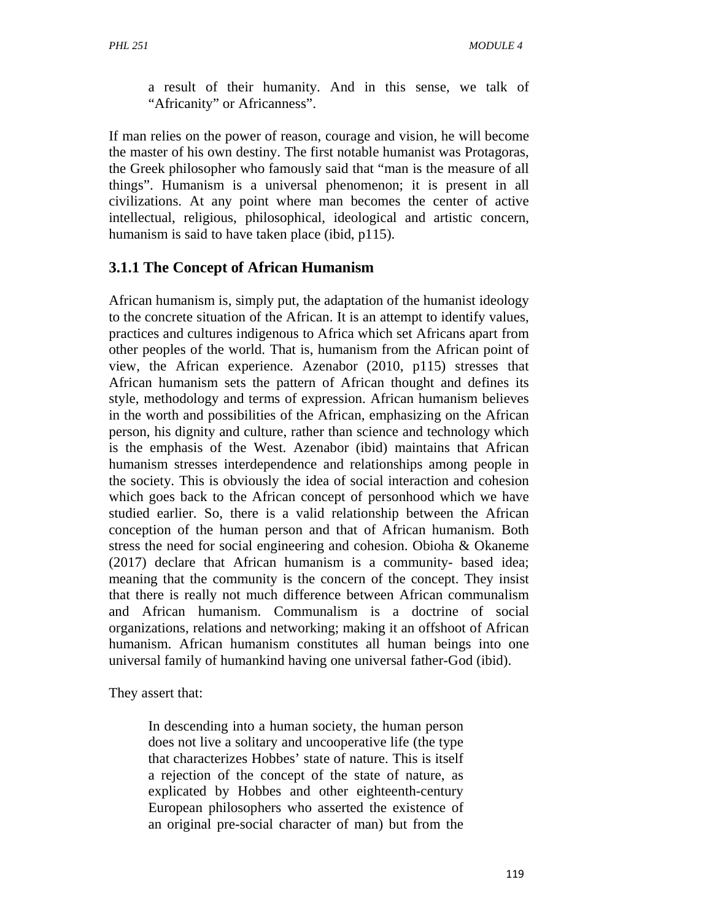a result of their humanity. And in this sense, we talk of "Africanity" or Africanness".

If man relies on the power of reason, courage and vision, he will become the master of his own destiny. The first notable humanist was Protagoras, the Greek philosopher who famously said that "man is the measure of all things". Humanism is a universal phenomenon; it is present in all civilizations. At any point where man becomes the center of active intellectual, religious, philosophical, ideological and artistic concern, humanism is said to have taken place (ibid, p115).

## **3.1.1 The Concept of African Humanism**

African humanism is, simply put, the adaptation of the humanist ideology to the concrete situation of the African. It is an attempt to identify values, practices and cultures indigenous to Africa which set Africans apart from other peoples of the world. That is, humanism from the African point of view, the African experience. Azenabor (2010, p115) stresses that African humanism sets the pattern of African thought and defines its style, methodology and terms of expression. African humanism believes in the worth and possibilities of the African, emphasizing on the African person, his dignity and culture, rather than science and technology which is the emphasis of the West. Azenabor (ibid) maintains that African humanism stresses interdependence and relationships among people in the society. This is obviously the idea of social interaction and cohesion which goes back to the African concept of personhood which we have studied earlier. So, there is a valid relationship between the African conception of the human person and that of African humanism. Both stress the need for social engineering and cohesion. Obioha & Okaneme (2017) declare that African humanism is a community- based idea; meaning that the community is the concern of the concept. They insist that there is really not much difference between African communalism and African humanism. Communalism is a doctrine of social organizations, relations and networking; making it an offshoot of African humanism. African humanism constitutes all human beings into one universal family of humankind having one universal father-God (ibid).

They assert that:

In descending into a human society, the human person does not live a solitary and uncooperative life (the type that characterizes Hobbes' state of nature. This is itself a rejection of the concept of the state of nature, as explicated by Hobbes and other eighteenth-century European philosophers who asserted the existence of an original pre-social character of man) but from the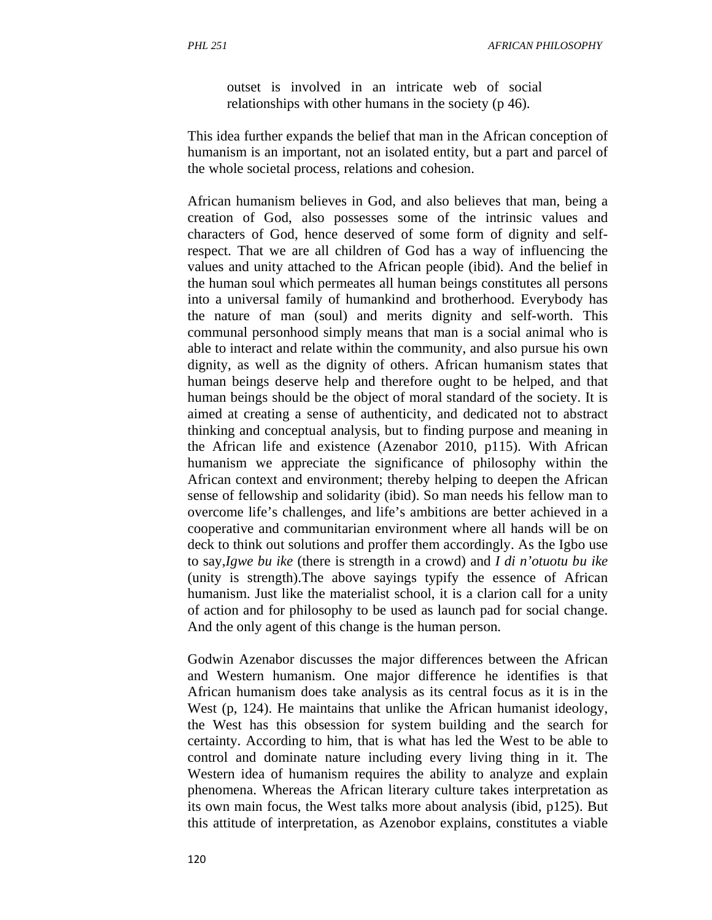outset is involved in an intricate web of social relationships with other humans in the society (p 46).

This idea further expands the belief that man in the African conception of humanism is an important, not an isolated entity, but a part and parcel of the whole societal process, relations and cohesion.

African humanism believes in God, and also believes that man, being a creation of God, also possesses some of the intrinsic values and characters of God, hence deserved of some form of dignity and selfrespect. That we are all children of God has a way of influencing the values and unity attached to the African people (ibid). And the belief in the human soul which permeates all human beings constitutes all persons into a universal family of humankind and brotherhood. Everybody has the nature of man (soul) and merits dignity and self-worth. This communal personhood simply means that man is a social animal who is able to interact and relate within the community, and also pursue his own dignity, as well as the dignity of others. African humanism states that human beings deserve help and therefore ought to be helped, and that human beings should be the object of moral standard of the society. It is aimed at creating a sense of authenticity, and dedicated not to abstract thinking and conceptual analysis, but to finding purpose and meaning in the African life and existence (Azenabor 2010, p115). With African humanism we appreciate the significance of philosophy within the African context and environment; thereby helping to deepen the African sense of fellowship and solidarity (ibid). So man needs his fellow man to overcome life's challenges, and life's ambitions are better achieved in a cooperative and communitarian environment where all hands will be on deck to think out solutions and proffer them accordingly. As the Igbo use to say,*Igwe bu ike* (there is strength in a crowd) and *I di n'otuotu bu ike*  (unity is strength).The above sayings typify the essence of African humanism. Just like the materialist school, it is a clarion call for a unity of action and for philosophy to be used as launch pad for social change. And the only agent of this change is the human person.

Godwin Azenabor discusses the major differences between the African and Western humanism. One major difference he identifies is that African humanism does take analysis as its central focus as it is in the West (p, 124). He maintains that unlike the African humanist ideology, the West has this obsession for system building and the search for certainty. According to him, that is what has led the West to be able to control and dominate nature including every living thing in it. The Western idea of humanism requires the ability to analyze and explain phenomena. Whereas the African literary culture takes interpretation as its own main focus, the West talks more about analysis (ibid, p125). But this attitude of interpretation, as Azenobor explains, constitutes a viable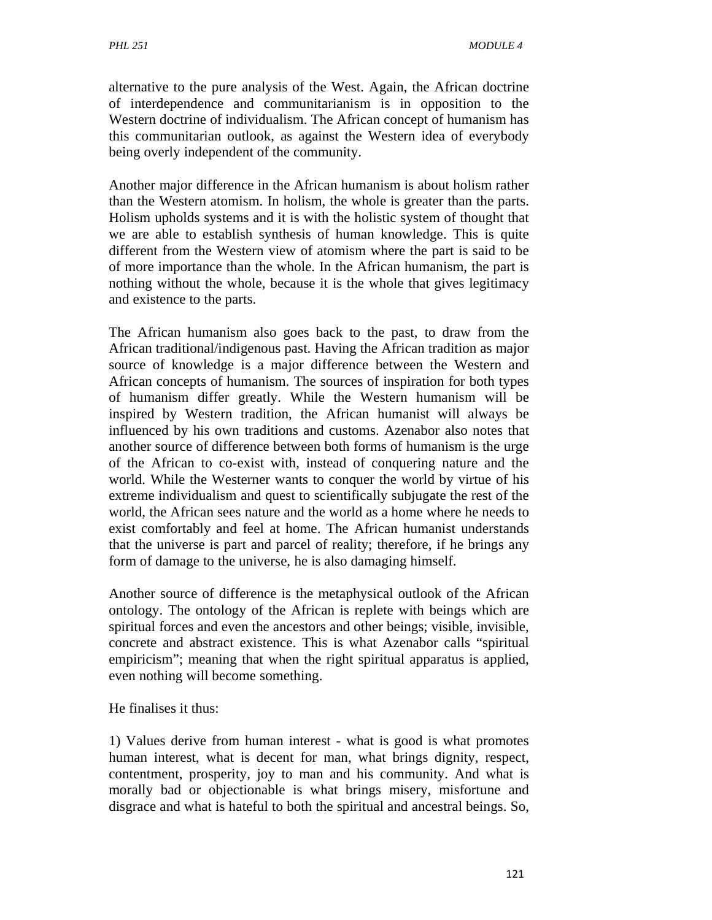alternative to the pure analysis of the West. Again, the African doctrine of interdependence and communitarianism is in opposition to the Western doctrine of individualism. The African concept of humanism has this communitarian outlook, as against the Western idea of everybody being overly independent of the community.

Another major difference in the African humanism is about holism rather than the Western atomism. In holism, the whole is greater than the parts. Holism upholds systems and it is with the holistic system of thought that we are able to establish synthesis of human knowledge. This is quite different from the Western view of atomism where the part is said to be of more importance than the whole. In the African humanism, the part is nothing without the whole, because it is the whole that gives legitimacy and existence to the parts.

The African humanism also goes back to the past, to draw from the African traditional/indigenous past. Having the African tradition as major source of knowledge is a major difference between the Western and African concepts of humanism. The sources of inspiration for both types of humanism differ greatly. While the Western humanism will be inspired by Western tradition, the African humanist will always be influenced by his own traditions and customs. Azenabor also notes that another source of difference between both forms of humanism is the urge of the African to co-exist with, instead of conquering nature and the world. While the Westerner wants to conquer the world by virtue of his extreme individualism and quest to scientifically subjugate the rest of the world, the African sees nature and the world as a home where he needs to exist comfortably and feel at home. The African humanist understands that the universe is part and parcel of reality; therefore, if he brings any form of damage to the universe, he is also damaging himself.

Another source of difference is the metaphysical outlook of the African ontology. The ontology of the African is replete with beings which are spiritual forces and even the ancestors and other beings; visible, invisible, concrete and abstract existence. This is what Azenabor calls "spiritual empiricism"; meaning that when the right spiritual apparatus is applied, even nothing will become something.

He finalises it thus:

1) Values derive from human interest - what is good is what promotes human interest, what is decent for man, what brings dignity, respect, contentment, prosperity, joy to man and his community. And what is morally bad or objectionable is what brings misery, misfortune and disgrace and what is hateful to both the spiritual and ancestral beings. So,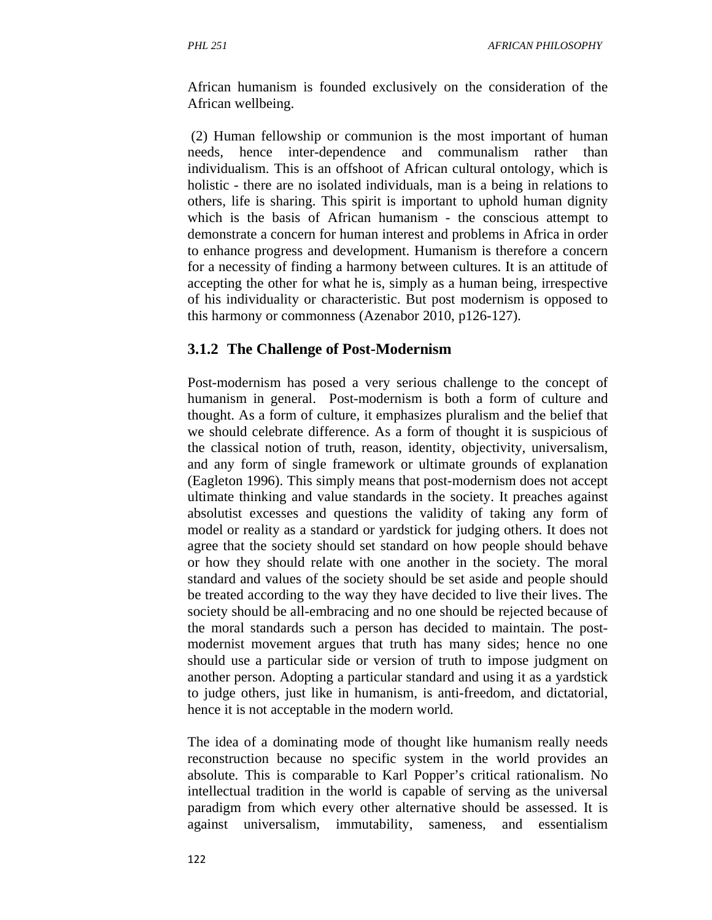African humanism is founded exclusively on the consideration of the African wellbeing.

 (2) Human fellowship or communion is the most important of human needs, hence inter-dependence and communalism rather than individualism. This is an offshoot of African cultural ontology, which is holistic - there are no isolated individuals, man is a being in relations to others, life is sharing. This spirit is important to uphold human dignity which is the basis of African humanism - the conscious attempt to demonstrate a concern for human interest and problems in Africa in order to enhance progress and development. Humanism is therefore a concern for a necessity of finding a harmony between cultures. It is an attitude of accepting the other for what he is, simply as a human being, irrespective of his individuality or characteristic. But post modernism is opposed to this harmony or commonness (Azenabor 2010, p126-127).

#### **3.1.2 The Challenge of Post-Modernism**

Post-modernism has posed a very serious challenge to the concept of humanism in general. Post-modernism is both a form of culture and thought. As a form of culture, it emphasizes pluralism and the belief that we should celebrate difference. As a form of thought it is suspicious of the classical notion of truth, reason, identity, objectivity, universalism, and any form of single framework or ultimate grounds of explanation (Eagleton 1996). This simply means that post-modernism does not accept ultimate thinking and value standards in the society. It preaches against absolutist excesses and questions the validity of taking any form of model or reality as a standard or yardstick for judging others. It does not agree that the society should set standard on how people should behave or how they should relate with one another in the society. The moral standard and values of the society should be set aside and people should be treated according to the way they have decided to live their lives. The society should be all-embracing and no one should be rejected because of the moral standards such a person has decided to maintain. The postmodernist movement argues that truth has many sides; hence no one should use a particular side or version of truth to impose judgment on another person. Adopting a particular standard and using it as a yardstick to judge others, just like in humanism, is anti-freedom, and dictatorial, hence it is not acceptable in the modern world.

The idea of a dominating mode of thought like humanism really needs reconstruction because no specific system in the world provides an absolute. This is comparable to Karl Popper's critical rationalism. No intellectual tradition in the world is capable of serving as the universal paradigm from which every other alternative should be assessed. It is against universalism, immutability, sameness, and essentialism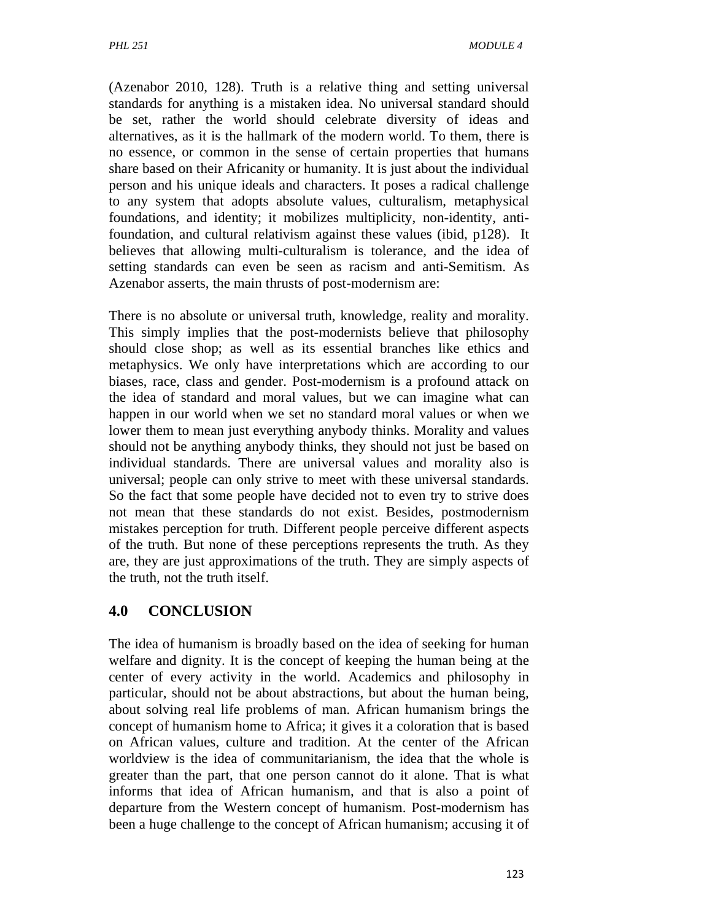(Azenabor 2010, 128). Truth is a relative thing and setting universal standards for anything is a mistaken idea. No universal standard should be set, rather the world should celebrate diversity of ideas and alternatives, as it is the hallmark of the modern world. To them, there is no essence, or common in the sense of certain properties that humans share based on their Africanity or humanity. It is just about the individual person and his unique ideals and characters. It poses a radical challenge to any system that adopts absolute values, culturalism, metaphysical foundations, and identity; it mobilizes multiplicity, non-identity, antifoundation, and cultural relativism against these values (ibid, p128). It believes that allowing multi-culturalism is tolerance, and the idea of setting standards can even be seen as racism and anti-Semitism. As Azenabor asserts, the main thrusts of post-modernism are:

There is no absolute or universal truth, knowledge, reality and morality. This simply implies that the post-modernists believe that philosophy should close shop; as well as its essential branches like ethics and metaphysics. We only have interpretations which are according to our biases, race, class and gender. Post-modernism is a profound attack on the idea of standard and moral values, but we can imagine what can happen in our world when we set no standard moral values or when we lower them to mean just everything anybody thinks. Morality and values should not be anything anybody thinks, they should not just be based on individual standards. There are universal values and morality also is universal; people can only strive to meet with these universal standards. So the fact that some people have decided not to even try to strive does not mean that these standards do not exist. Besides, postmodernism mistakes perception for truth. Different people perceive different aspects of the truth. But none of these perceptions represents the truth. As they are, they are just approximations of the truth. They are simply aspects of the truth, not the truth itself.

## **4.0 CONCLUSION**

The idea of humanism is broadly based on the idea of seeking for human welfare and dignity. It is the concept of keeping the human being at the center of every activity in the world. Academics and philosophy in particular, should not be about abstractions, but about the human being, about solving real life problems of man. African humanism brings the concept of humanism home to Africa; it gives it a coloration that is based on African values, culture and tradition. At the center of the African worldview is the idea of communitarianism, the idea that the whole is greater than the part, that one person cannot do it alone. That is what informs that idea of African humanism, and that is also a point of departure from the Western concept of humanism. Post-modernism has been a huge challenge to the concept of African humanism; accusing it of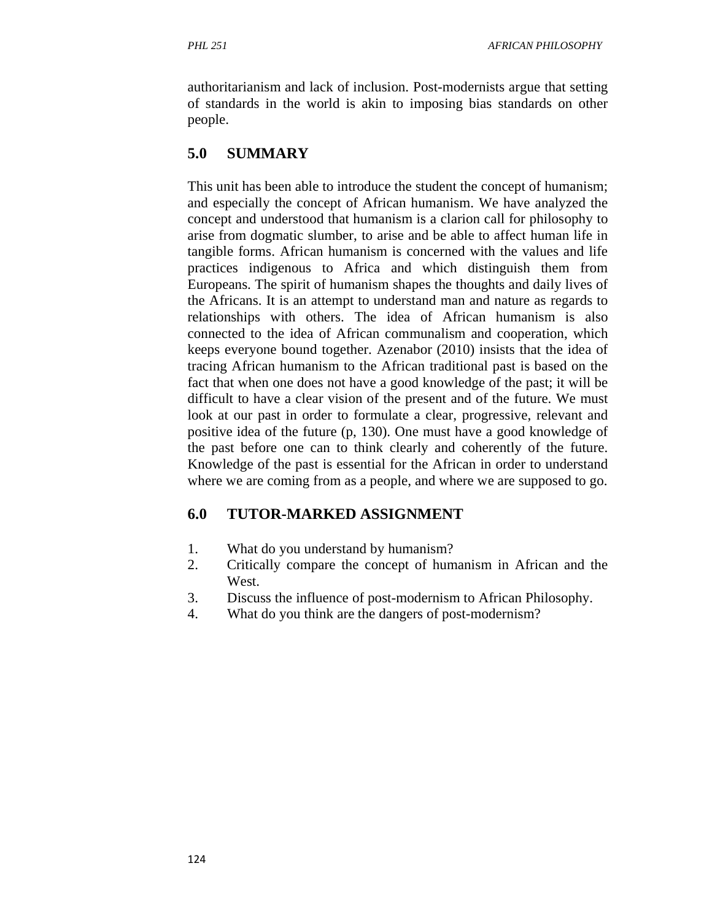authoritarianism and lack of inclusion. Post-modernists argue that setting of standards in the world is akin to imposing bias standards on other people.

## **5.0 SUMMARY**

This unit has been able to introduce the student the concept of humanism; and especially the concept of African humanism. We have analyzed the concept and understood that humanism is a clarion call for philosophy to arise from dogmatic slumber, to arise and be able to affect human life in tangible forms. African humanism is concerned with the values and life practices indigenous to Africa and which distinguish them from Europeans. The spirit of humanism shapes the thoughts and daily lives of the Africans. It is an attempt to understand man and nature as regards to relationships with others. The idea of African humanism is also connected to the idea of African communalism and cooperation, which keeps everyone bound together. Azenabor (2010) insists that the idea of tracing African humanism to the African traditional past is based on the fact that when one does not have a good knowledge of the past; it will be difficult to have a clear vision of the present and of the future. We must look at our past in order to formulate a clear, progressive, relevant and positive idea of the future (p, 130). One must have a good knowledge of the past before one can to think clearly and coherently of the future. Knowledge of the past is essential for the African in order to understand where we are coming from as a people, and where we are supposed to go.

### **6.0 TUTOR-MARKED ASSIGNMENT**

- 1. What do you understand by humanism?
- 2. Critically compare the concept of humanism in African and the West.
- 3. Discuss the influence of post-modernism to African Philosophy.
- 4. What do you think are the dangers of post-modernism?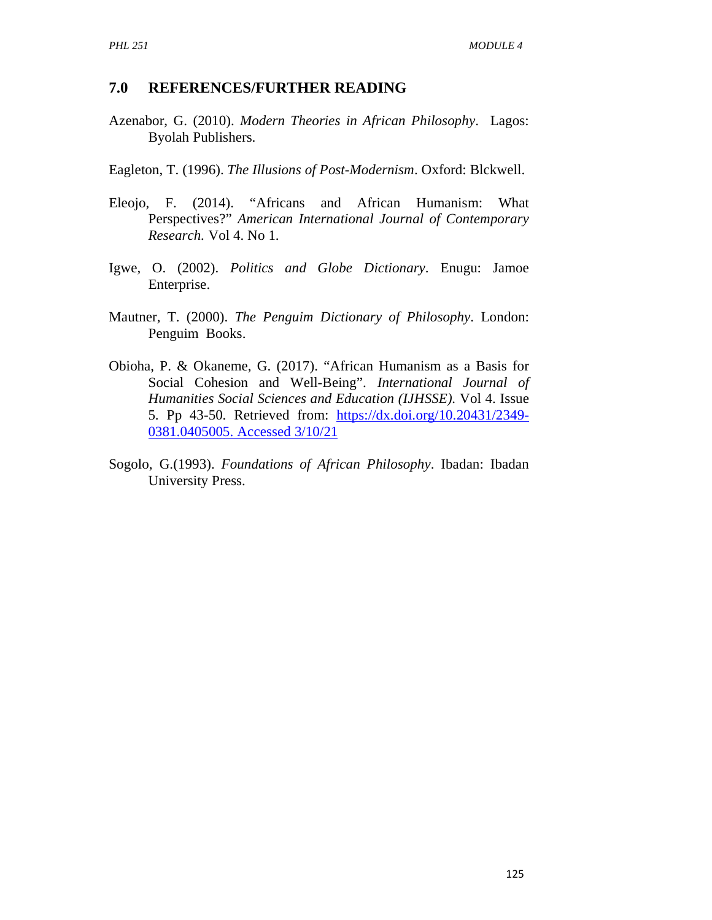#### **7.0 REFERENCES/FURTHER READING**

- Azenabor, G. (2010). *Modern Theories in African Philosophy*. Lagos: Byolah Publishers.
- Eagleton, T. (1996). *The Illusions of Post-Modernism*. Oxford: Blckwell.
- Eleojo, F. (2014). "Africans and African Humanism: What Perspectives?" *American International Journal of Contemporary Research.* Vol 4. No 1.
- Igwe, O. (2002). *Politics and Globe Dictionary*. Enugu: Jamoe Enterprise.
- Mautner, T. (2000). *The Penguim Dictionary of Philosophy*. London: Penguim Books.
- Obioha, P. & Okaneme, G. (2017). "African Humanism as a Basis for Social Cohesion and Well-Being". *International Journal of Humanities Social Sciences and Education (IJHSSE).* Vol 4. Issue 5. Pp 43-50. Retrieved from: https://dx.doi.org/10.20431/2349- 0381.0405005. Accessed 3/10/21
- Sogolo, G.(1993). *Foundations of African Philosophy*. Ibadan: Ibadan University Press.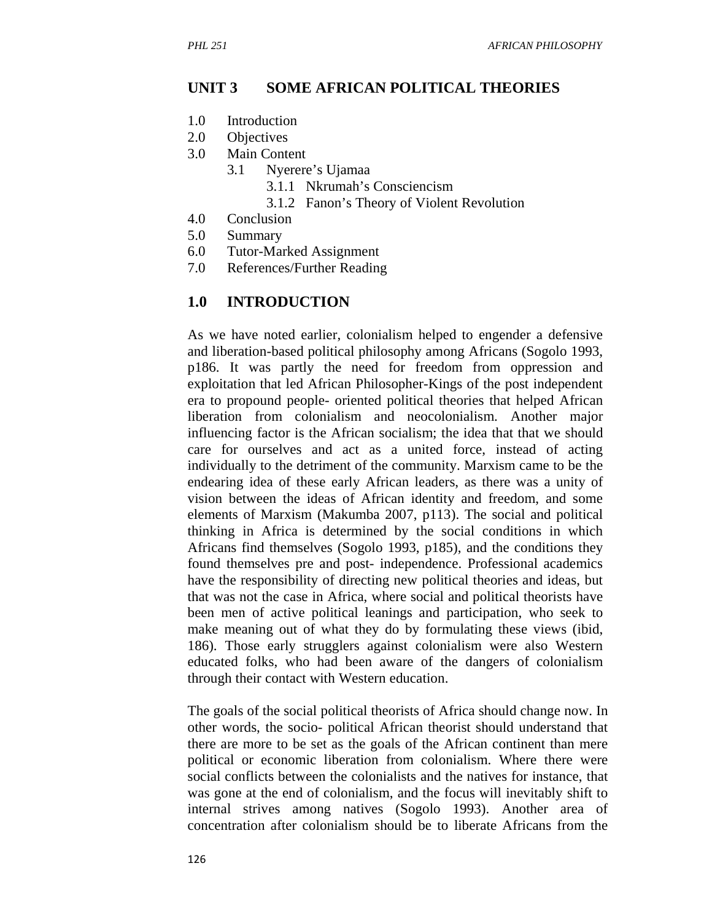#### **UNIT 3 SOME AFRICAN POLITICAL THEORIES**

- 1.0 Introduction
- 2.0 Objectives
- 3.0 Main Content
	- 3.1 Nyerere's Ujamaa
		- 3.1.1 Nkrumah's Consciencism
		- 3.1.2 Fanon's Theory of Violent Revolution
- 4.0 Conclusion
- 5.0 Summary
- 6.0 Tutor-Marked Assignment
- 7.0 References/Further Reading

#### **1.0 INTRODUCTION**

As we have noted earlier, colonialism helped to engender a defensive and liberation-based political philosophy among Africans (Sogolo 1993, p186. It was partly the need for freedom from oppression and exploitation that led African Philosopher-Kings of the post independent era to propound people- oriented political theories that helped African liberation from colonialism and neocolonialism. Another major influencing factor is the African socialism; the idea that that we should care for ourselves and act as a united force, instead of acting individually to the detriment of the community. Marxism came to be the endearing idea of these early African leaders, as there was a unity of vision between the ideas of African identity and freedom, and some elements of Marxism (Makumba 2007, p113). The social and political thinking in Africa is determined by the social conditions in which Africans find themselves (Sogolo 1993, p185), and the conditions they found themselves pre and post- independence. Professional academics have the responsibility of directing new political theories and ideas, but that was not the case in Africa, where social and political theorists have been men of active political leanings and participation, who seek to make meaning out of what they do by formulating these views (ibid, 186). Those early strugglers against colonialism were also Western educated folks, who had been aware of the dangers of colonialism through their contact with Western education.

The goals of the social political theorists of Africa should change now. In other words, the socio- political African theorist should understand that there are more to be set as the goals of the African continent than mere political or economic liberation from colonialism. Where there were social conflicts between the colonialists and the natives for instance, that was gone at the end of colonialism, and the focus will inevitably shift to internal strives among natives (Sogolo 1993). Another area of concentration after colonialism should be to liberate Africans from the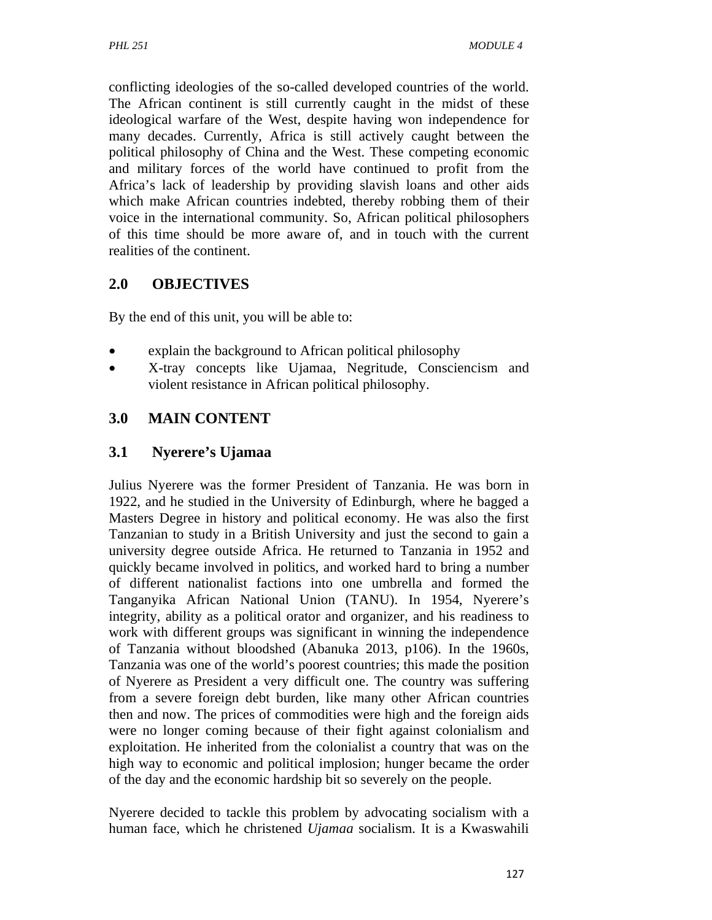conflicting ideologies of the so-called developed countries of the world. The African continent is still currently caught in the midst of these ideological warfare of the West, despite having won independence for many decades. Currently, Africa is still actively caught between the political philosophy of China and the West. These competing economic and military forces of the world have continued to profit from the Africa's lack of leadership by providing slavish loans and other aids which make African countries indebted, thereby robbing them of their voice in the international community. So, African political philosophers of this time should be more aware of, and in touch with the current realities of the continent.

## **2.0 OBJECTIVES**

By the end of this unit, you will be able to:

- explain the background to African political philosophy
- X-tray concepts like Ujamaa, Negritude, Consciencism and violent resistance in African political philosophy.

## **3.0 MAIN CONTENT**

### **3.1 Nyerere's Ujamaa**

Julius Nyerere was the former President of Tanzania. He was born in 1922, and he studied in the University of Edinburgh, where he bagged a Masters Degree in history and political economy. He was also the first Tanzanian to study in a British University and just the second to gain a university degree outside Africa. He returned to Tanzania in 1952 and quickly became involved in politics, and worked hard to bring a number of different nationalist factions into one umbrella and formed the Tanganyika African National Union (TANU). In 1954, Nyerere's integrity, ability as a political orator and organizer, and his readiness to work with different groups was significant in winning the independence of Tanzania without bloodshed (Abanuka 2013, p106). In the 1960s, Tanzania was one of the world's poorest countries; this made the position of Nyerere as President a very difficult one. The country was suffering from a severe foreign debt burden, like many other African countries then and now. The prices of commodities were high and the foreign aids were no longer coming because of their fight against colonialism and exploitation. He inherited from the colonialist a country that was on the high way to economic and political implosion; hunger became the order of the day and the economic hardship bit so severely on the people.

Nyerere decided to tackle this problem by advocating socialism with a human face, which he christened *Ujamaa* socialism. It is a Kwaswahili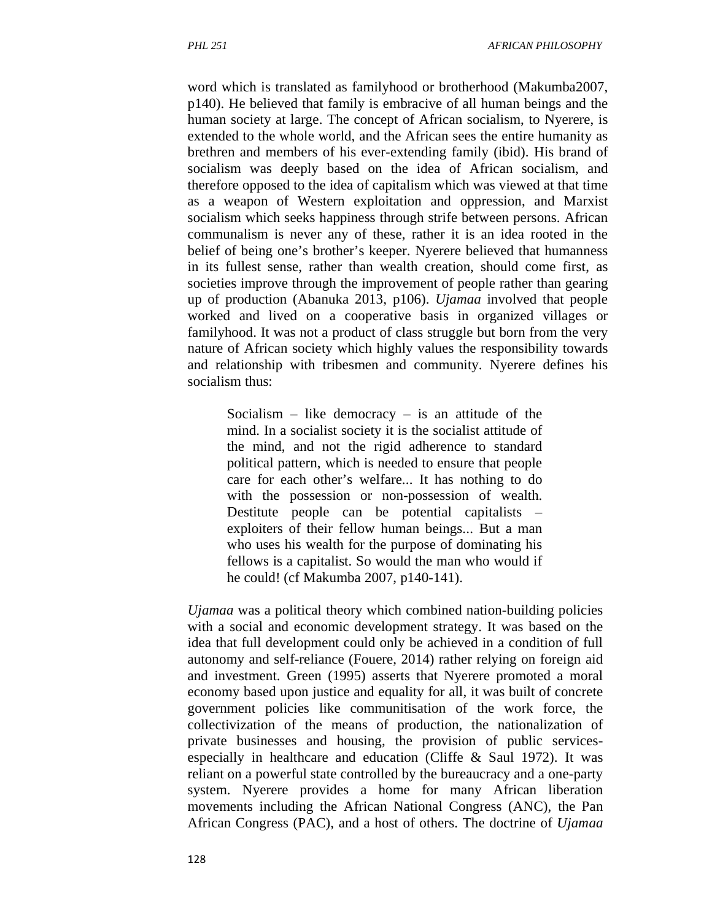word which is translated as familyhood or brotherhood (Makumba2007, p140). He believed that family is embracive of all human beings and the human society at large. The concept of African socialism, to Nyerere, is extended to the whole world, and the African sees the entire humanity as brethren and members of his ever-extending family (ibid). His brand of socialism was deeply based on the idea of African socialism, and therefore opposed to the idea of capitalism which was viewed at that time as a weapon of Western exploitation and oppression, and Marxist socialism which seeks happiness through strife between persons. African communalism is never any of these, rather it is an idea rooted in the belief of being one's brother's keeper. Nyerere believed that humanness in its fullest sense, rather than wealth creation, should come first, as societies improve through the improvement of people rather than gearing up of production (Abanuka 2013, p106). *Ujamaa* involved that people worked and lived on a cooperative basis in organized villages or familyhood. It was not a product of class struggle but born from the very nature of African society which highly values the responsibility towards and relationship with tribesmen and community. Nyerere defines his socialism thus:

Socialism – like democracy – is an attitude of the mind. In a socialist society it is the socialist attitude of the mind, and not the rigid adherence to standard political pattern, which is needed to ensure that people care for each other's welfare... It has nothing to do with the possession or non-possession of wealth. Destitute people can be potential capitalists – exploiters of their fellow human beings... But a man who uses his wealth for the purpose of dominating his fellows is a capitalist. So would the man who would if he could! (cf Makumba 2007, p140-141).

*Ujamaa* was a political theory which combined nation-building policies with a social and economic development strategy. It was based on the idea that full development could only be achieved in a condition of full autonomy and self-reliance (Fouere, 2014) rather relying on foreign aid and investment. Green (1995) asserts that Nyerere promoted a moral economy based upon justice and equality for all, it was built of concrete government policies like communitisation of the work force, the collectivization of the means of production, the nationalization of private businesses and housing, the provision of public servicesespecially in healthcare and education (Cliffe & Saul 1972). It was reliant on a powerful state controlled by the bureaucracy and a one-party system. Nyerere provides a home for many African liberation movements including the African National Congress (ANC), the Pan African Congress (PAC), and a host of others. The doctrine of *Ujamaa*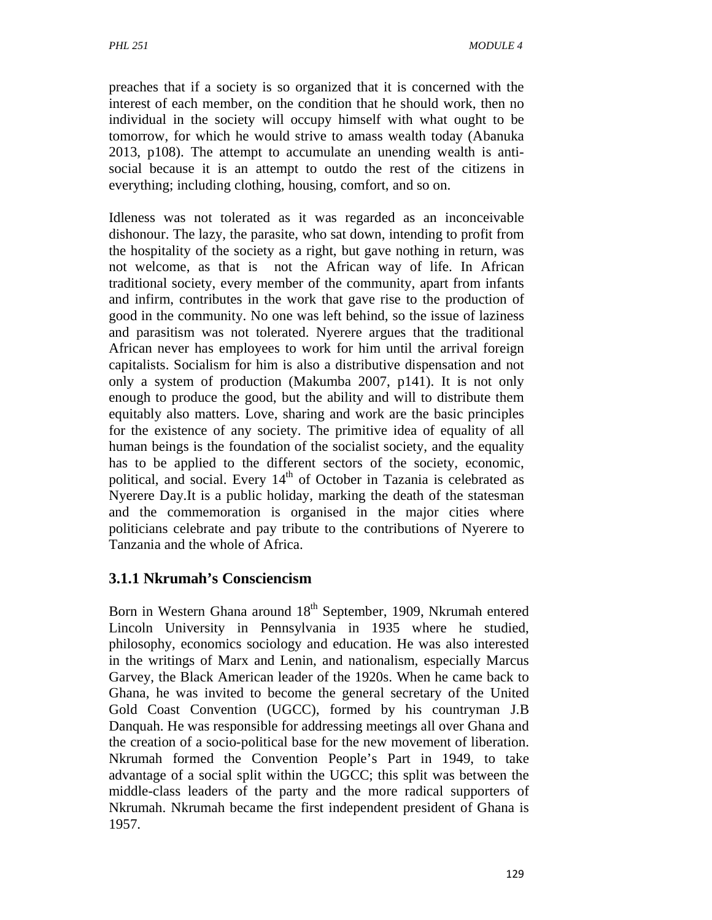preaches that if a society is so organized that it is concerned with the interest of each member, on the condition that he should work, then no individual in the society will occupy himself with what ought to be tomorrow, for which he would strive to amass wealth today (Abanuka 2013, p108). The attempt to accumulate an unending wealth is antisocial because it is an attempt to outdo the rest of the citizens in everything; including clothing, housing, comfort, and so on.

Idleness was not tolerated as it was regarded as an inconceivable dishonour. The lazy, the parasite, who sat down, intending to profit from the hospitality of the society as a right, but gave nothing in return, was not welcome, as that is not the African way of life. In African traditional society, every member of the community, apart from infants and infirm, contributes in the work that gave rise to the production of good in the community. No one was left behind, so the issue of laziness and parasitism was not tolerated. Nyerere argues that the traditional African never has employees to work for him until the arrival foreign capitalists. Socialism for him is also a distributive dispensation and not only a system of production (Makumba 2007, p141). It is not only enough to produce the good, but the ability and will to distribute them equitably also matters. Love, sharing and work are the basic principles for the existence of any society. The primitive idea of equality of all human beings is the foundation of the socialist society, and the equality has to be applied to the different sectors of the society, economic, political, and social. Every 14<sup>th</sup> of October in Tazania is celebrated as Nyerere Day.It is a public holiday, marking the death of the statesman and the commemoration is organised in the major cities where politicians celebrate and pay tribute to the contributions of Nyerere to Tanzania and the whole of Africa.

### **3.1.1 Nkrumah's Consciencism**

Born in Western Ghana around 18<sup>th</sup> September, 1909, Nkrumah entered Lincoln University in Pennsylvania in 1935 where he studied, philosophy, economics sociology and education. He was also interested in the writings of Marx and Lenin, and nationalism, especially Marcus Garvey, the Black American leader of the 1920s. When he came back to Ghana, he was invited to become the general secretary of the United Gold Coast Convention (UGCC), formed by his countryman J.B Danquah. He was responsible for addressing meetings all over Ghana and the creation of a socio-political base for the new movement of liberation. Nkrumah formed the Convention People's Part in 1949, to take advantage of a social split within the UGCC; this split was between the middle-class leaders of the party and the more radical supporters of Nkrumah. Nkrumah became the first independent president of Ghana is 1957.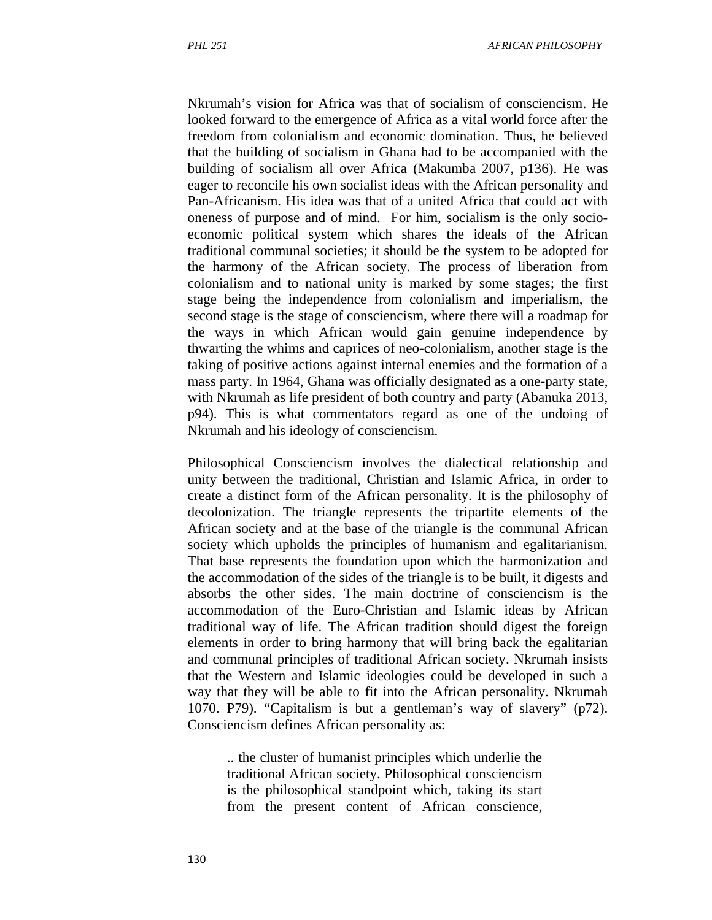Nkrumah's vision for Africa was that of socialism of consciencism. He looked forward to the emergence of Africa as a vital world force after the freedom from colonialism and economic domination. Thus, he believed that the building of socialism in Ghana had to be accompanied with the building of socialism all over Africa (Makumba 2007, p136). He was eager to reconcile his own socialist ideas with the African personality and Pan-Africanism. His idea was that of a united Africa that could act with oneness of purpose and of mind. For him, socialism is the only socioeconomic political system which shares the ideals of the African traditional communal societies; it should be the system to be adopted for the harmony of the African society. The process of liberation from colonialism and to national unity is marked by some stages; the first stage being the independence from colonialism and imperialism, the second stage is the stage of consciencism, where there will a roadmap for the ways in which African would gain genuine independence by thwarting the whims and caprices of neo-colonialism, another stage is the taking of positive actions against internal enemies and the formation of a mass party. In 1964, Ghana was officially designated as a one-party state, with Nkrumah as life president of both country and party (Abanuka 2013, p94). This is what commentators regard as one of the undoing of Nkrumah and his ideology of consciencism.

Philosophical Consciencism involves the dialectical relationship and unity between the traditional, Christian and Islamic Africa, in order to create a distinct form of the African personality. It is the philosophy of decolonization. The triangle represents the tripartite elements of the African society and at the base of the triangle is the communal African society which upholds the principles of humanism and egalitarianism. That base represents the foundation upon which the harmonization and the accommodation of the sides of the triangle is to be built, it digests and absorbs the other sides. The main doctrine of consciencism is the accommodation of the Euro-Christian and Islamic ideas by African traditional way of life. The African tradition should digest the foreign elements in order to bring harmony that will bring back the egalitarian and communal principles of traditional African society. Nkrumah insists that the Western and Islamic ideologies could be developed in such a way that they will be able to fit into the African personality. Nkrumah 1070. P79). "Capitalism is but a gentleman's way of slavery" (p72). Consciencism defines African personality as:

.. the cluster of humanist principles which underlie the traditional African society. Philosophical consciencism is the philosophical standpoint which, taking its start from the present content of African conscience,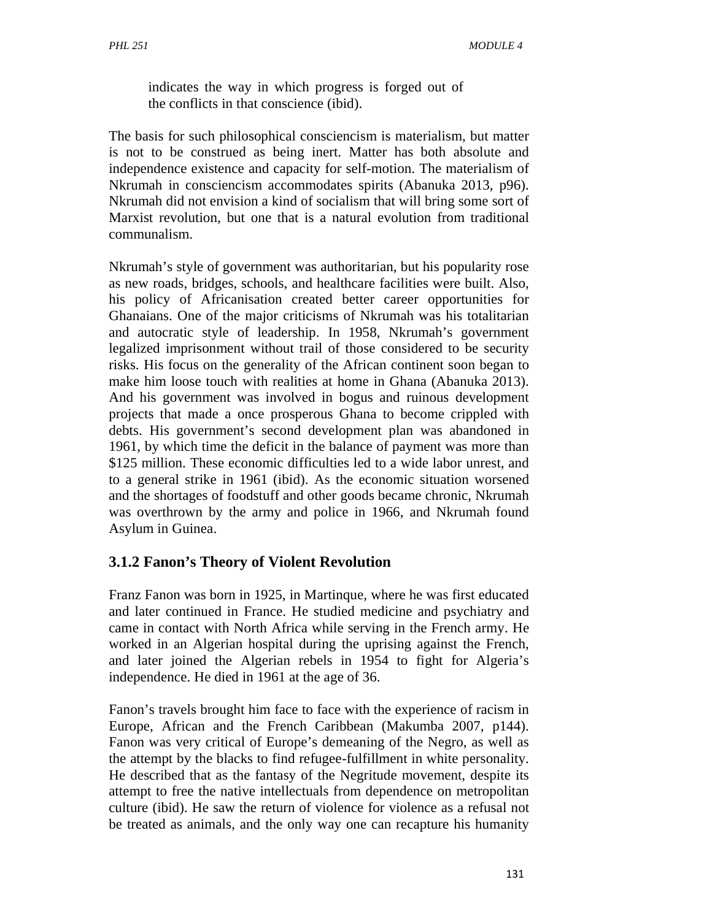indicates the way in which progress is forged out of the conflicts in that conscience (ibid).

The basis for such philosophical consciencism is materialism, but matter is not to be construed as being inert. Matter has both absolute and independence existence and capacity for self-motion. The materialism of Nkrumah in consciencism accommodates spirits (Abanuka 2013, p96). Nkrumah did not envision a kind of socialism that will bring some sort of Marxist revolution, but one that is a natural evolution from traditional communalism.

Nkrumah's style of government was authoritarian, but his popularity rose as new roads, bridges, schools, and healthcare facilities were built. Also, his policy of Africanisation created better career opportunities for Ghanaians. One of the major criticisms of Nkrumah was his totalitarian and autocratic style of leadership. In 1958, Nkrumah's government legalized imprisonment without trail of those considered to be security risks. His focus on the generality of the African continent soon began to make him loose touch with realities at home in Ghana (Abanuka 2013). And his government was involved in bogus and ruinous development projects that made a once prosperous Ghana to become crippled with debts. His government's second development plan was abandoned in 1961, by which time the deficit in the balance of payment was more than \$125 million. These economic difficulties led to a wide labor unrest, and to a general strike in 1961 (ibid). As the economic situation worsened and the shortages of foodstuff and other goods became chronic, Nkrumah was overthrown by the army and police in 1966, and Nkrumah found Asylum in Guinea.

## **3.1.2 Fanon's Theory of Violent Revolution**

Franz Fanon was born in 1925, in Martinque, where he was first educated and later continued in France. He studied medicine and psychiatry and came in contact with North Africa while serving in the French army. He worked in an Algerian hospital during the uprising against the French, and later joined the Algerian rebels in 1954 to fight for Algeria's independence. He died in 1961 at the age of 36.

Fanon's travels brought him face to face with the experience of racism in Europe, African and the French Caribbean (Makumba 2007, p144). Fanon was very critical of Europe's demeaning of the Negro, as well as the attempt by the blacks to find refugee-fulfillment in white personality. He described that as the fantasy of the Negritude movement, despite its attempt to free the native intellectuals from dependence on metropolitan culture (ibid). He saw the return of violence for violence as a refusal not be treated as animals, and the only way one can recapture his humanity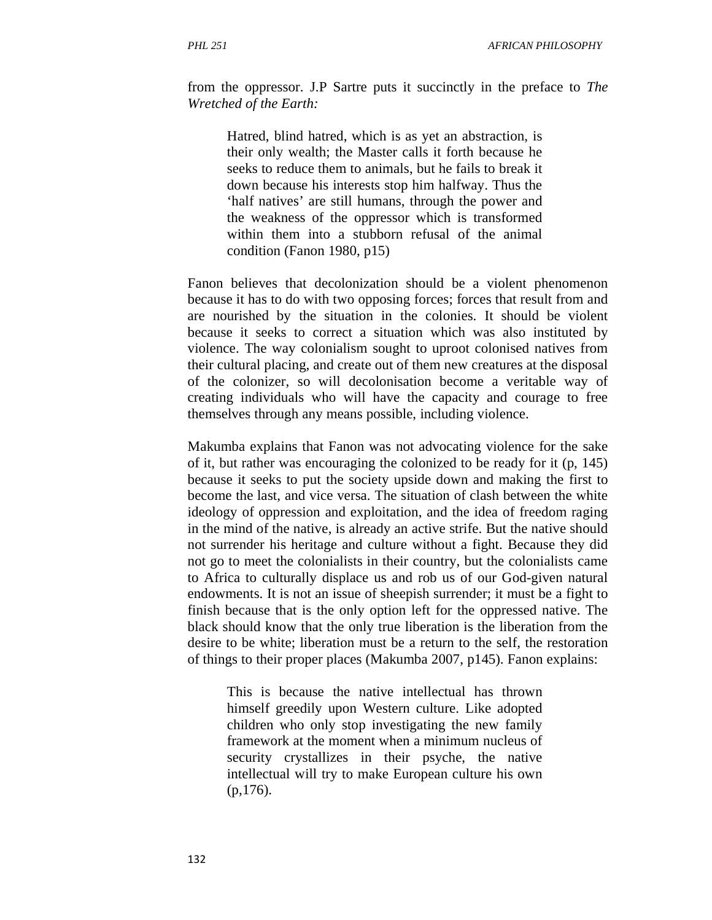from the oppressor. J.P Sartre puts it succinctly in the preface to *The Wretched of the Earth:* 

Hatred, blind hatred, which is as yet an abstraction, is their only wealth; the Master calls it forth because he seeks to reduce them to animals, but he fails to break it down because his interests stop him halfway. Thus the 'half natives' are still humans, through the power and the weakness of the oppressor which is transformed within them into a stubborn refusal of the animal condition (Fanon 1980, p15)

Fanon believes that decolonization should be a violent phenomenon because it has to do with two opposing forces; forces that result from and are nourished by the situation in the colonies. It should be violent because it seeks to correct a situation which was also instituted by violence. The way colonialism sought to uproot colonised natives from their cultural placing, and create out of them new creatures at the disposal of the colonizer, so will decolonisation become a veritable way of creating individuals who will have the capacity and courage to free themselves through any means possible, including violence.

Makumba explains that Fanon was not advocating violence for the sake of it, but rather was encouraging the colonized to be ready for it (p, 145) because it seeks to put the society upside down and making the first to become the last, and vice versa. The situation of clash between the white ideology of oppression and exploitation, and the idea of freedom raging in the mind of the native, is already an active strife. But the native should not surrender his heritage and culture without a fight. Because they did not go to meet the colonialists in their country, but the colonialists came to Africa to culturally displace us and rob us of our God-given natural endowments. It is not an issue of sheepish surrender; it must be a fight to finish because that is the only option left for the oppressed native. The black should know that the only true liberation is the liberation from the desire to be white; liberation must be a return to the self, the restoration of things to their proper places (Makumba 2007, p145). Fanon explains:

This is because the native intellectual has thrown himself greedily upon Western culture. Like adopted children who only stop investigating the new family framework at the moment when a minimum nucleus of security crystallizes in their psyche, the native intellectual will try to make European culture his own (p,176).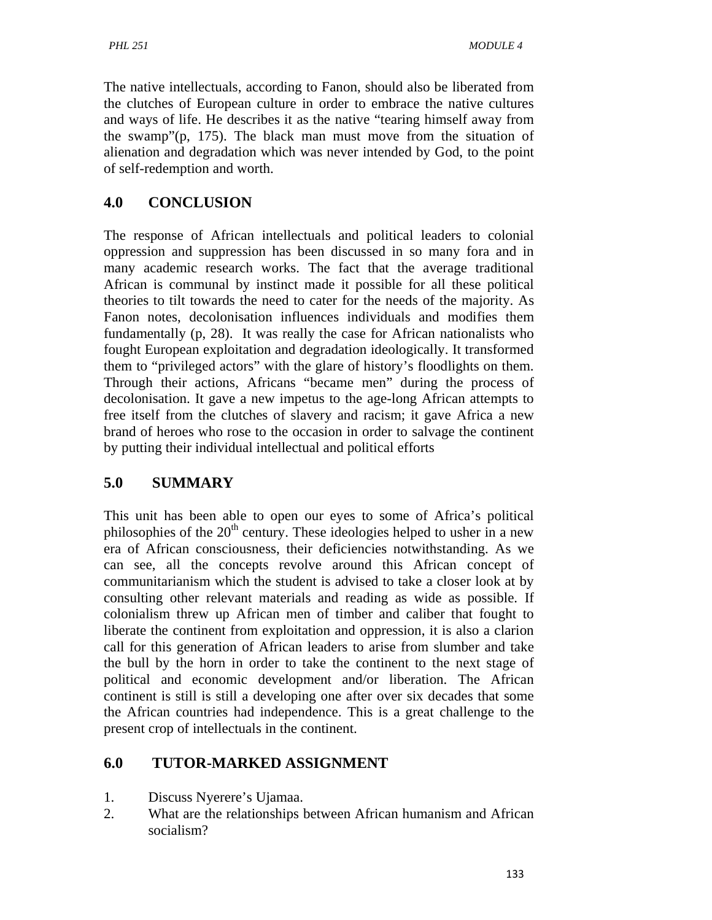The native intellectuals, according to Fanon, should also be liberated from the clutches of European culture in order to embrace the native cultures and ways of life. He describes it as the native "tearing himself away from the swamp"(p, 175). The black man must move from the situation of alienation and degradation which was never intended by God, to the point of self-redemption and worth.

# **4.0 CONCLUSION**

The response of African intellectuals and political leaders to colonial oppression and suppression has been discussed in so many fora and in many academic research works. The fact that the average traditional African is communal by instinct made it possible for all these political theories to tilt towards the need to cater for the needs of the majority. As Fanon notes, decolonisation influences individuals and modifies them fundamentally (p, 28). It was really the case for African nationalists who fought European exploitation and degradation ideologically. It transformed them to "privileged actors" with the glare of history's floodlights on them. Through their actions, Africans "became men" during the process of decolonisation. It gave a new impetus to the age-long African attempts to free itself from the clutches of slavery and racism; it gave Africa a new brand of heroes who rose to the occasion in order to salvage the continent by putting their individual intellectual and political efforts

# **5.0 SUMMARY**

This unit has been able to open our eyes to some of Africa's political philosophies of the  $20<sup>th</sup>$  century. These ideologies helped to usher in a new era of African consciousness, their deficiencies notwithstanding. As we can see, all the concepts revolve around this African concept of communitarianism which the student is advised to take a closer look at by consulting other relevant materials and reading as wide as possible. If colonialism threw up African men of timber and caliber that fought to liberate the continent from exploitation and oppression, it is also a clarion call for this generation of African leaders to arise from slumber and take the bull by the horn in order to take the continent to the next stage of political and economic development and/or liberation. The African continent is still is still a developing one after over six decades that some the African countries had independence. This is a great challenge to the present crop of intellectuals in the continent.

# **6.0 TUTOR-MARKED ASSIGNMENT**

- 1. Discuss Nyerere's Ujamaa.
- 2. What are the relationships between African humanism and African socialism?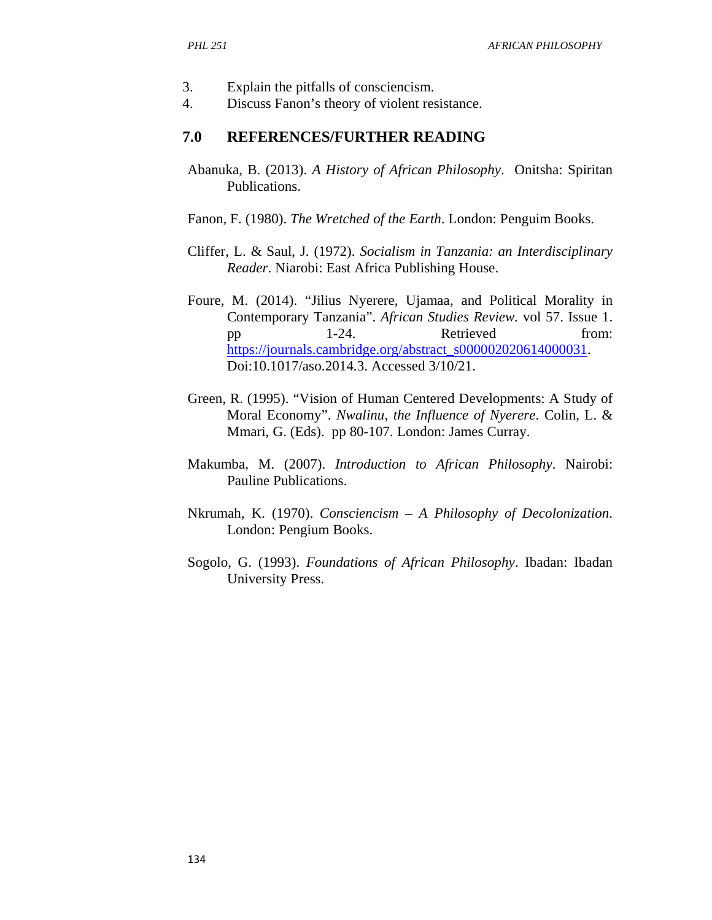- 3. Explain the pitfalls of consciencism.
- 4. Discuss Fanon's theory of violent resistance.

#### **7.0 REFERENCES/FURTHER READING**

- Abanuka, B. (2013). *A History of African Philosophy*. Onitsha: Spiritan Publications.
- Fanon, F. (1980). *The Wretched of the Earth*. London: Penguim Books.
- Cliffer, L. & Saul, J. (1972). *Socialism in Tanzania: an Interdisciplinary Reader*. Niarobi: East Africa Publishing House.
- Foure, M. (2014). "Jilius Nyerere, Ujamaa, and Political Morality in Contemporary Tanzania". *African Studies Review.* vol 57. Issue 1. pp 1-24. Retrieved from: https://journals.cambridge.org/abstract\_s000002020614000031. Doi:10.1017/aso.2014.3. Accessed 3/10/21.
- Green, R. (1995). "Vision of Human Centered Developments: A Study of Moral Economy". *Nwalinu, the Influence of Nyerere*. Colin, L. & Mmari, G. (Eds). pp 80-107. London: James Curray.
- Makumba, M. (2007). *Introduction to African Philosophy*. Nairobi: Pauline Publications.
- Nkrumah, K. (1970). *Consciencism A Philosophy of Decolonization*. London: Pengium Books.
- Sogolo, G. (1993). *Foundations of African Philosophy*. Ibadan: Ibadan University Press.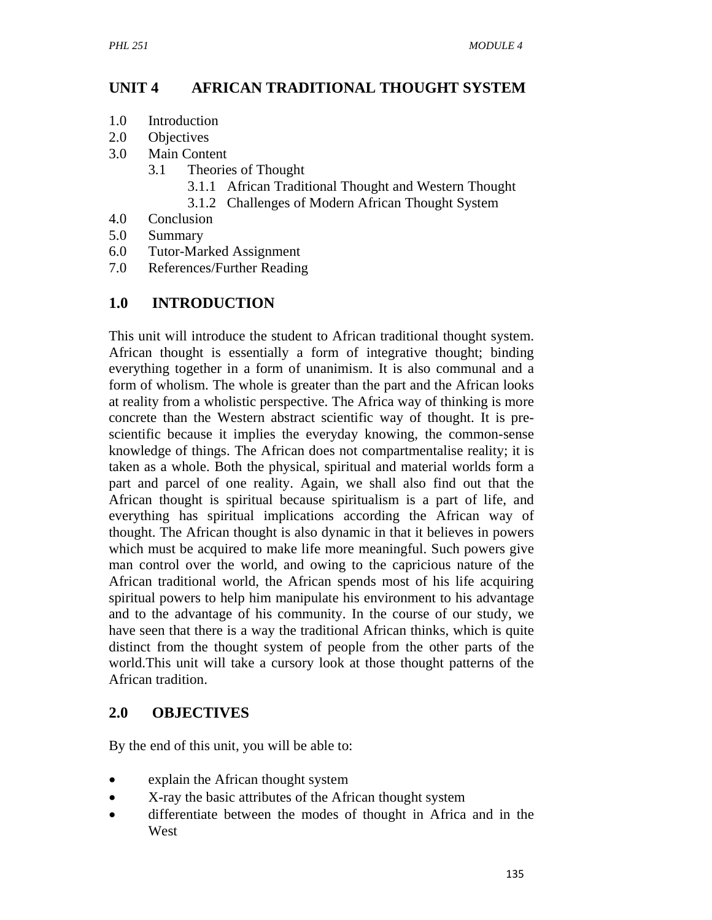## **UNIT 4 AFRICAN TRADITIONAL THOUGHT SYSTEM**

- 1.0 Introduction
- 2.0 Objectives
- 3.0 Main Content
	- 3.1 Theories of Thought
		- 3.1.1 African Traditional Thought and Western Thought
		- 3.1.2 Challenges of Modern African Thought System
- 4.0 Conclusion
- 5.0 Summary
- 6.0 Tutor-Marked Assignment
- 7.0 References/Further Reading

### **1.0 INTRODUCTION**

This unit will introduce the student to African traditional thought system. African thought is essentially a form of integrative thought; binding everything together in a form of unanimism. It is also communal and a form of wholism. The whole is greater than the part and the African looks at reality from a wholistic perspective. The Africa way of thinking is more concrete than the Western abstract scientific way of thought. It is prescientific because it implies the everyday knowing, the common-sense knowledge of things. The African does not compartmentalise reality; it is taken as a whole. Both the physical, spiritual and material worlds form a part and parcel of one reality. Again, we shall also find out that the African thought is spiritual because spiritualism is a part of life, and everything has spiritual implications according the African way of thought. The African thought is also dynamic in that it believes in powers which must be acquired to make life more meaningful. Such powers give man control over the world, and owing to the capricious nature of the African traditional world, the African spends most of his life acquiring spiritual powers to help him manipulate his environment to his advantage and to the advantage of his community. In the course of our study, we have seen that there is a way the traditional African thinks, which is quite distinct from the thought system of people from the other parts of the world.This unit will take a cursory look at those thought patterns of the African tradition.

#### **2.0 OBJECTIVES**

By the end of this unit, you will be able to:

- explain the African thought system
- X-ray the basic attributes of the African thought system
- differentiate between the modes of thought in Africa and in the West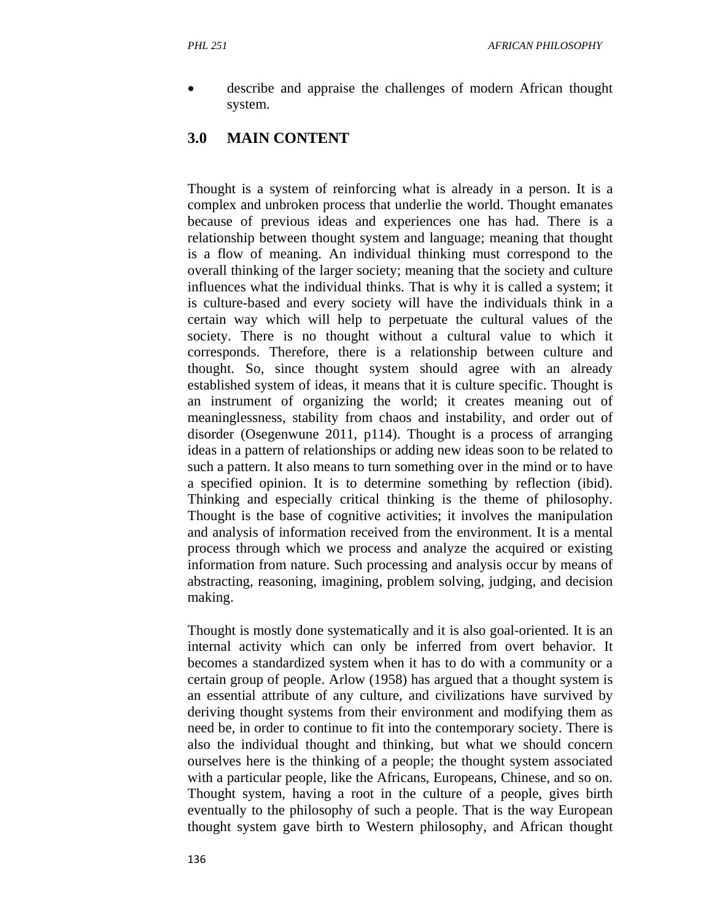describe and appraise the challenges of modern African thought system.

#### **3.0 MAIN CONTENT**

Thought is a system of reinforcing what is already in a person. It is a complex and unbroken process that underlie the world. Thought emanates because of previous ideas and experiences one has had. There is a relationship between thought system and language; meaning that thought is a flow of meaning. An individual thinking must correspond to the overall thinking of the larger society; meaning that the society and culture influences what the individual thinks. That is why it is called a system; it is culture-based and every society will have the individuals think in a certain way which will help to perpetuate the cultural values of the society. There is no thought without a cultural value to which it corresponds. Therefore, there is a relationship between culture and thought. So, since thought system should agree with an already established system of ideas, it means that it is culture specific. Thought is an instrument of organizing the world; it creates meaning out of meaninglessness, stability from chaos and instability, and order out of disorder (Osegenwune 2011, p114). Thought is a process of arranging ideas in a pattern of relationships or adding new ideas soon to be related to such a pattern. It also means to turn something over in the mind or to have a specified opinion. It is to determine something by reflection (ibid). Thinking and especially critical thinking is the theme of philosophy. Thought is the base of cognitive activities; it involves the manipulation and analysis of information received from the environment. It is a mental process through which we process and analyze the acquired or existing information from nature. Such processing and analysis occur by means of abstracting, reasoning, imagining, problem solving, judging, and decision making.

Thought is mostly done systematically and it is also goal-oriented. It is an internal activity which can only be inferred from overt behavior. It becomes a standardized system when it has to do with a community or a certain group of people. Arlow (1958) has argued that a thought system is an essential attribute of any culture, and civilizations have survived by deriving thought systems from their environment and modifying them as need be, in order to continue to fit into the contemporary society. There is also the individual thought and thinking, but what we should concern ourselves here is the thinking of a people; the thought system associated with a particular people, like the Africans, Europeans, Chinese, and so on. Thought system, having a root in the culture of a people, gives birth eventually to the philosophy of such a people. That is the way European thought system gave birth to Western philosophy, and African thought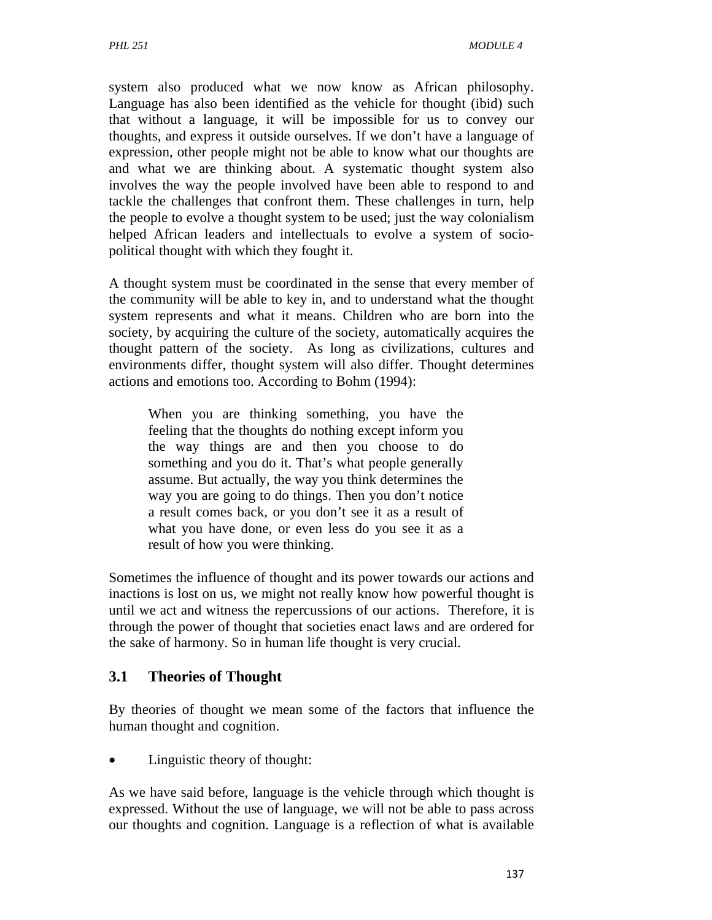system also produced what we now know as African philosophy. Language has also been identified as the vehicle for thought (ibid) such that without a language, it will be impossible for us to convey our thoughts, and express it outside ourselves. If we don't have a language of expression, other people might not be able to know what our thoughts are and what we are thinking about. A systematic thought system also involves the way the people involved have been able to respond to and tackle the challenges that confront them. These challenges in turn, help the people to evolve a thought system to be used; just the way colonialism helped African leaders and intellectuals to evolve a system of sociopolitical thought with which they fought it.

A thought system must be coordinated in the sense that every member of the community will be able to key in, and to understand what the thought system represents and what it means. Children who are born into the society, by acquiring the culture of the society, automatically acquires the thought pattern of the society. As long as civilizations, cultures and environments differ, thought system will also differ. Thought determines actions and emotions too. According to Bohm (1994):

When you are thinking something, you have the feeling that the thoughts do nothing except inform you the way things are and then you choose to do something and you do it. That's what people generally assume. But actually, the way you think determines the way you are going to do things. Then you don't notice a result comes back, or you don't see it as a result of what you have done, or even less do you see it as a result of how you were thinking.

Sometimes the influence of thought and its power towards our actions and inactions is lost on us, we might not really know how powerful thought is until we act and witness the repercussions of our actions. Therefore, it is through the power of thought that societies enact laws and are ordered for the sake of harmony. So in human life thought is very crucial.

## **3.1 Theories of Thought**

By theories of thought we mean some of the factors that influence the human thought and cognition.

• Linguistic theory of thought:

As we have said before, language is the vehicle through which thought is expressed. Without the use of language, we will not be able to pass across our thoughts and cognition. Language is a reflection of what is available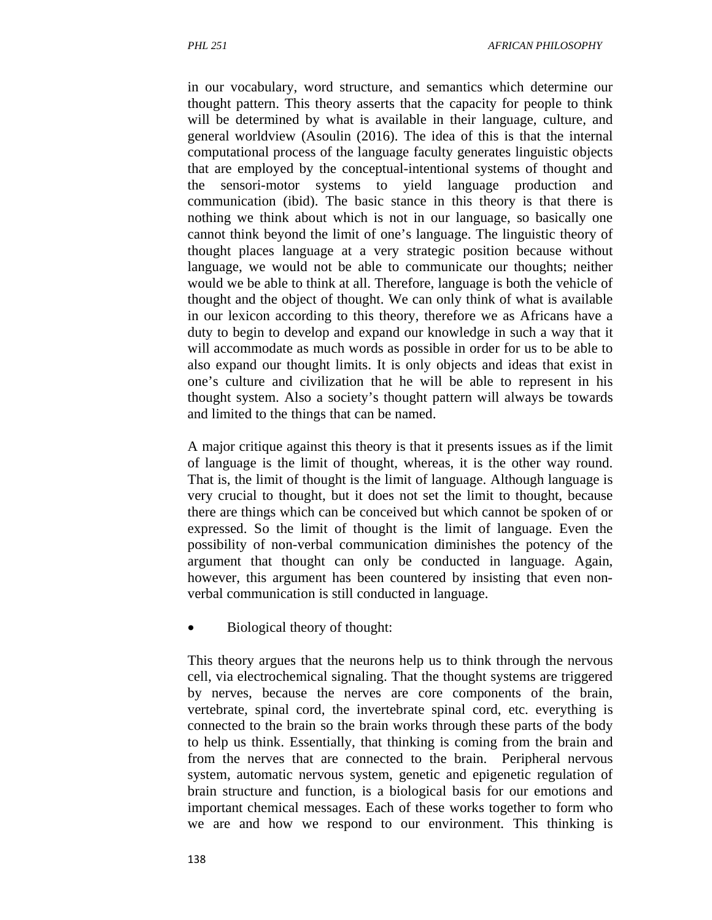in our vocabulary, word structure, and semantics which determine our thought pattern. This theory asserts that the capacity for people to think will be determined by what is available in their language, culture, and general worldview (Asoulin (2016). The idea of this is that the internal computational process of the language faculty generates linguistic objects that are employed by the conceptual-intentional systems of thought and the sensori-motor systems to yield language production and communication (ibid). The basic stance in this theory is that there is nothing we think about which is not in our language, so basically one cannot think beyond the limit of one's language. The linguistic theory of thought places language at a very strategic position because without language, we would not be able to communicate our thoughts; neither would we be able to think at all. Therefore, language is both the vehicle of thought and the object of thought. We can only think of what is available in our lexicon according to this theory, therefore we as Africans have a duty to begin to develop and expand our knowledge in such a way that it will accommodate as much words as possible in order for us to be able to also expand our thought limits. It is only objects and ideas that exist in one's culture and civilization that he will be able to represent in his thought system. Also a society's thought pattern will always be towards and limited to the things that can be named.

A major critique against this theory is that it presents issues as if the limit of language is the limit of thought, whereas, it is the other way round. That is, the limit of thought is the limit of language. Although language is very crucial to thought, but it does not set the limit to thought, because there are things which can be conceived but which cannot be spoken of or expressed. So the limit of thought is the limit of language. Even the possibility of non-verbal communication diminishes the potency of the argument that thought can only be conducted in language. Again, however, this argument has been countered by insisting that even nonverbal communication is still conducted in language.

Biological theory of thought:

This theory argues that the neurons help us to think through the nervous cell, via electrochemical signaling. That the thought systems are triggered by nerves, because the nerves are core components of the brain, vertebrate, spinal cord, the invertebrate spinal cord, etc. everything is connected to the brain so the brain works through these parts of the body to help us think. Essentially, that thinking is coming from the brain and from the nerves that are connected to the brain. Peripheral nervous system, automatic nervous system, genetic and epigenetic regulation of brain structure and function, is a biological basis for our emotions and important chemical messages. Each of these works together to form who we are and how we respond to our environment. This thinking is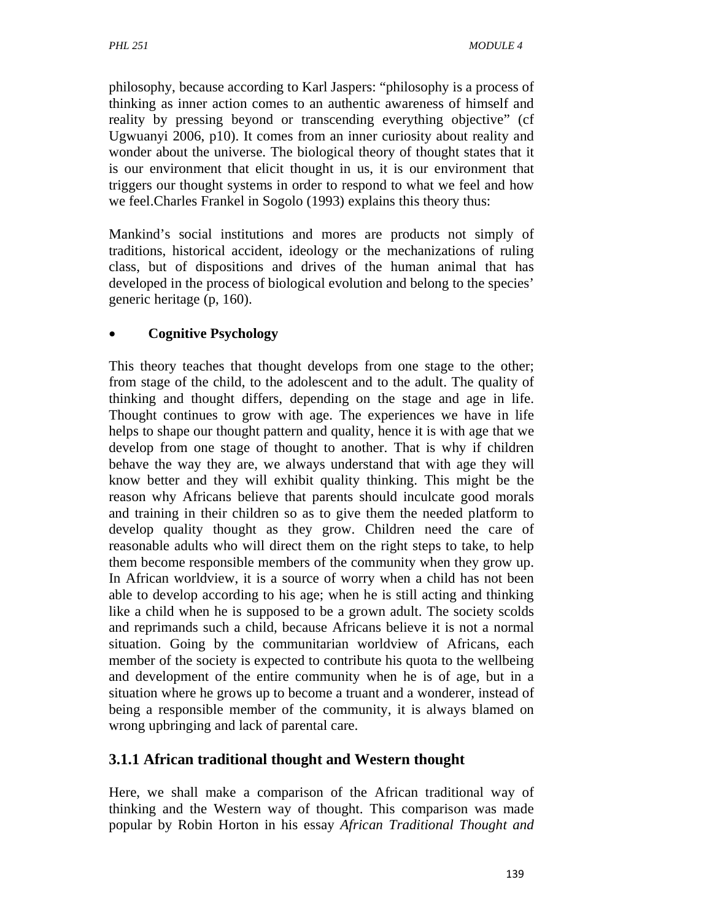philosophy, because according to Karl Jaspers: "philosophy is a process of thinking as inner action comes to an authentic awareness of himself and reality by pressing beyond or transcending everything objective" (cf Ugwuanyi 2006, p10). It comes from an inner curiosity about reality and wonder about the universe. The biological theory of thought states that it is our environment that elicit thought in us, it is our environment that triggers our thought systems in order to respond to what we feel and how we feel.Charles Frankel in Sogolo (1993) explains this theory thus:

Mankind's social institutions and mores are products not simply of traditions, historical accident, ideology or the mechanizations of ruling class, but of dispositions and drives of the human animal that has developed in the process of biological evolution and belong to the species' generic heritage (p, 160).

# **Cognitive Psychology**

This theory teaches that thought develops from one stage to the other; from stage of the child, to the adolescent and to the adult. The quality of thinking and thought differs, depending on the stage and age in life. Thought continues to grow with age. The experiences we have in life helps to shape our thought pattern and quality, hence it is with age that we develop from one stage of thought to another. That is why if children behave the way they are, we always understand that with age they will know better and they will exhibit quality thinking. This might be the reason why Africans believe that parents should inculcate good morals and training in their children so as to give them the needed platform to develop quality thought as they grow. Children need the care of reasonable adults who will direct them on the right steps to take, to help them become responsible members of the community when they grow up. In African worldview, it is a source of worry when a child has not been able to develop according to his age; when he is still acting and thinking like a child when he is supposed to be a grown adult. The society scolds and reprimands such a child, because Africans believe it is not a normal situation. Going by the communitarian worldview of Africans, each member of the society is expected to contribute his quota to the wellbeing and development of the entire community when he is of age, but in a situation where he grows up to become a truant and a wonderer, instead of being a responsible member of the community, it is always blamed on wrong upbringing and lack of parental care.

# **3.1.1 African traditional thought and Western thought**

Here, we shall make a comparison of the African traditional way of thinking and the Western way of thought. This comparison was made popular by Robin Horton in his essay *African Traditional Thought and*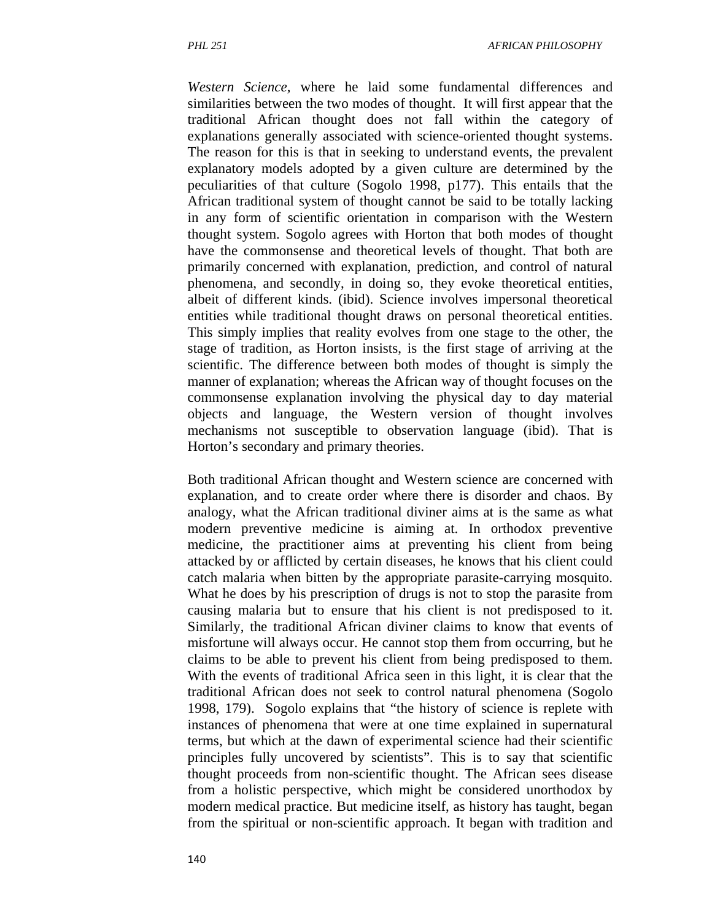*Western Science,* where he laid some fundamental differences and similarities between the two modes of thought. It will first appear that the traditional African thought does not fall within the category of explanations generally associated with science-oriented thought systems. The reason for this is that in seeking to understand events, the prevalent explanatory models adopted by a given culture are determined by the peculiarities of that culture (Sogolo 1998, p177). This entails that the African traditional system of thought cannot be said to be totally lacking in any form of scientific orientation in comparison with the Western thought system. Sogolo agrees with Horton that both modes of thought have the commonsense and theoretical levels of thought. That both are primarily concerned with explanation, prediction, and control of natural phenomena, and secondly, in doing so, they evoke theoretical entities, albeit of different kinds. (ibid). Science involves impersonal theoretical entities while traditional thought draws on personal theoretical entities. This simply implies that reality evolves from one stage to the other, the stage of tradition, as Horton insists, is the first stage of arriving at the scientific. The difference between both modes of thought is simply the manner of explanation; whereas the African way of thought focuses on the commonsense explanation involving the physical day to day material objects and language, the Western version of thought involves mechanisms not susceptible to observation language (ibid). That is Horton's secondary and primary theories.

Both traditional African thought and Western science are concerned with explanation, and to create order where there is disorder and chaos. By analogy, what the African traditional diviner aims at is the same as what modern preventive medicine is aiming at. In orthodox preventive medicine, the practitioner aims at preventing his client from being attacked by or afflicted by certain diseases, he knows that his client could catch malaria when bitten by the appropriate parasite-carrying mosquito. What he does by his prescription of drugs is not to stop the parasite from causing malaria but to ensure that his client is not predisposed to it. Similarly, the traditional African diviner claims to know that events of misfortune will always occur. He cannot stop them from occurring, but he claims to be able to prevent his client from being predisposed to them. With the events of traditional Africa seen in this light, it is clear that the traditional African does not seek to control natural phenomena (Sogolo 1998, 179). Sogolo explains that "the history of science is replete with instances of phenomena that were at one time explained in supernatural terms, but which at the dawn of experimental science had their scientific principles fully uncovered by scientists". This is to say that scientific thought proceeds from non-scientific thought. The African sees disease from a holistic perspective, which might be considered unorthodox by modern medical practice. But medicine itself, as history has taught, began from the spiritual or non-scientific approach. It began with tradition and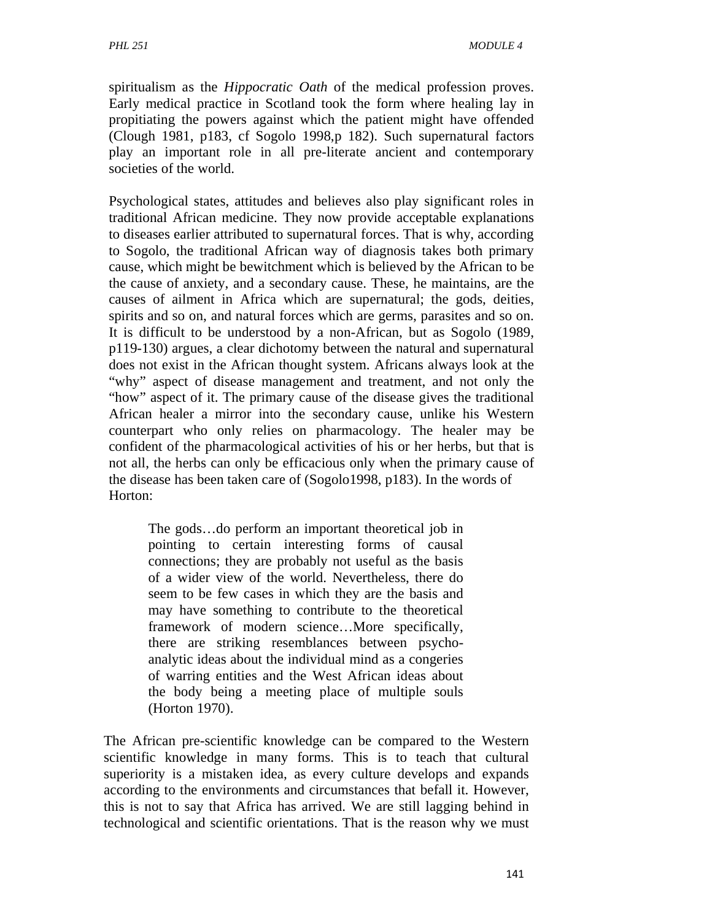spiritualism as the *Hippocratic Oath* of the medical profession proves. Early medical practice in Scotland took the form where healing lay in propitiating the powers against which the patient might have offended (Clough 1981, p183, cf Sogolo 1998,p 182). Such supernatural factors play an important role in all pre-literate ancient and contemporary societies of the world.

Psychological states, attitudes and believes also play significant roles in traditional African medicine. They now provide acceptable explanations to diseases earlier attributed to supernatural forces. That is why, according to Sogolo, the traditional African way of diagnosis takes both primary cause, which might be bewitchment which is believed by the African to be the cause of anxiety, and a secondary cause. These, he maintains, are the causes of ailment in Africa which are supernatural; the gods, deities, spirits and so on, and natural forces which are germs, parasites and so on. It is difficult to be understood by a non-African, but as Sogolo (1989, p119-130) argues, a clear dichotomy between the natural and supernatural does not exist in the African thought system. Africans always look at the "why" aspect of disease management and treatment, and not only the "how" aspect of it. The primary cause of the disease gives the traditional African healer a mirror into the secondary cause, unlike his Western counterpart who only relies on pharmacology. The healer may be confident of the pharmacological activities of his or her herbs, but that is not all, the herbs can only be efficacious only when the primary cause of the disease has been taken care of (Sogolo1998, p183). In the words of Horton:

The gods…do perform an important theoretical job in pointing to certain interesting forms of causal connections; they are probably not useful as the basis of a wider view of the world. Nevertheless, there do seem to be few cases in which they are the basis and may have something to contribute to the theoretical framework of modern science…More specifically, there are striking resemblances between psychoanalytic ideas about the individual mind as a congeries of warring entities and the West African ideas about the body being a meeting place of multiple souls (Horton 1970).

The African pre-scientific knowledge can be compared to the Western scientific knowledge in many forms. This is to teach that cultural superiority is a mistaken idea, as every culture develops and expands according to the environments and circumstances that befall it. However, this is not to say that Africa has arrived. We are still lagging behind in technological and scientific orientations. That is the reason why we must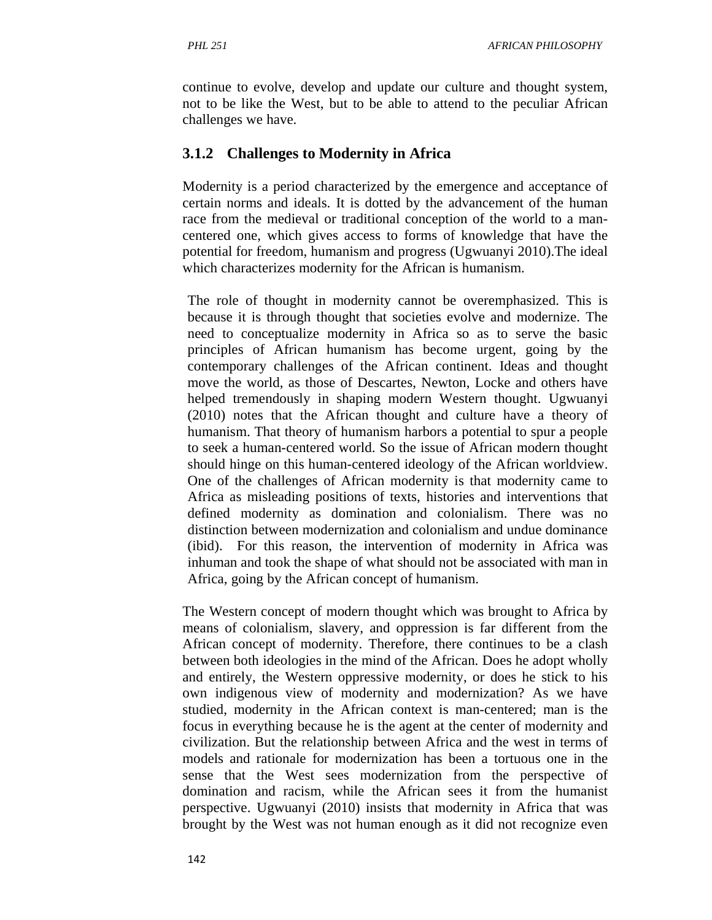continue to evolve, develop and update our culture and thought system, not to be like the West, but to be able to attend to the peculiar African challenges we have.

### **3.1.2 Challenges to Modernity in Africa**

Modernity is a period characterized by the emergence and acceptance of certain norms and ideals. It is dotted by the advancement of the human race from the medieval or traditional conception of the world to a mancentered one, which gives access to forms of knowledge that have the potential for freedom, humanism and progress (Ugwuanyi 2010).The ideal which characterizes modernity for the African is humanism.

The role of thought in modernity cannot be overemphasized. This is because it is through thought that societies evolve and modernize. The need to conceptualize modernity in Africa so as to serve the basic principles of African humanism has become urgent, going by the contemporary challenges of the African continent. Ideas and thought move the world, as those of Descartes, Newton, Locke and others have helped tremendously in shaping modern Western thought. Ugwuanyi (2010) notes that the African thought and culture have a theory of humanism. That theory of humanism harbors a potential to spur a people to seek a human-centered world. So the issue of African modern thought should hinge on this human-centered ideology of the African worldview. One of the challenges of African modernity is that modernity came to Africa as misleading positions of texts, histories and interventions that defined modernity as domination and colonialism. There was no distinction between modernization and colonialism and undue dominance (ibid). For this reason, the intervention of modernity in Africa was inhuman and took the shape of what should not be associated with man in Africa, going by the African concept of humanism.

The Western concept of modern thought which was brought to Africa by means of colonialism, slavery, and oppression is far different from the African concept of modernity. Therefore, there continues to be a clash between both ideologies in the mind of the African. Does he adopt wholly and entirely, the Western oppressive modernity, or does he stick to his own indigenous view of modernity and modernization? As we have studied, modernity in the African context is man-centered; man is the focus in everything because he is the agent at the center of modernity and civilization. But the relationship between Africa and the west in terms of models and rationale for modernization has been a tortuous one in the sense that the West sees modernization from the perspective of domination and racism, while the African sees it from the humanist perspective. Ugwuanyi (2010) insists that modernity in Africa that was brought by the West was not human enough as it did not recognize even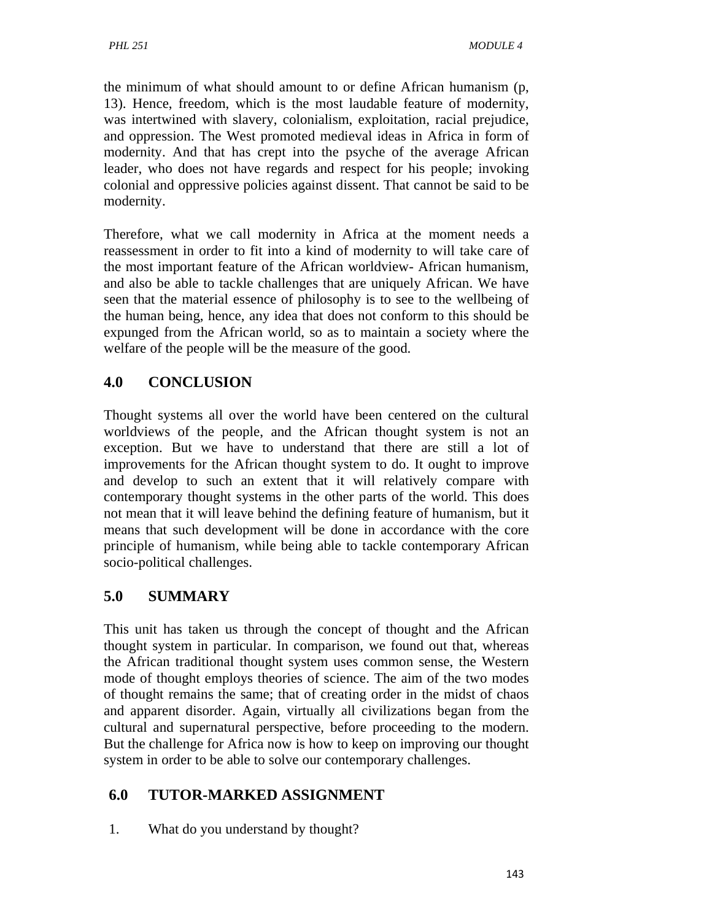the minimum of what should amount to or define African humanism (p, 13). Hence, freedom, which is the most laudable feature of modernity, was intertwined with slavery, colonialism, exploitation, racial prejudice, and oppression. The West promoted medieval ideas in Africa in form of modernity. And that has crept into the psyche of the average African leader, who does not have regards and respect for his people; invoking colonial and oppressive policies against dissent. That cannot be said to be modernity.

Therefore, what we call modernity in Africa at the moment needs a reassessment in order to fit into a kind of modernity to will take care of the most important feature of the African worldview- African humanism, and also be able to tackle challenges that are uniquely African. We have seen that the material essence of philosophy is to see to the wellbeing of the human being, hence, any idea that does not conform to this should be expunged from the African world, so as to maintain a society where the welfare of the people will be the measure of the good.

# **4.0 CONCLUSION**

Thought systems all over the world have been centered on the cultural worldviews of the people, and the African thought system is not an exception. But we have to understand that there are still a lot of improvements for the African thought system to do. It ought to improve and develop to such an extent that it will relatively compare with contemporary thought systems in the other parts of the world. This does not mean that it will leave behind the defining feature of humanism, but it means that such development will be done in accordance with the core principle of humanism, while being able to tackle contemporary African socio-political challenges.

# **5.0 SUMMARY**

This unit has taken us through the concept of thought and the African thought system in particular. In comparison, we found out that, whereas the African traditional thought system uses common sense, the Western mode of thought employs theories of science. The aim of the two modes of thought remains the same; that of creating order in the midst of chaos and apparent disorder. Again, virtually all civilizations began from the cultural and supernatural perspective, before proceeding to the modern. But the challenge for Africa now is how to keep on improving our thought system in order to be able to solve our contemporary challenges.

# **6.0 TUTOR-MARKED ASSIGNMENT**

1. What do you understand by thought?